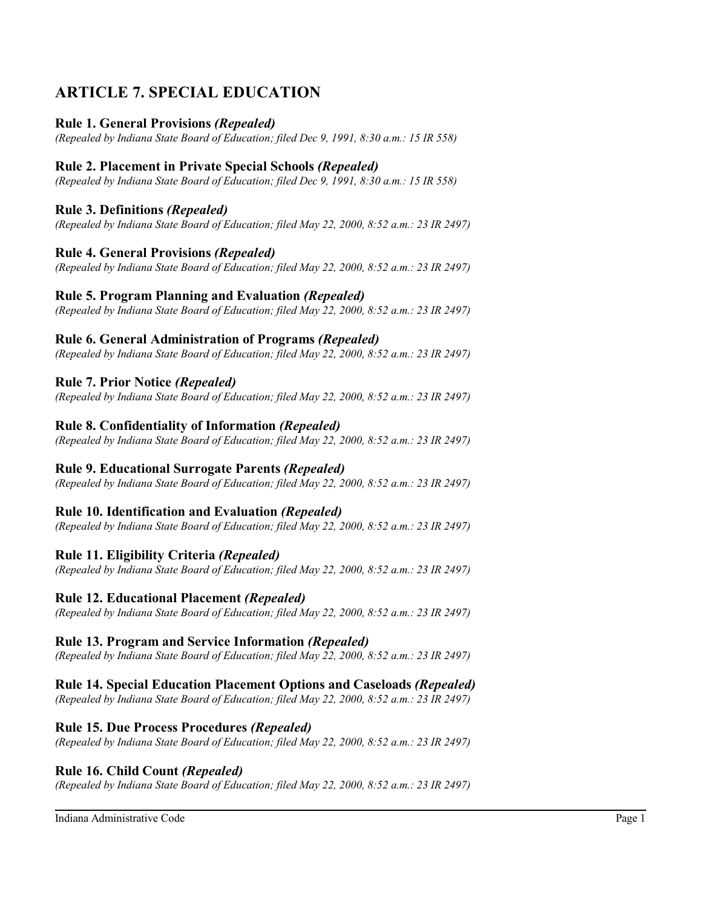# **ARTICLE 7. SPECIAL EDUCATION**

## **Rule 1. General Provisions** *(Repealed)*

*(Repealed by Indiana State Board of Education; filed Dec 9, 1991, 8:30 a.m.: 15 IR 558)*

## **Rule 2. Placement in Private Special Schools** *(Repealed)*

*(Repealed by Indiana State Board of Education; filed Dec 9, 1991, 8:30 a.m.: 15 IR 558)*

## **Rule 3. Definitions** *(Repealed)*

*(Repealed by Indiana State Board of Education; filed May 22, 2000, 8:52 a.m.: 23 IR 2497)*

## **Rule 4. General Provisions** *(Repealed)*

*(Repealed by Indiana State Board of Education; filed May 22, 2000, 8:52 a.m.: 23 IR 2497)*

## **Rule 5. Program Planning and Evaluation** *(Repealed)*

*(Repealed by Indiana State Board of Education; filed May 22, 2000, 8:52 a.m.: 23 IR 2497)*

## **Rule 6. General Administration of Programs** *(Repealed)*

*(Repealed by Indiana State Board of Education; filed May 22, 2000, 8:52 a.m.: 23 IR 2497)*

## **Rule 7. Prior Notice** *(Repealed)*

*(Repealed by Indiana State Board of Education; filed May 22, 2000, 8:52 a.m.: 23 IR 2497)*

## **Rule 8. Confidentiality of Information** *(Repealed)*

*(Repealed by Indiana State Board of Education; filed May 22, 2000, 8:52 a.m.: 23 IR 2497)*

## **Rule 9. Educational Surrogate Parents** *(Repealed)*

*(Repealed by Indiana State Board of Education; filed May 22, 2000, 8:52 a.m.: 23 IR 2497)*

## **Rule 10. Identification and Evaluation** *(Repealed)*

*(Repealed by Indiana State Board of Education; filed May 22, 2000, 8:52 a.m.: 23 IR 2497)*

## **Rule 11. Eligibility Criteria** *(Repealed)*

*(Repealed by Indiana State Board of Education; filed May 22, 2000, 8:52 a.m.: 23 IR 2497)*

## **Rule 12. Educational Placement** *(Repealed)*

*(Repealed by Indiana State Board of Education; filed May 22, 2000, 8:52 a.m.: 23 IR 2497)*

### **Rule 13. Program and Service Information** *(Repealed)*

*(Repealed by Indiana State Board of Education; filed May 22, 2000, 8:52 a.m.: 23 IR 2497)*

## **Rule 14. Special Education Placement Options and Caseloads** *(Repealed)*

*(Repealed by Indiana State Board of Education; filed May 22, 2000, 8:52 a.m.: 23 IR 2497)*

## **Rule 15. Due Process Procedures** *(Repealed)*

*(Repealed by Indiana State Board of Education; filed May 22, 2000, 8:52 a.m.: 23 IR 2497)*

### **Rule 16. Child Count** *(Repealed)*

*(Repealed by Indiana State Board of Education; filed May 22, 2000, 8:52 a.m.: 23 IR 2497)*

Indiana Administrative Code Page 1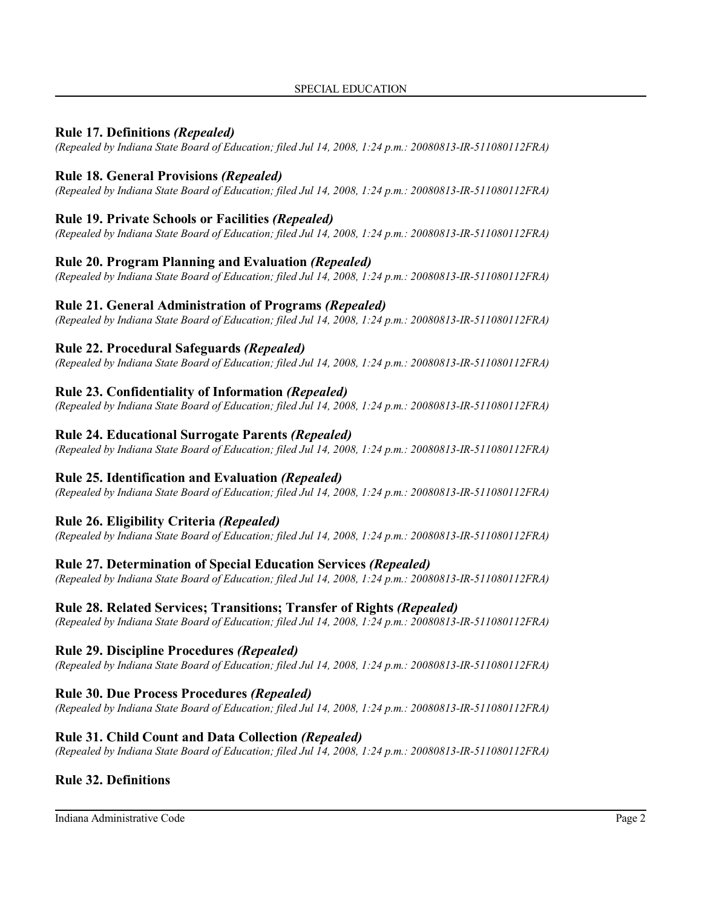## **Rule 17. Definitions** *(Repealed)*

*(Repealed by Indiana State Board of Education; filed Jul 14, 2008, 1:24 p.m.: 20080813-IR-511080112FRA)*

## **Rule 18. General Provisions** *(Repealed)*

*(Repealed by Indiana State Board of Education; filed Jul 14, 2008, 1:24 p.m.: 20080813-IR-511080112FRA)*

## **Rule 19. Private Schools or Facilities** *(Repealed)*

*(Repealed by Indiana State Board of Education; filed Jul 14, 2008, 1:24 p.m.: 20080813-IR-511080112FRA)*

### **Rule 20. Program Planning and Evaluation** *(Repealed)*

*(Repealed by Indiana State Board of Education; filed Jul 14, 2008, 1:24 p.m.: 20080813-IR-511080112FRA)*

## **Rule 21. General Administration of Programs** *(Repealed)*

*(Repealed by Indiana State Board of Education; filed Jul 14, 2008, 1:24 p.m.: 20080813-IR-511080112FRA)*

## **Rule 22. Procedural Safeguards** *(Repealed)*

*(Repealed by Indiana State Board of Education; filed Jul 14, 2008, 1:24 p.m.: 20080813-IR-511080112FRA)*

## **Rule 23. Confidentiality of Information** *(Repealed)*

*(Repealed by Indiana State Board of Education; filed Jul 14, 2008, 1:24 p.m.: 20080813-IR-511080112FRA)*

### **Rule 24. Educational Surrogate Parents** *(Repealed)*

*(Repealed by Indiana State Board of Education; filed Jul 14, 2008, 1:24 p.m.: 20080813-IR-511080112FRA)*

## **Rule 25. Identification and Evaluation** *(Repealed)*

*(Repealed by Indiana State Board of Education; filed Jul 14, 2008, 1:24 p.m.: 20080813-IR-511080112FRA)*

## **Rule 26. Eligibility Criteria** *(Repealed)*

*(Repealed by Indiana State Board of Education; filed Jul 14, 2008, 1:24 p.m.: 20080813-IR-511080112FRA)*

### **Rule 27. Determination of Special Education Services** *(Repealed)*

*(Repealed by Indiana State Board of Education; filed Jul 14, 2008, 1:24 p.m.: 20080813-IR-511080112FRA)*

### **Rule 28. Related Services; Transitions; Transfer of Rights** *(Repealed)*

*(Repealed by Indiana State Board of Education; filed Jul 14, 2008, 1:24 p.m.: 20080813-IR-511080112FRA)*

## **Rule 29. Discipline Procedures** *(Repealed)*

*(Repealed by Indiana State Board of Education; filed Jul 14, 2008, 1:24 p.m.: 20080813-IR-511080112FRA)*

## **Rule 30. Due Process Procedures** *(Repealed)*

*(Repealed by Indiana State Board of Education; filed Jul 14, 2008, 1:24 p.m.: 20080813-IR-511080112FRA)*

## **Rule 31. Child Count and Data Collection** *(Repealed)*

*(Repealed by Indiana State Board of Education; filed Jul 14, 2008, 1:24 p.m.: 20080813-IR-511080112FRA)*

## **Rule 32. Definitions**

Indiana Administrative Code Page 2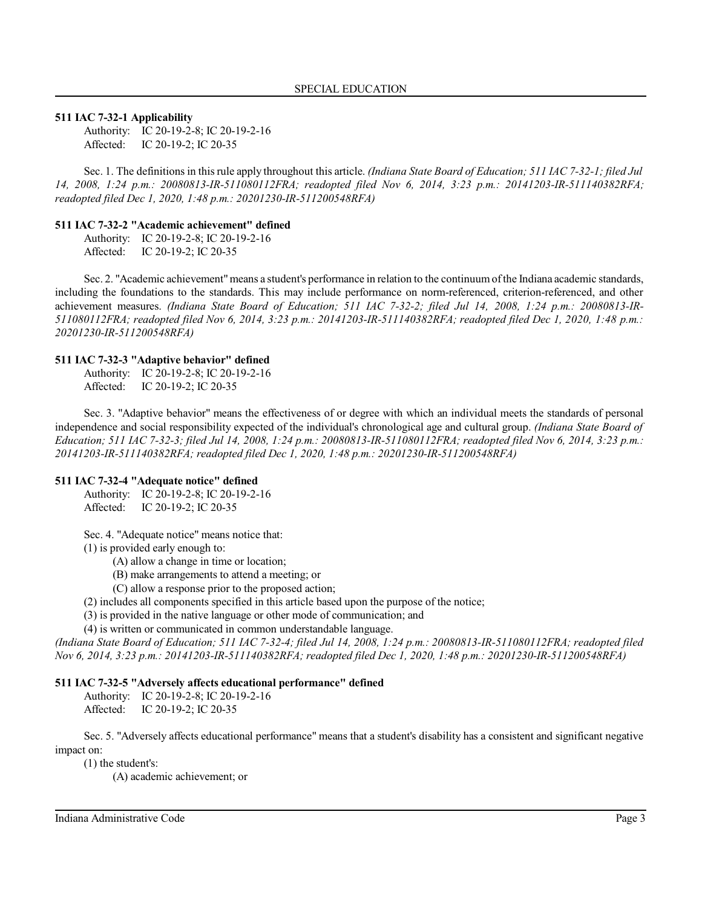#### **511 IAC 7-32-1 Applicability**

Authority: IC 20-19-2-8; IC 20-19-2-16 Affected: IC 20-19-2; IC 20-35

Sec. 1. The definitionsin thisrule apply throughout this article. *(Indiana State Board of Education; 511 IAC 7-32-1; filed Jul 14, 2008, 1:24 p.m.: 20080813-IR-511080112FRA; readopted filed Nov 6, 2014, 3:23 p.m.: 20141203-IR-511140382RFA; readopted filed Dec 1, 2020, 1:48 p.m.: 20201230-IR-511200548RFA)*

#### **511 IAC 7-32-2 "Academic achievement" defined**

Authority: IC 20-19-2-8; IC 20-19-2-16

Affected: IC 20-19-2; IC 20-35

Sec. 2. "Academic achievement" means a student's performance in relation to the continuum of the Indiana academic standards, including the foundations to the standards. This may include performance on norm-referenced, criterion-referenced, and other achievement measures. *(Indiana State Board of Education; 511 IAC 7-32-2; filed Jul 14, 2008, 1:24 p.m.: 20080813-IR-511080112FRA; readopted filed Nov 6, 2014, 3:23 p.m.: 20141203-IR-511140382RFA; readopted filed Dec 1, 2020, 1:48 p.m.: 20201230-IR-511200548RFA)*

#### **511 IAC 7-32-3 "Adaptive behavior" defined**

Authority: IC 20-19-2-8; IC 20-19-2-16 Affected: IC 20-19-2; IC 20-35

Sec. 3. "Adaptive behavior" means the effectiveness of or degree with which an individual meets the standards of personal independence and social responsibility expected of the individual's chronological age and cultural group. *(Indiana State Board of Education; 511 IAC 7-32-3; filed Jul 14, 2008, 1:24 p.m.: 20080813-IR-511080112FRA; readopted filed Nov 6, 2014, 3:23 p.m.: 20141203-IR-511140382RFA; readopted filed Dec 1, 2020, 1:48 p.m.: 20201230-IR-511200548RFA)*

#### **511 IAC 7-32-4 "Adequate notice" defined**

Authority: IC 20-19-2-8; IC 20-19-2-16 Affected: IC 20-19-2; IC 20-35

Sec. 4. "Adequate notice" means notice that:

(1) is provided early enough to:

(A) allow a change in time or location;

(B) make arrangements to attend a meeting; or

(C) allow a response prior to the proposed action;

(2) includes all components specified in this article based upon the purpose of the notice;

(3) is provided in the native language or other mode of communication; and

(4) is written or communicated in common understandable language.

*(Indiana State Board of Education; 511 IAC 7-32-4; filed Jul 14, 2008, 1:24 p.m.: 20080813-IR-511080112FRA; readopted filed Nov 6, 2014, 3:23 p.m.: 20141203-IR-511140382RFA; readopted filed Dec 1, 2020, 1:48 p.m.: 20201230-IR-511200548RFA)*

#### **511 IAC 7-32-5 "Adversely affects educational performance" defined**

Authority: IC 20-19-2-8; IC 20-19-2-16 Affected: IC 20-19-2; IC 20-35

Sec. 5. "Adversely affects educational performance" means that a student's disability has a consistent and significant negative impact on:

(1) the student's:

(A) academic achievement; or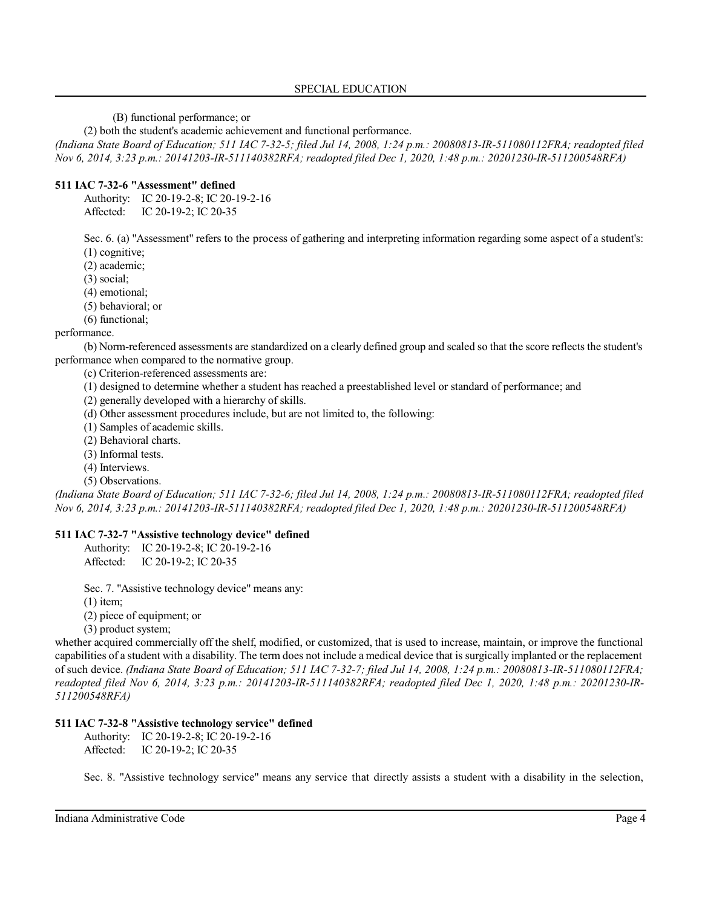(B) functional performance; or

(2) both the student's academic achievement and functional performance.

*(Indiana State Board of Education; 511 IAC 7-32-5; filed Jul 14, 2008, 1:24 p.m.: 20080813-IR-511080112FRA; readopted filed Nov 6, 2014, 3:23 p.m.: 20141203-IR-511140382RFA; readopted filed Dec 1, 2020, 1:48 p.m.: 20201230-IR-511200548RFA)*

#### **511 IAC 7-32-6 "Assessment" defined**

Authority: IC 20-19-2-8; IC 20-19-2-16 Affected: IC 20-19-2; IC 20-35

Sec. 6. (a) "Assessment" refers to the process of gathering and interpreting information regarding some aspect of a student's: (1) cognitive;

(2) academic;

(3) social;

(4) emotional;

(5) behavioral; or

(6) functional;

#### performance.

(b) Norm-referenced assessments are standardized on a clearly defined group and scaled so that the score reflects the student's performance when compared to the normative group.

(c) Criterion-referenced assessments are:

- (1) designed to determine whether a student has reached a preestablished level or standard of performance; and
- (2) generally developed with a hierarchy of skills.
- (d) Other assessment procedures include, but are not limited to, the following:
- (1) Samples of academic skills.
- (2) Behavioral charts.
- (3) Informal tests.
- (4) Interviews.
- (5) Observations.

*(Indiana State Board of Education; 511 IAC 7-32-6; filed Jul 14, 2008, 1:24 p.m.: 20080813-IR-511080112FRA; readopted filed Nov 6, 2014, 3:23 p.m.: 20141203-IR-511140382RFA; readopted filed Dec 1, 2020, 1:48 p.m.: 20201230-IR-511200548RFA)*

#### **511 IAC 7-32-7 "Assistive technology device" defined**

Authority: IC 20-19-2-8; IC 20-19-2-16 Affected: IC 20-19-2; IC 20-35

Sec. 7. "Assistive technology device" means any:

 $(1)$  item;

(2) piece of equipment; or

(3) product system;

whether acquired commercially off the shelf, modified, or customized, that is used to increase, maintain, or improve the functional capabilities of a student with a disability. The term does not include a medical device that is surgically implanted or the replacement of such device. *(Indiana State Board of Education; 511 IAC 7-32-7; filed Jul 14, 2008, 1:24 p.m.: 20080813-IR-511080112FRA; readopted filed Nov 6, 2014, 3:23 p.m.: 20141203-IR-511140382RFA; readopted filed Dec 1, 2020, 1:48 p.m.: 20201230-IR-511200548RFA)*

#### **511 IAC 7-32-8 "Assistive technology service" defined**

Authority: IC 20-19-2-8; IC 20-19-2-16 Affected: IC 20-19-2; IC 20-35

Sec. 8. "Assistive technology service" means any service that directly assists a student with a disability in the selection,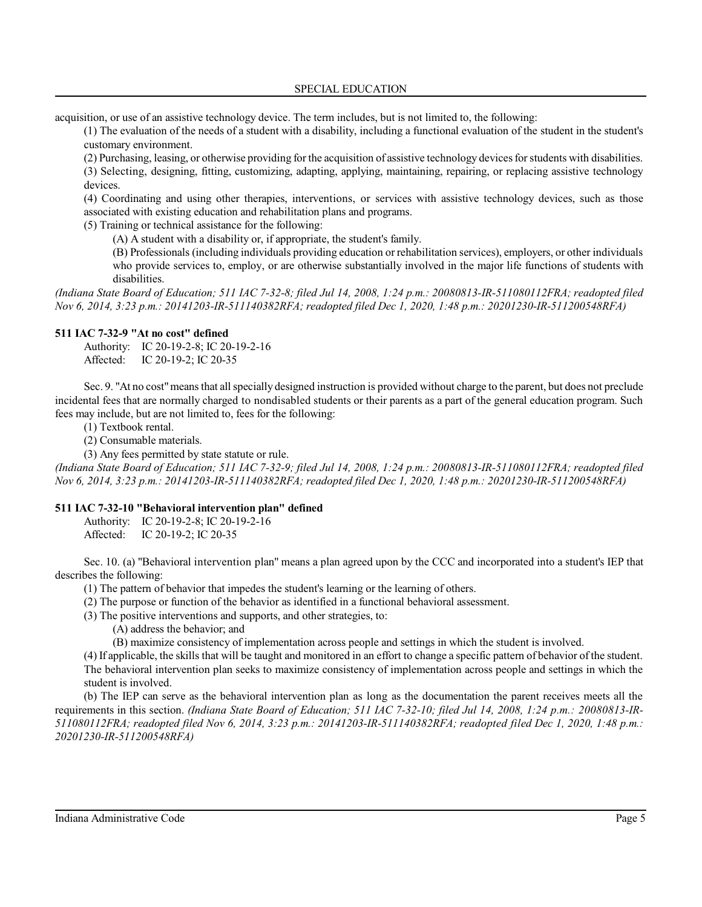acquisition, or use of an assistive technology device. The term includes, but is not limited to, the following:

(1) The evaluation of the needs of a student with a disability, including a functional evaluation of the student in the student's customary environment.

(2) Purchasing, leasing, or otherwise providing for the acquisition of assistive technology devicesforstudents with disabilities. (3) Selecting, designing, fitting, customizing, adapting, applying, maintaining, repairing, or replacing assistive technology devices.

(4) Coordinating and using other therapies, interventions, or services with assistive technology devices, such as those associated with existing education and rehabilitation plans and programs.

(5) Training or technical assistance for the following:

(A) A student with a disability or, if appropriate, the student's family.

(B) Professionals (including individuals providing education or rehabilitation services), employers, or other individuals who provide services to, employ, or are otherwise substantially involved in the major life functions of students with disabilities.

*(Indiana State Board of Education; 511 IAC 7-32-8; filed Jul 14, 2008, 1:24 p.m.: 20080813-IR-511080112FRA; readopted filed Nov 6, 2014, 3:23 p.m.: 20141203-IR-511140382RFA; readopted filed Dec 1, 2020, 1:48 p.m.: 20201230-IR-511200548RFA)*

### **511 IAC 7-32-9 "At no cost" defined**

Authority: IC 20-19-2-8; IC 20-19-2-16 Affected: IC 20-19-2; IC 20-35

Sec. 9. "At no cost"means that all specially designed instruction is provided without charge to the parent, but does not preclude incidental fees that are normally charged to nondisabled students or their parents as a part of the general education program. Such fees may include, but are not limited to, fees for the following:

(1) Textbook rental.

(2) Consumable materials.

(3) Any fees permitted by state statute or rule.

*(Indiana State Board of Education; 511 IAC 7-32-9; filed Jul 14, 2008, 1:24 p.m.: 20080813-IR-511080112FRA; readopted filed Nov 6, 2014, 3:23 p.m.: 20141203-IR-511140382RFA; readopted filed Dec 1, 2020, 1:48 p.m.: 20201230-IR-511200548RFA)*

### **511 IAC 7-32-10 "Behavioral intervention plan" defined**

Authority: IC 20-19-2-8; IC 20-19-2-16 Affected: IC 20-19-2; IC 20-35

Sec. 10. (a) "Behavioral intervention plan" means a plan agreed upon by the CCC and incorporated into a student's IEP that describes the following:

(1) The pattern of behavior that impedes the student's learning or the learning of others.

(2) The purpose or function of the behavior as identified in a functional behavioral assessment.

(3) The positive interventions and supports, and other strategies, to:

(A) address the behavior; and

(B) maximize consistency of implementation across people and settings in which the student is involved.

(4) If applicable, the skills that will be taught and monitored in an effort to change a specific pattern of behavior of the student. The behavioral intervention plan seeks to maximize consistency of implementation across people and settings in which the student is involved.

(b) The IEP can serve as the behavioral intervention plan as long as the documentation the parent receives meets all the requirements in this section. *(Indiana State Board of Education; 511 IAC 7-32-10; filed Jul 14, 2008, 1:24 p.m.: 20080813-IR-511080112FRA; readopted filed Nov 6, 2014, 3:23 p.m.: 20141203-IR-511140382RFA; readopted filed Dec 1, 2020, 1:48 p.m.: 20201230-IR-511200548RFA)*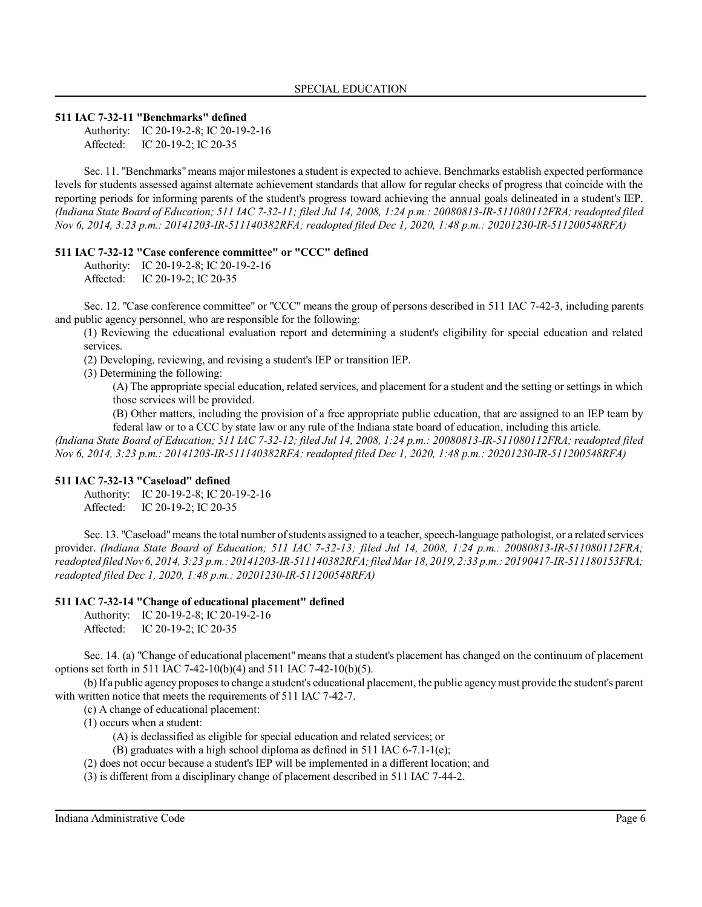#### **511 IAC 7-32-11 "Benchmarks" defined**

Authority: IC 20-19-2-8; IC 20-19-2-16 Affected: IC 20-19-2; IC 20-35

Sec. 11. "Benchmarks"means major milestones a student is expected to achieve. Benchmarks establish expected performance levels for students assessed against alternate achievement standards that allow for regular checks of progress that coincide with the reporting periods for informing parents of the student's progress toward achieving the annual goals delineated in a student's IEP. *(Indiana State Board of Education; 511 IAC 7-32-11; filed Jul 14, 2008, 1:24 p.m.: 20080813-IR-511080112FRA; readopted filed Nov 6, 2014, 3:23 p.m.: 20141203-IR-511140382RFA; readopted filed Dec 1, 2020, 1:48 p.m.: 20201230-IR-511200548RFA)*

#### **511 IAC 7-32-12 "Case conference committee" or "CCC" defined**

Authority: IC 20-19-2-8; IC 20-19-2-16 Affected: IC 20-19-2; IC 20-35

Sec. 12. "Case conference committee" or "CCC" means the group of persons described in 511 IAC 7-42-3, including parents and public agency personnel, who are responsible for the following:

(1) Reviewing the educational evaluation report and determining a student's eligibility for special education and related services.

(2) Developing, reviewing, and revising a student's IEP or transition IEP.

(3) Determining the following:

(A) The appropriate special education, related services, and placement for a student and the setting or settings in which those services will be provided.

(B) Other matters, including the provision of a free appropriate public education, that are assigned to an IEP team by federal law or to a CCC by state law or any rule of the Indiana state board of education, including this article.

*(Indiana State Board of Education; 511 IAC 7-32-12; filed Jul 14, 2008, 1:24 p.m.: 20080813-IR-511080112FRA; readopted filed Nov 6, 2014, 3:23 p.m.: 20141203-IR-511140382RFA; readopted filed Dec 1, 2020, 1:48 p.m.: 20201230-IR-511200548RFA)*

#### **511 IAC 7-32-13 "Caseload" defined**

Authority: IC 20-19-2-8; IC 20-19-2-16 Affected: IC 20-19-2; IC 20-35

Sec. 13. "Caseload"means the total number ofstudents assigned to a teacher, speech-language pathologist, or a related services provider. *(Indiana State Board of Education; 511 IAC 7-32-13; filed Jul 14, 2008, 1:24 p.m.: 20080813-IR-511080112FRA; readopted filed Nov 6, 2014, 3:23 p.m.: 20141203-IR-511140382RFA;filed Mar 18, 2019, 2:33 p.m.: 20190417-IR-511180153FRA; readopted filed Dec 1, 2020, 1:48 p.m.: 20201230-IR-511200548RFA)*

#### **511 IAC 7-32-14 "Change of educational placement" defined**

Authority: IC 20-19-2-8; IC 20-19-2-16 Affected: IC 20-19-2; IC 20-35

Sec. 14. (a) "Change of educational placement" means that a student's placement has changed on the continuum of placement options set forth in 511 IAC 7-42-10(b)(4) and 511 IAC 7-42-10(b)(5).

(b)If a public agency proposes to change a student's educational placement, the public agencymust provide the student's parent with written notice that meets the requirements of 511 IAC 7-42-7.

(c) A change of educational placement:

(1) occurs when a student:

(A) is declassified as eligible for special education and related services; or

(B) graduates with a high school diploma as defined in 511 IAC 6-7.1-1(e);

(2) does not occur because a student's IEP will be implemented in a different location; and

(3) is different from a disciplinary change of placement described in 511 IAC 7-44-2.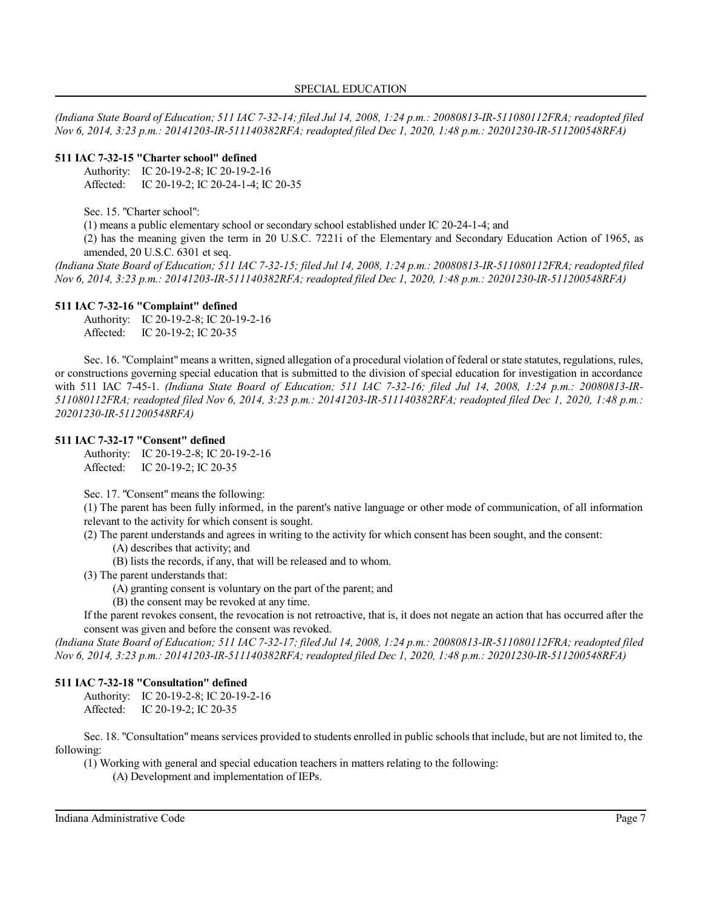*(Indiana State Board of Education; 511 IAC 7-32-14; filed Jul 14, 2008, 1:24 p.m.: 20080813-IR-511080112FRA; readopted filed Nov 6, 2014, 3:23 p.m.: 20141203-IR-511140382RFA; readopted filed Dec 1, 2020, 1:48 p.m.: 20201230-IR-511200548RFA)*

### **511 IAC 7-32-15 "Charter school" defined**

Authority: IC 20-19-2-8; IC 20-19-2-16 Affected: IC 20-19-2; IC 20-24-1-4; IC 20-35

Sec. 15. "Charter school":

(1) means a public elementary school or secondary school established under IC 20-24-1-4; and

(2) has the meaning given the term in 20 U.S.C. 7221i of the Elementary and Secondary Education Action of 1965, as amended, 20 U.S.C. 6301 et seq.

*(Indiana State Board of Education; 511 IAC 7-32-15; filed Jul 14, 2008, 1:24 p.m.: 20080813-IR-511080112FRA; readopted filed Nov 6, 2014, 3:23 p.m.: 20141203-IR-511140382RFA; readopted filed Dec 1, 2020, 1:48 p.m.: 20201230-IR-511200548RFA)*

### **511 IAC 7-32-16 "Complaint" defined**

Authority: IC 20-19-2-8; IC 20-19-2-16 Affected: IC 20-19-2; IC 20-35

Sec. 16. "Complaint" means a written, signed allegation of a procedural violation of federal orstate statutes, regulations, rules, or constructions governing special education that is submitted to the division of special education for investigation in accordance with 511 IAC 7-45-1. *(Indiana State Board of Education; 511 IAC 7-32-16; filed Jul 14, 2008, 1:24 p.m.: 20080813-IR-511080112FRA; readopted filed Nov 6, 2014, 3:23 p.m.: 20141203-IR-511140382RFA; readopted filed Dec 1, 2020, 1:48 p.m.: 20201230-IR-511200548RFA)*

### **511 IAC 7-32-17 "Consent" defined**

Authority: IC 20-19-2-8; IC 20-19-2-16 Affected: IC 20-19-2; IC 20-35

Sec. 17. "Consent" means the following:

(1) The parent has been fully informed, in the parent's native language or other mode of communication, of all information relevant to the activity for which consent is sought.

(2) The parent understands and agrees in writing to the activity for which consent has been sought, and the consent:

(A) describes that activity; and

(B) lists the records, if any, that will be released and to whom.

(3) The parent understands that:

(A) granting consent is voluntary on the part of the parent; and

(B) the consent may be revoked at any time.

If the parent revokes consent, the revocation is not retroactive, that is, it does not negate an action that has occurred after the consent was given and before the consent was revoked.

*(Indiana State Board of Education; 511 IAC 7-32-17; filed Jul 14, 2008, 1:24 p.m.: 20080813-IR-511080112FRA; readopted filed Nov 6, 2014, 3:23 p.m.: 20141203-IR-511140382RFA; readopted filed Dec 1, 2020, 1:48 p.m.: 20201230-IR-511200548RFA)*

### **511 IAC 7-32-18 "Consultation" defined**

Authority: IC 20-19-2-8; IC 20-19-2-16 Affected: IC 20-19-2; IC 20-35

Sec. 18. "Consultation" means services provided to students enrolled in public schools that include, but are not limited to, the following:

(1) Working with general and special education teachers in matters relating to the following:

(A) Development and implementation of IEPs.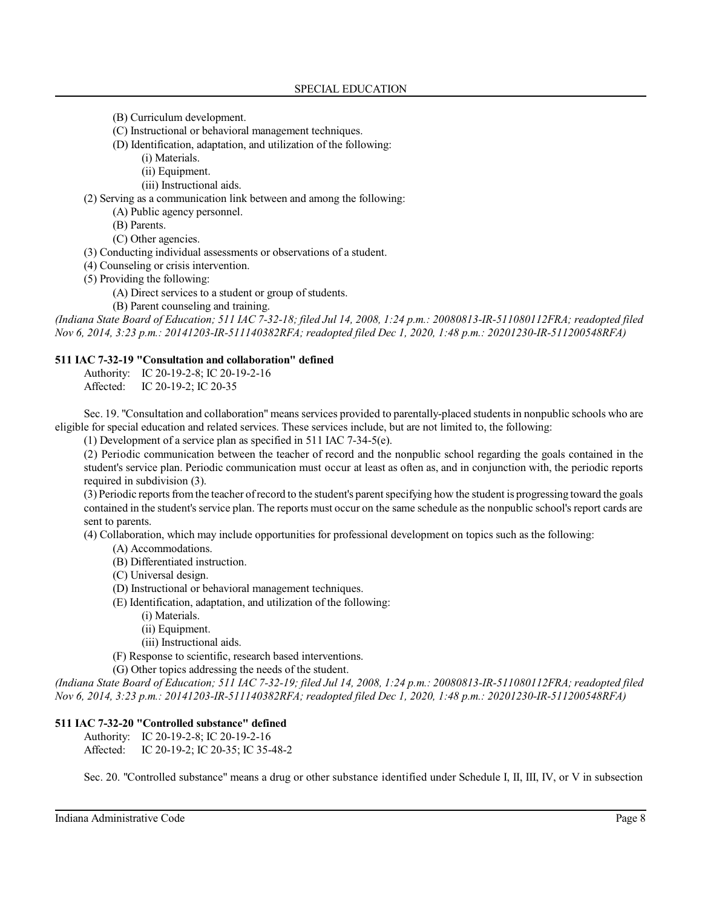- (B) Curriculum development.
- (C) Instructional or behavioral management techniques.
- (D) Identification, adaptation, and utilization of the following:
	- (i) Materials.
	- (ii) Equipment.
	- (iii) Instructional aids.

(2) Serving as a communication link between and among the following:

- (A) Public agency personnel.
- (B) Parents.
- (C) Other agencies.
- (3) Conducting individual assessments or observations of a student.
- (4) Counseling or crisis intervention.
- (5) Providing the following:
	- (A) Direct services to a student or group of students.
	- (B) Parent counseling and training.

*(Indiana State Board of Education; 511 IAC 7-32-18; filed Jul 14, 2008, 1:24 p.m.: 20080813-IR-511080112FRA; readopted filed Nov 6, 2014, 3:23 p.m.: 20141203-IR-511140382RFA; readopted filed Dec 1, 2020, 1:48 p.m.: 20201230-IR-511200548RFA)*

#### **511 IAC 7-32-19 "Consultation and collaboration" defined**

Authority: IC 20-19-2-8; IC 20-19-2-16 Affected: IC 20-19-2; IC 20-35

Sec. 19. "Consultation and collaboration" means services provided to parentally-placed studentsin nonpublic schools who are eligible for special education and related services. These services include, but are not limited to, the following:

(1) Development of a service plan as specified in 511 IAC 7-34-5(e).

(2) Periodic communication between the teacher of record and the nonpublic school regarding the goals contained in the student's service plan. Periodic communication must occur at least as often as, and in conjunction with, the periodic reports required in subdivision (3).

(3) Periodic reportsfrom the teacher ofrecord to the student's parent specifying how the student is progressing toward the goals contained in the student's service plan. The reports must occur on the same schedule as the nonpublic school's report cards are sent to parents.

(4) Collaboration, which may include opportunities for professional development on topics such as the following:

- (A) Accommodations.
- (B) Differentiated instruction.
- (C) Universal design.
- (D) Instructional or behavioral management techniques.
- (E) Identification, adaptation, and utilization of the following:
	- (i) Materials.
	- (ii) Equipment.
	- (iii) Instructional aids.
- (F) Response to scientific, research based interventions.
- (G) Other topics addressing the needs of the student.

*(Indiana State Board of Education; 511 IAC 7-32-19; filed Jul 14, 2008, 1:24 p.m.: 20080813-IR-511080112FRA; readopted filed Nov 6, 2014, 3:23 p.m.: 20141203-IR-511140382RFA; readopted filed Dec 1, 2020, 1:48 p.m.: 20201230-IR-511200548RFA)*

### **511 IAC 7-32-20 "Controlled substance" defined**

Authority: IC 20-19-2-8; IC 20-19-2-16 Affected: IC 20-19-2; IC 20-35; IC 35-48-2

Sec. 20. "Controlled substance" means a drug or other substance identified under Schedule I, II, III, IV, or V in subsection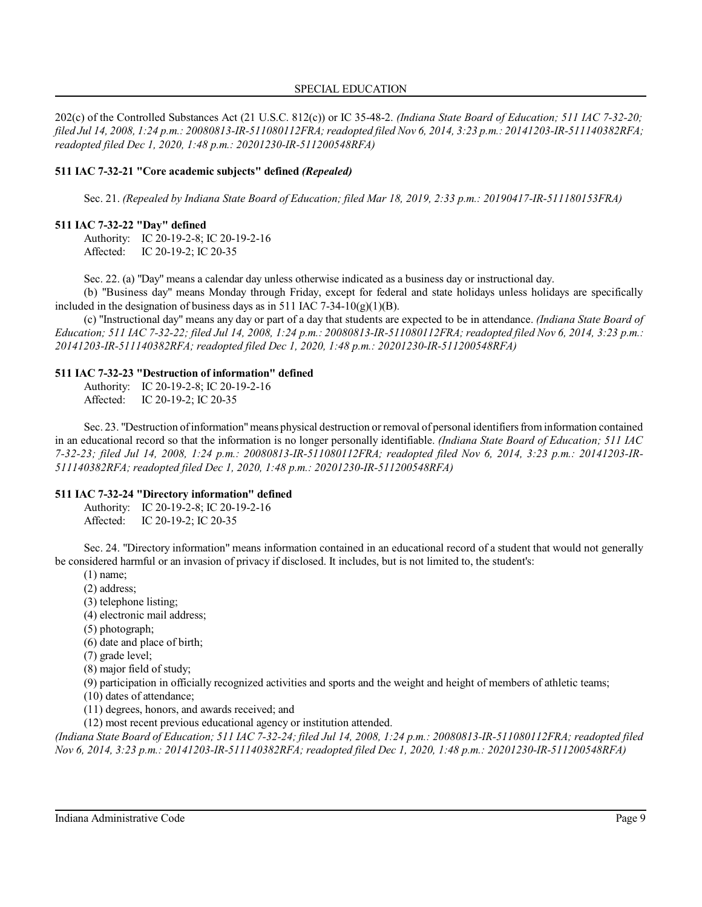202(c) of the Controlled Substances Act (21 U.S.C. 812(c)) or IC 35-48-2. *(Indiana State Board of Education; 511 IAC 7-32-20; filed Jul 14, 2008, 1:24 p.m.: 20080813-IR-511080112FRA;readopted filed Nov 6, 2014, 3:23 p.m.: 20141203-IR-511140382RFA; readopted filed Dec 1, 2020, 1:48 p.m.: 20201230-IR-511200548RFA)*

#### **511 IAC 7-32-21 "Core academic subjects" defined** *(Repealed)*

Sec. 21. *(Repealed by Indiana State Board of Education; filed Mar 18, 2019, 2:33 p.m.: 20190417-IR-511180153FRA)*

#### **511 IAC 7-32-22 "Day" defined**

Authority: IC 20-19-2-8; IC 20-19-2-16 Affected: IC 20-19-2; IC 20-35

Sec. 22. (a) "Day" means a calendar day unless otherwise indicated as a business day or instructional day.

(b) "Business day" means Monday through Friday, except for federal and state holidays unless holidays are specifically included in the designation of business days as in 511 IAC 7-34-10(g)(1)(B).

(c) "Instructional day" means any day or part of a day that students are expected to be in attendance. *(Indiana State Board of Education; 511 IAC 7-32-22; filed Jul 14, 2008, 1:24 p.m.: 20080813-IR-511080112FRA; readopted filed Nov 6, 2014, 3:23 p.m.: 20141203-IR-511140382RFA; readopted filed Dec 1, 2020, 1:48 p.m.: 20201230-IR-511200548RFA)*

### **511 IAC 7-32-23 "Destruction of information" defined**

Authority: IC 20-19-2-8; IC 20-19-2-16 Affected: IC 20-19-2; IC 20-35

Sec. 23. "Destruction ofinformation"means physical destruction orremoval of personal identifiers from information contained in an educational record so that the information is no longer personally identifiable. *(Indiana State Board of Education; 511 IAC 7-32-23; filed Jul 14, 2008, 1:24 p.m.: 20080813-IR-511080112FRA; readopted filed Nov 6, 2014, 3:23 p.m.: 20141203-IR-511140382RFA; readopted filed Dec 1, 2020, 1:48 p.m.: 20201230-IR-511200548RFA)*

#### **511 IAC 7-32-24 "Directory information" defined**

Authority: IC 20-19-2-8; IC 20-19-2-16 Affected: IC 20-19-2; IC 20-35

Sec. 24. "Directory information" means information contained in an educational record of a student that would not generally be considered harmful or an invasion of privacy if disclosed. It includes, but is not limited to, the student's:

(1) name;

(2) address;

(3) telephone listing;

(4) electronic mail address;

- (5) photograph;
- (6) date and place of birth;

(7) grade level;

(8) major field of study;

(9) participation in officially recognized activities and sports and the weight and height of members of athletic teams;

(10) dates of attendance;

(11) degrees, honors, and awards received; and

(12) most recent previous educational agency or institution attended.

*(Indiana State Board of Education; 511 IAC 7-32-24; filed Jul 14, 2008, 1:24 p.m.: 20080813-IR-511080112FRA; readopted filed Nov 6, 2014, 3:23 p.m.: 20141203-IR-511140382RFA; readopted filed Dec 1, 2020, 1:48 p.m.: 20201230-IR-511200548RFA)*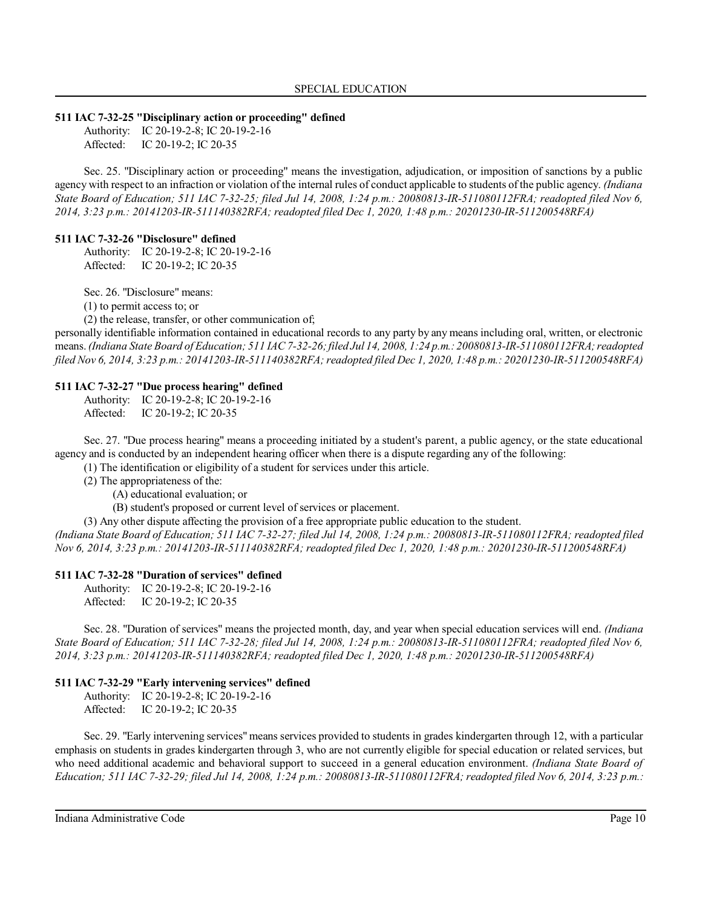#### **511 IAC 7-32-25 "Disciplinary action or proceeding" defined**

Authority: IC 20-19-2-8; IC 20-19-2-16 Affected: IC 20-19-2; IC 20-35

Sec. 25. "Disciplinary action or proceeding" means the investigation, adjudication, or imposition of sanctions by a public agency with respect to an infraction or violation of the internal rules of conduct applicable to students of the public agency. *(Indiana State Board of Education; 511 IAC 7-32-25; filed Jul 14, 2008, 1:24 p.m.: 20080813-IR-511080112FRA; readopted filed Nov 6, 2014, 3:23 p.m.: 20141203-IR-511140382RFA; readopted filed Dec 1, 2020, 1:48 p.m.: 20201230-IR-511200548RFA)*

#### **511 IAC 7-32-26 "Disclosure" defined**

Authority: IC 20-19-2-8; IC 20-19-2-16 Affected: IC 20-19-2; IC 20-35

Sec. 26. "Disclosure" means:

(1) to permit access to; or

(2) the release, transfer, or other communication of;

personally identifiable information contained in educational records to any party by any means including oral, written, or electronic means.*(Indiana State Board of Education; 511 IAC7-32-26;filed Jul 14, 2008, 1:24 p.m.: 20080813-IR-511080112FRA;readopted filed Nov 6, 2014, 3:23 p.m.: 20141203-IR-511140382RFA;readopted filed Dec 1, 2020, 1:48 p.m.: 20201230-IR-511200548RFA)*

#### **511 IAC 7-32-27 "Due process hearing" defined**

Authority: IC 20-19-2-8; IC 20-19-2-16 Affected: IC 20-19-2; IC 20-35

Sec. 27. "Due process hearing" means a proceeding initiated by a student's parent, a public agency, or the state educational agency and is conducted by an independent hearing officer when there is a dispute regarding any of the following:

(1) The identification or eligibility of a student for services under this article.

(2) The appropriateness of the:

(A) educational evaluation; or

(B) student's proposed or current level of services or placement.

(3) Any other dispute affecting the provision of a free appropriate public education to the student.

*(Indiana State Board of Education; 511 IAC 7-32-27; filed Jul 14, 2008, 1:24 p.m.: 20080813-IR-511080112FRA; readopted filed Nov 6, 2014, 3:23 p.m.: 20141203-IR-511140382RFA; readopted filed Dec 1, 2020, 1:48 p.m.: 20201230-IR-511200548RFA)*

#### **511 IAC 7-32-28 "Duration of services" defined**

Authority: IC 20-19-2-8; IC 20-19-2-16 Affected: IC 20-19-2; IC 20-35

Sec. 28. "Duration of services" means the projected month, day, and year when special education services will end. *(Indiana State Board of Education; 511 IAC 7-32-28; filed Jul 14, 2008, 1:24 p.m.: 20080813-IR-511080112FRA; readopted filed Nov 6, 2014, 3:23 p.m.: 20141203-IR-511140382RFA; readopted filed Dec 1, 2020, 1:48 p.m.: 20201230-IR-511200548RFA)*

#### **511 IAC 7-32-29 "Early intervening services" defined**

Authority: IC 20-19-2-8; IC 20-19-2-16 Affected: IC 20-19-2; IC 20-35

Sec. 29. "Early intervening services" means services provided to students in grades kindergarten through 12, with a particular emphasis on students in grades kindergarten through 3, who are not currently eligible for special education or related services, but who need additional academic and behavioral support to succeed in a general education environment. *(Indiana State Board of Education; 511 IAC 7-32-29; filed Jul 14, 2008, 1:24 p.m.: 20080813-IR-511080112FRA; readopted filed Nov 6, 2014, 3:23 p.m.:*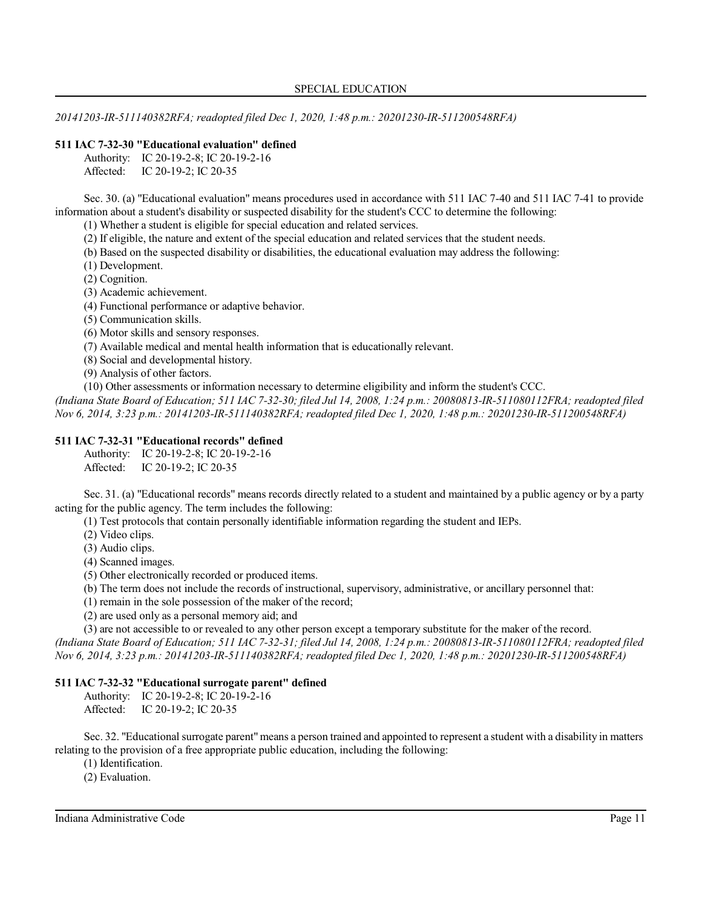*20141203-IR-511140382RFA; readopted filed Dec 1, 2020, 1:48 p.m.: 20201230-IR-511200548RFA)*

### **511 IAC 7-32-30 "Educational evaluation" defined**

|           | Authority: IC 20-19-2-8; IC 20-19-2-16 |
|-----------|----------------------------------------|
| Affected: | IC 20-19-2; IC 20-35                   |

Sec. 30. (a) "Educational evaluation" means procedures used in accordance with 511 IAC 7-40 and 511 IAC 7-41 to provide information about a student's disability or suspected disability for the student's CCC to determine the following:

(1) Whether a student is eligible for special education and related services.

(2) If eligible, the nature and extent of the special education and related services that the student needs.

(b) Based on the suspected disability or disabilities, the educational evaluation may address the following:

(1) Development.

(2) Cognition.

(3) Academic achievement.

(4) Functional performance or adaptive behavior.

(5) Communication skills.

(6) Motor skills and sensory responses.

(7) Available medical and mental health information that is educationally relevant.

(8) Social and developmental history.

(9) Analysis of other factors.

(10) Other assessments or information necessary to determine eligibility and inform the student's CCC.

*(Indiana State Board of Education; 511 IAC 7-32-30; filed Jul 14, 2008, 1:24 p.m.: 20080813-IR-511080112FRA; readopted filed Nov 6, 2014, 3:23 p.m.: 20141203-IR-511140382RFA; readopted filed Dec 1, 2020, 1:48 p.m.: 20201230-IR-511200548RFA)*

### **511 IAC 7-32-31 "Educational records" defined**

Authority: IC 20-19-2-8; IC 20-19-2-16 Affected: IC 20-19-2; IC 20-35

Sec. 31. (a) "Educational records" means records directly related to a student and maintained by a public agency or by a party acting for the public agency. The term includes the following:

(1) Test protocols that contain personally identifiable information regarding the student and IEPs.

(2) Video clips.

(3) Audio clips.

(4) Scanned images.

(5) Other electronically recorded or produced items.

(b) The term does not include the records of instructional, supervisory, administrative, or ancillary personnel that:

(1) remain in the sole possession of the maker of the record;

(2) are used only as a personal memory aid; and

(3) are not accessible to or revealed to any other person except a temporary substitute for the maker of the record. *(Indiana State Board of Education; 511 IAC 7-32-31; filed Jul 14, 2008, 1:24 p.m.: 20080813-IR-511080112FRA; readopted filed Nov 6, 2014, 3:23 p.m.: 20141203-IR-511140382RFA; readopted filed Dec 1, 2020, 1:48 p.m.: 20201230-IR-511200548RFA)*

### **511 IAC 7-32-32 "Educational surrogate parent" defined**

Authority: IC 20-19-2-8; IC 20-19-2-16 Affected: IC 20-19-2; IC 20-35

Sec. 32. "Educational surrogate parent"means a person trained and appointed to represent a student with a disability in matters relating to the provision of a free appropriate public education, including the following:

(1) Identification.

(2) Evaluation.

Indiana Administrative Code Page 11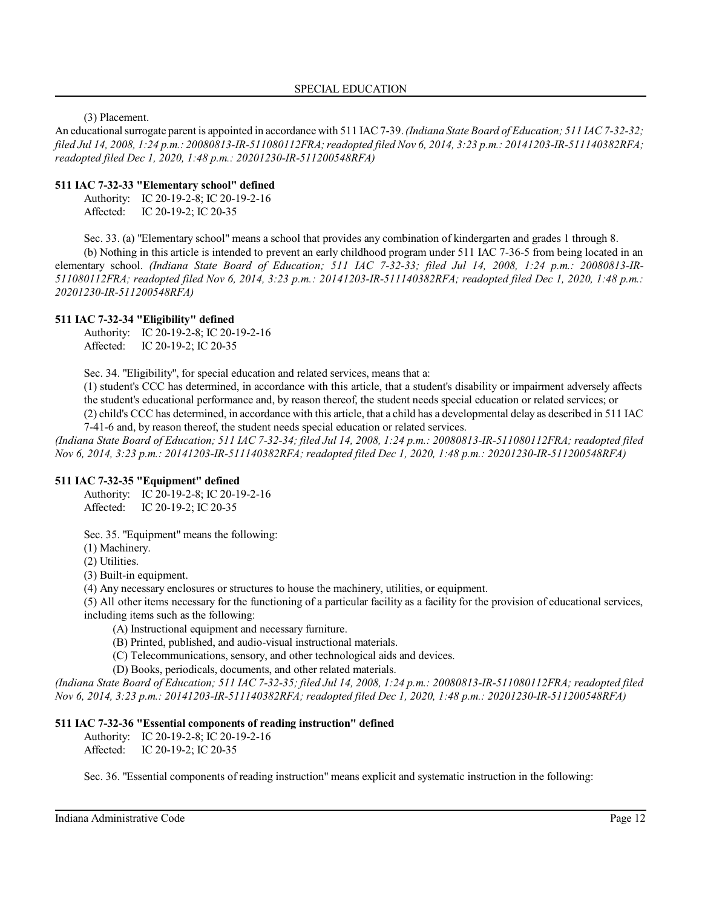(3) Placement.

An educational surrogate parent is appointed in accordance with 511 IAC 7-39. *(Indiana State Board of Education; 511 IAC 7-32-32; filed Jul 14, 2008, 1:24 p.m.: 20080813-IR-511080112FRA;readopted filed Nov 6, 2014, 3:23 p.m.: 20141203-IR-511140382RFA; readopted filed Dec 1, 2020, 1:48 p.m.: 20201230-IR-511200548RFA)*

### **511 IAC 7-32-33 "Elementary school" defined**

Authority: IC 20-19-2-8; IC 20-19-2-16 Affected: IC 20-19-2; IC 20-35

Sec. 33. (a) "Elementary school" means a school that provides any combination of kindergarten and grades 1 through 8.

(b) Nothing in this article is intended to prevent an early childhood program under 511 IAC 7-36-5 from being located in an elementary school. *(Indiana State Board of Education; 511 IAC 7-32-33; filed Jul 14, 2008, 1:24 p.m.: 20080813-IR-511080112FRA; readopted filed Nov 6, 2014, 3:23 p.m.: 20141203-IR-511140382RFA; readopted filed Dec 1, 2020, 1:48 p.m.: 20201230-IR-511200548RFA)*

#### **511 IAC 7-32-34 "Eligibility" defined**

Authority: IC 20-19-2-8; IC 20-19-2-16 Affected: IC 20-19-2; IC 20-35

Sec. 34. "Eligibility", for special education and related services, means that a:

(1) student's CCC has determined, in accordance with this article, that a student's disability or impairment adversely affects the student's educational performance and, by reason thereof, the student needs special education or related services; or (2) child's CCC has determined, in accordance with this article, that a child has a developmental delay as described in 511 IAC 7-41-6 and, by reason thereof, the student needs special education or related services.

*(Indiana State Board of Education; 511 IAC 7-32-34; filed Jul 14, 2008, 1:24 p.m.: 20080813-IR-511080112FRA; readopted filed Nov 6, 2014, 3:23 p.m.: 20141203-IR-511140382RFA; readopted filed Dec 1, 2020, 1:48 p.m.: 20201230-IR-511200548RFA)*

### **511 IAC 7-32-35 "Equipment" defined**

Authority: IC 20-19-2-8; IC 20-19-2-16 Affected: IC 20-19-2; IC 20-35

Sec. 35. "Equipment" means the following:

(1) Machinery.

(2) Utilities.

(3) Built-in equipment.

(4) Any necessary enclosures or structures to house the machinery, utilities, or equipment.

(5) All other items necessary for the functioning of a particular facility as a facility for the provision of educational services, including items such as the following:

- (A) Instructional equipment and necessary furniture.
- (B) Printed, published, and audio-visual instructional materials.
- (C) Telecommunications, sensory, and other technological aids and devices.
- (D) Books, periodicals, documents, and other related materials.

*(Indiana State Board of Education; 511 IAC 7-32-35; filed Jul 14, 2008, 1:24 p.m.: 20080813-IR-511080112FRA; readopted filed Nov 6, 2014, 3:23 p.m.: 20141203-IR-511140382RFA; readopted filed Dec 1, 2020, 1:48 p.m.: 20201230-IR-511200548RFA)*

#### **511 IAC 7-32-36 "Essential components of reading instruction" defined**

Authority: IC 20-19-2-8; IC 20-19-2-16

Affected: IC 20-19-2; IC 20-35

Sec. 36. "Essential components of reading instruction" means explicit and systematic instruction in the following: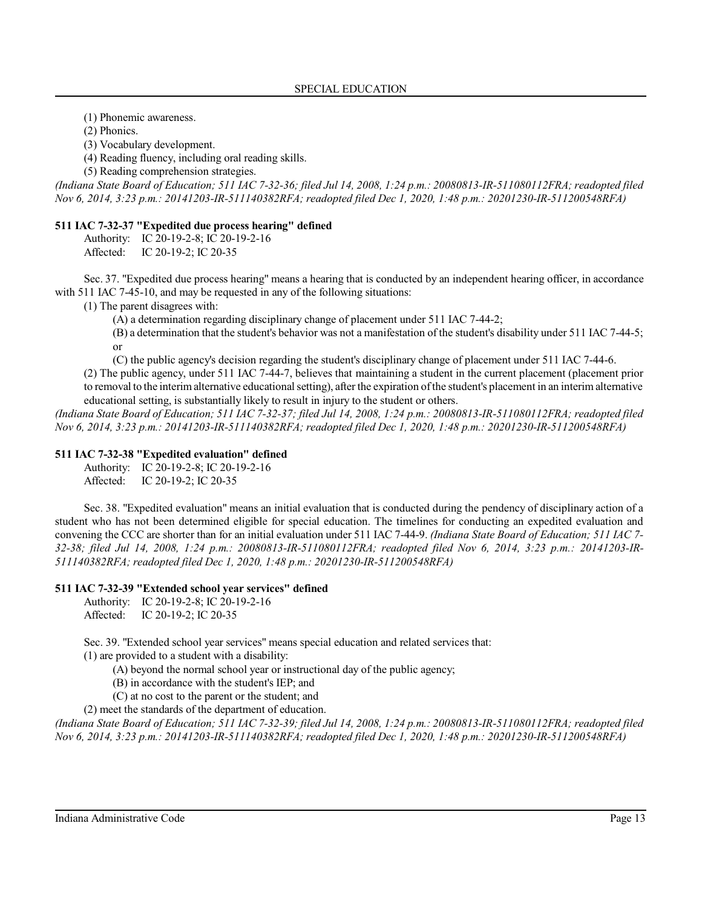(1) Phonemic awareness.

(2) Phonics.

(3) Vocabulary development.

(4) Reading fluency, including oral reading skills.

(5) Reading comprehension strategies.

*(Indiana State Board of Education; 511 IAC 7-32-36; filed Jul 14, 2008, 1:24 p.m.: 20080813-IR-511080112FRA; readopted filed Nov 6, 2014, 3:23 p.m.: 20141203-IR-511140382RFA; readopted filed Dec 1, 2020, 1:48 p.m.: 20201230-IR-511200548RFA)*

#### **511 IAC 7-32-37 "Expedited due process hearing" defined**

Authority: IC 20-19-2-8; IC 20-19-2-16 Affected: IC 20-19-2; IC 20-35

Sec. 37. "Expedited due process hearing" means a hearing that is conducted by an independent hearing officer, in accordance with 511 IAC 7-45-10, and may be requested in any of the following situations:

(1) The parent disagrees with:

(A) a determination regarding disciplinary change of placement under 511 IAC 7-44-2;

(B) a determination that the student's behavior was not a manifestation of the student's disability under 511 IAC 7-44-5; or

(C) the public agency's decision regarding the student's disciplinary change of placement under 511 IAC 7-44-6.

(2) The public agency, under 511 IAC 7-44-7, believes that maintaining a student in the current placement (placement prior to removal to the interimalternative educational setting), afterthe expiration ofthe student's placement in an interim alternative educational setting, is substantially likely to result in injury to the student or others.

*(Indiana State Board of Education; 511 IAC 7-32-37; filed Jul 14, 2008, 1:24 p.m.: 20080813-IR-511080112FRA; readopted filed Nov 6, 2014, 3:23 p.m.: 20141203-IR-511140382RFA; readopted filed Dec 1, 2020, 1:48 p.m.: 20201230-IR-511200548RFA)*

#### **511 IAC 7-32-38 "Expedited evaluation" defined**

Authority: IC 20-19-2-8; IC 20-19-2-16

Affected: IC 20-19-2; IC 20-35

Sec. 38. "Expedited evaluation" means an initial evaluation that is conducted during the pendency of disciplinary action of a student who has not been determined eligible for special education. The timelines for conducting an expedited evaluation and convening the CCC are shorter than for an initial evaluation under 511 IAC 7-44-9. *(Indiana State Board of Education; 511 IAC 7- 32-38; filed Jul 14, 2008, 1:24 p.m.: 20080813-IR-511080112FRA; readopted filed Nov 6, 2014, 3:23 p.m.: 20141203-IR-511140382RFA; readopted filed Dec 1, 2020, 1:48 p.m.: 20201230-IR-511200548RFA)*

#### **511 IAC 7-32-39 "Extended school year services" defined**

Authority: IC 20-19-2-8; IC 20-19-2-16 Affected: IC 20-19-2; IC 20-35

Sec. 39. "Extended school year services" means special education and related services that:

(1) are provided to a student with a disability:

(A) beyond the normal school year or instructional day of the public agency;

(B) in accordance with the student's IEP; and

(C) at no cost to the parent or the student; and

(2) meet the standards of the department of education.

*(Indiana State Board of Education; 511 IAC 7-32-39; filed Jul 14, 2008, 1:24 p.m.: 20080813-IR-511080112FRA; readopted filed Nov 6, 2014, 3:23 p.m.: 20141203-IR-511140382RFA; readopted filed Dec 1, 2020, 1:48 p.m.: 20201230-IR-511200548RFA)*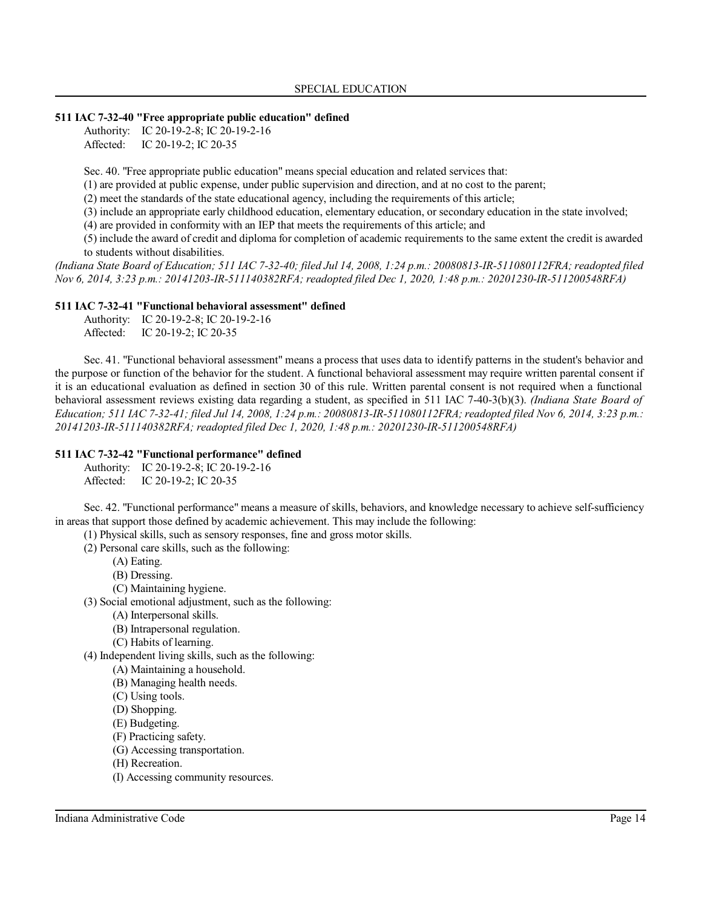#### **511 IAC 7-32-40 "Free appropriate public education" defined**

Authority: IC 20-19-2-8; IC 20-19-2-16 Affected: IC 20-19-2; IC 20-35

Sec. 40. "Free appropriate public education" means special education and related services that:

(1) are provided at public expense, under public supervision and direction, and at no cost to the parent;

(2) meet the standards of the state educational agency, including the requirements of this article;

(3) include an appropriate early childhood education, elementary education, or secondary education in the state involved;

(4) are provided in conformity with an IEP that meets the requirements of this article; and

(5) include the award of credit and diploma for completion of academic requirements to the same extent the credit is awarded to students without disabilities.

*(Indiana State Board of Education; 511 IAC 7-32-40; filed Jul 14, 2008, 1:24 p.m.: 20080813-IR-511080112FRA; readopted filed Nov 6, 2014, 3:23 p.m.: 20141203-IR-511140382RFA; readopted filed Dec 1, 2020, 1:48 p.m.: 20201230-IR-511200548RFA)*

#### **511 IAC 7-32-41 "Functional behavioral assessment" defined**

| Authority: | IC 20-19-2-8; IC 20-19-2-16 |
|------------|-----------------------------|
| Affected:  | IC 20-19-2; IC 20-35        |

Sec. 41. "Functional behavioral assessment" means a process that uses data to identify patterns in the student's behavior and the purpose or function of the behavior for the student. A functional behavioral assessment may require written parental consent if it is an educational evaluation as defined in section 30 of this rule. Written parental consent is not required when a functional behavioral assessment reviews existing data regarding a student, as specified in 511 IAC 7-40-3(b)(3). *(Indiana State Board of Education; 511 IAC 7-32-41; filed Jul 14, 2008, 1:24 p.m.: 20080813-IR-511080112FRA; readopted filed Nov 6, 2014, 3:23 p.m.: 20141203-IR-511140382RFA; readopted filed Dec 1, 2020, 1:48 p.m.: 20201230-IR-511200548RFA)*

#### **511 IAC 7-32-42 "Functional performance" defined**

Authority: IC 20-19-2-8; IC 20-19-2-16

Affected: IC 20-19-2; IC 20-35

Sec. 42. "Functional performance" means a measure of skills, behaviors, and knowledge necessary to achieve self-sufficiency in areas that support those defined by academic achievement. This may include the following:

(1) Physical skills, such as sensory responses, fine and gross motor skills.

(2) Personal care skills, such as the following:

- (A) Eating.
- (B) Dressing.

(C) Maintaining hygiene.

(3) Social emotional adjustment, such as the following:

- (A) Interpersonal skills.
- (B) Intrapersonal regulation.
- (C) Habits of learning.

(4) Independent living skills, such as the following:

- (A) Maintaining a household.
- (B) Managing health needs.
- (C) Using tools.
- (D) Shopping.
- (E) Budgeting.
- (F) Practicing safety.
- (G) Accessing transportation.
- (H) Recreation.
- (I) Accessing community resources.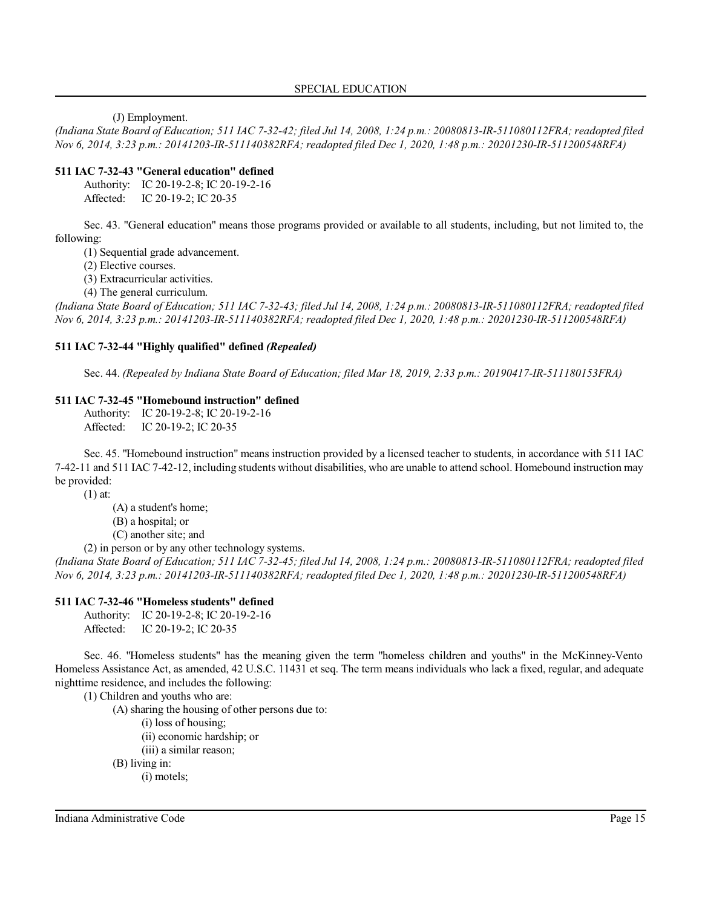(J) Employment.

*(Indiana State Board of Education; 511 IAC 7-32-42; filed Jul 14, 2008, 1:24 p.m.: 20080813-IR-511080112FRA; readopted filed Nov 6, 2014, 3:23 p.m.: 20141203-IR-511140382RFA; readopted filed Dec 1, 2020, 1:48 p.m.: 20201230-IR-511200548RFA)*

#### **511 IAC 7-32-43 "General education" defined**

Authority: IC 20-19-2-8; IC 20-19-2-16 Affected: IC 20-19-2; IC 20-35

Sec. 43. "General education" means those programs provided or available to all students, including, but not limited to, the following:

(1) Sequential grade advancement.

(2) Elective courses.

(3) Extracurricular activities.

(4) The general curriculum.

*(Indiana State Board of Education; 511 IAC 7-32-43; filed Jul 14, 2008, 1:24 p.m.: 20080813-IR-511080112FRA; readopted filed Nov 6, 2014, 3:23 p.m.: 20141203-IR-511140382RFA; readopted filed Dec 1, 2020, 1:48 p.m.: 20201230-IR-511200548RFA)*

#### **511 IAC 7-32-44 "Highly qualified" defined** *(Repealed)*

Sec. 44. *(Repealed by Indiana State Board of Education; filed Mar 18, 2019, 2:33 p.m.: 20190417-IR-511180153FRA)*

#### **511 IAC 7-32-45 "Homebound instruction" defined**

Authority: IC 20-19-2-8; IC 20-19-2-16 Affected: IC 20-19-2; IC 20-35

Sec. 45. "Homebound instruction" means instruction provided by a licensed teacher to students, in accordance with 511 IAC 7-42-11 and 511 IAC 7-42-12, including students without disabilities, who are unable to attend school. Homebound instruction may be provided:

(1) at:

(A) a student's home;

(B) a hospital; or

(C) another site; and

(2) in person or by any other technology systems.

*(Indiana State Board of Education; 511 IAC 7-32-45; filed Jul 14, 2008, 1:24 p.m.: 20080813-IR-511080112FRA; readopted filed Nov 6, 2014, 3:23 p.m.: 20141203-IR-511140382RFA; readopted filed Dec 1, 2020, 1:48 p.m.: 20201230-IR-511200548RFA)*

#### **511 IAC 7-32-46 "Homeless students" defined**

Authority: IC 20-19-2-8; IC 20-19-2-16 Affected: IC 20-19-2; IC 20-35

Sec. 46. "Homeless students" has the meaning given the term "homeless children and youths" in the McKinney-Vento Homeless Assistance Act, as amended, 42 U.S.C. 11431 et seq. The term means individuals who lack a fixed, regular, and adequate nighttime residence, and includes the following:

(1) Children and youths who are:

(A) sharing the housing of other persons due to:

(i) loss of housing;

(ii) economic hardship; or

(iii) a similar reason;

(B) living in:

(i) motels;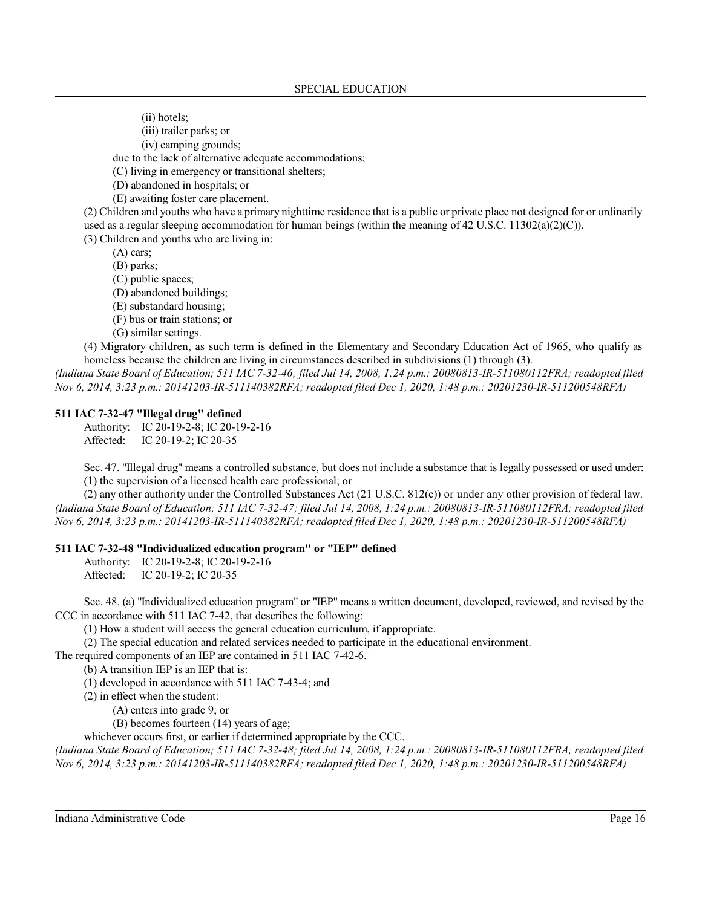(ii) hotels;

(iii) trailer parks; or

(iv) camping grounds;

due to the lack of alternative adequate accommodations;

(C) living in emergency or transitional shelters;

(D) abandoned in hospitals; or

(E) awaiting foster care placement.

(2) Children and youths who have a primary nighttime residence that is a public or private place not designed for or ordinarily used as a regular sleeping accommodation for human beings (within the meaning of 42 U.S.C. 11302(a)(2)(C)).

(3) Children and youths who are living in:

(A) cars;

(B) parks;

(C) public spaces;

(D) abandoned buildings;

(E) substandard housing;

(F) bus or train stations; or

(G) similar settings.

(4) Migratory children, as such term is defined in the Elementary and Secondary Education Act of 1965, who qualify as homeless because the children are living in circumstances described in subdivisions (1) through (3).

*(Indiana State Board of Education; 511 IAC 7-32-46; filed Jul 14, 2008, 1:24 p.m.: 20080813-IR-511080112FRA; readopted filed Nov 6, 2014, 3:23 p.m.: 20141203-IR-511140382RFA; readopted filed Dec 1, 2020, 1:48 p.m.: 20201230-IR-511200548RFA)*

#### **511 IAC 7-32-47 "Illegal drug" defined**

Authority: IC 20-19-2-8; IC 20-19-2-16 Affected: IC 20-19-2; IC 20-35

Sec. 47. "Illegal drug" means a controlled substance, but does not include a substance that is legally possessed or used under: (1) the supervision of a licensed health care professional; or

(2) any other authority under the Controlled Substances Act (21 U.S.C. 812(c)) or under any other provision of federal law. *(Indiana State Board of Education; 511 IAC 7-32-47; filed Jul 14, 2008, 1:24 p.m.: 20080813-IR-511080112FRA; readopted filed Nov 6, 2014, 3:23 p.m.: 20141203-IR-511140382RFA; readopted filed Dec 1, 2020, 1:48 p.m.: 20201230-IR-511200548RFA)*

#### **511 IAC 7-32-48 "Individualized education program" or "IEP" defined**

Authority: IC 20-19-2-8; IC 20-19-2-16 Affected: IC 20-19-2; IC 20-35

Sec. 48. (a) "Individualized education program" or "IEP" means a written document, developed, reviewed, and revised by the CCC in accordance with 511 IAC 7-42, that describes the following:

(1) How a student will access the general education curriculum, if appropriate.

(2) The special education and related services needed to participate in the educational environment.

The required components of an IEP are contained in 511 IAC 7-42-6.

(b) A transition IEP is an IEP that is:

(1) developed in accordance with 511 IAC 7-43-4; and

(2) in effect when the student:

(A) enters into grade 9; or

(B) becomes fourteen (14) years of age;

whichever occurs first, or earlier if determined appropriate by the CCC.

*(Indiana State Board of Education; 511 IAC 7-32-48; filed Jul 14, 2008, 1:24 p.m.: 20080813-IR-511080112FRA; readopted filed Nov 6, 2014, 3:23 p.m.: 20141203-IR-511140382RFA; readopted filed Dec 1, 2020, 1:48 p.m.: 20201230-IR-511200548RFA)*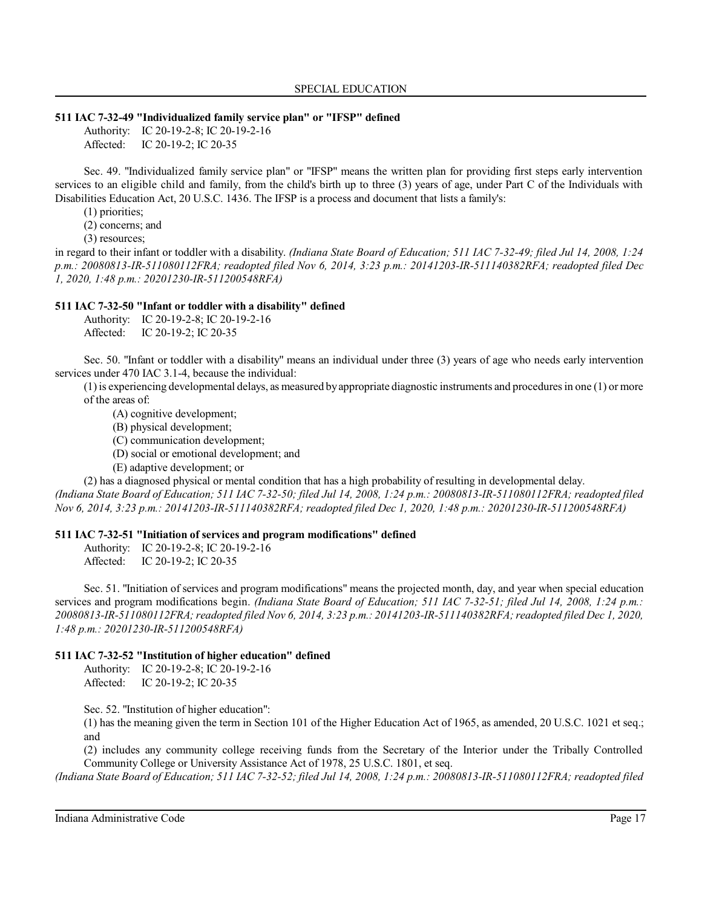#### **511 IAC 7-32-49 "Individualized family service plan" or "IFSP" defined**

Authority: IC 20-19-2-8; IC 20-19-2-16 Affected: IC 20-19-2; IC 20-35

Sec. 49. "Individualized family service plan" or "IFSP" means the written plan for providing first steps early intervention services to an eligible child and family, from the child's birth up to three (3) years of age, under Part C of the Individuals with Disabilities Education Act, 20 U.S.C. 1436. The IFSP is a process and document that lists a family's:

(1) priorities;

(2) concerns; and

(3) resources;

in regard to their infant or toddler with a disability. *(Indiana State Board of Education; 511 IAC 7-32-49; filed Jul 14, 2008, 1:24 p.m.: 20080813-IR-511080112FRA; readopted filed Nov 6, 2014, 3:23 p.m.: 20141203-IR-511140382RFA; readopted filed Dec 1, 2020, 1:48 p.m.: 20201230-IR-511200548RFA)*

#### **511 IAC 7-32-50 "Infant or toddler with a disability" defined**

Authority: IC 20-19-2-8; IC 20-19-2-16 Affected: IC 20-19-2; IC 20-35

Sec. 50. "Infant or toddler with a disability" means an individual under three (3) years of age who needs early intervention services under 470 IAC 3.1-4, because the individual:

 $(1)$  is experiencing developmental delays, as measured by appropriate diagnostic instruments and procedures in one  $(1)$  or more of the areas of:

- (A) cognitive development;
- (B) physical development;
- (C) communication development;
- (D) social or emotional development; and
- (E) adaptive development; or

(2) has a diagnosed physical or mental condition that has a high probability of resulting in developmental delay.

*(Indiana State Board of Education; 511 IAC 7-32-50; filed Jul 14, 2008, 1:24 p.m.: 20080813-IR-511080112FRA; readopted filed Nov 6, 2014, 3:23 p.m.: 20141203-IR-511140382RFA; readopted filed Dec 1, 2020, 1:48 p.m.: 20201230-IR-511200548RFA)*

### **511 IAC 7-32-51 "Initiation of services and program modifications" defined**

Authority: IC 20-19-2-8; IC 20-19-2-16 Affected: IC 20-19-2; IC 20-35

Sec. 51. "Initiation of services and program modifications" means the projected month, day, and year when special education services and program modifications begin. *(Indiana State Board of Education; 511 IAC 7-32-51; filed Jul 14, 2008, 1:24 p.m.: 20080813-IR-511080112FRA;readopted filed Nov 6, 2014, 3:23 p.m.: 20141203-IR-511140382RFA;readopted filed Dec 1, 2020, 1:48 p.m.: 20201230-IR-511200548RFA)*

### **511 IAC 7-32-52 "Institution of higher education" defined**

Authority: IC 20-19-2-8; IC 20-19-2-16 Affected: IC 20-19-2; IC 20-35

Sec. 52. "Institution of higher education":

(1) has the meaning given the term in Section 101 of the Higher Education Act of 1965, as amended, 20 U.S.C. 1021 et seq.; and

(2) includes any community college receiving funds from the Secretary of the Interior under the Tribally Controlled Community College or University Assistance Act of 1978, 25 U.S.C. 1801, et seq.

*(Indiana State Board of Education; 511 IAC 7-32-52; filed Jul 14, 2008, 1:24 p.m.: 20080813-IR-511080112FRA; readopted filed*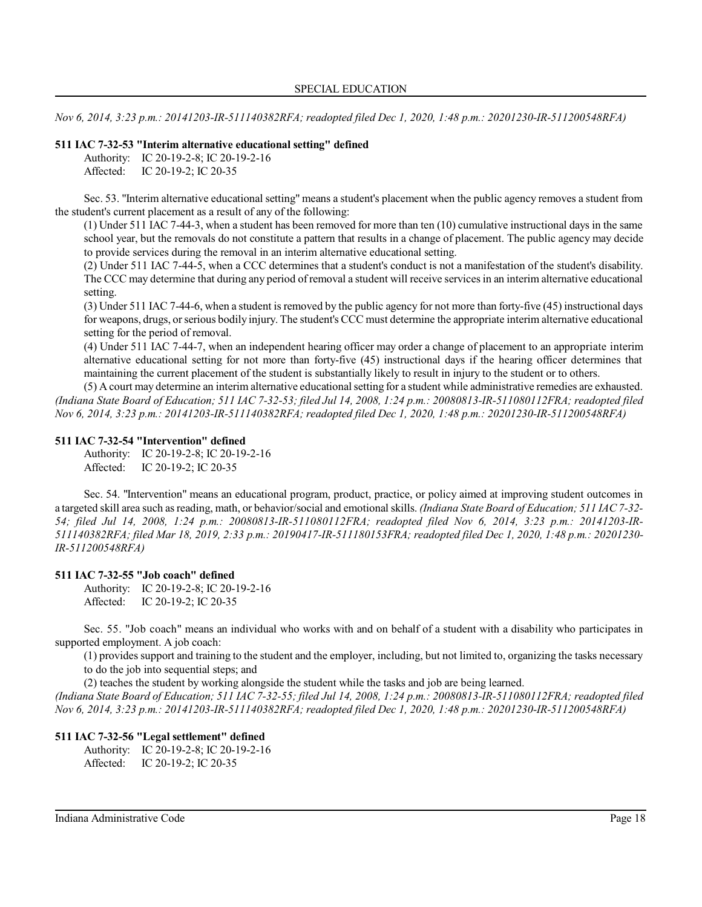*Nov 6, 2014, 3:23 p.m.: 20141203-IR-511140382RFA; readopted filed Dec 1, 2020, 1:48 p.m.: 20201230-IR-511200548RFA)*

#### **511 IAC 7-32-53 "Interim alternative educational setting" defined**

|           | Authority: IC 20-19-2-8; IC 20-19-2-16 |
|-----------|----------------------------------------|
| Affected: | IC 20-19-2; IC 20-35                   |

Sec. 53. "Interim alternative educational setting" means a student's placement when the public agency removes a student from the student's current placement as a result of any of the following:

(1) Under 511 IAC 7-44-3, when a student has been removed for more than ten (10) cumulative instructional days in the same school year, but the removals do not constitute a pattern that results in a change of placement. The public agency may decide to provide services during the removal in an interim alternative educational setting.

(2) Under 511 IAC 7-44-5, when a CCC determines that a student's conduct is not a manifestation of the student's disability. The CCC may determine that during any period ofremoval a student will receive servicesin an interim alternative educational setting.

(3) Under 511 IAC 7-44-6, when a student isremoved by the public agency for not more than forty-five (45) instructional days for weapons, drugs, orserious bodily injury. The student's CCC must determine the appropriate interim alternative educational setting for the period of removal.

(4) Under 511 IAC 7-44-7, when an independent hearing officer may order a change of placement to an appropriate interim alternative educational setting for not more than forty-five (45) instructional days if the hearing officer determines that maintaining the current placement of the student is substantially likely to result in injury to the student or to others.

(5) A court may determine an interim alternative educational setting for a student while administrative remedies are exhausted. *(Indiana State Board of Education; 511 IAC 7-32-53; filed Jul 14, 2008, 1:24 p.m.: 20080813-IR-511080112FRA; readopted filed Nov 6, 2014, 3:23 p.m.: 20141203-IR-511140382RFA; readopted filed Dec 1, 2020, 1:48 p.m.: 20201230-IR-511200548RFA)*

#### **511 IAC 7-32-54 "Intervention" defined**

Authority: IC 20-19-2-8; IC 20-19-2-16 Affected: IC 20-19-2; IC 20-35

Sec. 54. "Intervention" means an educational program, product, practice, or policy aimed at improving student outcomes in a targeted skill area such as reading, math, or behavior/social and emotional skills. *(Indiana State Board of Education; 511 IAC7-32- 54; filed Jul 14, 2008, 1:24 p.m.: 20080813-IR-511080112FRA; readopted filed Nov 6, 2014, 3:23 p.m.: 20141203-IR-511140382RFA; filed Mar 18, 2019, 2:33 p.m.: 20190417-IR-511180153FRA; readopted filed Dec 1, 2020, 1:48 p.m.: 20201230- IR-511200548RFA)*

#### **511 IAC 7-32-55 "Job coach" defined**

Authority: IC 20-19-2-8; IC 20-19-2-16 Affected: IC 20-19-2; IC 20-35

Sec. 55. "Job coach" means an individual who works with and on behalf of a student with a disability who participates in supported employment. A job coach:

(1) provides support and training to the student and the employer, including, but not limited to, organizing the tasks necessary to do the job into sequential steps; and

(2) teaches the student by working alongside the student while the tasks and job are being learned.

*(Indiana State Board of Education; 511 IAC 7-32-55; filed Jul 14, 2008, 1:24 p.m.: 20080813-IR-511080112FRA; readopted filed Nov 6, 2014, 3:23 p.m.: 20141203-IR-511140382RFA; readopted filed Dec 1, 2020, 1:48 p.m.: 20201230-IR-511200548RFA)*

#### **511 IAC 7-32-56 "Legal settlement" defined**

Authority: IC 20-19-2-8; IC 20-19-2-16 Affected: IC 20-19-2; IC 20-35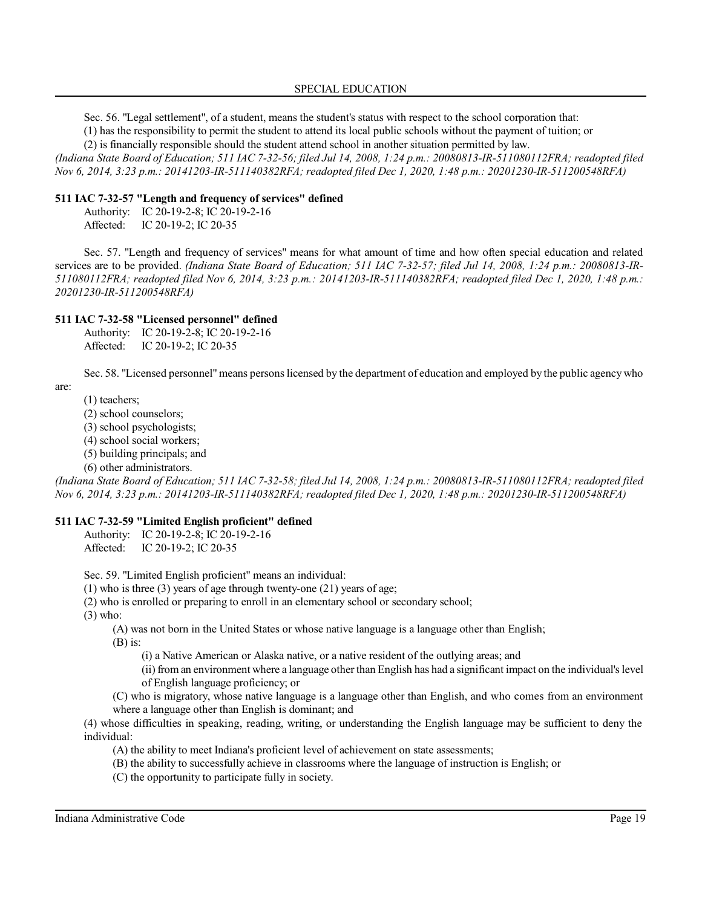#### SPECIAL EDUCATION

Sec. 56. "Legal settlement", of a student, means the student's status with respect to the school corporation that:

(1) has the responsibility to permit the student to attend its local public schools without the payment of tuition; or

(2) is financially responsible should the student attend school in another situation permitted by law.

*(Indiana State Board of Education; 511 IAC 7-32-56; filed Jul 14, 2008, 1:24 p.m.: 20080813-IR-511080112FRA; readopted filed Nov 6, 2014, 3:23 p.m.: 20141203-IR-511140382RFA; readopted filed Dec 1, 2020, 1:48 p.m.: 20201230-IR-511200548RFA)*

#### **511 IAC 7-32-57 "Length and frequency of services" defined**

Authority: IC 20-19-2-8; IC 20-19-2-16 Affected: IC 20-19-2; IC 20-35

Sec. 57. "Length and frequency of services" means for what amount of time and how often special education and related services are to be provided. *(Indiana State Board of Education; 511 IAC 7-32-57; filed Jul 14, 2008, 1:24 p.m.: 20080813-IR-511080112FRA; readopted filed Nov 6, 2014, 3:23 p.m.: 20141203-IR-511140382RFA; readopted filed Dec 1, 2020, 1:48 p.m.: 20201230-IR-511200548RFA)*

#### **511 IAC 7-32-58 "Licensed personnel" defined**

Authority: IC 20-19-2-8; IC 20-19-2-16 Affected: IC 20-19-2; IC 20-35

Sec. 58. "Licensed personnel"means personslicensed by the department of education and employed by the public agency who

are:

(1) teachers;

- (2) school counselors;
- (3) school psychologists;
- (4) school social workers;
- (5) building principals; and
- (6) other administrators.

*(Indiana State Board of Education; 511 IAC 7-32-58; filed Jul 14, 2008, 1:24 p.m.: 20080813-IR-511080112FRA; readopted filed Nov 6, 2014, 3:23 p.m.: 20141203-IR-511140382RFA; readopted filed Dec 1, 2020, 1:48 p.m.: 20201230-IR-511200548RFA)*

### **511 IAC 7-32-59 "Limited English proficient" defined**

Authority: IC 20-19-2-8; IC 20-19-2-16 Affected: IC 20-19-2; IC 20-35

Sec. 59. "Limited English proficient" means an individual:

- (1) who is three (3) years of age through twenty-one (21) years of age;
- (2) who is enrolled or preparing to enroll in an elementary school or secondary school;

(3) who:

(A) was not born in the United States or whose native language is a language other than English;

 $(B)$  is:

- (i) a Native American or Alaska native, or a native resident of the outlying areas; and
- (ii)from an environment where a language otherthan English has had a significant impact on the individual's level of English language proficiency; or
- (C) who is migratory, whose native language is a language other than English, and who comes from an environment where a language other than English is dominant; and

(4) whose difficulties in speaking, reading, writing, or understanding the English language may be sufficient to deny the individual:

- (A) the ability to meet Indiana's proficient level of achievement on state assessments;
- (B) the ability to successfully achieve in classrooms where the language of instruction is English; or
- (C) the opportunity to participate fully in society.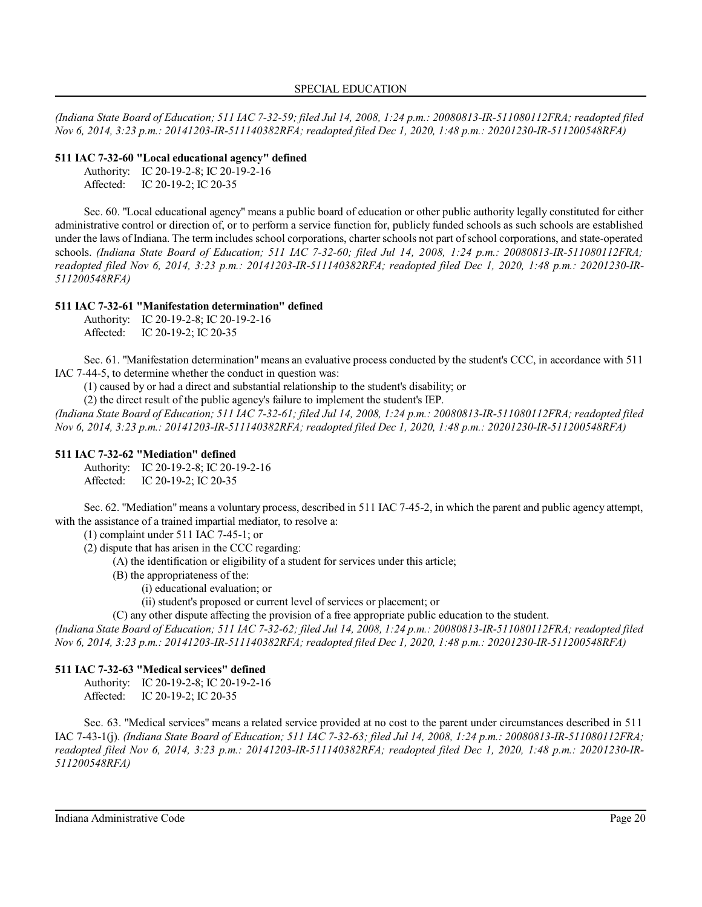*(Indiana State Board of Education; 511 IAC 7-32-59; filed Jul 14, 2008, 1:24 p.m.: 20080813-IR-511080112FRA; readopted filed Nov 6, 2014, 3:23 p.m.: 20141203-IR-511140382RFA; readopted filed Dec 1, 2020, 1:48 p.m.: 20201230-IR-511200548RFA)*

#### **511 IAC 7-32-60 "Local educational agency" defined**

Authority: IC 20-19-2-8; IC 20-19-2-16 Affected: IC 20-19-2; IC 20-35

Sec. 60. "Local educational agency" means a public board of education or other public authority legally constituted for either administrative control or direction of, or to perform a service function for, publicly funded schools as such schools are established under the laws of Indiana. The term includes school corporations, charter schools not part of school corporations, and state-operated schools. *(Indiana State Board of Education; 511 IAC 7-32-60; filed Jul 14, 2008, 1:24 p.m.: 20080813-IR-511080112FRA; readopted filed Nov 6, 2014, 3:23 p.m.: 20141203-IR-511140382RFA; readopted filed Dec 1, 2020, 1:48 p.m.: 20201230-IR-511200548RFA)*

### **511 IAC 7-32-61 "Manifestation determination" defined**

Authority: IC 20-19-2-8; IC 20-19-2-16 Affected: IC 20-19-2; IC 20-35

Sec. 61. "Manifestation determination" means an evaluative process conducted by the student's CCC, in accordance with 511 IAC 7-44-5, to determine whether the conduct in question was:

(1) caused by or had a direct and substantial relationship to the student's disability; or

(2) the direct result of the public agency's failure to implement the student's IEP.

*(Indiana State Board of Education; 511 IAC 7-32-61; filed Jul 14, 2008, 1:24 p.m.: 20080813-IR-511080112FRA; readopted filed Nov 6, 2014, 3:23 p.m.: 20141203-IR-511140382RFA; readopted filed Dec 1, 2020, 1:48 p.m.: 20201230-IR-511200548RFA)*

### **511 IAC 7-32-62 "Mediation" defined**

Authority: IC 20-19-2-8; IC 20-19-2-16 Affected: IC 20-19-2; IC 20-35

Sec. 62. "Mediation" means a voluntary process, described in 511 IAC 7-45-2, in which the parent and public agency attempt, with the assistance of a trained impartial mediator, to resolve a:

(1) complaint under 511 IAC 7-45-1; or

(2) dispute that has arisen in the CCC regarding:

(A) the identification or eligibility of a student for services under this article;

(B) the appropriateness of the:

(i) educational evaluation; or

(ii) student's proposed or current level of services or placement; or

(C) any other dispute affecting the provision of a free appropriate public education to the student.

*(Indiana State Board of Education; 511 IAC 7-32-62; filed Jul 14, 2008, 1:24 p.m.: 20080813-IR-511080112FRA; readopted filed Nov 6, 2014, 3:23 p.m.: 20141203-IR-511140382RFA; readopted filed Dec 1, 2020, 1:48 p.m.: 20201230-IR-511200548RFA)*

### **511 IAC 7-32-63 "Medical services" defined**

Authority: IC 20-19-2-8; IC 20-19-2-16

Affected: IC 20-19-2; IC 20-35

Sec. 63. "Medical services" means a related service provided at no cost to the parent under circumstances described in 511 IAC 7-43-1(j). *(Indiana State Board of Education; 511 IAC 7-32-63; filed Jul 14, 2008, 1:24 p.m.: 20080813-IR-511080112FRA; readopted filed Nov 6, 2014, 3:23 p.m.: 20141203-IR-511140382RFA; readopted filed Dec 1, 2020, 1:48 p.m.: 20201230-IR-511200548RFA)*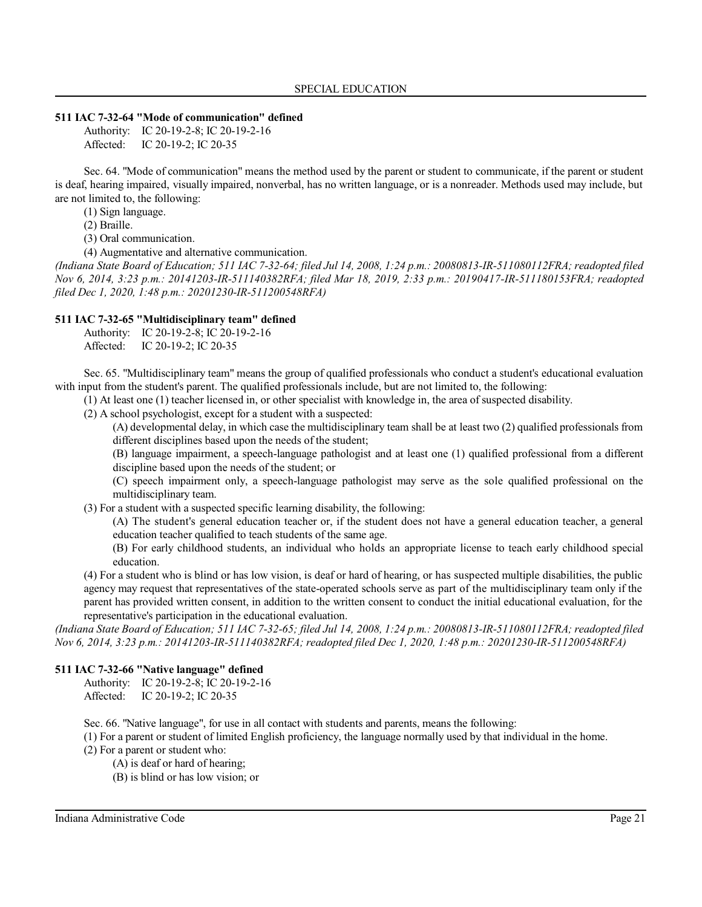#### **511 IAC 7-32-64 "Mode of communication" defined**

Authority: IC 20-19-2-8; IC 20-19-2-16 Affected: IC 20-19-2; IC 20-35

Sec. 64. "Mode of communication" means the method used by the parent or student to communicate, if the parent or student is deaf, hearing impaired, visually impaired, nonverbal, has no written language, or is a nonreader. Methods used may include, but are not limited to, the following:

(1) Sign language.

(2) Braille.

(3) Oral communication.

(4) Augmentative and alternative communication.

*(Indiana State Board of Education; 511 IAC 7-32-64; filed Jul 14, 2008, 1:24 p.m.: 20080813-IR-511080112FRA; readopted filed Nov 6, 2014, 3:23 p.m.: 20141203-IR-511140382RFA; filed Mar 18, 2019, 2:33 p.m.: 20190417-IR-511180153FRA; readopted filed Dec 1, 2020, 1:48 p.m.: 20201230-IR-511200548RFA)*

### **511 IAC 7-32-65 "Multidisciplinary team" defined**

|           | Authority: IC 20-19-2-8; IC 20-19-2-16 |
|-----------|----------------------------------------|
| Affected: | IC 20-19-2; IC 20-35                   |

Sec. 65. "Multidisciplinary team" means the group of qualified professionals who conduct a student's educational evaluation with input from the student's parent. The qualified professionals include, but are not limited to, the following:

(1) At least one (1) teacher licensed in, or other specialist with knowledge in, the area of suspected disability.

(2) A school psychologist, except for a student with a suspected:

(A) developmental delay, in which case the multidisciplinary team shall be at least two (2) qualified professionals from different disciplines based upon the needs of the student;

(B) language impairment, a speech-language pathologist and at least one (1) qualified professional from a different discipline based upon the needs of the student; or

(C) speech impairment only, a speech-language pathologist may serve as the sole qualified professional on the multidisciplinary team.

(3) For a student with a suspected specific learning disability, the following:

(A) The student's general education teacher or, if the student does not have a general education teacher, a general education teacher qualified to teach students of the same age.

(B) For early childhood students, an individual who holds an appropriate license to teach early childhood special education.

(4) For a student who is blind or has low vision, is deaf or hard of hearing, or has suspected multiple disabilities, the public agency may request that representatives of the state-operated schools serve as part of the multidisciplinary team only if the parent has provided written consent, in addition to the written consent to conduct the initial educational evaluation, for the representative's participation in the educational evaluation.

*(Indiana State Board of Education; 511 IAC 7-32-65; filed Jul 14, 2008, 1:24 p.m.: 20080813-IR-511080112FRA; readopted filed Nov 6, 2014, 3:23 p.m.: 20141203-IR-511140382RFA; readopted filed Dec 1, 2020, 1:48 p.m.: 20201230-IR-511200548RFA)*

### **511 IAC 7-32-66 "Native language" defined**

Authority: IC 20-19-2-8; IC 20-19-2-16 Affected: IC 20-19-2; IC 20-35

Sec. 66. "Native language", for use in all contact with students and parents, means the following:

(1) For a parent or student of limited English proficiency, the language normally used by that individual in the home.

(2) For a parent or student who:

(A) is deaf or hard of hearing;

(B) is blind or has low vision; or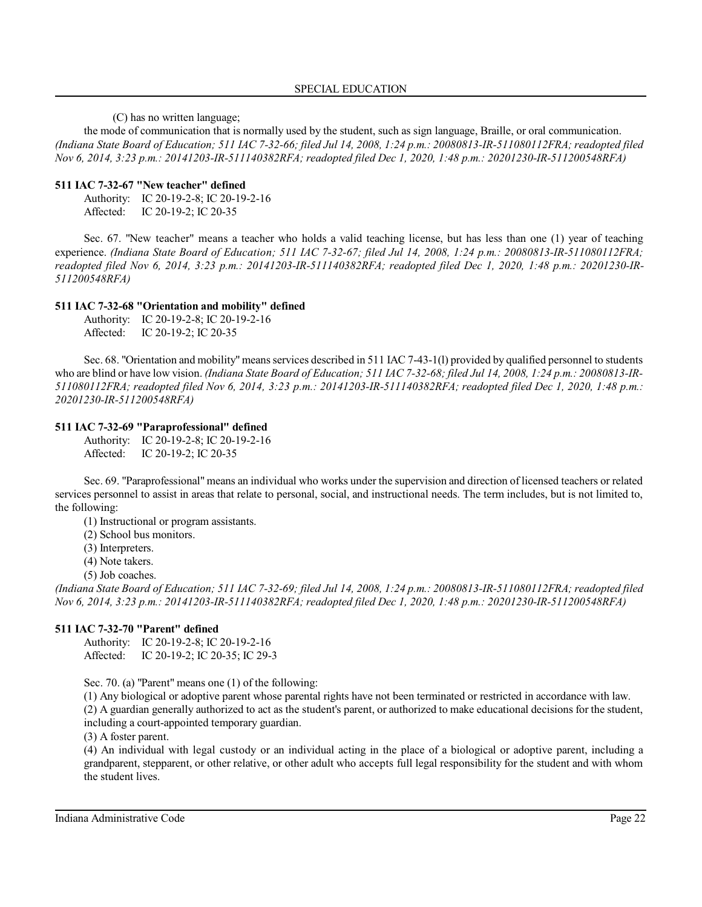(C) has no written language;

the mode of communication that is normally used by the student, such as sign language, Braille, or oral communication. *(Indiana State Board of Education; 511 IAC 7-32-66; filed Jul 14, 2008, 1:24 p.m.: 20080813-IR-511080112FRA; readopted filed Nov 6, 2014, 3:23 p.m.: 20141203-IR-511140382RFA; readopted filed Dec 1, 2020, 1:48 p.m.: 20201230-IR-511200548RFA)*

#### **511 IAC 7-32-67 "New teacher" defined**

Authority: IC 20-19-2-8; IC 20-19-2-16 Affected: IC 20-19-2; IC 20-35

Sec. 67. "New teacher" means a teacher who holds a valid teaching license, but has less than one (1) year of teaching experience. *(Indiana State Board of Education; 511 IAC 7-32-67; filed Jul 14, 2008, 1:24 p.m.: 20080813-IR-511080112FRA; readopted filed Nov 6, 2014, 3:23 p.m.: 20141203-IR-511140382RFA; readopted filed Dec 1, 2020, 1:48 p.m.: 20201230-IR-511200548RFA)*

#### **511 IAC 7-32-68 "Orientation and mobility" defined**

Authority: IC 20-19-2-8; IC 20-19-2-16 Affected: IC 20-19-2; IC 20-35

Sec. 68. "Orientation and mobility" means services described in 511 IAC 7-43-1(1) provided by qualified personnel to students who are blind or have low vision. *(Indiana State Board of Education; 511 IAC 7-32-68; filed Jul 14, 2008, 1:24 p.m.: 20080813-IR-511080112FRA; readopted filed Nov 6, 2014, 3:23 p.m.: 20141203-IR-511140382RFA; readopted filed Dec 1, 2020, 1:48 p.m.: 20201230-IR-511200548RFA)*

#### **511 IAC 7-32-69 "Paraprofessional" defined**

Authority: IC 20-19-2-8; IC 20-19-2-16 Affected: IC 20-19-2; IC 20-35

Sec. 69. "Paraprofessional" means an individual who works under the supervision and direction of licensed teachers or related services personnel to assist in areas that relate to personal, social, and instructional needs. The term includes, but is not limited to, the following:

(1) Instructional or program assistants.

(2) School bus monitors.

(3) Interpreters.

(4) Note takers.

(5) Job coaches.

*(Indiana State Board of Education; 511 IAC 7-32-69; filed Jul 14, 2008, 1:24 p.m.: 20080813-IR-511080112FRA; readopted filed Nov 6, 2014, 3:23 p.m.: 20141203-IR-511140382RFA; readopted filed Dec 1, 2020, 1:48 p.m.: 20201230-IR-511200548RFA)*

#### **511 IAC 7-32-70 "Parent" defined**

Authority: IC 20-19-2-8; IC 20-19-2-16 Affected: IC 20-19-2; IC 20-35; IC 29-3

Sec. 70. (a) "Parent" means one (1) of the following:

(1) Any biological or adoptive parent whose parental rights have not been terminated or restricted in accordance with law.

(2) A guardian generally authorized to act as the student's parent, or authorized to make educational decisions for the student, including a court-appointed temporary guardian.

(3) A foster parent.

(4) An individual with legal custody or an individual acting in the place of a biological or adoptive parent, including a grandparent, stepparent, or other relative, or other adult who accepts full legal responsibility for the student and with whom the student lives.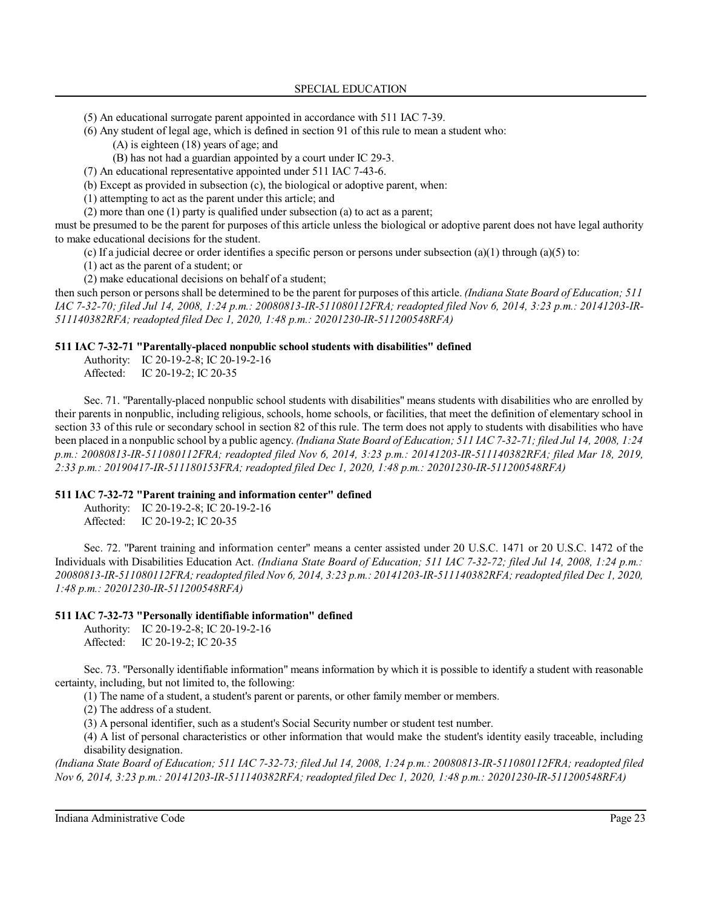(5) An educational surrogate parent appointed in accordance with 511 IAC 7-39.

(6) Any student of legal age, which is defined in section 91 of this rule to mean a student who: (A) is eighteen (18) years of age; and

(B) has not had a guardian appointed by a court under IC 29-3.

(7) An educational representative appointed under 511 IAC 7-43-6.

(b) Except as provided in subsection (c), the biological or adoptive parent, when:

(1) attempting to act as the parent under this article; and

(2) more than one (1) party is qualified under subsection (a) to act as a parent;

must be presumed to be the parent for purposes of this article unless the biological or adoptive parent does not have legal authority to make educational decisions for the student.

(c) If a judicial decree or order identifies a specific person or persons under subsection (a)(1) through (a)(5) to:

(1) act as the parent of a student; or

(2) make educational decisions on behalf of a student;

then such person or persons shall be determined to be the parent for purposes of this article. *(Indiana State Board of Education; 511 IAC 7-32-70; filed Jul 14, 2008, 1:24 p.m.: 20080813-IR-511080112FRA; readopted filed Nov 6, 2014, 3:23 p.m.: 20141203-IR-511140382RFA; readopted filed Dec 1, 2020, 1:48 p.m.: 20201230-IR-511200548RFA)*

### **511 IAC 7-32-71 "Parentally-placed nonpublic school students with disabilities" defined**

Authority: IC 20-19-2-8; IC 20-19-2-16 Affected: IC 20-19-2; IC 20-35

Sec. 71. "Parentally-placed nonpublic school students with disabilities" means students with disabilities who are enrolled by their parents in nonpublic, including religious, schools, home schools, or facilities, that meet the definition of elementary school in section 33 of this rule or secondary school in section 82 of this rule. The term does not apply to students with disabilities who have been placed in a nonpublic school by a public agency. *(Indiana State Board of Education; 511 IAC 7-32-71; filed Jul 14, 2008, 1:24 p.m.: 20080813-IR-511080112FRA; readopted filed Nov 6, 2014, 3:23 p.m.: 20141203-IR-511140382RFA; filed Mar 18, 2019, 2:33 p.m.: 20190417-IR-511180153FRA; readopted filed Dec 1, 2020, 1:48 p.m.: 20201230-IR-511200548RFA)*

### **511 IAC 7-32-72 "Parent training and information center" defined**

Authority: IC 20-19-2-8; IC 20-19-2-16 Affected: IC 20-19-2; IC 20-35

Sec. 72. "Parent training and information center" means a center assisted under 20 U.S.C. 1471 or 20 U.S.C. 1472 of the Individuals with Disabilities Education Act. *(Indiana State Board of Education; 511 IAC 7-32-72; filed Jul 14, 2008, 1:24 p.m.: 20080813-IR-511080112FRA;readopted filed Nov 6, 2014, 3:23 p.m.: 20141203-IR-511140382RFA; readopted filed Dec 1, 2020, 1:48 p.m.: 20201230-IR-511200548RFA)*

### **511 IAC 7-32-73 "Personally identifiable information" defined**

Authority: IC 20-19-2-8; IC 20-19-2-16 Affected: IC 20-19-2; IC 20-35

Sec. 73. "Personally identifiable information" means information by which it is possible to identify a student with reasonable certainty, including, but not limited to, the following:

(1) The name of a student, a student's parent or parents, or other family member or members.

(2) The address of a student.

(3) A personal identifier, such as a student's Social Security number or student test number.

(4) A list of personal characteristics or other information that would make the student's identity easily traceable, including disability designation.

*(Indiana State Board of Education; 511 IAC 7-32-73; filed Jul 14, 2008, 1:24 p.m.: 20080813-IR-511080112FRA; readopted filed Nov 6, 2014, 3:23 p.m.: 20141203-IR-511140382RFA; readopted filed Dec 1, 2020, 1:48 p.m.: 20201230-IR-511200548RFA)*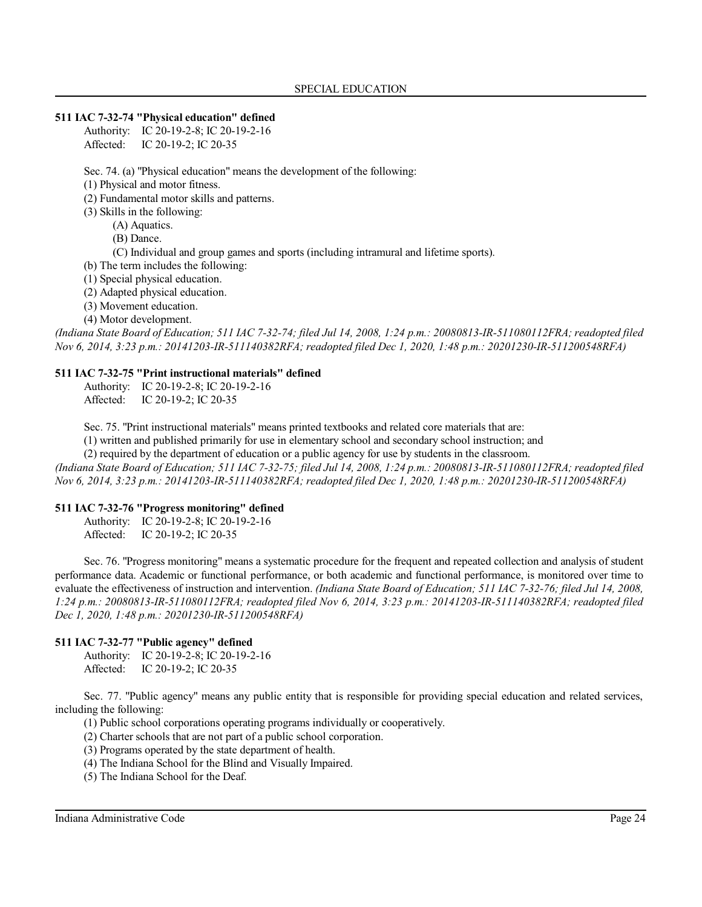#### **511 IAC 7-32-74 "Physical education" defined**

Authority: IC 20-19-2-8; IC 20-19-2-16 Affected: IC 20-19-2; IC 20-35

Sec. 74. (a) "Physical education" means the development of the following:

(1) Physical and motor fitness.

(2) Fundamental motor skills and patterns.

(3) Skills in the following:

(A) Aquatics.

(B) Dance.

(C) Individual and group games and sports (including intramural and lifetime sports).

(b) The term includes the following:

(1) Special physical education.

(2) Adapted physical education.

(3) Movement education.

(4) Motor development.

*(Indiana State Board of Education; 511 IAC 7-32-74; filed Jul 14, 2008, 1:24 p.m.: 20080813-IR-511080112FRA; readopted filed Nov 6, 2014, 3:23 p.m.: 20141203-IR-511140382RFA; readopted filed Dec 1, 2020, 1:48 p.m.: 20201230-IR-511200548RFA)*

### **511 IAC 7-32-75 "Print instructional materials" defined**

Authority: IC 20-19-2-8; IC 20-19-2-16 Affected: IC 20-19-2; IC 20-35

Sec. 75. "Print instructional materials" means printed textbooks and related core materials that are:

(1) written and published primarily for use in elementary school and secondary school instruction; and

(2) required by the department of education or a public agency for use by students in the classroom.

*(Indiana State Board of Education; 511 IAC 7-32-75; filed Jul 14, 2008, 1:24 p.m.: 20080813-IR-511080112FRA; readopted filed Nov 6, 2014, 3:23 p.m.: 20141203-IR-511140382RFA; readopted filed Dec 1, 2020, 1:48 p.m.: 20201230-IR-511200548RFA)*

### **511 IAC 7-32-76 "Progress monitoring" defined**

Authority: IC 20-19-2-8; IC 20-19-2-16 Affected: IC 20-19-2; IC 20-35

Sec. 76. "Progress monitoring" means a systematic procedure for the frequent and repeated collection and analysis of student performance data. Academic or functional performance, or both academic and functional performance, is monitored over time to evaluate the effectiveness of instruction and intervention. *(Indiana State Board of Education; 511 IAC 7-32-76; filed Jul 14, 2008, 1:24 p.m.: 20080813-IR-511080112FRA; readopted filed Nov 6, 2014, 3:23 p.m.: 20141203-IR-511140382RFA; readopted filed Dec 1, 2020, 1:48 p.m.: 20201230-IR-511200548RFA)*

### **511 IAC 7-32-77 "Public agency" defined**

Authority: IC 20-19-2-8; IC 20-19-2-16 Affected: IC 20-19-2; IC 20-35

Sec. 77. "Public agency" means any public entity that is responsible for providing special education and related services, including the following:

(1) Public school corporations operating programs individually or cooperatively.

(2) Charter schools that are not part of a public school corporation.

(3) Programs operated by the state department of health.

(4) The Indiana School for the Blind and Visually Impaired.

(5) The Indiana School for the Deaf.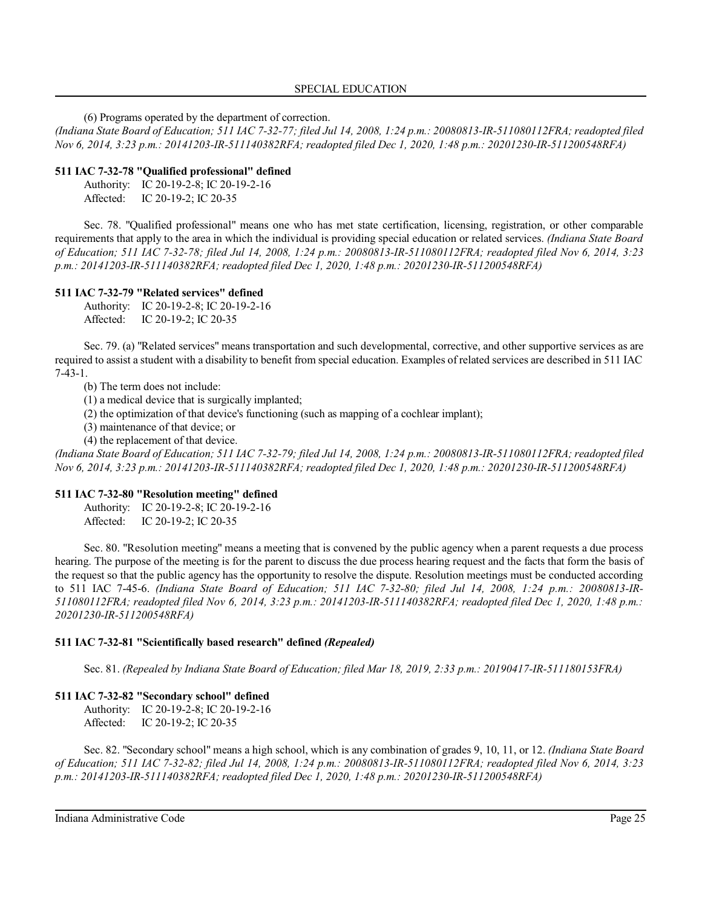(6) Programs operated by the department of correction.

*(Indiana State Board of Education; 511 IAC 7-32-77; filed Jul 14, 2008, 1:24 p.m.: 20080813-IR-511080112FRA; readopted filed Nov 6, 2014, 3:23 p.m.: 20141203-IR-511140382RFA; readopted filed Dec 1, 2020, 1:48 p.m.: 20201230-IR-511200548RFA)*

### **511 IAC 7-32-78 "Qualified professional" defined**

Authority: IC 20-19-2-8; IC 20-19-2-16 Affected: IC 20-19-2; IC 20-35

Sec. 78. "Qualified professional" means one who has met state certification, licensing, registration, or other comparable requirements that apply to the area in which the individual is providing special education or related services. *(Indiana State Board of Education; 511 IAC 7-32-78; filed Jul 14, 2008, 1:24 p.m.: 20080813-IR-511080112FRA; readopted filed Nov 6, 2014, 3:23 p.m.: 20141203-IR-511140382RFA; readopted filed Dec 1, 2020, 1:48 p.m.: 20201230-IR-511200548RFA)*

### **511 IAC 7-32-79 "Related services" defined**

Authority: IC 20-19-2-8; IC 20-19-2-16 Affected: IC 20-19-2; IC 20-35

Sec. 79. (a) "Related services" means transportation and such developmental, corrective, and other supportive services as are required to assist a student with a disability to benefit from special education. Examples of related services are described in 511 IAC 7-43-1.

(b) The term does not include:

(1) a medical device that is surgically implanted;

(2) the optimization of that device's functioning (such as mapping of a cochlear implant);

(3) maintenance of that device; or

(4) the replacement of that device.

*(Indiana State Board of Education; 511 IAC 7-32-79; filed Jul 14, 2008, 1:24 p.m.: 20080813-IR-511080112FRA; readopted filed Nov 6, 2014, 3:23 p.m.: 20141203-IR-511140382RFA; readopted filed Dec 1, 2020, 1:48 p.m.: 20201230-IR-511200548RFA)*

### **511 IAC 7-32-80 "Resolution meeting" defined**

Authority: IC 20-19-2-8; IC 20-19-2-16 Affected: IC 20-19-2; IC 20-35

Sec. 80. "Resolution meeting" means a meeting that is convened by the public agency when a parent requests a due process hearing. The purpose of the meeting is for the parent to discuss the due process hearing request and the facts that form the basis of the request so that the public agency has the opportunity to resolve the dispute. Resolution meetings must be conducted according to 511 IAC 7-45-6. *(Indiana State Board of Education; 511 IAC 7-32-80; filed Jul 14, 2008, 1:24 p.m.: 20080813-IR-511080112FRA; readopted filed Nov 6, 2014, 3:23 p.m.: 20141203-IR-511140382RFA; readopted filed Dec 1, 2020, 1:48 p.m.: 20201230-IR-511200548RFA)*

### **511 IAC 7-32-81 "Scientifically based research" defined** *(Repealed)*

Sec. 81. *(Repealed by Indiana State Board of Education; filed Mar 18, 2019, 2:33 p.m.: 20190417-IR-511180153FRA)*

### **511 IAC 7-32-82 "Secondary school" defined**

Authority: IC 20-19-2-8; IC 20-19-2-16 Affected: IC 20-19-2; IC 20-35

Sec. 82. "Secondary school" means a high school, which is any combination of grades 9, 10, 11, or 12. *(Indiana State Board of Education; 511 IAC 7-32-82; filed Jul 14, 2008, 1:24 p.m.: 20080813-IR-511080112FRA; readopted filed Nov 6, 2014, 3:23 p.m.: 20141203-IR-511140382RFA; readopted filed Dec 1, 2020, 1:48 p.m.: 20201230-IR-511200548RFA)*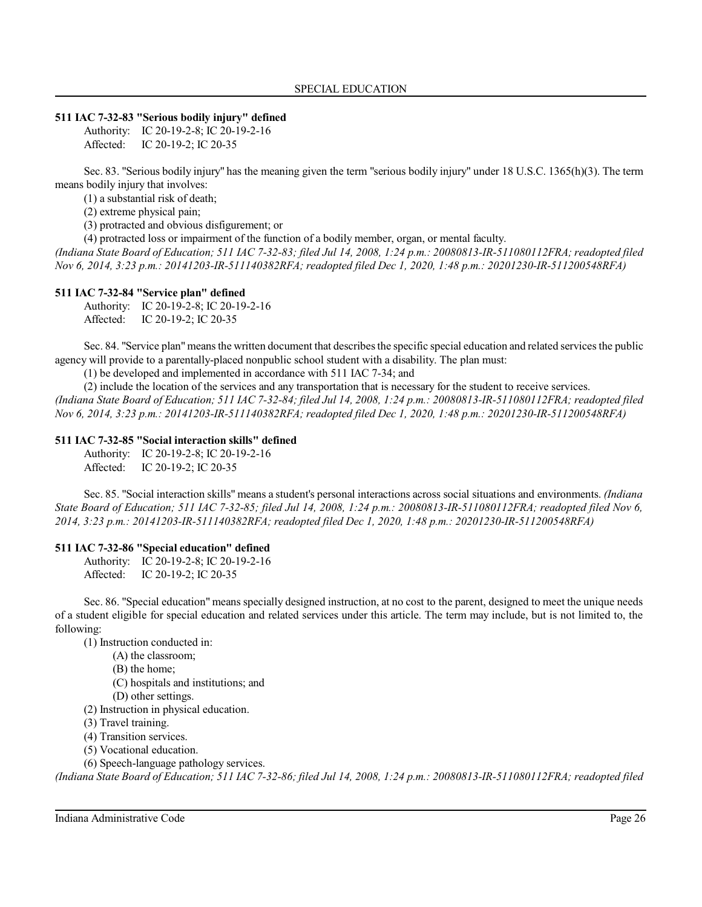#### **511 IAC 7-32-83 "Serious bodily injury" defined**

Authority: IC 20-19-2-8; IC 20-19-2-16 Affected: IC 20-19-2; IC 20-35

Sec. 83. "Serious bodily injury" has the meaning given the term "serious bodily injury" under 18 U.S.C. 1365(h)(3). The term means bodily injury that involves:

(1) a substantial risk of death;

(2) extreme physical pain;

(3) protracted and obvious disfigurement; or

(4) protracted loss or impairment of the function of a bodily member, organ, or mental faculty.

*(Indiana State Board of Education; 511 IAC 7-32-83; filed Jul 14, 2008, 1:24 p.m.: 20080813-IR-511080112FRA; readopted filed Nov 6, 2014, 3:23 p.m.: 20141203-IR-511140382RFA; readopted filed Dec 1, 2020, 1:48 p.m.: 20201230-IR-511200548RFA)*

#### **511 IAC 7-32-84 "Service plan" defined**

Authority: IC 20-19-2-8; IC 20-19-2-16 Affected: IC 20-19-2; IC 20-35

Sec. 84. "Service plan" means the written document that describes the specific special education and related services the public agency will provide to a parentally-placed nonpublic school student with a disability. The plan must:

(1) be developed and implemented in accordance with 511 IAC 7-34; and

(2) include the location of the services and any transportation that is necessary for the student to receive services.

*(Indiana State Board of Education; 511 IAC 7-32-84; filed Jul 14, 2008, 1:24 p.m.: 20080813-IR-511080112FRA; readopted filed Nov 6, 2014, 3:23 p.m.: 20141203-IR-511140382RFA; readopted filed Dec 1, 2020, 1:48 p.m.: 20201230-IR-511200548RFA)*

#### **511 IAC 7-32-85 "Social interaction skills" defined**

Authority: IC 20-19-2-8; IC 20-19-2-16 Affected: IC 20-19-2; IC 20-35

Sec. 85. "Social interaction skills" means a student's personal interactions across social situations and environments. *(Indiana State Board of Education; 511 IAC 7-32-85; filed Jul 14, 2008, 1:24 p.m.: 20080813-IR-511080112FRA; readopted filed Nov 6, 2014, 3:23 p.m.: 20141203-IR-511140382RFA; readopted filed Dec 1, 2020, 1:48 p.m.: 20201230-IR-511200548RFA)*

### **511 IAC 7-32-86 "Special education" defined**

Authority: IC 20-19-2-8; IC 20-19-2-16 Affected: IC 20-19-2; IC 20-35

Sec. 86. "Special education" means specially designed instruction, at no cost to the parent, designed to meet the unique needs of a student eligible for special education and related services under this article. The term may include, but is not limited to, the following:

(1) Instruction conducted in:

(A) the classroom;

(B) the home;

(C) hospitals and institutions; and

(D) other settings.

(2) Instruction in physical education.

(3) Travel training.

(4) Transition services.

(5) Vocational education.

(6) Speech-language pathology services.

*(Indiana State Board of Education; 511 IAC 7-32-86; filed Jul 14, 2008, 1:24 p.m.: 20080813-IR-511080112FRA; readopted filed*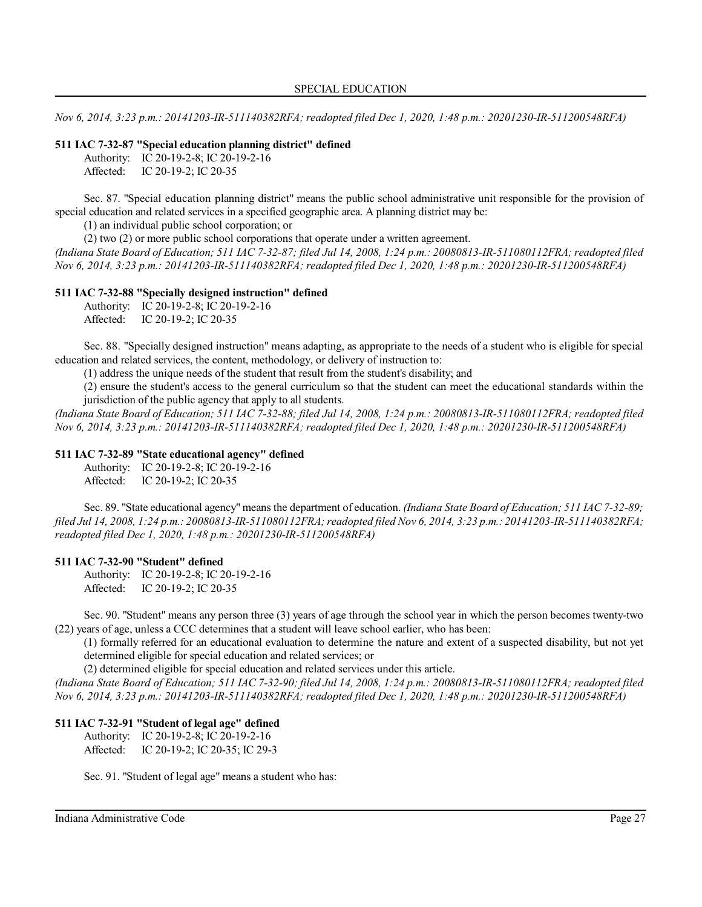*Nov 6, 2014, 3:23 p.m.: 20141203-IR-511140382RFA; readopted filed Dec 1, 2020, 1:48 p.m.: 20201230-IR-511200548RFA)*

#### **511 IAC 7-32-87 "Special education planning district" defined**

Authority: IC 20-19-2-8; IC 20-19-2-16 Affected: IC 20-19-2; IC 20-35

Sec. 87. "Special education planning district" means the public school administrative unit responsible for the provision of special education and related services in a specified geographic area. A planning district may be:

(1) an individual public school corporation; or

(2) two (2) or more public school corporations that operate under a written agreement.

*(Indiana State Board of Education; 511 IAC 7-32-87; filed Jul 14, 2008, 1:24 p.m.: 20080813-IR-511080112FRA; readopted filed Nov 6, 2014, 3:23 p.m.: 20141203-IR-511140382RFA; readopted filed Dec 1, 2020, 1:48 p.m.: 20201230-IR-511200548RFA)*

#### **511 IAC 7-32-88 "Specially designed instruction" defined**

Authority: IC 20-19-2-8; IC 20-19-2-16 Affected: IC 20-19-2; IC 20-35

Sec. 88. "Specially designed instruction" means adapting, as appropriate to the needs of a student who is eligible for special education and related services, the content, methodology, or delivery of instruction to:

(1) address the unique needs of the student that result from the student's disability; and

(2) ensure the student's access to the general curriculum so that the student can meet the educational standards within the jurisdiction of the public agency that apply to all students.

*(Indiana State Board of Education; 511 IAC 7-32-88; filed Jul 14, 2008, 1:24 p.m.: 20080813-IR-511080112FRA; readopted filed Nov 6, 2014, 3:23 p.m.: 20141203-IR-511140382RFA; readopted filed Dec 1, 2020, 1:48 p.m.: 20201230-IR-511200548RFA)*

### **511 IAC 7-32-89 "State educational agency" defined**

Authority: IC 20-19-2-8; IC 20-19-2-16

Affected: IC 20-19-2; IC 20-35

Sec. 89. "State educational agency" means the department of education. *(Indiana State Board of Education; 511 IAC 7-32-89; filed Jul 14, 2008, 1:24 p.m.: 20080813-IR-511080112FRA;readopted filed Nov 6, 2014, 3:23 p.m.: 20141203-IR-511140382RFA; readopted filed Dec 1, 2020, 1:48 p.m.: 20201230-IR-511200548RFA)*

#### **511 IAC 7-32-90 "Student" defined**

Authority: IC 20-19-2-8; IC 20-19-2-16 Affected: IC 20-19-2; IC 20-35

Sec. 90. "Student" means any person three (3) years of age through the school year in which the person becomes twenty-two (22) years of age, unless a CCC determines that a student will leave school earlier, who has been:

(1) formally referred for an educational evaluation to determine the nature and extent of a suspected disability, but not yet determined eligible for special education and related services; or

(2) determined eligible for special education and related services under this article.

*(Indiana State Board of Education; 511 IAC 7-32-90; filed Jul 14, 2008, 1:24 p.m.: 20080813-IR-511080112FRA; readopted filed Nov 6, 2014, 3:23 p.m.: 20141203-IR-511140382RFA; readopted filed Dec 1, 2020, 1:48 p.m.: 20201230-IR-511200548RFA)*

#### **511 IAC 7-32-91 "Student of legal age" defined**

Authority: IC 20-19-2-8; IC 20-19-2-16 Affected: IC 20-19-2; IC 20-35; IC 29-3

Sec. 91. "Student of legal age" means a student who has: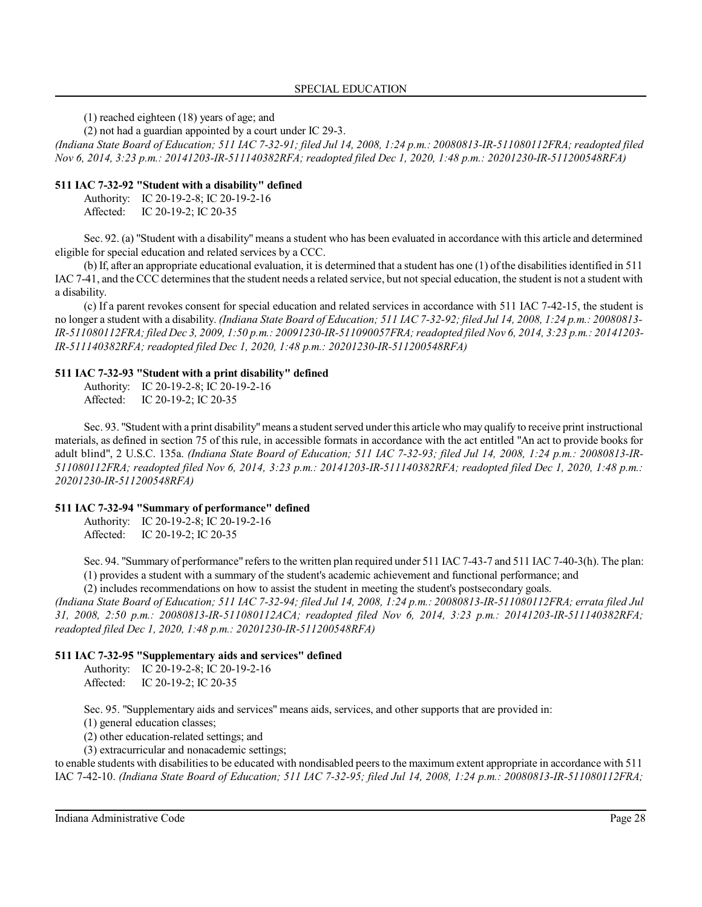(1) reached eighteen (18) years of age; and

(2) not had a guardian appointed by a court under IC 29-3.

*(Indiana State Board of Education; 511 IAC 7-32-91; filed Jul 14, 2008, 1:24 p.m.: 20080813-IR-511080112FRA; readopted filed Nov 6, 2014, 3:23 p.m.: 20141203-IR-511140382RFA; readopted filed Dec 1, 2020, 1:48 p.m.: 20201230-IR-511200548RFA)*

#### **511 IAC 7-32-92 "Student with a disability" defined**

Authority: IC 20-19-2-8; IC 20-19-2-16 Affected: IC 20-19-2; IC 20-35

Sec. 92. (a) "Student with a disability" means a student who has been evaluated in accordance with this article and determined eligible for special education and related services by a CCC.

(b) If, after an appropriate educational evaluation, it is determined that a student has one (1) of the disabilitiesidentified in 511 IAC 7-41, and the CCC determinesthat the student needs a related service, but not special education, the student is not a student with a disability.

(c) If a parent revokes consent for special education and related services in accordance with 511 IAC 7-42-15, the student is no longer a student with a disability. *(Indiana State Board of Education; 511 IAC 7-32-92; filed Jul 14, 2008, 1:24 p.m.: 20080813- IR-511080112FRA; filed Dec 3, 2009, 1:50 p.m.: 20091230-IR-511090057FRA;readopted filed Nov 6, 2014, 3:23 p.m.: 20141203- IR-511140382RFA; readopted filed Dec 1, 2020, 1:48 p.m.: 20201230-IR-511200548RFA)*

#### **511 IAC 7-32-93 "Student with a print disability" defined**

Authority: IC 20-19-2-8; IC 20-19-2-16 Affected: IC 20-19-2; IC 20-35

Sec. 93. "Student with a print disability"means a student served underthis article who may qualify to receive print instructional materials, as defined in section 75 of this rule, in accessible formats in accordance with the act entitled "An act to provide books for adult blind", 2 U.S.C. 135a. *(Indiana State Board of Education; 511 IAC 7-32-93; filed Jul 14, 2008, 1:24 p.m.: 20080813-IR-511080112FRA; readopted filed Nov 6, 2014, 3:23 p.m.: 20141203-IR-511140382RFA; readopted filed Dec 1, 2020, 1:48 p.m.: 20201230-IR-511200548RFA)*

### **511 IAC 7-32-94 "Summary of performance" defined**

Authority: IC 20-19-2-8; IC 20-19-2-16 Affected: IC 20-19-2; IC 20-35

Sec. 94. "Summary of performance" refers to the written plan required under 511 IAC 7-43-7 and 511 IAC 7-40-3(h). The plan: (1) provides a student with a summary of the student's academic achievement and functional performance; and

(2) includes recommendations on how to assist the student in meeting the student's postsecondary goals.

*(Indiana State Board of Education; 511 IAC 7-32-94; filed Jul 14, 2008, 1:24 p.m.: 20080813-IR-511080112FRA; errata filed Jul 31, 2008, 2:50 p.m.: 20080813-IR-511080112ACA; readopted filed Nov 6, 2014, 3:23 p.m.: 20141203-IR-511140382RFA; readopted filed Dec 1, 2020, 1:48 p.m.: 20201230-IR-511200548RFA)*

### **511 IAC 7-32-95 "Supplementary aids and services" defined**

Authority: IC 20-19-2-8; IC 20-19-2-16 Affected: IC 20-19-2; IC 20-35

Sec. 95. "Supplementary aids and services" means aids, services, and other supports that are provided in:

(1) general education classes;

(2) other education-related settings; and

(3) extracurricular and nonacademic settings;

to enable students with disabilitiesto be educated with nondisabled peers to the maximum extent appropriate in accordance with 511 IAC 7-42-10. *(Indiana State Board of Education; 511 IAC 7-32-95; filed Jul 14, 2008, 1:24 p.m.: 20080813-IR-511080112FRA;*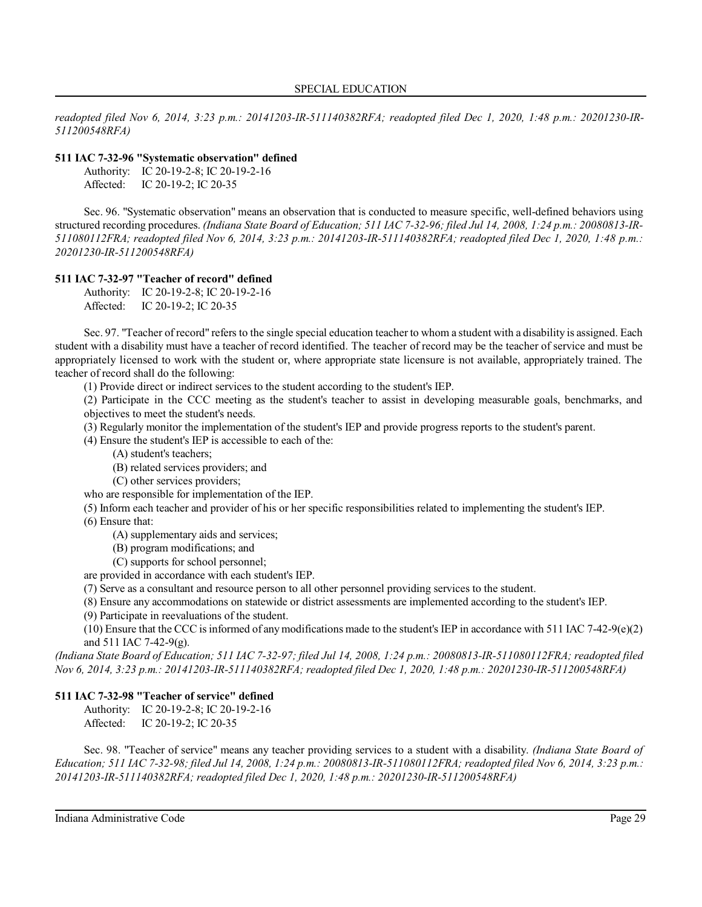*readopted filed Nov 6, 2014, 3:23 p.m.: 20141203-IR-511140382RFA; readopted filed Dec 1, 2020, 1:48 p.m.: 20201230-IR-511200548RFA)*

### **511 IAC 7-32-96 "Systematic observation" defined**

| Authority: | IC 20-19-2-8; IC 20-19-2-16 |
|------------|-----------------------------|
| Affected:  | IC 20-19-2; IC 20-35        |

Sec. 96. "Systematic observation" means an observation that is conducted to measure specific, well-defined behaviors using structured recording procedures. *(Indiana State Board of Education; 511 IAC 7-32-96; filed Jul 14, 2008, 1:24 p.m.: 20080813-IR-511080112FRA; readopted filed Nov 6, 2014, 3:23 p.m.: 20141203-IR-511140382RFA; readopted filed Dec 1, 2020, 1:48 p.m.: 20201230-IR-511200548RFA)*

#### **511 IAC 7-32-97 "Teacher of record" defined**

Authority: IC 20-19-2-8; IC 20-19-2-16 Affected: IC 20-19-2; IC 20-35

Sec. 97. "Teacher of record" refers to the single special education teacher to whom a student with a disability is assigned. Each student with a disability must have a teacher of record identified. The teacher of record may be the teacher of service and must be appropriately licensed to work with the student or, where appropriate state licensure is not available, appropriately trained. The teacher of record shall do the following:

(1) Provide direct or indirect services to the student according to the student's IEP.

(2) Participate in the CCC meeting as the student's teacher to assist in developing measurable goals, benchmarks, and objectives to meet the student's needs.

(3) Regularly monitor the implementation of the student's IEP and provide progress reports to the student's parent.

(4) Ensure the student's IEP is accessible to each of the:

(A) student's teachers;

(B) related services providers; and

(C) other services providers;

who are responsible for implementation of the IEP.

(5) Inform each teacher and provider of his or her specific responsibilities related to implementing the student's IEP.

(6) Ensure that:

(A) supplementary aids and services;

- (B) program modifications; and
- (C) supports for school personnel;

are provided in accordance with each student's IEP.

(7) Serve as a consultant and resource person to all other personnel providing services to the student.

(8) Ensure any accommodations on statewide or district assessments are implemented according to the student's IEP.

(9) Participate in reevaluations of the student.

(10) Ensure that the CCC is informed of any modifications made to the student's IEP in accordance with 511 IAC 7-42-9(e)(2) and 511 IAC 7-42-9(g).

*(Indiana State Board of Education; 511 IAC 7-32-97; filed Jul 14, 2008, 1:24 p.m.: 20080813-IR-511080112FRA; readopted filed Nov 6, 2014, 3:23 p.m.: 20141203-IR-511140382RFA; readopted filed Dec 1, 2020, 1:48 p.m.: 20201230-IR-511200548RFA)*

### **511 IAC 7-32-98 "Teacher of service" defined**

Authority: IC 20-19-2-8; IC 20-19-2-16 Affected: IC 20-19-2; IC 20-35

Sec. 98. "Teacher of service" means any teacher providing services to a student with a disability. *(Indiana State Board of Education; 511 IAC 7-32-98; filed Jul 14, 2008, 1:24 p.m.: 20080813-IR-511080112FRA; readopted filed Nov 6, 2014, 3:23 p.m.: 20141203-IR-511140382RFA; readopted filed Dec 1, 2020, 1:48 p.m.: 20201230-IR-511200548RFA)*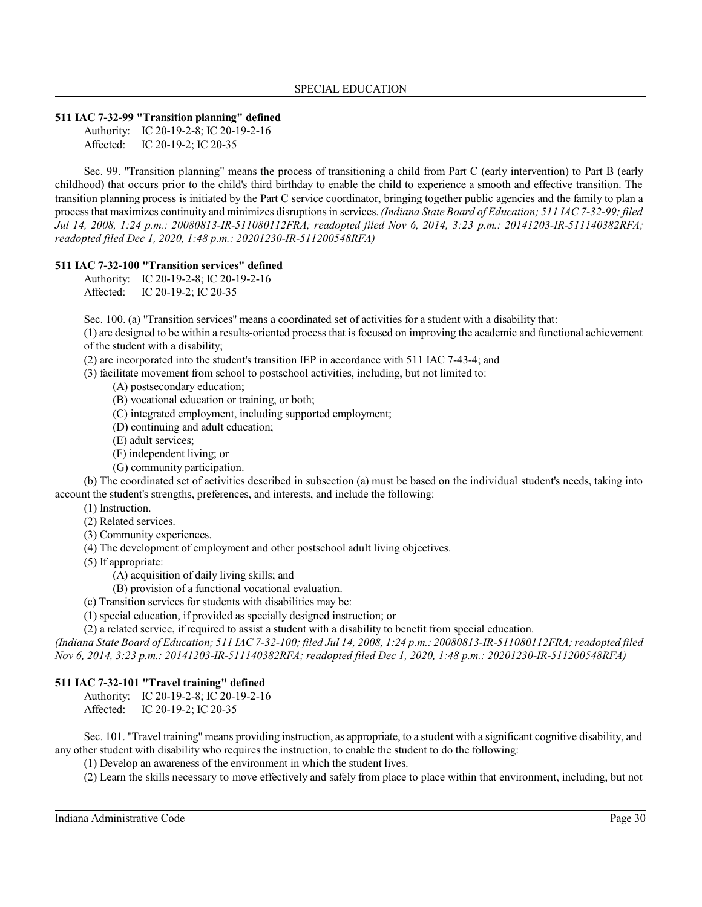#### **511 IAC 7-32-99 "Transition planning" defined**

Authority: IC 20-19-2-8; IC 20-19-2-16 Affected: IC 20-19-2; IC 20-35

Sec. 99. "Transition planning" means the process of transitioning a child from Part C (early intervention) to Part B (early childhood) that occurs prior to the child's third birthday to enable the child to experience a smooth and effective transition. The transition planning process is initiated by the Part C service coordinator, bringing together public agencies and the family to plan a process that maximizes continuity and minimizes disruptionsin services. *(Indiana State Board of Education; 511 IAC 7-32-99; filed Jul 14, 2008, 1:24 p.m.: 20080813-IR-511080112FRA; readopted filed Nov 6, 2014, 3:23 p.m.: 20141203-IR-511140382RFA; readopted filed Dec 1, 2020, 1:48 p.m.: 20201230-IR-511200548RFA)*

#### **511 IAC 7-32-100 "Transition services" defined**

Authority: IC 20-19-2-8; IC 20-19-2-16 Affected: IC 20-19-2; IC 20-35

Sec. 100. (a) "Transition services" means a coordinated set of activities for a student with a disability that:

(1) are designed to be within a results-oriented process that is focused on improving the academic and functional achievement of the student with a disability;

(2) are incorporated into the student's transition IEP in accordance with 511 IAC 7-43-4; and

(3) facilitate movement from school to postschool activities, including, but not limited to:

(A) postsecondary education;

(B) vocational education or training, or both;

- (C) integrated employment, including supported employment;
- (D) continuing and adult education;
- (E) adult services;
- (F) independent living; or
- (G) community participation.

(b) The coordinated set of activities described in subsection (a) must be based on the individual student's needs, taking into account the student's strengths, preferences, and interests, and include the following:

- (1) Instruction.
- (2) Related services.
- (3) Community experiences.
- (4) The development of employment and other postschool adult living objectives.
- (5) If appropriate:

(A) acquisition of daily living skills; and

- (B) provision of a functional vocational evaluation.
- (c) Transition services for students with disabilities may be:
- (1) special education, if provided as specially designed instruction; or

(2) a related service, if required to assist a student with a disability to benefit from special education.

*(Indiana State Board of Education; 511 IAC 7-32-100; filed Jul 14, 2008, 1:24 p.m.: 20080813-IR-511080112FRA;readopted filed Nov 6, 2014, 3:23 p.m.: 20141203-IR-511140382RFA; readopted filed Dec 1, 2020, 1:48 p.m.: 20201230-IR-511200548RFA)*

### **511 IAC 7-32-101 "Travel training" defined**

Authority: IC 20-19-2-8; IC 20-19-2-16 Affected: IC 20-19-2; IC 20-35

Sec. 101. "Travel training" means providing instruction, as appropriate, to a student with a significant cognitive disability, and any other student with disability who requires the instruction, to enable the student to do the following:

(1) Develop an awareness of the environment in which the student lives.

(2) Learn the skills necessary to move effectively and safely from place to place within that environment, including, but not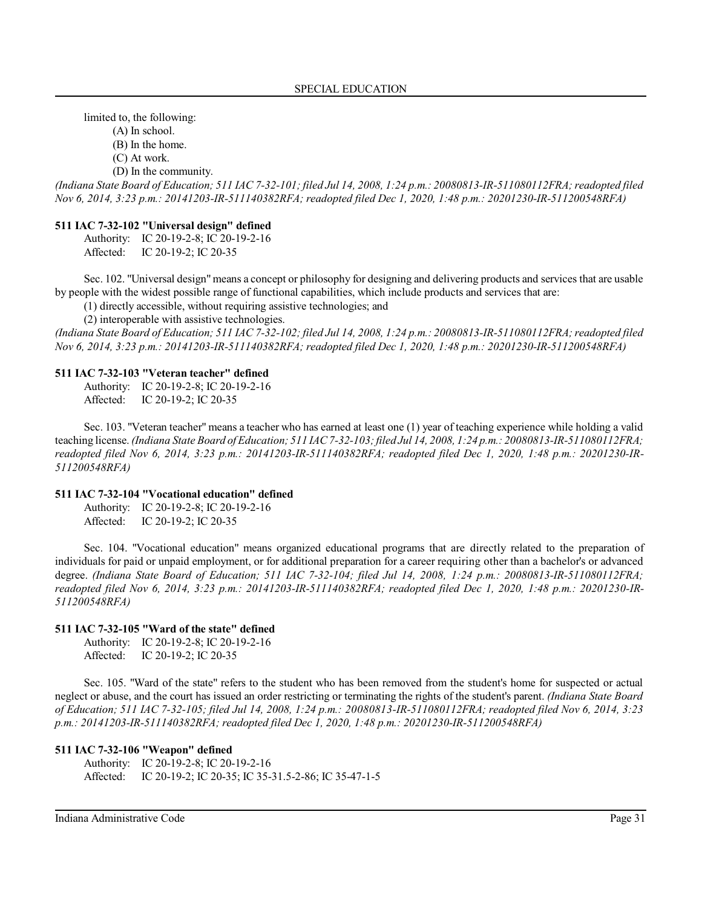limited to, the following:

(A) In school.

(B) In the home.

(C) At work.

(D) In the community.

*(Indiana State Board of Education; 511 IAC 7-32-101; filed Jul 14, 2008, 1:24 p.m.: 20080813-IR-511080112FRA;readopted filed Nov 6, 2014, 3:23 p.m.: 20141203-IR-511140382RFA; readopted filed Dec 1, 2020, 1:48 p.m.: 20201230-IR-511200548RFA)*

#### **511 IAC 7-32-102 "Universal design" defined**

Authority: IC 20-19-2-8; IC 20-19-2-16 Affected: IC 20-19-2; IC 20-35

Sec. 102. "Universal design"means a concept or philosophy for designing and delivering products and services that are usable by people with the widest possible range of functional capabilities, which include products and services that are:

(1) directly accessible, without requiring assistive technologies; and

(2) interoperable with assistive technologies.

*(Indiana State Board of Education; 511 IAC 7-32-102; filed Jul 14, 2008, 1:24 p.m.: 20080813-IR-511080112FRA;readopted filed Nov 6, 2014, 3:23 p.m.: 20141203-IR-511140382RFA; readopted filed Dec 1, 2020, 1:48 p.m.: 20201230-IR-511200548RFA)*

#### **511 IAC 7-32-103 "Veteran teacher" defined**

Authority: IC 20-19-2-8; IC 20-19-2-16 Affected: IC 20-19-2; IC 20-35

Sec. 103. "Veteran teacher" means a teacher who has earned at least one (1) year of teaching experience while holding a valid teaching license. *(Indiana State Board of Education; 511 IAC7-32-103;filed Jul 14, 2008, 1:24 p.m.: 20080813-IR-511080112FRA; readopted filed Nov 6, 2014, 3:23 p.m.: 20141203-IR-511140382RFA; readopted filed Dec 1, 2020, 1:48 p.m.: 20201230-IR-511200548RFA)*

### **511 IAC 7-32-104 "Vocational education" defined**

Authority: IC 20-19-2-8; IC 20-19-2-16 Affected: IC 20-19-2; IC 20-35

Sec. 104. "Vocational education" means organized educational programs that are directly related to the preparation of individuals for paid or unpaid employment, or for additional preparation for a career requiring other than a bachelor's or advanced degree. *(Indiana State Board of Education; 511 IAC 7-32-104; filed Jul 14, 2008, 1:24 p.m.: 20080813-IR-511080112FRA; readopted filed Nov 6, 2014, 3:23 p.m.: 20141203-IR-511140382RFA; readopted filed Dec 1, 2020, 1:48 p.m.: 20201230-IR-511200548RFA)*

### **511 IAC 7-32-105 "Ward of the state" defined**

Authority: IC 20-19-2-8; IC 20-19-2-16 Affected: IC 20-19-2; IC 20-35

Sec. 105. "Ward of the state" refers to the student who has been removed from the student's home for suspected or actual neglect or abuse, and the court has issued an order restricting or terminating the rights of the student's parent. *(Indiana State Board of Education; 511 IAC 7-32-105; filed Jul 14, 2008, 1:24 p.m.: 20080813-IR-511080112FRA; readopted filed Nov 6, 2014, 3:23 p.m.: 20141203-IR-511140382RFA; readopted filed Dec 1, 2020, 1:48 p.m.: 20201230-IR-511200548RFA)*

#### **511 IAC 7-32-106 "Weapon" defined**

Authority: IC 20-19-2-8; IC 20-19-2-16 Affected: IC 20-19-2; IC 20-35; IC 35-31.5-2-86; IC 35-47-1-5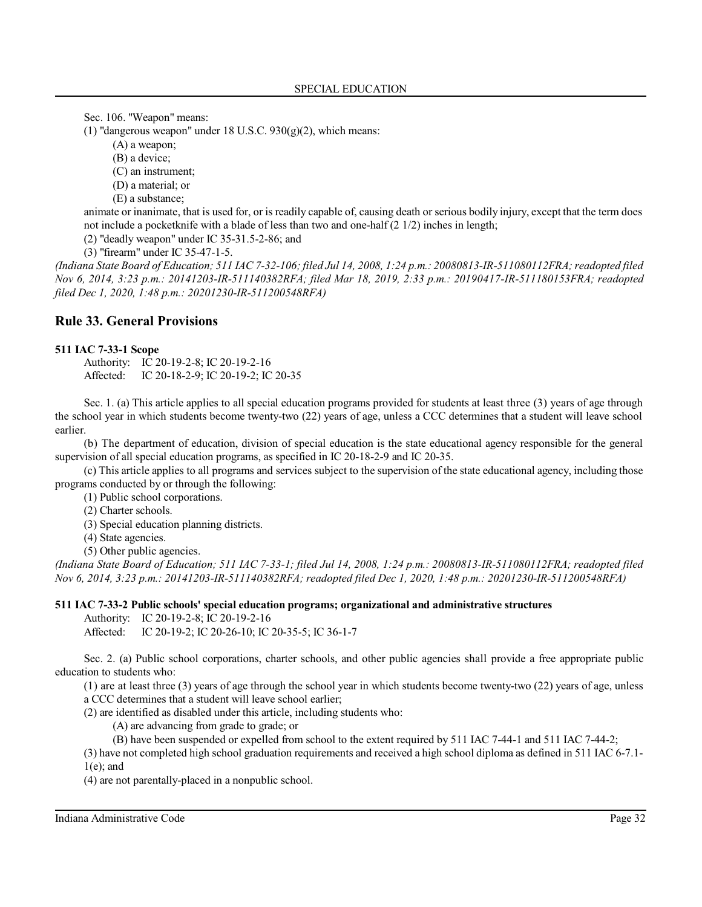Sec. 106. "Weapon" means:

(1) "dangerous weapon" under 18 U.S.C.  $930(g)(2)$ , which means:

(A) a weapon;

(B) a device;

(C) an instrument;

(D) a material; or

(E) a substance;

animate or inanimate, that is used for, or is readily capable of, causing death or serious bodily injury, except that the term does not include a pocketknife with a blade of less than two and one-half (2 1/2) inches in length;

(2) "deadly weapon" under IC 35-31.5-2-86; and

(3) "firearm" under IC 35-47-1-5.

*(Indiana State Board of Education; 511 IAC 7-32-106; filed Jul 14, 2008, 1:24 p.m.: 20080813-IR-511080112FRA;readopted filed Nov 6, 2014, 3:23 p.m.: 20141203-IR-511140382RFA; filed Mar 18, 2019, 2:33 p.m.: 20190417-IR-511180153FRA; readopted filed Dec 1, 2020, 1:48 p.m.: 20201230-IR-511200548RFA)*

### **Rule 33. General Provisions**

#### **511 IAC 7-33-1 Scope**

Authority: IC 20-19-2-8; IC 20-19-2-16 Affected: IC 20-18-2-9; IC 20-19-2; IC 20-35

Sec. 1. (a) This article applies to all special education programs provided for students at least three (3) years of age through the school year in which students become twenty-two (22) years of age, unless a CCC determines that a student will leave school earlier.

(b) The department of education, division of special education is the state educational agency responsible for the general supervision of all special education programs, as specified in IC 20-18-2-9 and IC 20-35.

(c) This article applies to all programs and services subject to the supervision of the state educational agency, including those programs conducted by or through the following:

(1) Public school corporations.

(2) Charter schools.

(3) Special education planning districts.

(4) State agencies.

(5) Other public agencies.

*(Indiana State Board of Education; 511 IAC 7-33-1; filed Jul 14, 2008, 1:24 p.m.: 20080813-IR-511080112FRA; readopted filed Nov 6, 2014, 3:23 p.m.: 20141203-IR-511140382RFA; readopted filed Dec 1, 2020, 1:48 p.m.: 20201230-IR-511200548RFA)*

#### **511 IAC 7-33-2 Public schools' special education programs; organizational and administrative structures**

Authority: IC 20-19-2-8; IC 20-19-2-16

Affected: IC 20-19-2; IC 20-26-10; IC 20-35-5; IC 36-1-7

Sec. 2. (a) Public school corporations, charter schools, and other public agencies shall provide a free appropriate public education to students who:

(1) are at least three (3) years of age through the school year in which students become twenty-two (22) years of age, unless a CCC determines that a student will leave school earlier;

(2) are identified as disabled under this article, including students who:

(A) are advancing from grade to grade; or

(B) have been suspended or expelled from school to the extent required by 511 IAC 7-44-1 and 511 IAC 7-44-2;

(3) have not completed high school graduation requirements and received a high school diploma as defined in 511 IAC 6-7.1- 1(e); and

(4) are not parentally-placed in a nonpublic school.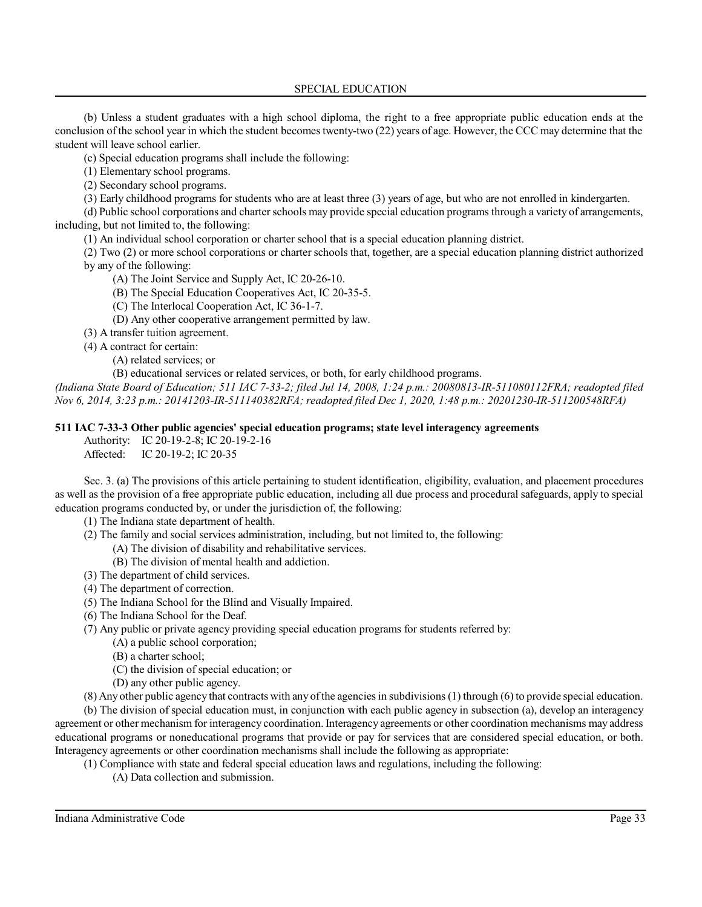SPECIAL EDUCATION

(b) Unless a student graduates with a high school diploma, the right to a free appropriate public education ends at the conclusion of the school year in which the student becomestwenty-two (22) years of age. However, the CCC may determine that the student will leave school earlier.

(c) Special education programs shall include the following:

(1) Elementary school programs.

(2) Secondary school programs.

(3) Early childhood programs for students who are at least three (3) years of age, but who are not enrolled in kindergarten.

(d) Public school corporations and charterschools may provide special education programs through a variety of arrangements, including, but not limited to, the following:

(1) An individual school corporation or charter school that is a special education planning district.

(2) Two (2) or more school corporations or charter schools that, together, are a special education planning district authorized by any of the following:

(A) The Joint Service and Supply Act, IC 20-26-10.

(B) The Special Education Cooperatives Act, IC 20-35-5.

(C) The Interlocal Cooperation Act, IC 36-1-7.

(D) Any other cooperative arrangement permitted by law.

(3) A transfer tuition agreement.

(4) A contract for certain:

(A) related services; or

(B) educational services or related services, or both, for early childhood programs.

*(Indiana State Board of Education; 511 IAC 7-33-2; filed Jul 14, 2008, 1:24 p.m.: 20080813-IR-511080112FRA; readopted filed Nov 6, 2014, 3:23 p.m.: 20141203-IR-511140382RFA; readopted filed Dec 1, 2020, 1:48 p.m.: 20201230-IR-511200548RFA)*

### **511 IAC 7-33-3 Other public agencies' special education programs; state level interagency agreements**

Authority: IC 20-19-2-8; IC 20-19-2-16 Affected: IC 20-19-2; IC 20-35

Sec. 3. (a) The provisions of this article pertaining to student identification, eligibility, evaluation, and placement procedures as well as the provision of a free appropriate public education, including all due process and procedural safeguards, apply to special education programs conducted by, or under the jurisdiction of, the following:

(1) The Indiana state department of health.

(2) The family and social services administration, including, but not limited to, the following:

- (A) The division of disability and rehabilitative services.
- (B) The division of mental health and addiction.
- (3) The department of child services.
- (4) The department of correction.
- (5) The Indiana School for the Blind and Visually Impaired.
- (6) The Indiana School for the Deaf.

(7) Any public or private agency providing special education programs for students referred by:

(A) a public school corporation;

(B) a charter school;

(C) the division of special education; or

(D) any other public agency.

(8) Any other public agency that contracts with any ofthe agencies in subdivisions(1) through (6) to provide special education.

(b) The division of special education must, in conjunction with each public agency in subsection (a), develop an interagency agreement or other mechanism for interagency coordination. Interagency agreements or other coordination mechanisms may address educational programs or noneducational programs that provide or pay for services that are considered special education, or both. Interagency agreements or other coordination mechanisms shall include the following as appropriate:

(1) Compliance with state and federal special education laws and regulations, including the following:

(A) Data collection and submission.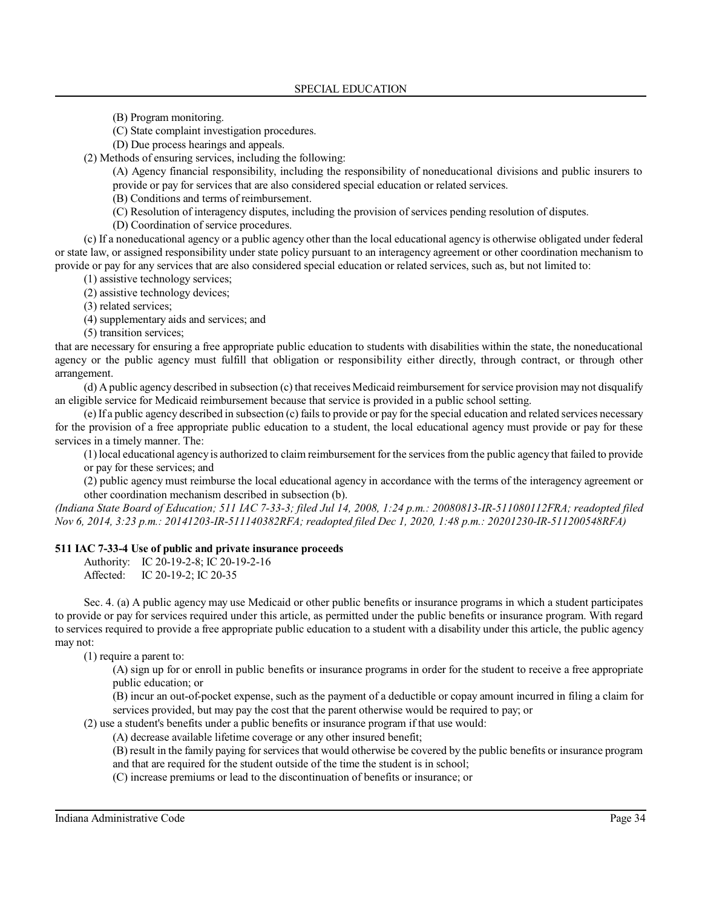(B) Program monitoring.

(C) State complaint investigation procedures.

(D) Due process hearings and appeals.

(2) Methods of ensuring services, including the following:

(A) Agency financial responsibility, including the responsibility of noneducational divisions and public insurers to provide or pay for services that are also considered special education or related services.

(B) Conditions and terms of reimbursement.

(C) Resolution of interagency disputes, including the provision of services pending resolution of disputes.

(D) Coordination of service procedures.

(c) If a noneducational agency or a public agency other than the local educational agency is otherwise obligated under federal or state law, or assigned responsibility under state policy pursuant to an interagency agreement or other coordination mechanism to provide or pay for any services that are also considered special education or related services, such as, but not limited to:

(1) assistive technology services;

(2) assistive technology devices;

(3) related services;

(4) supplementary aids and services; and

(5) transition services;

that are necessary for ensuring a free appropriate public education to students with disabilities within the state, the noneducational agency or the public agency must fulfill that obligation or responsibility either directly, through contract, or through other arrangement.

(d) A public agency described in subsection (c) that receives Medicaid reimbursement forservice provision may not disqualify an eligible service for Medicaid reimbursement because that service is provided in a public school setting.

(e) If a public agency described in subsection (c) failsto provide or pay for the special education and related services necessary for the provision of a free appropriate public education to a student, the local educational agency must provide or pay for these services in a timely manner. The:

(1)local educational agency is authorized to claim reimbursement for the servicesfrom the public agency that failed to provide or pay for these services; and

(2) public agency must reimburse the local educational agency in accordance with the terms of the interagency agreement or other coordination mechanism described in subsection (b).

*(Indiana State Board of Education; 511 IAC 7-33-3; filed Jul 14, 2008, 1:24 p.m.: 20080813-IR-511080112FRA; readopted filed Nov 6, 2014, 3:23 p.m.: 20141203-IR-511140382RFA; readopted filed Dec 1, 2020, 1:48 p.m.: 20201230-IR-511200548RFA)*

#### **511 IAC 7-33-4 Use of public and private insurance proceeds**

Authority: IC 20-19-2-8; IC 20-19-2-16

Affected: IC 20-19-2; IC 20-35

Sec. 4. (a) A public agency may use Medicaid or other public benefits or insurance programs in which a student participates to provide or pay for services required under this article, as permitted under the public benefits or insurance program. With regard to services required to provide a free appropriate public education to a student with a disability under this article, the public agency may not:

(1) require a parent to:

(A) sign up for or enroll in public benefits or insurance programs in order for the student to receive a free appropriate public education; or

(B) incur an out-of-pocket expense, such as the payment of a deductible or copay amount incurred in filing a claim for services provided, but may pay the cost that the parent otherwise would be required to pay; or

(2) use a student's benefits under a public benefits or insurance program if that use would:

(A) decrease available lifetime coverage or any other insured benefit;

(B) result in the family paying for services that would otherwise be covered by the public benefits or insurance program and that are required for the student outside of the time the student is in school;

(C) increase premiums or lead to the discontinuation of benefits or insurance; or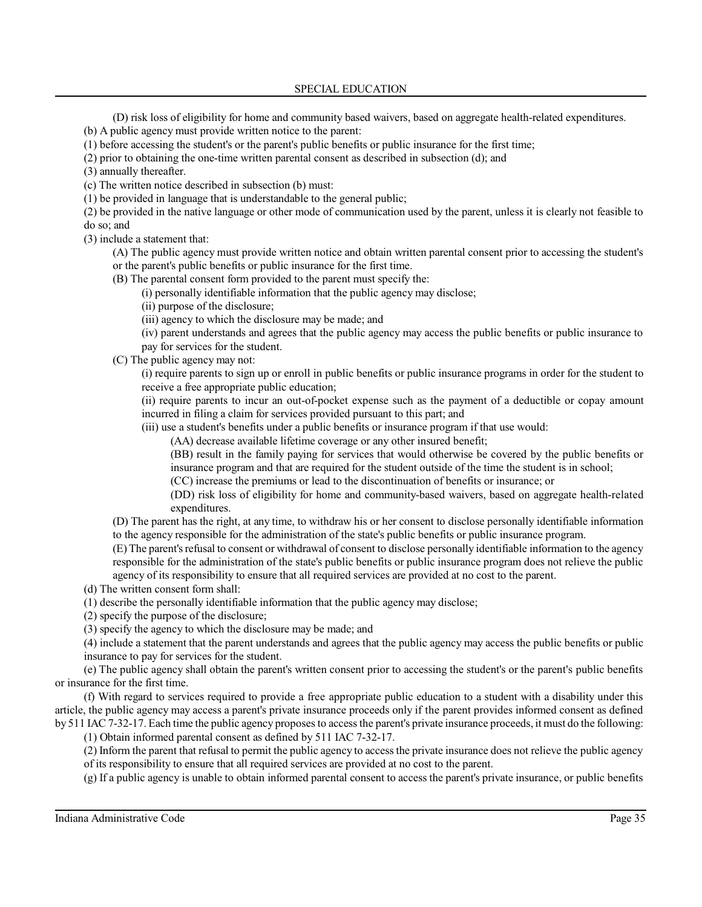#### SPECIAL EDUCATION

(D) risk loss of eligibility for home and community based waivers, based on aggregate health-related expenditures.

(b) A public agency must provide written notice to the parent:

(1) before accessing the student's or the parent's public benefits or public insurance for the first time;

(2) prior to obtaining the one-time written parental consent as described in subsection (d); and

(3) annually thereafter.

(c) The written notice described in subsection (b) must:

(1) be provided in language that is understandable to the general public;

(2) be provided in the native language or other mode of communication used by the parent, unless it is clearly not feasible to do so; and

(3) include a statement that:

(A) The public agency must provide written notice and obtain written parental consent prior to accessing the student's or the parent's public benefits or public insurance for the first time.

(B) The parental consent form provided to the parent must specify the:

(i) personally identifiable information that the public agency may disclose;

(ii) purpose of the disclosure;

(iii) agency to which the disclosure may be made; and

(iv) parent understands and agrees that the public agency may access the public benefits or public insurance to pay for services for the student.

(C) The public agency may not:

(i) require parents to sign up or enroll in public benefits or public insurance programs in order for the student to receive a free appropriate public education;

(ii) require parents to incur an out-of-pocket expense such as the payment of a deductible or copay amount incurred in filing a claim for services provided pursuant to this part; and

(iii) use a student's benefits under a public benefits or insurance program if that use would:

(AA) decrease available lifetime coverage or any other insured benefit;

(BB) result in the family paying for services that would otherwise be covered by the public benefits or insurance program and that are required for the student outside of the time the student is in school;

(CC) increase the premiums or lead to the discontinuation of benefits or insurance; or

(DD) risk loss of eligibility for home and community-based waivers, based on aggregate health-related expenditures.

(D) The parent has the right, at any time, to withdraw his or her consent to disclose personally identifiable information to the agency responsible for the administration of the state's public benefits or public insurance program.

(E) The parent's refusal to consent or withdrawal of consent to disclose personally identifiable information to the agency responsible for the administration of the state's public benefits or public insurance program does not relieve the public agency of its responsibility to ensure that all required services are provided at no cost to the parent.

(d) The written consent form shall:

(1) describe the personally identifiable information that the public agency may disclose;

(2) specify the purpose of the disclosure;

(3) specify the agency to which the disclosure may be made; and

(4) include a statement that the parent understands and agrees that the public agency may access the public benefits or public insurance to pay for services for the student.

(e) The public agency shall obtain the parent's written consent prior to accessing the student's or the parent's public benefits or insurance for the first time.

(f) With regard to services required to provide a free appropriate public education to a student with a disability under this article, the public agency may access a parent's private insurance proceeds only if the parent provides informed consent as defined by 511 IAC 7-32-17. Each time the public agency proposes to accessthe parent's private insurance proceeds, it must do the following:

(1) Obtain informed parental consent as defined by 511 IAC 7-32-17.

(2) Inform the parent that refusal to permit the public agency to accessthe private insurance does not relieve the public agency of its responsibility to ensure that all required services are provided at no cost to the parent.

(g) If a public agency is unable to obtain informed parental consent to accessthe parent's private insurance, or public benefits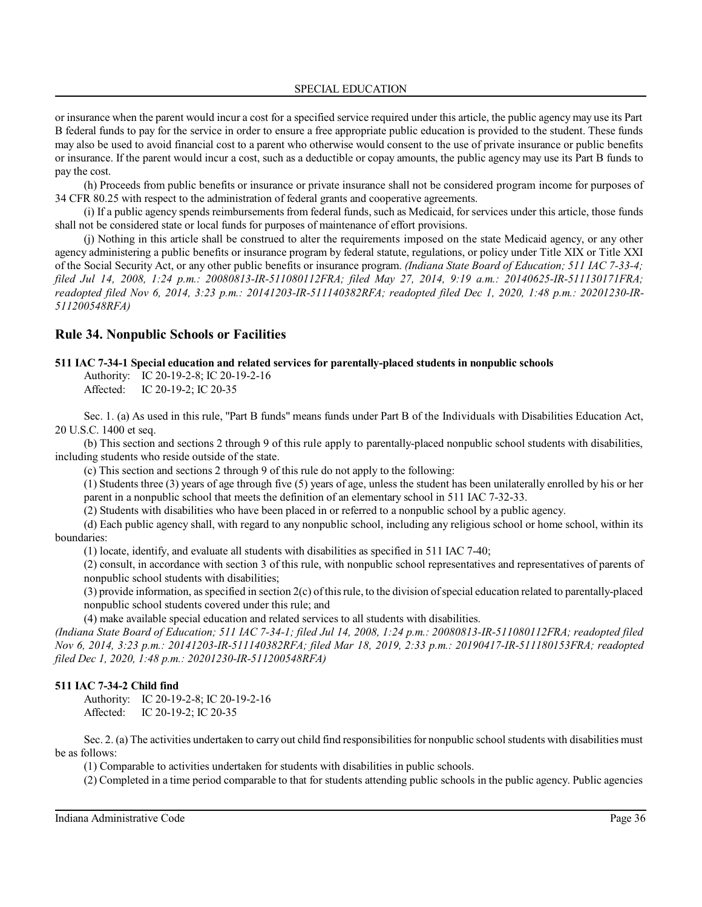or insurance when the parent would incur a cost for a specified service required under this article, the public agency may use its Part B federal funds to pay for the service in order to ensure a free appropriate public education is provided to the student. These funds may also be used to avoid financial cost to a parent who otherwise would consent to the use of private insurance or public benefits or insurance. If the parent would incur a cost, such as a deductible or copay amounts, the public agency may use its Part B funds to pay the cost.

(h) Proceeds from public benefits or insurance or private insurance shall not be considered program income for purposes of 34 CFR 80.25 with respect to the administration of federal grants and cooperative agreements.

(i) If a public agency spends reimbursements from federal funds, such as Medicaid, for services under this article, those funds shall not be considered state or local funds for purposes of maintenance of effort provisions.

(j) Nothing in this article shall be construed to alter the requirements imposed on the state Medicaid agency, or any other agency administering a public benefits or insurance program by federal statute, regulations, or policy under Title XIX or Title XXI of the Social Security Act, or any other public benefits or insurance program. *(Indiana State Board of Education; 511 IAC 7-33-4; filed Jul 14, 2008, 1:24 p.m.: 20080813-IR-511080112FRA; filed May 27, 2014, 9:19 a.m.: 20140625-IR-511130171FRA; readopted filed Nov 6, 2014, 3:23 p.m.: 20141203-IR-511140382RFA; readopted filed Dec 1, 2020, 1:48 p.m.: 20201230-IR-511200548RFA)*

### **Rule 34. Nonpublic Schools or Facilities**

#### **511 IAC 7-34-1 Special education and related services for parentally-placed students in nonpublic schools**

Authority: IC 20-19-2-8; IC 20-19-2-16 Affected: IC 20-19-2; IC 20-35

Sec. 1. (a) As used in this rule, "Part B funds" means funds under Part B of the Individuals with Disabilities Education Act, 20 U.S.C. 1400 et seq.

(b) This section and sections 2 through 9 of this rule apply to parentally-placed nonpublic school students with disabilities, including students who reside outside of the state.

(c) This section and sections 2 through 9 of this rule do not apply to the following:

(1) Students three (3) years of age through five (5) years of age, unless the student has been unilaterally enrolled by his or her parent in a nonpublic school that meets the definition of an elementary school in 511 IAC 7-32-33.

(2) Students with disabilities who have been placed in or referred to a nonpublic school by a public agency.

(d) Each public agency shall, with regard to any nonpublic school, including any religious school or home school, within its boundaries:

(1) locate, identify, and evaluate all students with disabilities as specified in 511 IAC 7-40;

(2) consult, in accordance with section 3 of this rule, with nonpublic school representatives and representatives of parents of nonpublic school students with disabilities;

(3) provide information, as specified in section 2(c) ofthisrule, to the division ofspecial education related to parentally-placed nonpublic school students covered under this rule; and

(4) make available special education and related services to all students with disabilities.

*(Indiana State Board of Education; 511 IAC 7-34-1; filed Jul 14, 2008, 1:24 p.m.: 20080813-IR-511080112FRA; readopted filed Nov 6, 2014, 3:23 p.m.: 20141203-IR-511140382RFA; filed Mar 18, 2019, 2:33 p.m.: 20190417-IR-511180153FRA; readopted filed Dec 1, 2020, 1:48 p.m.: 20201230-IR-511200548RFA)*

### **511 IAC 7-34-2 Child find**

Authority: IC 20-19-2-8; IC 20-19-2-16 Affected: IC 20-19-2; IC 20-35

Sec. 2. (a) The activities undertaken to carry out child find responsibilities for nonpublic school students with disabilities must be as follows:

(1) Comparable to activities undertaken for students with disabilities in public schools.

(2) Completed in a time period comparable to that for students attending public schools in the public agency. Public agencies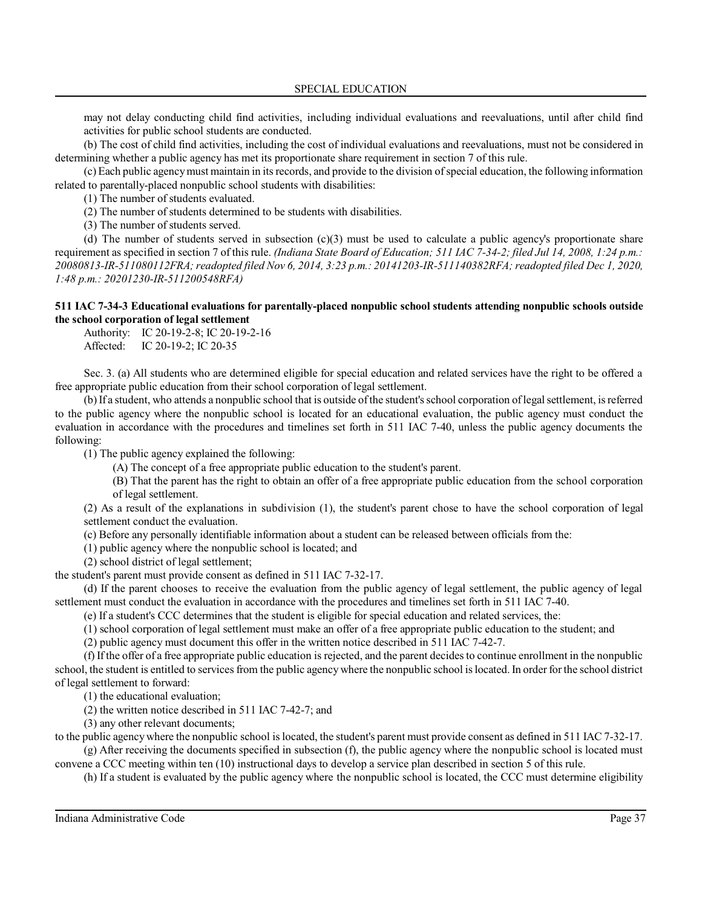may not delay conducting child find activities, including individual evaluations and reevaluations, until after child find activities for public school students are conducted.

(b) The cost of child find activities, including the cost of individual evaluations and reevaluations, must not be considered in determining whether a public agency has met its proportionate share requirement in section 7 of this rule.

(c) Each public agencymust maintain in itsrecords, and provide to the division ofspecial education, the following information related to parentally-placed nonpublic school students with disabilities:

(1) The number of students evaluated.

(2) The number of students determined to be students with disabilities.

(3) The number of students served.

(d) The number of students served in subsection  $(c)(3)$  must be used to calculate a public agency's proportionate share requirement as specified in section 7 of this rule. *(Indiana State Board of Education; 511 IAC 7-34-2; filed Jul 14, 2008, 1:24 p.m.: 20080813-IR-511080112FRA;readopted filed Nov 6, 2014, 3:23 p.m.: 20141203-IR-511140382RFA; readopted filed Dec 1, 2020, 1:48 p.m.: 20201230-IR-511200548RFA)*

## **511 IAC 7-34-3 Educational evaluations for parentally-placed nonpublic school students attending nonpublic schools outside the school corporation of legal settlement**

Authority: IC 20-19-2-8; IC 20-19-2-16 Affected: IC 20-19-2; IC 20-35

Sec. 3. (a) All students who are determined eligible for special education and related services have the right to be offered a free appropriate public education from their school corporation of legal settlement.

(b)If a student, who attends a nonpublic school that is outside ofthe student's school corporation oflegal settlement, isreferred to the public agency where the nonpublic school is located for an educational evaluation, the public agency must conduct the evaluation in accordance with the procedures and timelines set forth in 511 IAC 7-40, unless the public agency documents the following:

(1) The public agency explained the following:

(A) The concept of a free appropriate public education to the student's parent.

(B) That the parent has the right to obtain an offer of a free appropriate public education from the school corporation of legal settlement.

(2) As a result of the explanations in subdivision (1), the student's parent chose to have the school corporation of legal settlement conduct the evaluation.

(c) Before any personally identifiable information about a student can be released between officials from the:

(1) public agency where the nonpublic school is located; and

(2) school district of legal settlement;

the student's parent must provide consent as defined in 511 IAC 7-32-17.

(d) If the parent chooses to receive the evaluation from the public agency of legal settlement, the public agency of legal settlement must conduct the evaluation in accordance with the procedures and timelines set forth in 511 IAC 7-40.

(e) If a student's CCC determines that the student is eligible for special education and related services, the:

(1) school corporation of legal settlement must make an offer of a free appropriate public education to the student; and

(2) public agency must document this offer in the written notice described in 511 IAC 7-42-7.

(f) If the offer of a free appropriate public education is rejected, and the parent decides to continue enrollment in the nonpublic school, the student is entitled to services from the public agency where the nonpublic school is located. In order for the school district of legal settlement to forward:

(1) the educational evaluation;

(2) the written notice described in 511 IAC 7-42-7; and

(3) any other relevant documents;

to the public agency where the nonpublic school is located, the student's parent must provide consent as defined in 511 IAC 7-32-17. (g) After receiving the documents specified in subsection (f), the public agency where the nonpublic school is located must

convene a CCC meeting within ten (10) instructional days to develop a service plan described in section 5 of this rule.

(h) If a student is evaluated by the public agency where the nonpublic school is located, the CCC must determine eligibility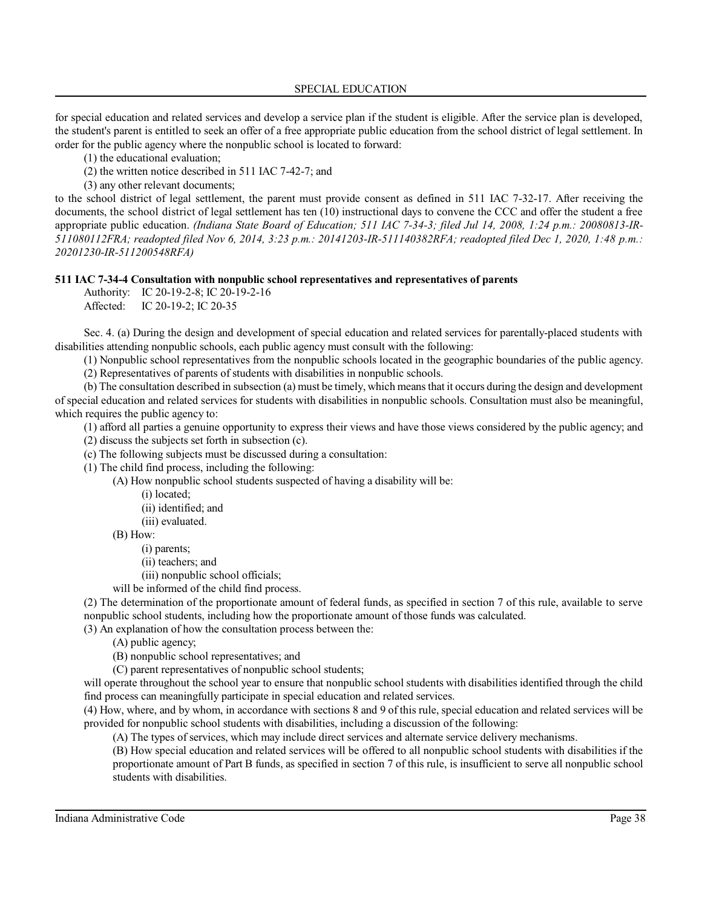SPECIAL EDUCATION

for special education and related services and develop a service plan if the student is eligible. After the service plan is developed, the student's parent is entitled to seek an offer of a free appropriate public education from the school district of legal settlement. In order for the public agency where the nonpublic school is located to forward:

(1) the educational evaluation;

(2) the written notice described in 511 IAC 7-42-7; and

(3) any other relevant documents;

to the school district of legal settlement, the parent must provide consent as defined in 511 IAC 7-32-17. After receiving the documents, the school district of legal settlement has ten (10) instructional days to convene the CCC and offer the student a free appropriate public education. *(Indiana State Board of Education; 511 IAC 7-34-3; filed Jul 14, 2008, 1:24 p.m.: 20080813-IR-511080112FRA; readopted filed Nov 6, 2014, 3:23 p.m.: 20141203-IR-511140382RFA; readopted filed Dec 1, 2020, 1:48 p.m.: 20201230-IR-511200548RFA)*

## **511 IAC 7-34-4 Consultation with nonpublic school representatives and representatives of parents**

Authority: IC 20-19-2-8; IC 20-19-2-16 Affected: IC 20-19-2; IC 20-35

Sec. 4. (a) During the design and development of special education and related services for parentally-placed students with disabilities attending nonpublic schools, each public agency must consult with the following:

(1) Nonpublic school representatives from the nonpublic schools located in the geographic boundaries of the public agency.

(2) Representatives of parents of students with disabilities in nonpublic schools.

(b) The consultation described in subsection (a) must be timely, which means that it occurs during the design and development of special education and related services for students with disabilities in nonpublic schools. Consultation must also be meaningful, which requires the public agency to:

(1) afford all parties a genuine opportunity to express their views and have those views considered by the public agency; and

(2) discuss the subjects set forth in subsection (c).

(c) The following subjects must be discussed during a consultation:

(1) The child find process, including the following:

(A) How nonpublic school students suspected of having a disability will be:

(i) located;

(ii) identified; and

(iii) evaluated.

(B) How:

(i) parents;

(ii) teachers; and

(iii) nonpublic school officials;

will be informed of the child find process.

(2) The determination of the proportionate amount of federal funds, as specified in section 7 of this rule, available to serve nonpublic school students, including how the proportionate amount of those funds was calculated.

(3) An explanation of how the consultation process between the:

(A) public agency;

(B) nonpublic school representatives; and

(C) parent representatives of nonpublic school students;

will operate throughout the school year to ensure that nonpublic school students with disabilities identified through the child find process can meaningfully participate in special education and related services.

(4) How, where, and by whom, in accordance with sections 8 and 9 of this rule, special education and related services will be provided for nonpublic school students with disabilities, including a discussion of the following:

(A) The types of services, which may include direct services and alternate service delivery mechanisms.

(B) How special education and related services will be offered to all nonpublic school students with disabilities if the proportionate amount of Part B funds, as specified in section 7 of this rule, is insufficient to serve all nonpublic school students with disabilities.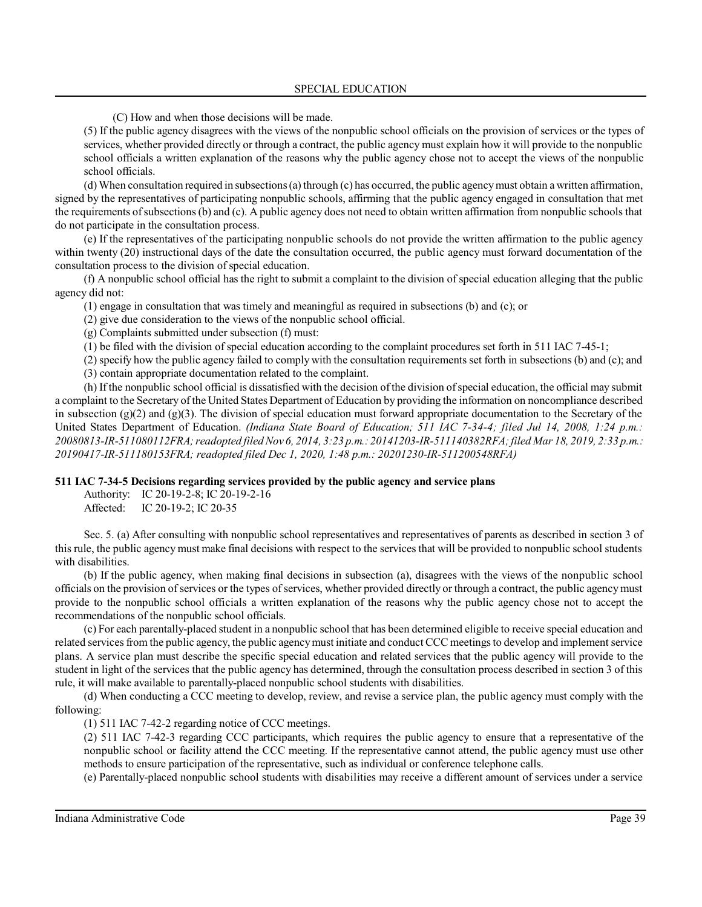### SPECIAL EDUCATION

(C) How and when those decisions will be made.

(5) If the public agency disagrees with the views of the nonpublic school officials on the provision of services or the types of services, whether provided directly or through a contract, the public agency must explain how it will provide to the nonpublic school officials a written explanation of the reasons why the public agency chose not to accept the views of the nonpublic school officials.

(d) When consultation required in subsections (a) through (c) has occurred, the public agencymust obtain a written affirmation, signed by the representatives of participating nonpublic schools, affirming that the public agency engaged in consultation that met the requirements ofsubsections (b) and (c). A public agency does not need to obtain written affirmation from nonpublic schools that do not participate in the consultation process.

(e) If the representatives of the participating nonpublic schools do not provide the written affirmation to the public agency within twenty (20) instructional days of the date the consultation occurred, the public agency must forward documentation of the consultation process to the division of special education.

(f) A nonpublic school official has the right to submit a complaint to the division of special education alleging that the public agency did not:

(1) engage in consultation that was timely and meaningful as required in subsections (b) and (c); or

(2) give due consideration to the views of the nonpublic school official.

(g) Complaints submitted under subsection (f) must:

(1) be filed with the division of special education according to the complaint procedures set forth in 511 IAC 7-45-1;

(2) specify how the public agency failed to comply with the consultation requirements set forth in subsections (b) and (c); and (3) contain appropriate documentation related to the complaint.

(h) If the nonpublic school official is dissatisfied with the decision of the division of special education, the official may submit a complaint to the Secretary of the United States Department of Education by providing the information on noncompliance described in subsection  $(g)(2)$  and  $(g)(3)$ . The division of special education must forward appropriate documentation to the Secretary of the United States Department of Education. *(Indiana State Board of Education; 511 IAC 7-34-4; filed Jul 14, 2008, 1:24 p.m.: 20080813-IR-511080112FRA;readopted filed Nov 6, 2014, 3:23 p.m.: 20141203-IR-511140382RFA;filed Mar 18, 2019, 2:33 p.m.: 20190417-IR-511180153FRA; readopted filed Dec 1, 2020, 1:48 p.m.: 20201230-IR-511200548RFA)*

### **511 IAC 7-34-5 Decisions regarding services provided by the public agency and service plans**

Authority: IC 20-19-2-8; IC 20-19-2-16 Affected: IC 20-19-2; IC 20-35

Sec. 5. (a) After consulting with nonpublic school representatives and representatives of parents as described in section 3 of this rule, the public agency must make final decisions with respect to the services that will be provided to nonpublic school students with disabilities.

(b) If the public agency, when making final decisions in subsection (a), disagrees with the views of the nonpublic school officials on the provision ofservices or the types ofservices, whether provided directly or through a contract, the public agencymust provide to the nonpublic school officials a written explanation of the reasons why the public agency chose not to accept the recommendations of the nonpublic school officials.

(c) For each parentally-placed student in a nonpublic school that has been determined eligible to receive special education and related services from the public agency, the public agency must initiate and conduct CCC meetings to develop and implement service plans. A service plan must describe the specific special education and related services that the public agency will provide to the student in light of the services that the public agency has determined, through the consultation process described in section 3 of this rule, it will make available to parentally-placed nonpublic school students with disabilities.

(d) When conducting a CCC meeting to develop, review, and revise a service plan, the public agency must comply with the following:

(1) 511 IAC 7-42-2 regarding notice of CCC meetings.

(2) 511 IAC 7-42-3 regarding CCC participants, which requires the public agency to ensure that a representative of the nonpublic school or facility attend the CCC meeting. If the representative cannot attend, the public agency must use other methods to ensure participation of the representative, such as individual or conference telephone calls.

(e) Parentally-placed nonpublic school students with disabilities may receive a different amount of services under a service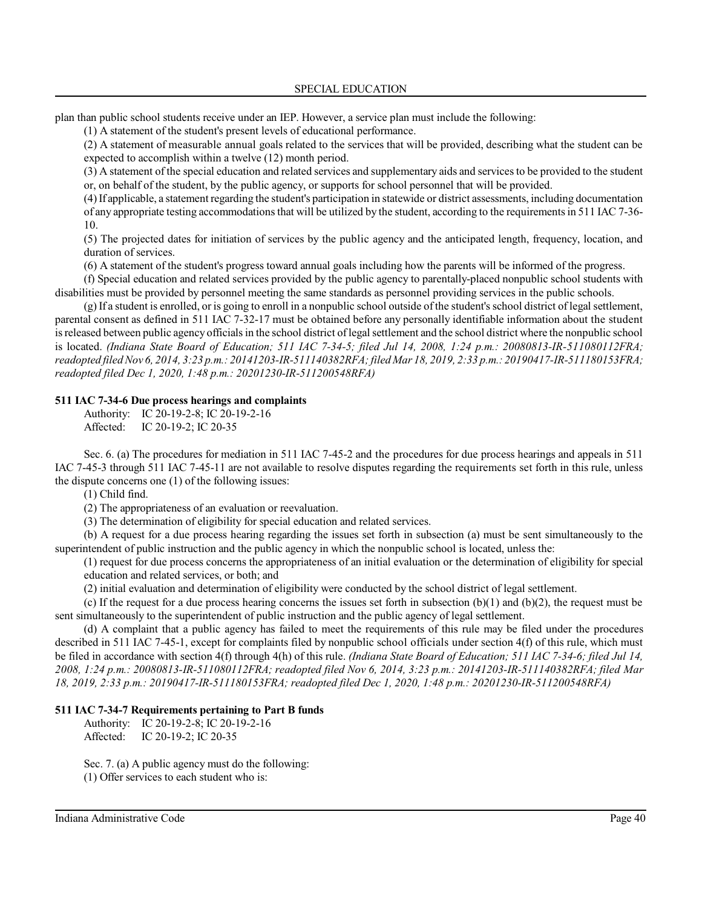plan than public school students receive under an IEP. However, a service plan must include the following:

(1) A statement of the student's present levels of educational performance.

(2) A statement of measurable annual goals related to the services that will be provided, describing what the student can be expected to accomplish within a twelve (12) month period.

(3) A statement of the special education and related services and supplementary aids and servicesto be provided to the student or, on behalf of the student, by the public agency, or supports for school personnel that will be provided.

(4)If applicable, a statement regarding the student's participation in statewide or district assessments, including documentation of any appropriate testing accommodationsthat will be utilized by the student, according to the requirementsin 511 IAC 7-36- 10.

(5) The projected dates for initiation of services by the public agency and the anticipated length, frequency, location, and duration of services.

(6) A statement of the student's progress toward annual goals including how the parents will be informed of the progress.

(f) Special education and related services provided by the public agency to parentally-placed nonpublic school students with disabilities must be provided by personnel meeting the same standards as personnel providing services in the public schools.

(g) If a student is enrolled, or is going to enroll in a nonpublic school outside of the student's school district of legal settlement, parental consent as defined in 511 IAC 7-32-17 must be obtained before any personally identifiable information about the student isreleased between public agency officialsin the school district oflegal settlement and the school district where the nonpublic school is located. *(Indiana State Board of Education; 511 IAC 7-34-5; filed Jul 14, 2008, 1:24 p.m.: 20080813-IR-511080112FRA; readopted filed Nov 6, 2014, 3:23 p.m.: 20141203-IR-511140382RFA;filed Mar 18, 2019, 2:33 p.m.: 20190417-IR-511180153FRA; readopted filed Dec 1, 2020, 1:48 p.m.: 20201230-IR-511200548RFA)*

### **511 IAC 7-34-6 Due process hearings and complaints**

Authority: IC 20-19-2-8; IC 20-19-2-16 Affected: IC 20-19-2; IC 20-35

Sec. 6. (a) The procedures for mediation in 511 IAC 7-45-2 and the procedures for due process hearings and appeals in 511 IAC 7-45-3 through 511 IAC 7-45-11 are not available to resolve disputes regarding the requirements set forth in this rule, unless the dispute concerns one (1) of the following issues:

(1) Child find.

(2) The appropriateness of an evaluation or reevaluation.

(3) The determination of eligibility for special education and related services.

(b) A request for a due process hearing regarding the issues set forth in subsection (a) must be sent simultaneously to the superintendent of public instruction and the public agency in which the nonpublic school is located, unless the:

(1) request for due process concerns the appropriateness of an initial evaluation or the determination of eligibility for special education and related services, or both; and

(2) initial evaluation and determination of eligibility were conducted by the school district of legal settlement.

(c) If the request for a due process hearing concerns the issues set forth in subsection  $(b)(1)$  and  $(b)(2)$ , the request must be sent simultaneously to the superintendent of public instruction and the public agency of legal settlement.

(d) A complaint that a public agency has failed to meet the requirements of this rule may be filed under the procedures described in 511 IAC 7-45-1, except for complaints filed by nonpublic school officials under section 4(f) of this rule, which must be filed in accordance with section 4(f) through 4(h) of this rule. *(Indiana State Board of Education; 511 IAC 7-34-6; filed Jul 14, 2008, 1:24 p.m.: 20080813-IR-511080112FRA; readopted filed Nov 6, 2014, 3:23 p.m.: 20141203-IR-511140382RFA; filed Mar 18, 2019, 2:33 p.m.: 20190417-IR-511180153FRA; readopted filed Dec 1, 2020, 1:48 p.m.: 20201230-IR-511200548RFA)*

### **511 IAC 7-34-7 Requirements pertaining to Part B funds**

Authority: IC 20-19-2-8; IC 20-19-2-16 Affected: IC 20-19-2; IC 20-35

Sec. 7. (a) A public agency must do the following: (1) Offer services to each student who is: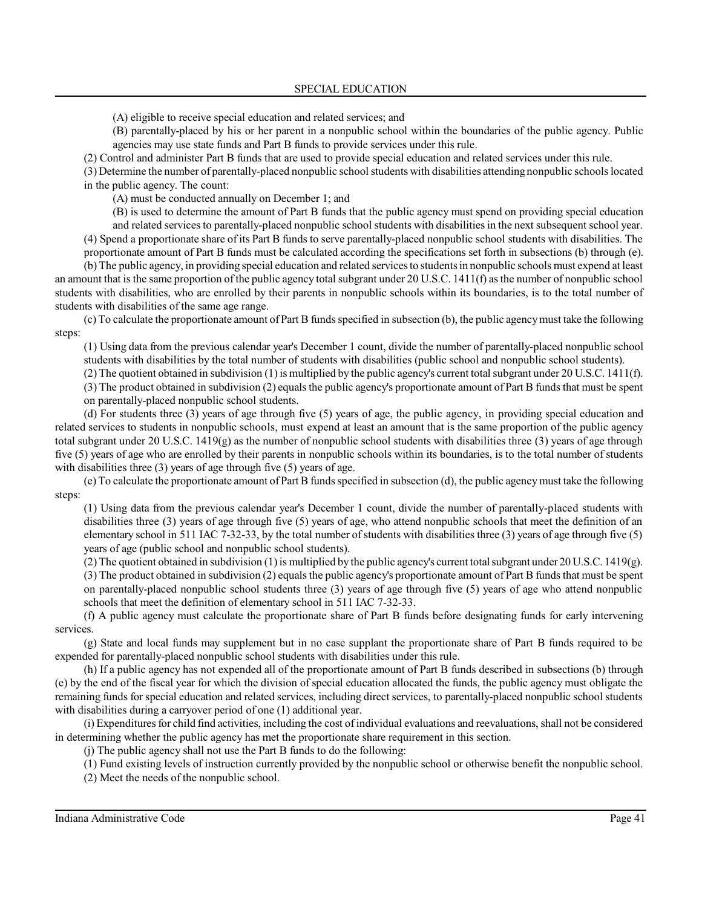(A) eligible to receive special education and related services; and

(B) parentally-placed by his or her parent in a nonpublic school within the boundaries of the public agency. Public agencies may use state funds and Part B funds to provide services under this rule.

(2) Control and administer Part B funds that are used to provide special education and related services under this rule.

(3) Determine the number of parentally-placed nonpublic school students with disabilities attending nonpublic schoolslocated in the public agency. The count:

(A) must be conducted annually on December 1; and

(B) is used to determine the amount of Part B funds that the public agency must spend on providing special education

and related services to parentally-placed nonpublic school students with disabilitiesin the next subsequent school year. (4) Spend a proportionate share of its Part B funds to serve parentally-placed nonpublic school students with disabilities. The proportionate amount of Part B funds must be calculated according the specifications set forth in subsections (b) through (e).

(b) The public agency, in providing special education and related servicesto studentsin nonpublic schools must expend at least an amount that isthe same proportion of the public agency total subgrant under 20 U.S.C. 1411(f) as the number of nonpublic school students with disabilities, who are enrolled by their parents in nonpublic schools within its boundaries, is to the total number of students with disabilities of the same age range.

(c) To calculate the proportionate amount of Part B funds specified in subsection (b), the public agencymust take the following steps:

(1) Using data from the previous calendar year's December 1 count, divide the number of parentally-placed nonpublic school students with disabilities by the total number of students with disabilities (public school and nonpublic school students).

(2) The quotient obtained in subdivision (1)is multiplied by the public agency's current total subgrant under 20 U.S.C. 1411(f).

(3) The product obtained in subdivision (2) equalsthe public agency's proportionate amount of Part B funds that must be spent

on parentally-placed nonpublic school students.

(d) For students three (3) years of age through five (5) years of age, the public agency, in providing special education and related services to students in nonpublic schools, must expend at least an amount that is the same proportion of the public agency total subgrant under 20 U.S.C.  $1419(g)$  as the number of nonpublic school students with disabilities three (3) years of age through five (5) years of age who are enrolled by their parents in nonpublic schools within its boundaries, is to the total number of students with disabilities three (3) years of age through five (5) years of age.

(e) To calculate the proportionate amount of Part B funds specified in subsection (d), the public agencymust take the following steps:

(1) Using data from the previous calendar year's December 1 count, divide the number of parentally-placed students with disabilities three (3) years of age through five (5) years of age, who attend nonpublic schools that meet the definition of an elementary school in 511 IAC 7-32-33, by the total number ofstudents with disabilities three (3) years of age through five (5) years of age (public school and nonpublic school students).

(2) The quotient obtained in subdivision (1) is multiplied by the public agency's current total subgrant under 20 U.S.C. 1419(g).

(3) The product obtained in subdivision (2) equalsthe public agency's proportionate amount of Part B funds that must be spent on parentally-placed nonpublic school students three (3) years of age through five (5) years of age who attend nonpublic schools that meet the definition of elementary school in 511 IAC 7-32-33.

(f) A public agency must calculate the proportionate share of Part B funds before designating funds for early intervening services.

(g) State and local funds may supplement but in no case supplant the proportionate share of Part B funds required to be expended for parentally-placed nonpublic school students with disabilities under this rule.

(h) If a public agency has not expended all of the proportionate amount of Part B funds described in subsections (b) through (e) by the end of the fiscal year for which the division of special education allocated the funds, the public agency must obligate the remaining funds for special education and related services, including direct services, to parentally-placed nonpublic school students with disabilities during a carryover period of one (1) additional year.

(i) Expendituresfor child find activities, including the cost ofindividual evaluations and reevaluations, shall not be considered in determining whether the public agency has met the proportionate share requirement in this section.

(j) The public agency shall not use the Part B funds to do the following:

(1) Fund existing levels of instruction currently provided by the nonpublic school or otherwise benefit the nonpublic school.

(2) Meet the needs of the nonpublic school.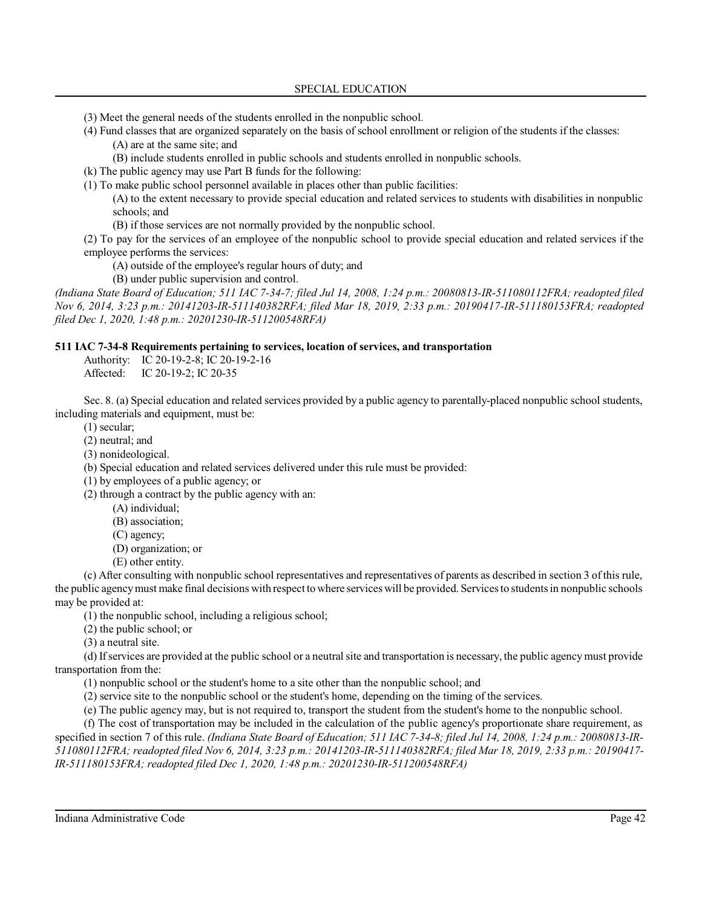(3) Meet the general needs of the students enrolled in the nonpublic school.

(4) Fund classes that are organized separately on the basis of school enrollment or religion of the students if the classes: (A) are at the same site; and

(B) include students enrolled in public schools and students enrolled in nonpublic schools.

(k) The public agency may use Part B funds for the following:

(1) To make public school personnel available in places other than public facilities:

(A) to the extent necessary to provide special education and related services to students with disabilities in nonpublic schools; and

(B) if those services are not normally provided by the nonpublic school.

(2) To pay for the services of an employee of the nonpublic school to provide special education and related services if the employee performs the services:

(A) outside of the employee's regular hours of duty; and

(B) under public supervision and control.

*(Indiana State Board of Education; 511 IAC 7-34-7; filed Jul 14, 2008, 1:24 p.m.: 20080813-IR-511080112FRA; readopted filed Nov 6, 2014, 3:23 p.m.: 20141203-IR-511140382RFA; filed Mar 18, 2019, 2:33 p.m.: 20190417-IR-511180153FRA; readopted filed Dec 1, 2020, 1:48 p.m.: 20201230-IR-511200548RFA)*

## **511 IAC 7-34-8 Requirements pertaining to services, location of services, and transportation**

Authority: IC 20-19-2-8; IC 20-19-2-16 Affected: IC 20-19-2; IC 20-35

Sec. 8. (a) Special education and related services provided by a public agency to parentally-placed nonpublic school students, including materials and equipment, must be:

(1) secular;

(2) neutral; and

(3) nonideological.

(b) Special education and related services delivered under this rule must be provided:

(1) by employees of a public agency; or

(2) through a contract by the public agency with an:

(A) individual;

(B) association;

(C) agency;

- (D) organization; or
- (E) other entity.

(c) After consulting with nonpublic school representatives and representatives of parents as described in section 3 of this rule, the public agency must make final decisions with respect to where services will be provided. Services to students in nonpublic schools may be provided at:

(1) the nonpublic school, including a religious school;

(2) the public school; or

(3) a neutral site.

(d) Ifservices are provided at the public school or a neutral site and transportation is necessary, the public agencymust provide transportation from the:

(1) nonpublic school or the student's home to a site other than the nonpublic school; and

(2) service site to the nonpublic school or the student's home, depending on the timing of the services.

(e) The public agency may, but is not required to, transport the student from the student's home to the nonpublic school.

(f) The cost of transportation may be included in the calculation of the public agency's proportionate share requirement, as specified in section 7 of this rule. *(Indiana State Board of Education; 511 IAC 7-34-8; filed Jul 14, 2008, 1:24 p.m.: 20080813-IR-511080112FRA; readopted filed Nov 6, 2014, 3:23 p.m.: 20141203-IR-511140382RFA; filed Mar 18, 2019, 2:33 p.m.: 20190417- IR-511180153FRA; readopted filed Dec 1, 2020, 1:48 p.m.: 20201230-IR-511200548RFA)*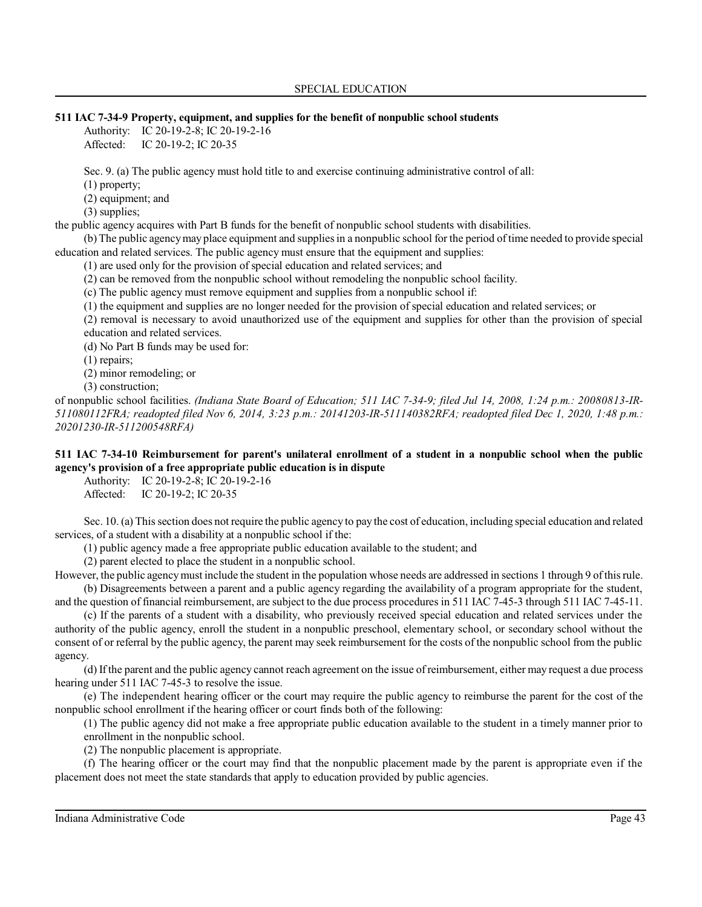### **511 IAC 7-34-9 Property, equipment, and supplies for the benefit of nonpublic school students**

Authority: IC 20-19-2-8; IC 20-19-2-16 Affected: IC 20-19-2; IC 20-35

Sec. 9. (a) The public agency must hold title to and exercise continuing administrative control of all:

(1) property;

(2) equipment; and

(3) supplies;

the public agency acquires with Part B funds for the benefit of nonpublic school students with disabilities.

(b) The public agencymay place equipment and suppliesin a nonpublic school for the period oftime needed to provide special education and related services. The public agency must ensure that the equipment and supplies:

(1) are used only for the provision of special education and related services; and

(2) can be removed from the nonpublic school without remodeling the nonpublic school facility.

(c) The public agency must remove equipment and supplies from a nonpublic school if:

(1) the equipment and supplies are no longer needed for the provision of special education and related services; or

(2) removal is necessary to avoid unauthorized use of the equipment and supplies for other than the provision of special education and related services.

(d) No Part B funds may be used for:

(1) repairs;

(2) minor remodeling; or

(3) construction;

of nonpublic school facilities. *(Indiana State Board of Education; 511 IAC 7-34-9; filed Jul 14, 2008, 1:24 p.m.: 20080813-IR-511080112FRA; readopted filed Nov 6, 2014, 3:23 p.m.: 20141203-IR-511140382RFA; readopted filed Dec 1, 2020, 1:48 p.m.: 20201230-IR-511200548RFA)*

# **511 IAC 7-34-10 Reimbursement for parent's unilateral enrollment of a student in a nonpublic school when the public agency's provision of a free appropriate public education is in dispute**

Authority: IC 20-19-2-8; IC 20-19-2-16

Affected: IC 20-19-2; IC 20-35

Sec. 10. (a) This section does not require the public agency to pay the cost of education, including special education and related services, of a student with a disability at a nonpublic school if the:

(1) public agency made a free appropriate public education available to the student; and

(2) parent elected to place the student in a nonpublic school.

However, the public agency must include the student in the population whose needs are addressed in sections 1 through 9 of this rule. (b) Disagreements between a parent and a public agency regarding the availability of a program appropriate for the student,

and the question of financial reimbursement, are subject to the due process procedures in 511 IAC 7-45-3 through 511 IAC 7-45-11.

(c) If the parents of a student with a disability, who previously received special education and related services under the authority of the public agency, enroll the student in a nonpublic preschool, elementary school, or secondary school without the consent of or referral by the public agency, the parent may seek reimbursement for the costs of the nonpublic school from the public agency.

(d) If the parent and the public agency cannot reach agreement on the issue ofreimbursement, either may request a due process hearing under 511 IAC 7-45-3 to resolve the issue.

(e) The independent hearing officer or the court may require the public agency to reimburse the parent for the cost of the nonpublic school enrollment if the hearing officer or court finds both of the following:

(1) The public agency did not make a free appropriate public education available to the student in a timely manner prior to enrollment in the nonpublic school.

(2) The nonpublic placement is appropriate.

(f) The hearing officer or the court may find that the nonpublic placement made by the parent is appropriate even if the placement does not meet the state standards that apply to education provided by public agencies.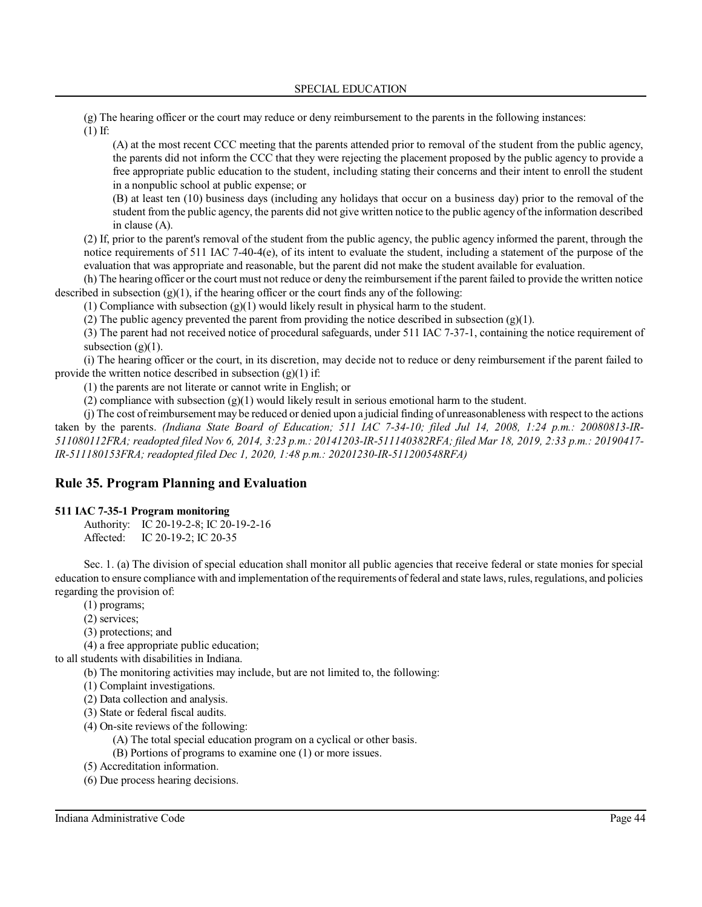(g) The hearing officer or the court may reduce or deny reimbursement to the parents in the following instances: (1) If:

(A) at the most recent CCC meeting that the parents attended prior to removal of the student from the public agency, the parents did not inform the CCC that they were rejecting the placement proposed by the public agency to provide a free appropriate public education to the student, including stating their concerns and their intent to enroll the student in a nonpublic school at public expense; or

(B) at least ten (10) business days (including any holidays that occur on a business day) prior to the removal of the student from the public agency, the parents did not give written notice to the public agency ofthe information described in clause (A).

(2) If, prior to the parent's removal of the student from the public agency, the public agency informed the parent, through the notice requirements of 511 IAC 7-40-4(e), of its intent to evaluate the student, including a statement of the purpose of the evaluation that was appropriate and reasonable, but the parent did not make the student available for evaluation.

(h) The hearing officer or the court must not reduce or deny the reimbursement ifthe parent failed to provide the written notice described in subsection  $(g)(1)$ , if the hearing officer or the court finds any of the following:

(1) Compliance with subsection  $(g)(1)$  would likely result in physical harm to the student.

(2) The public agency prevented the parent from providing the notice described in subsection  $(g)(1)$ .

(3) The parent had not received notice of procedural safeguards, under 511 IAC 7-37-1, containing the notice requirement of subsection  $(g)(1)$ .

(i) The hearing officer or the court, in its discretion, may decide not to reduce or deny reimbursement if the parent failed to provide the written notice described in subsection  $(g)(1)$  if:

(1) the parents are not literate or cannot write in English; or

(2) compliance with subsection  $(g)(1)$  would likely result in serious emotional harm to the student.

(j) The cost ofreimbursement may be reduced or denied upon a judicial finding of unreasonableness with respect to the actions taken by the parents. *(Indiana State Board of Education; 511 IAC 7-34-10; filed Jul 14, 2008, 1:24 p.m.: 20080813-IR-511080112FRA; readopted filed Nov 6, 2014, 3:23 p.m.: 20141203-IR-511140382RFA; filed Mar 18, 2019, 2:33 p.m.: 20190417- IR-511180153FRA; readopted filed Dec 1, 2020, 1:48 p.m.: 20201230-IR-511200548RFA)*

# **Rule 35. Program Planning and Evaluation**

### **511 IAC 7-35-1 Program monitoring**

Authority: IC 20-19-2-8; IC 20-19-2-16 Affected: IC 20-19-2; IC 20-35

Sec. 1. (a) The division of special education shall monitor all public agencies that receive federal or state monies for special education to ensure compliance with and implementation ofthe requirements offederal and state laws,rules, regulations, and policies regarding the provision of:

(1) programs;

- (2) services;
- (3) protections; and

(4) a free appropriate public education;

to all students with disabilities in Indiana.

(b) The monitoring activities may include, but are not limited to, the following:

(1) Complaint investigations.

(2) Data collection and analysis.

(3) State or federal fiscal audits.

(4) On-site reviews of the following:

(A) The total special education program on a cyclical or other basis.

- (B) Portions of programs to examine one (1) or more issues.
- (5) Accreditation information.

(6) Due process hearing decisions.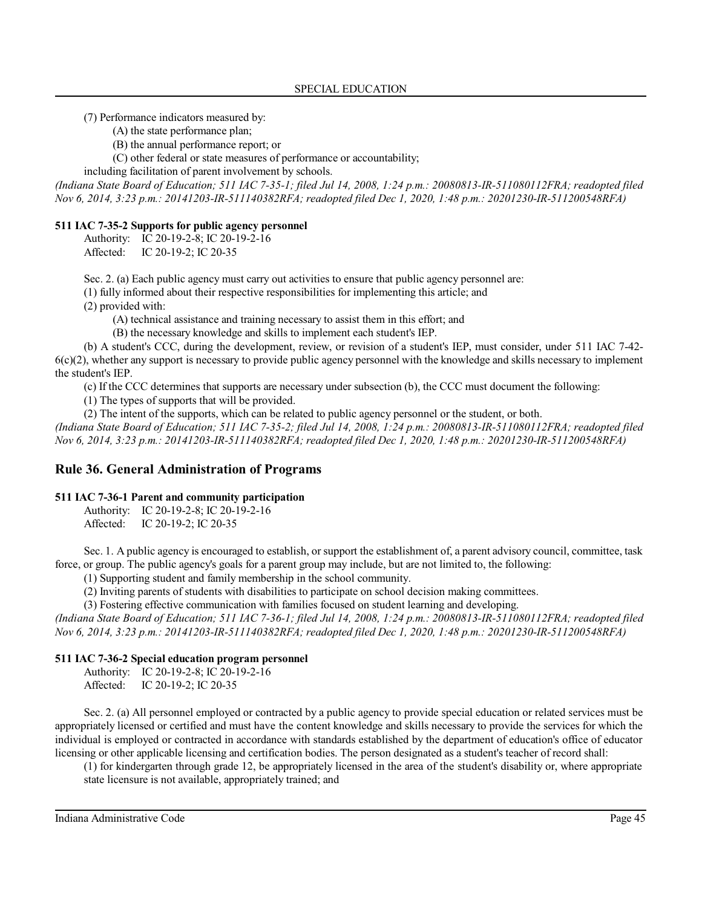(7) Performance indicators measured by:

(A) the state performance plan;

(B) the annual performance report; or

(C) other federal or state measures of performance or accountability;

including facilitation of parent involvement by schools.

*(Indiana State Board of Education; 511 IAC 7-35-1; filed Jul 14, 2008, 1:24 p.m.: 20080813-IR-511080112FRA; readopted filed Nov 6, 2014, 3:23 p.m.: 20141203-IR-511140382RFA; readopted filed Dec 1, 2020, 1:48 p.m.: 20201230-IR-511200548RFA)*

## **511 IAC 7-35-2 Supports for public agency personnel**

Authority: IC 20-19-2-8; IC 20-19-2-16 Affected: IC 20-19-2; IC 20-35

Sec. 2. (a) Each public agency must carry out activities to ensure that public agency personnel are:

(1) fully informed about their respective responsibilities for implementing this article; and

(2) provided with:

(A) technical assistance and training necessary to assist them in this effort; and

(B) the necessary knowledge and skills to implement each student's IEP.

(b) A student's CCC, during the development, review, or revision of a student's IEP, must consider, under 511 IAC 7-42-  $6(c)(2)$ , whether any support is necessary to provide public agency personnel with the knowledge and skills necessary to implement the student's IEP.

(c) If the CCC determines that supports are necessary under subsection (b), the CCC must document the following:

(1) The types of supports that will be provided.

(2) The intent of the supports, which can be related to public agency personnel or the student, or both.

*(Indiana State Board of Education; 511 IAC 7-35-2; filed Jul 14, 2008, 1:24 p.m.: 20080813-IR-511080112FRA; readopted filed Nov 6, 2014, 3:23 p.m.: 20141203-IR-511140382RFA; readopted filed Dec 1, 2020, 1:48 p.m.: 20201230-IR-511200548RFA)*

# **Rule 36. General Administration of Programs**

## **511 IAC 7-36-1 Parent and community participation**

Authority: IC 20-19-2-8; IC 20-19-2-16 Affected: IC 20-19-2; IC 20-35

Sec. 1. A public agency is encouraged to establish, or support the establishment of, a parent advisory council, committee, task force, or group. The public agency's goals for a parent group may include, but are not limited to, the following:

(1) Supporting student and family membership in the school community.

(2) Inviting parents of students with disabilities to participate on school decision making committees.

(3) Fostering effective communication with families focused on student learning and developing.

*(Indiana State Board of Education; 511 IAC 7-36-1; filed Jul 14, 2008, 1:24 p.m.: 20080813-IR-511080112FRA; readopted filed Nov 6, 2014, 3:23 p.m.: 20141203-IR-511140382RFA; readopted filed Dec 1, 2020, 1:48 p.m.: 20201230-IR-511200548RFA)*

## **511 IAC 7-36-2 Special education program personnel**

Authority: IC 20-19-2-8; IC 20-19-2-16<br>Affected: IC 20-19-2; IC 20-35 IC 20-19-2; IC 20-35

Sec. 2. (a) All personnel employed or contracted by a public agency to provide special education or related services must be appropriately licensed or certified and must have the content knowledge and skills necessary to provide the services for which the individual is employed or contracted in accordance with standards established by the department of education's office of educator licensing or other applicable licensing and certification bodies. The person designated as a student's teacher of record shall:

(1) for kindergarten through grade 12, be appropriately licensed in the area of the student's disability or, where appropriate state licensure is not available, appropriately trained; and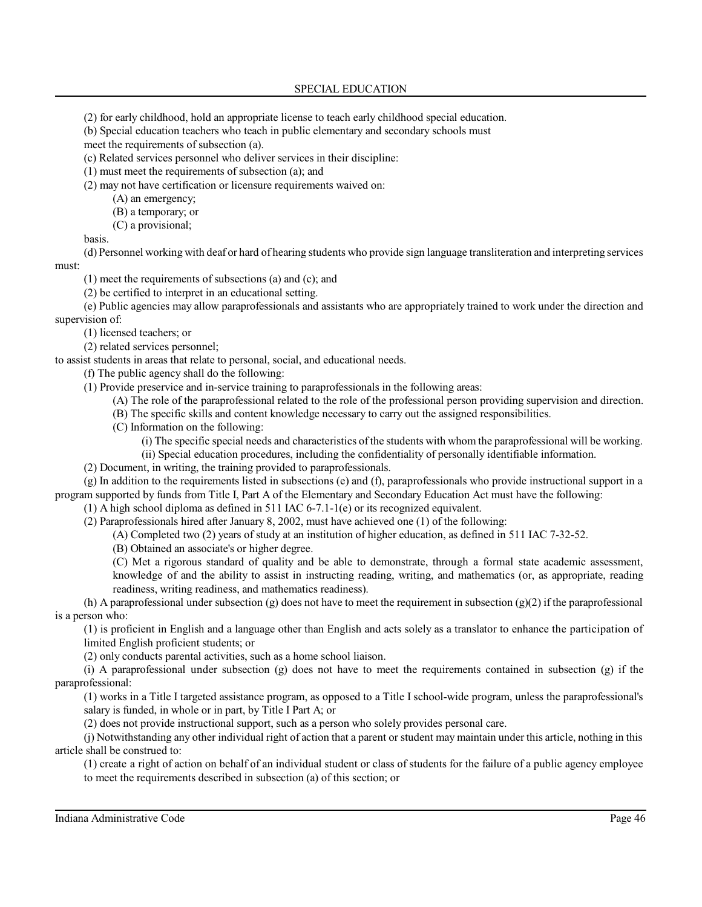SPECIAL EDUCATION

(2) for early childhood, hold an appropriate license to teach early childhood special education.

(b) Special education teachers who teach in public elementary and secondary schools must

meet the requirements of subsection (a).

(c) Related services personnel who deliver services in their discipline:

(1) must meet the requirements of subsection (a); and

(2) may not have certification or licensure requirements waived on:

(A) an emergency;

(B) a temporary; or

(C) a provisional;

basis.

(d) Personnel working with deaf or hard of hearing students who provide sign language transliteration and interpreting services must:

(1) meet the requirements of subsections (a) and (c); and

(2) be certified to interpret in an educational setting.

(e) Public agencies may allow paraprofessionals and assistants who are appropriately trained to work under the direction and supervision of:

(1) licensed teachers; or

(2) related services personnel;

to assist students in areas that relate to personal, social, and educational needs.

(f) The public agency shall do the following:

(1) Provide preservice and in-service training to paraprofessionals in the following areas:

(A) The role of the paraprofessional related to the role of the professional person providing supervision and direction.

(B) The specific skills and content knowledge necessary to carry out the assigned responsibilities.

(C) Information on the following:

(i) The specific special needs and characteristics of the students with whom the paraprofessional will be working.

(ii) Special education procedures, including the confidentiality of personally identifiable information.

(2) Document, in writing, the training provided to paraprofessionals.

(g) In addition to the requirements listed in subsections (e) and (f), paraprofessionals who provide instructional support in a program supported by funds from Title I, Part A of the Elementary and Secondary Education Act must have the following:

(1) A high school diploma as defined in 511 IAC 6-7.1-1(e) or its recognized equivalent.

(2) Paraprofessionals hired after January 8, 2002, must have achieved one (1) of the following:

(A) Completed two (2) years of study at an institution of higher education, as defined in 511 IAC 7-32-52.

(B) Obtained an associate's or higher degree.

(C) Met a rigorous standard of quality and be able to demonstrate, through a formal state academic assessment, knowledge of and the ability to assist in instructing reading, writing, and mathematics (or, as appropriate, reading readiness, writing readiness, and mathematics readiness).

(h) A paraprofessional under subsection (g) does not have to meet the requirement in subsection (g)(2) if the paraprofessional is a person who:

(1) is proficient in English and a language other than English and acts solely as a translator to enhance the participation of limited English proficient students; or

(2) only conducts parental activities, such as a home school liaison.

(i) A paraprofessional under subsection (g) does not have to meet the requirements contained in subsection (g) if the paraprofessional:

(1) works in a Title I targeted assistance program, as opposed to a Title I school-wide program, unless the paraprofessional's salary is funded, in whole or in part, by Title I Part A; or

(2) does not provide instructional support, such as a person who solely provides personal care.

(j) Notwithstanding any other individual right of action that a parent or student may maintain under this article, nothing in this article shall be construed to:

(1) create a right of action on behalf of an individual student or class of students for the failure of a public agency employee to meet the requirements described in subsection (a) of this section; or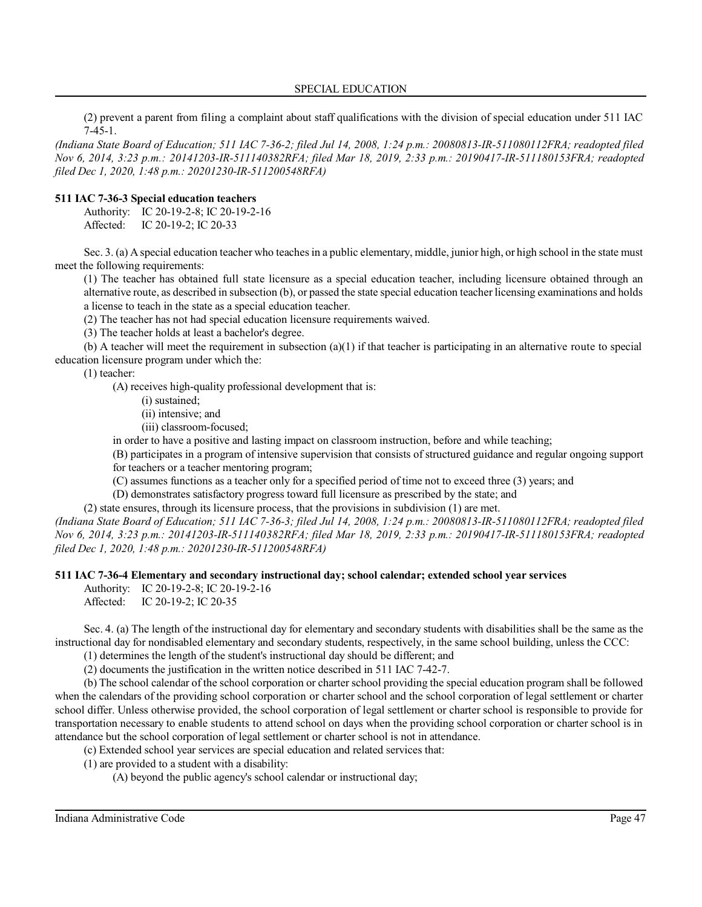#### SPECIAL EDUCATION

(2) prevent a parent from filing a complaint about staff qualifications with the division of special education under 511 IAC 7-45-1.

*(Indiana State Board of Education; 511 IAC 7-36-2; filed Jul 14, 2008, 1:24 p.m.: 20080813-IR-511080112FRA; readopted filed Nov 6, 2014, 3:23 p.m.: 20141203-IR-511140382RFA; filed Mar 18, 2019, 2:33 p.m.: 20190417-IR-511180153FRA; readopted filed Dec 1, 2020, 1:48 p.m.: 20201230-IR-511200548RFA)*

#### **511 IAC 7-36-3 Special education teachers**

Authority: IC 20-19-2-8; IC 20-19-2-16 Affected: IC 20-19-2; IC 20-33

Sec. 3. (a) A special education teacher who teaches in a public elementary, middle, junior high, or high school in the state must meet the following requirements:

(1) The teacher has obtained full state licensure as a special education teacher, including licensure obtained through an alternative route, as described in subsection (b), or passed the state special education teacher licensing examinations and holds a license to teach in the state as a special education teacher.

(2) The teacher has not had special education licensure requirements waived.

(3) The teacher holds at least a bachelor's degree.

(b) A teacher will meet the requirement in subsection (a)(1) if that teacher is participating in an alternative route to special education licensure program under which the:

(1) teacher:

(A) receives high-quality professional development that is:

(i) sustained;

(ii) intensive; and

(iii) classroom-focused;

in order to have a positive and lasting impact on classroom instruction, before and while teaching;

(B) participates in a program of intensive supervision that consists of structured guidance and regular ongoing support

for teachers or a teacher mentoring program;

(C) assumes functions as a teacher only for a specified period of time not to exceed three (3) years; and

(D) demonstrates satisfactory progress toward full licensure as prescribed by the state; and

(2) state ensures, through its licensure process, that the provisions in subdivision (1) are met.

*(Indiana State Board of Education; 511 IAC 7-36-3; filed Jul 14, 2008, 1:24 p.m.: 20080813-IR-511080112FRA; readopted filed Nov 6, 2014, 3:23 p.m.: 20141203-IR-511140382RFA; filed Mar 18, 2019, 2:33 p.m.: 20190417-IR-511180153FRA; readopted filed Dec 1, 2020, 1:48 p.m.: 20201230-IR-511200548RFA)*

#### **511 IAC 7-36-4 Elementary and secondary instructional day; school calendar; extended school year services**

Authority: IC 20-19-2-8; IC 20-19-2-16

Affected: IC 20-19-2; IC 20-35

Sec. 4. (a) The length of the instructional day for elementary and secondary students with disabilities shall be the same as the instructional day for nondisabled elementary and secondary students, respectively, in the same school building, unless the CCC:

(1) determines the length of the student's instructional day should be different; and

(2) documents the justification in the written notice described in 511 IAC 7-42-7.

(b) The school calendar of the school corporation or charter school providing the special education program shall be followed when the calendars of the providing school corporation or charter school and the school corporation of legal settlement or charter school differ. Unless otherwise provided, the school corporation of legal settlement or charter school is responsible to provide for transportation necessary to enable students to attend school on days when the providing school corporation or charter school is in attendance but the school corporation of legal settlement or charter school is not in attendance.

(c) Extended school year services are special education and related services that:

(1) are provided to a student with a disability:

(A) beyond the public agency's school calendar or instructional day;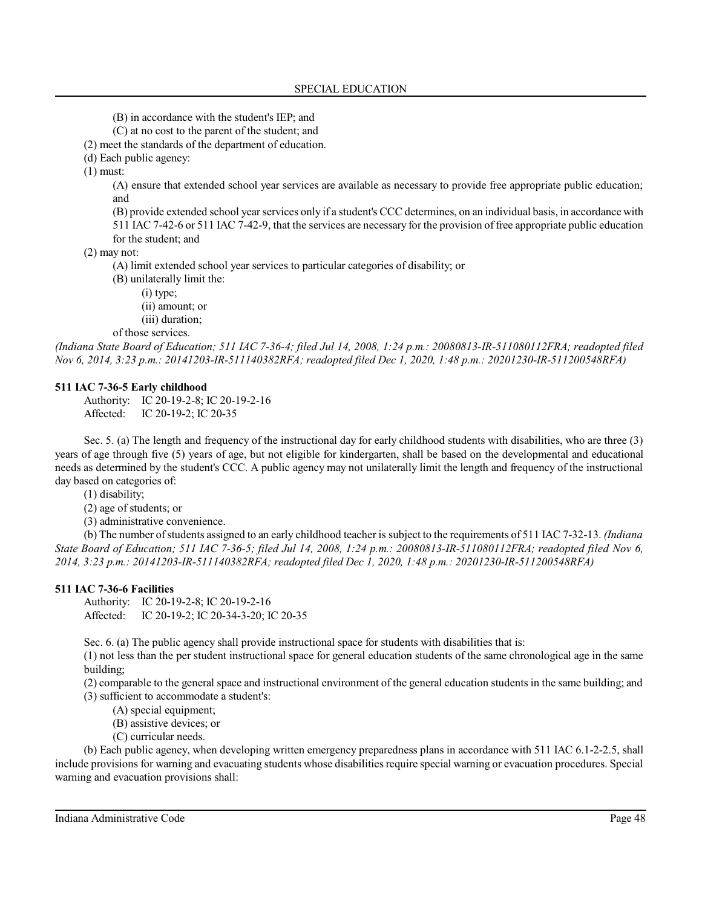(B) in accordance with the student's IEP; and

(C) at no cost to the parent of the student; and

(2) meet the standards of the department of education.

(d) Each public agency:

(1) must:

(A) ensure that extended school year services are available as necessary to provide free appropriate public education; and

(B) provide extended school yearservices only if a student's CCC determines, on an individual basis, in accordance with 511 IAC 7-42-6 or 511 IAC 7-42-9, that the services are necessary for the provision of free appropriate public education for the student; and

(2) may not:

(A) limit extended school year services to particular categories of disability; or

(B) unilaterally limit the:

(i) type;

(ii) amount; or

(iii) duration;

of those services.

*(Indiana State Board of Education; 511 IAC 7-36-4; filed Jul 14, 2008, 1:24 p.m.: 20080813-IR-511080112FRA; readopted filed Nov 6, 2014, 3:23 p.m.: 20141203-IR-511140382RFA; readopted filed Dec 1, 2020, 1:48 p.m.: 20201230-IR-511200548RFA)*

# **511 IAC 7-36-5 Early childhood**

Authority: IC 20-19-2-8; IC 20-19-2-16 Affected: IC 20-19-2; IC 20-35

Sec. 5. (a) The length and frequency of the instructional day for early childhood students with disabilities, who are three (3) years of age through five (5) years of age, but not eligible for kindergarten, shall be based on the developmental and educational needs as determined by the student's CCC. A public agency may not unilaterally limit the length and frequency of the instructional day based on categories of:

(1) disability;

(2) age of students; or

(3) administrative convenience.

(b) The number ofstudents assigned to an early childhood teacher is subject to the requirements of 511 IAC 7-32-13. *(Indiana State Board of Education; 511 IAC 7-36-5; filed Jul 14, 2008, 1:24 p.m.: 20080813-IR-511080112FRA; readopted filed Nov 6, 2014, 3:23 p.m.: 20141203-IR-511140382RFA; readopted filed Dec 1, 2020, 1:48 p.m.: 20201230-IR-511200548RFA)*

## **511 IAC 7-36-6 Facilities**

Authority: IC 20-19-2-8; IC 20-19-2-16 Affected: IC 20-19-2; IC 20-34-3-20; IC 20-35

Sec. 6. (a) The public agency shall provide instructional space for students with disabilities that is:

(1) not less than the per student instructional space for general education students of the same chronological age in the same building;

(2) comparable to the general space and instructional environment of the general education students in the same building; and

(3) sufficient to accommodate a student's:

(A) special equipment;

(B) assistive devices; or

(C) curricular needs.

(b) Each public agency, when developing written emergency preparedness plans in accordance with 511 IAC 6.1-2-2.5, shall include provisions for warning and evacuating students whose disabilities require special warning or evacuation procedures. Special warning and evacuation provisions shall: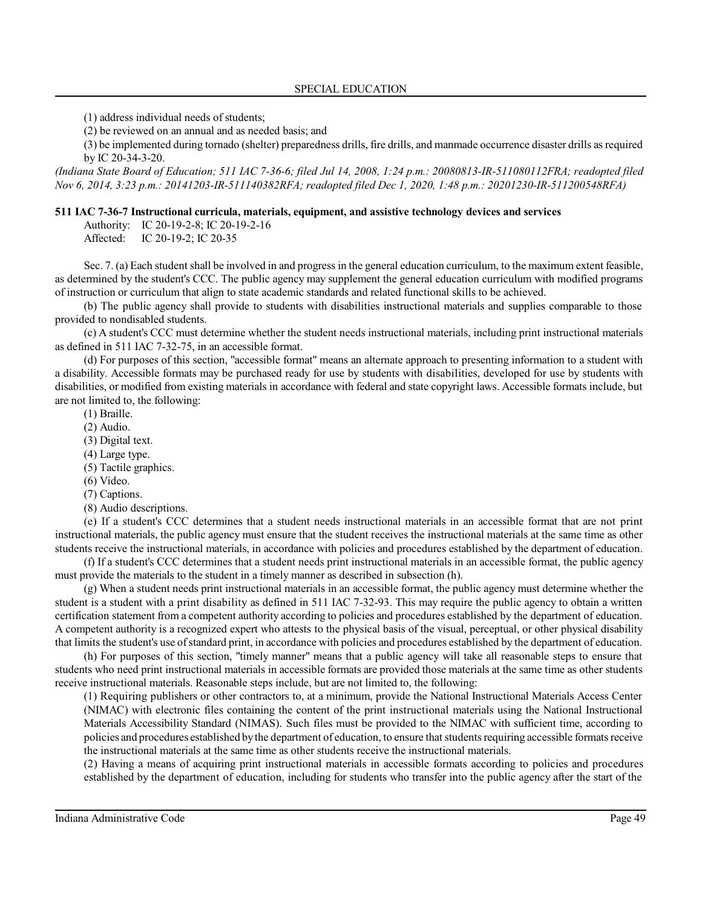(1) address individual needs of students;

(2) be reviewed on an annual and as needed basis; and

(3) be implemented during tornado (shelter) preparedness drills, fire drills, and manmade occurrence disaster drills as required by IC 20-34-3-20.

*(Indiana State Board of Education; 511 IAC 7-36-6; filed Jul 14, 2008, 1:24 p.m.: 20080813-IR-511080112FRA; readopted filed Nov 6, 2014, 3:23 p.m.: 20141203-IR-511140382RFA; readopted filed Dec 1, 2020, 1:48 p.m.: 20201230-IR-511200548RFA)*

#### **511 IAC 7-36-7 Instructional curricula, materials, equipment, and assistive technology devices and services**

Authority: IC 20-19-2-8; IC 20-19-2-16

Affected: IC 20-19-2; IC 20-35

Sec. 7. (a) Each student shall be involved in and progress in the general education curriculum, to the maximum extent feasible, as determined by the student's CCC. The public agency may supplement the general education curriculum with modified programs of instruction or curriculum that align to state academic standards and related functional skills to be achieved.

(b) The public agency shall provide to students with disabilities instructional materials and supplies comparable to those provided to nondisabled students.

(c) A student's CCC must determine whether the student needs instructional materials, including print instructional materials as defined in 511 IAC 7-32-75, in an accessible format.

(d) For purposes of this section, "accessible format" means an alternate approach to presenting information to a student with a disability. Accessible formats may be purchased ready for use by students with disabilities, developed for use by students with disabilities, or modified from existing materials in accordance with federal and state copyright laws. Accessible formats include, but are not limited to, the following:

(1) Braille.

(2) Audio.

(3) Digital text.

(4) Large type.

(5) Tactile graphics.

(6) Video.

(7) Captions.

(8) Audio descriptions.

(e) If a student's CCC determines that a student needs instructional materials in an accessible format that are not print instructional materials, the public agency must ensure that the student receives the instructional materials at the same time as other students receive the instructional materials, in accordance with policies and procedures established by the department of education.

(f) If a student's CCC determines that a student needs print instructional materials in an accessible format, the public agency must provide the materials to the student in a timely manner as described in subsection (h).

(g) When a student needs print instructional materials in an accessible format, the public agency must determine whether the student is a student with a print disability as defined in 511 IAC 7-32-93. This may require the public agency to obtain a written certification statement from a competent authority according to policies and procedures established by the department of education. A competent authority is a recognized expert who attests to the physical basis of the visual, perceptual, or other physical disability that limits the student's use ofstandard print, in accordance with policies and procedures established by the department of education.

(h) For purposes of this section, "timely manner" means that a public agency will take all reasonable steps to ensure that students who need print instructional materials in accessible formats are provided those materials at the same time as other students receive instructional materials. Reasonable steps include, but are not limited to, the following:

(1) Requiring publishers or other contractors to, at a minimum, provide the National Instructional Materials Access Center (NIMAC) with electronic files containing the content of the print instructional materials using the National Instructional Materials Accessibility Standard (NIMAS). Such files must be provided to the NIMAC with sufficient time, according to policies and procedures established by the department of education, to ensure that students requiring accessible formats receive the instructional materials at the same time as other students receive the instructional materials.

(2) Having a means of acquiring print instructional materials in accessible formats according to policies and procedures established by the department of education, including for students who transfer into the public agency after the start of the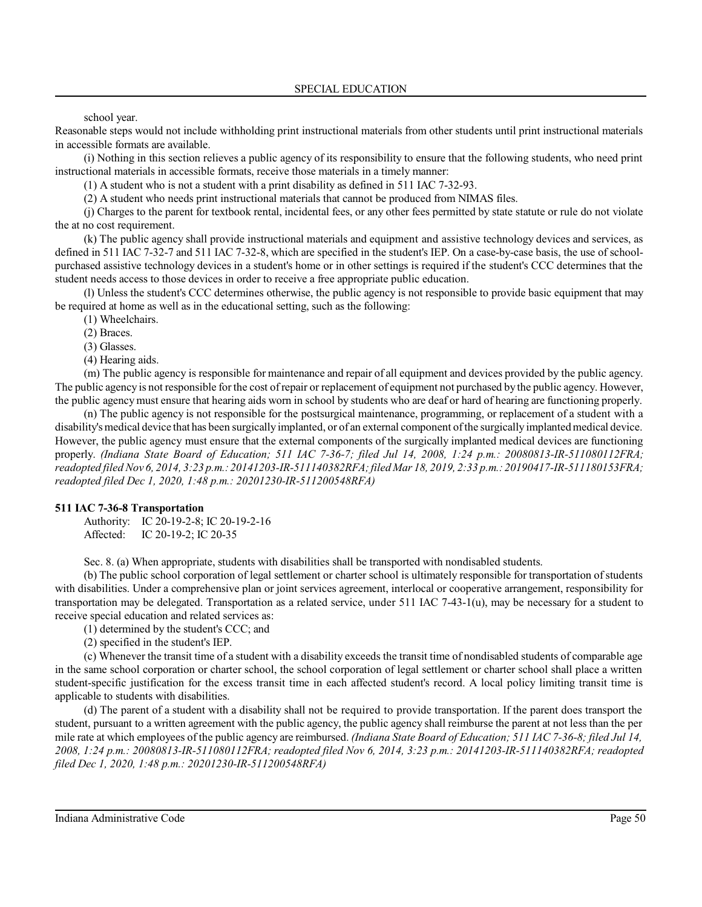school year.

Reasonable steps would not include withholding print instructional materials from other students until print instructional materials in accessible formats are available.

(i) Nothing in this section relieves a public agency of its responsibility to ensure that the following students, who need print instructional materials in accessible formats, receive those materials in a timely manner:

(1) A student who is not a student with a print disability as defined in 511 IAC 7-32-93.

(2) A student who needs print instructional materials that cannot be produced from NIMAS files.

(j) Charges to the parent for textbook rental, incidental fees, or any other fees permitted by state statute or rule do not violate the at no cost requirement.

(k) The public agency shall provide instructional materials and equipment and assistive technology devices and services, as defined in 511 IAC 7-32-7 and 511 IAC 7-32-8, which are specified in the student's IEP. On a case-by-case basis, the use of schoolpurchased assistive technology devices in a student's home or in other settings is required if the student's CCC determines that the student needs access to those devices in order to receive a free appropriate public education.

(l) Unless the student's CCC determines otherwise, the public agency is not responsible to provide basic equipment that may be required at home as well as in the educational setting, such as the following:

(1) Wheelchairs.

(2) Braces.

(3) Glasses.

(4) Hearing aids.

(m) The public agency is responsible for maintenance and repair of all equipment and devices provided by the public agency. The public agency is not responsible for the cost of repair or replacement of equipment not purchased by the public agency. However, the public agencymust ensure that hearing aids worn in school by students who are deaf or hard of hearing are functioning properly.

(n) The public agency is not responsible for the postsurgical maintenance, programming, or replacement of a student with a disability's medical device that has been surgically implanted, or of an external component ofthe surgically implanted medical device. However, the public agency must ensure that the external components of the surgically implanted medical devices are functioning properly. *(Indiana State Board of Education; 511 IAC 7-36-7; filed Jul 14, 2008, 1:24 p.m.: 20080813-IR-511080112FRA; readopted filed Nov 6, 2014, 3:23 p.m.: 20141203-IR-511140382RFA;filed Mar 18, 2019, 2:33 p.m.: 20190417-IR-511180153FRA; readopted filed Dec 1, 2020, 1:48 p.m.: 20201230-IR-511200548RFA)*

### **511 IAC 7-36-8 Transportation**

Authority: IC 20-19-2-8; IC 20-19-2-16 Affected: IC 20-19-2; IC 20-35

Sec. 8. (a) When appropriate, students with disabilities shall be transported with nondisabled students.

(b) The public school corporation of legal settlement or charter school is ultimately responsible for transportation ofstudents with disabilities. Under a comprehensive plan or joint services agreement, interlocal or cooperative arrangement, responsibility for transportation may be delegated. Transportation as a related service, under 511 IAC 7-43-1(u), may be necessary for a student to receive special education and related services as:

(1) determined by the student's CCC; and

(2) specified in the student's IEP.

(c) Whenever the transit time of a student with a disability exceeds the transit time of nondisabled students of comparable age in the same school corporation or charter school, the school corporation of legal settlement or charter school shall place a written student-specific justification for the excess transit time in each affected student's record. A local policy limiting transit time is applicable to students with disabilities.

(d) The parent of a student with a disability shall not be required to provide transportation. If the parent does transport the student, pursuant to a written agreement with the public agency, the public agency shall reimburse the parent at not less than the per mile rate at which employees of the public agency are reimbursed. *(Indiana State Board of Education; 511 IAC 7-36-8; filed Jul 14, 2008, 1:24 p.m.: 20080813-IR-511080112FRA; readopted filed Nov 6, 2014, 3:23 p.m.: 20141203-IR-511140382RFA; readopted filed Dec 1, 2020, 1:48 p.m.: 20201230-IR-511200548RFA)*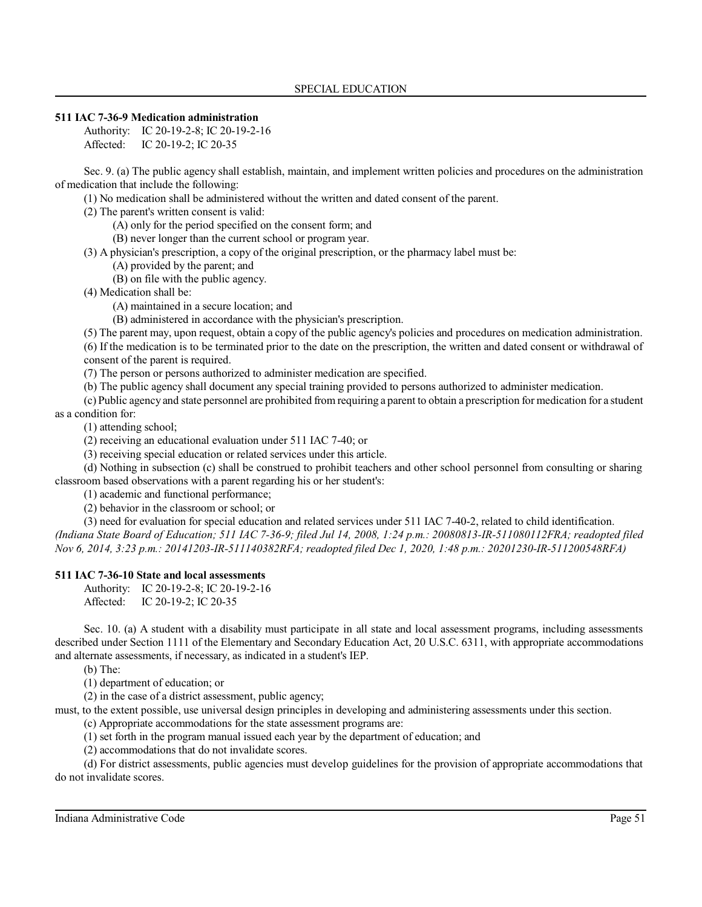## **511 IAC 7-36-9 Medication administration**

Authority: IC 20-19-2-8; IC 20-19-2-16 Affected: IC 20-19-2; IC 20-35

Sec. 9. (a) The public agency shall establish, maintain, and implement written policies and procedures on the administration of medication that include the following:

(1) No medication shall be administered without the written and dated consent of the parent.

(2) The parent's written consent is valid:

(A) only for the period specified on the consent form; and

(B) never longer than the current school or program year.

(3) A physician's prescription, a copy of the original prescription, or the pharmacy label must be:

(A) provided by the parent; and

(B) on file with the public agency.

(4) Medication shall be:

(A) maintained in a secure location; and

(B) administered in accordance with the physician's prescription.

(5) The parent may, upon request, obtain a copy of the public agency's policies and procedures on medication administration.

(6) If the medication is to be terminated prior to the date on the prescription, the written and dated consent or withdrawal of consent of the parent is required.

(7) The person or persons authorized to administer medication are specified.

(b) The public agency shall document any special training provided to persons authorized to administer medication.

(c) Public agency and state personnel are prohibited from requiring a parent to obtain a prescription for medication for a student as a condition for:

(1) attending school;

(2) receiving an educational evaluation under 511 IAC 7-40; or

(3) receiving special education or related services under this article.

(d) Nothing in subsection (c) shall be construed to prohibit teachers and other school personnel from consulting or sharing classroom based observations with a parent regarding his or her student's:

(1) academic and functional performance;

(2) behavior in the classroom or school; or

(3) need for evaluation for special education and related services under 511 IAC 7-40-2, related to child identification. *(Indiana State Board of Education; 511 IAC 7-36-9; filed Jul 14, 2008, 1:24 p.m.: 20080813-IR-511080112FRA; readopted filed Nov 6, 2014, 3:23 p.m.: 20141203-IR-511140382RFA; readopted filed Dec 1, 2020, 1:48 p.m.: 20201230-IR-511200548RFA)*

## **511 IAC 7-36-10 State and local assessments**

Authority: IC 20-19-2-8; IC 20-19-2-16 Affected: IC 20-19-2; IC 20-35

Sec. 10. (a) A student with a disability must participate in all state and local assessment programs, including assessments described under Section 1111 of the Elementary and Secondary Education Act, 20 U.S.C. 6311, with appropriate accommodations and alternate assessments, if necessary, as indicated in a student's IEP.

(b) The:

(1) department of education; or

(2) in the case of a district assessment, public agency;

must, to the extent possible, use universal design principles in developing and administering assessments under this section.

(c) Appropriate accommodations for the state assessment programs are:

(1) set forth in the program manual issued each year by the department of education; and

(2) accommodations that do not invalidate scores.

(d) For district assessments, public agencies must develop guidelines for the provision of appropriate accommodations that do not invalidate scores.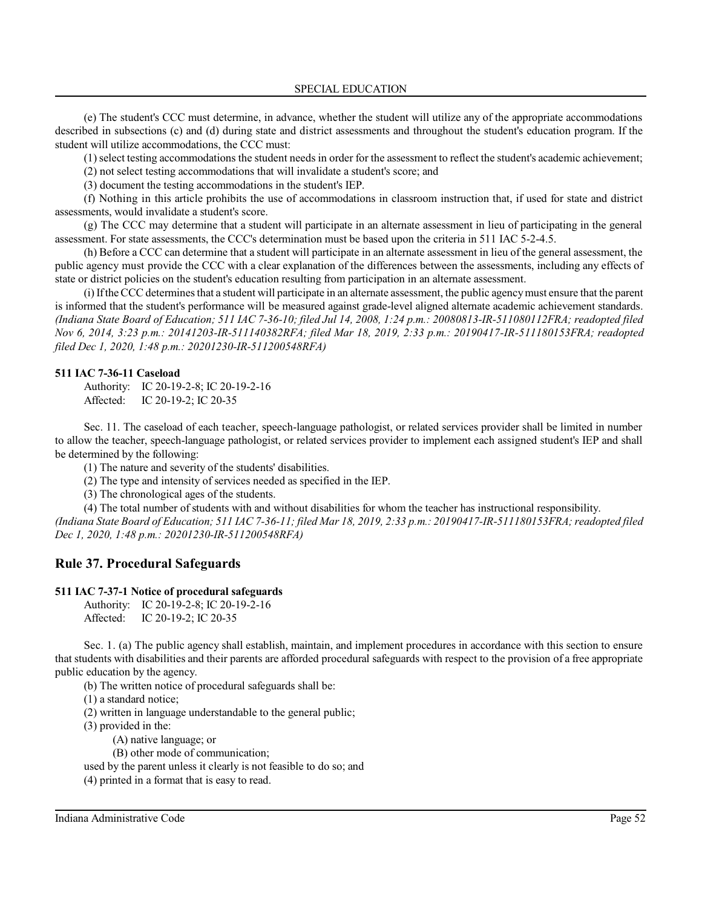(e) The student's CCC must determine, in advance, whether the student will utilize any of the appropriate accommodations described in subsections (c) and (d) during state and district assessments and throughout the student's education program. If the student will utilize accommodations, the CCC must:

(1)select testing accommodations the student needs in order for the assessment to reflect the student's academic achievement;

(2) not select testing accommodations that will invalidate a student's score; and

(3) document the testing accommodations in the student's IEP.

(f) Nothing in this article prohibits the use of accommodations in classroom instruction that, if used for state and district assessments, would invalidate a student's score.

(g) The CCC may determine that a student will participate in an alternate assessment in lieu of participating in the general assessment. For state assessments, the CCC's determination must be based upon the criteria in 511 IAC 5-2-4.5.

(h) Before a CCC can determine that a student will participate in an alternate assessment in lieu of the general assessment, the public agency must provide the CCC with a clear explanation of the differences between the assessments, including any effects of state or district policies on the student's education resulting from participation in an alternate assessment.

(i)Ifthe CCC determinesthat a student will participate in an alternate assessment, the public agencymust ensure that the parent is informed that the student's performance will be measured against grade-level aligned alternate academic achievement standards. *(Indiana State Board of Education; 511 IAC 7-36-10; filed Jul 14, 2008, 1:24 p.m.: 20080813-IR-511080112FRA; readopted filed Nov 6, 2014, 3:23 p.m.: 20141203-IR-511140382RFA; filed Mar 18, 2019, 2:33 p.m.: 20190417-IR-511180153FRA; readopted filed Dec 1, 2020, 1:48 p.m.: 20201230-IR-511200548RFA)*

## **511 IAC 7-36-11 Caseload**

Authority: IC 20-19-2-8; IC 20-19-2-16 Affected: IC 20-19-2; IC 20-35

Sec. 11. The caseload of each teacher, speech-language pathologist, or related services provider shall be limited in number to allow the teacher, speech-language pathologist, or related services provider to implement each assigned student's IEP and shall be determined by the following:

(1) The nature and severity of the students' disabilities.

(2) The type and intensity of services needed as specified in the IEP.

(3) The chronological ages of the students.

(4) The total number of students with and without disabilities for whom the teacher has instructional responsibility. *(Indiana State Board of Education; 511 IAC 7-36-11; filed Mar 18, 2019, 2:33 p.m.: 20190417-IR-511180153FRA;readopted filed Dec 1, 2020, 1:48 p.m.: 20201230-IR-511200548RFA)*

# **Rule 37. Procedural Safeguards**

## **511 IAC 7-37-1 Notice of procedural safeguards**

Authority: IC 20-19-2-8; IC 20-19-2-16 Affected: IC 20-19-2; IC 20-35

Sec. 1. (a) The public agency shall establish, maintain, and implement procedures in accordance with this section to ensure that students with disabilities and their parents are afforded procedural safeguards with respect to the provision of a free appropriate public education by the agency.

(b) The written notice of procedural safeguards shall be:

(1) a standard notice;

(2) written in language understandable to the general public;

(3) provided in the:

(A) native language; or

(B) other mode of communication;

used by the parent unless it clearly is not feasible to do so; and

(4) printed in a format that is easy to read.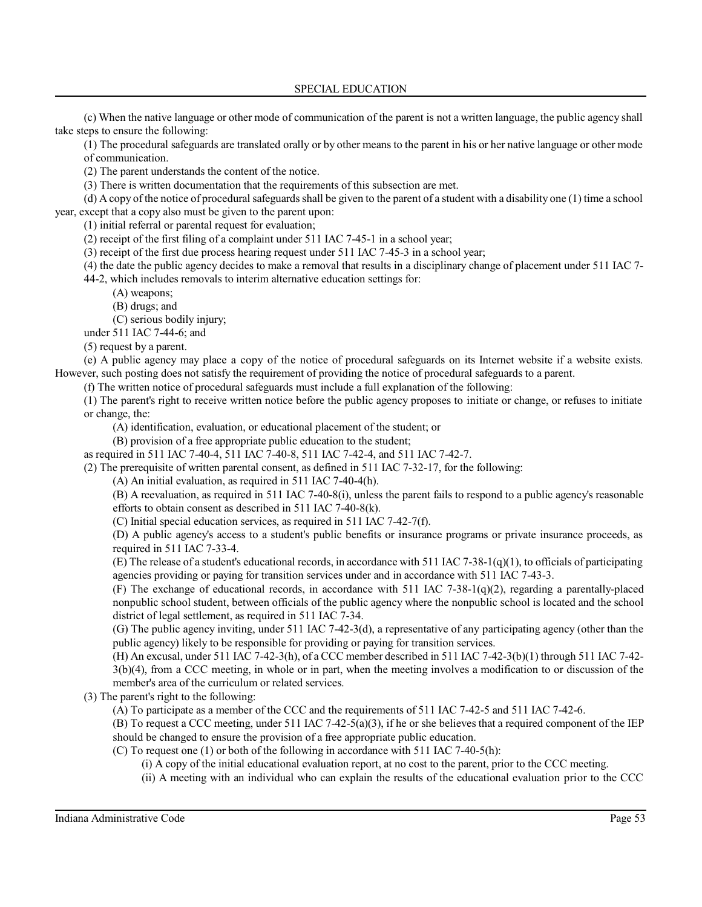(c) When the native language or other mode of communication of the parent is not a written language, the public agency shall take steps to ensure the following:

(1) The procedural safeguards are translated orally or by other means to the parent in his or her native language or other mode of communication.

(2) The parent understands the content of the notice.

(3) There is written documentation that the requirements of this subsection are met.

(d) A copy of the notice of procedural safeguards shall be given to the parent of a student with a disability one (1) time a school year, except that a copy also must be given to the parent upon:

(1) initial referral or parental request for evaluation;

(2) receipt of the first filing of a complaint under 511 IAC 7-45-1 in a school year;

(3) receipt of the first due process hearing request under 511 IAC 7-45-3 in a school year;

(4) the date the public agency decides to make a removal that results in a disciplinary change of placement under 511 IAC 7-

44-2, which includes removals to interim alternative education settings for:

(A) weapons;

(B) drugs; and

(C) serious bodily injury;

under 511 IAC 7-44-6; and

(5) request by a parent.

(e) A public agency may place a copy of the notice of procedural safeguards on its Internet website if a website exists. However, such posting does not satisfy the requirement of providing the notice of procedural safeguards to a parent.

(f) The written notice of procedural safeguards must include a full explanation of the following:

(1) The parent's right to receive written notice before the public agency proposes to initiate or change, or refuses to initiate or change, the:

(A) identification, evaluation, or educational placement of the student; or

(B) provision of a free appropriate public education to the student;

as required in 511 IAC 7-40-4, 511 IAC 7-40-8, 511 IAC 7-42-4, and 511 IAC 7-42-7.

(2) The prerequisite of written parental consent, as defined in 511 IAC 7-32-17, for the following:

(A) An initial evaluation, as required in 511 IAC 7-40-4(h).

(B) A reevaluation, as required in 511 IAC 7-40-8(i), unless the parent fails to respond to a public agency's reasonable efforts to obtain consent as described in 511 IAC 7-40-8(k).

(C) Initial special education services, as required in 511 IAC 7-42-7(f).

(D) A public agency's access to a student's public benefits or insurance programs or private insurance proceeds, as required in 511 IAC 7-33-4.

(E) The release of a student's educational records, in accordance with 511 IAC 7-38-1(q)(1), to officials of participating agencies providing or paying for transition services under and in accordance with 511 IAC 7-43-3.

(F) The exchange of educational records, in accordance with 511 IAC 7-38-1(q)(2), regarding a parentally-placed nonpublic school student, between officials of the public agency where the nonpublic school is located and the school district of legal settlement, as required in 511 IAC 7-34.

(G) The public agency inviting, under 511 IAC 7-42-3(d), a representative of any participating agency (other than the public agency) likely to be responsible for providing or paying for transition services.

(H) An excusal, under 511 IAC 7-42-3(h), of a CCC member described in 511 IAC 7-42-3(b)(1) through 511 IAC 7-42-

3(b)(4), from a CCC meeting, in whole or in part, when the meeting involves a modification to or discussion of the member's area of the curriculum or related services.

(3) The parent's right to the following:

(A) To participate as a member of the CCC and the requirements of 511 IAC 7-42-5 and 511 IAC 7-42-6.

(B) To request a CCC meeting, under 511 IAC 7-42-5(a)(3), if he or she believes that a required component of the IEP should be changed to ensure the provision of a free appropriate public education.

(C) To request one (1) or both of the following in accordance with 511 IAC 7-40-5(h):

(i) A copy of the initial educational evaluation report, at no cost to the parent, prior to the CCC meeting.

(ii) A meeting with an individual who can explain the results of the educational evaluation prior to the CCC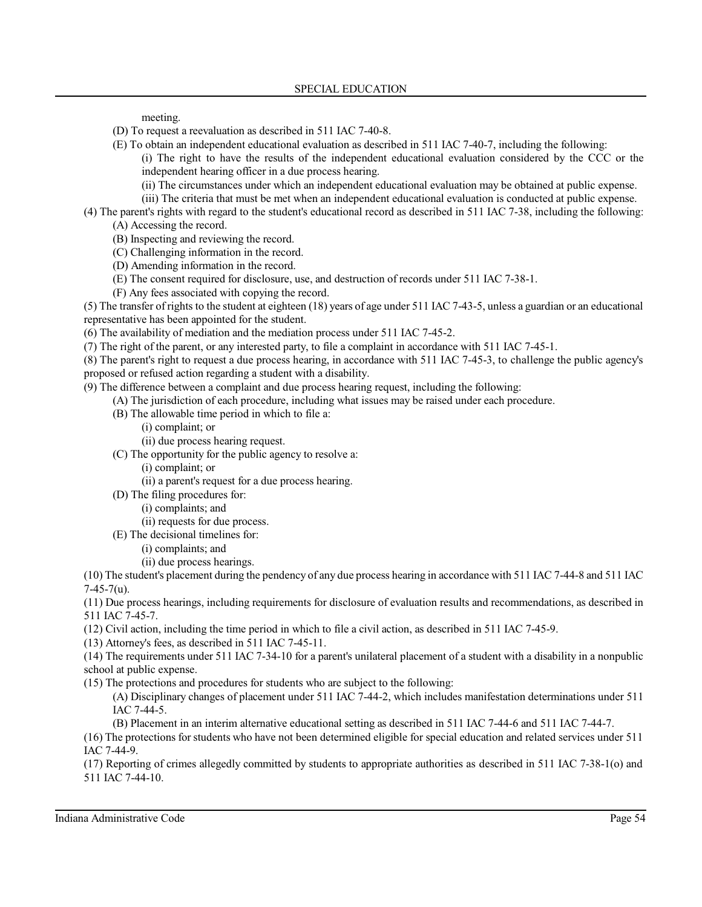meeting.

- (D) To request a reevaluation as described in 511 IAC 7-40-8.
- (E) To obtain an independent educational evaluation as described in 511 IAC 7-40-7, including the following:

(i) The right to have the results of the independent educational evaluation considered by the CCC or the independent hearing officer in a due process hearing.

- (ii) The circumstances under which an independent educational evaluation may be obtained at public expense.
- (iii) The criteria that must be met when an independent educational evaluation is conducted at public expense.
- (4) The parent's rights with regard to the student's educational record as described in 511 IAC 7-38, including the following: (A) Accessing the record.
	- (B) Inspecting and reviewing the record.
	- (C) Challenging information in the record.
	- (D) Amending information in the record.
	- (E) The consent required for disclosure, use, and destruction of records under 511 IAC 7-38-1.
	- (F) Any fees associated with copying the record.

(5) The transfer of rights to the student at eighteen (18) years of age under 511 IAC 7-43-5, unless a guardian or an educational representative has been appointed for the student.

- (6) The availability of mediation and the mediation process under 511 IAC 7-45-2.
- (7) The right of the parent, or any interested party, to file a complaint in accordance with 511 IAC 7-45-1.
- (8) The parent's right to request a due process hearing, in accordance with 511 IAC 7-45-3, to challenge the public agency's proposed or refused action regarding a student with a disability.
- (9) The difference between a complaint and due process hearing request, including the following:
	- (A) The jurisdiction of each procedure, including what issues may be raised under each procedure.
	- (B) The allowable time period in which to file a:
		- (i) complaint; or
		- (ii) due process hearing request.
	- (C) The opportunity for the public agency to resolve a:
		- (i) complaint; or
		- (ii) a parent's request for a due process hearing.
	- (D) The filing procedures for:
		- (i) complaints; and
		- (ii) requests for due process.
	- (E) The decisional timelines for:
		- (i) complaints; and
		- (ii) due process hearings.

(10) The student's placement during the pendency of any due process hearing in accordance with 511 IAC 7-44-8 and 511 IAC 7-45-7(u).

(11) Due process hearings, including requirements for disclosure of evaluation results and recommendations, as described in 511 IAC 7-45-7.

(12) Civil action, including the time period in which to file a civil action, as described in 511 IAC 7-45-9.

(13) Attorney's fees, as described in 511 IAC 7-45-11.

(14) The requirements under 511 IAC 7-34-10 for a parent's unilateral placement of a student with a disability in a nonpublic school at public expense.

- (15) The protections and procedures for students who are subject to the following:
	- (A) Disciplinary changes of placement under 511 IAC 7-44-2, which includes manifestation determinations under 511 IAC 7-44-5.
	- (B) Placement in an interim alternative educational setting as described in 511 IAC 7-44-6 and 511 IAC 7-44-7.

(16) The protections forstudents who have not been determined eligible for special education and related services under 511 IAC 7-44-9.

(17) Reporting of crimes allegedly committed by students to appropriate authorities as described in 511 IAC 7-38-1(o) and 511 IAC 7-44-10.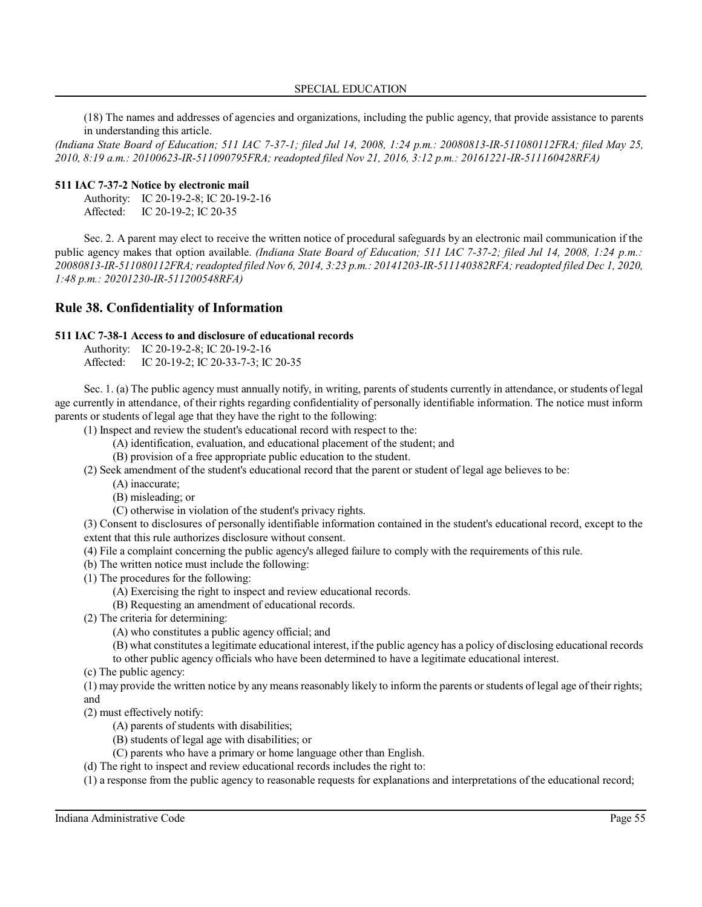#### SPECIAL EDUCATION

(18) The names and addresses of agencies and organizations, including the public agency, that provide assistance to parents in understanding this article.

*(Indiana State Board of Education; 511 IAC 7-37-1; filed Jul 14, 2008, 1:24 p.m.: 20080813-IR-511080112FRA; filed May 25, 2010, 8:19 a.m.: 20100623-IR-511090795FRA; readopted filed Nov 21, 2016, 3:12 p.m.: 20161221-IR-511160428RFA)*

### **511 IAC 7-37-2 Notice by electronic mail**

Authority: IC 20-19-2-8; IC 20-19-2-16 Affected: IC 20-19-2; IC 20-35

Sec. 2. A parent may elect to receive the written notice of procedural safeguards by an electronic mail communication if the public agency makes that option available. *(Indiana State Board of Education; 511 IAC 7-37-2; filed Jul 14, 2008, 1:24 p.m.: 20080813-IR-511080112FRA;readopted filed Nov 6, 2014, 3:23 p.m.: 20141203-IR-511140382RFA; readopted filed Dec 1, 2020, 1:48 p.m.: 20201230-IR-511200548RFA)*

## **Rule 38. Confidentiality of Information**

#### **511 IAC 7-38-1 Access to and disclosure of educational records**

|           | Authority: IC 20-19-2-8; IC 20-19-2-16 |
|-----------|----------------------------------------|
| Affected: | IC 20-19-2; IC 20-33-7-3; IC 20-35     |

Sec. 1. (a) The public agency must annually notify, in writing, parents of students currently in attendance, or students of legal age currently in attendance, of their rights regarding confidentiality of personally identifiable information. The notice must inform parents or students of legal age that they have the right to the following:

- (1) Inspect and review the student's educational record with respect to the:
	- (A) identification, evaluation, and educational placement of the student; and
	- (B) provision of a free appropriate public education to the student.
- (2) Seek amendment of the student's educational record that the parent or student of legal age believes to be:
	- (A) inaccurate;
		- (B) misleading; or
		- (C) otherwise in violation of the student's privacy rights.

(3) Consent to disclosures of personally identifiable information contained in the student's educational record, except to the extent that this rule authorizes disclosure without consent.

- (4) File a complaint concerning the public agency's alleged failure to comply with the requirements of this rule.
- (b) The written notice must include the following:
- (1) The procedures for the following:
	- (A) Exercising the right to inspect and review educational records.
	- (B) Requesting an amendment of educational records.
- (2) The criteria for determining:
	- (A) who constitutes a public agency official; and
	- (B) what constitutes a legitimate educational interest, ifthe public agency has a policy of disclosing educational records
	- to other public agency officials who have been determined to have a legitimate educational interest.
- (c) The public agency:

(1) may provide the written notice by any means reasonably likely to inform the parents or students of legal age of their rights; and

(2) must effectively notify:

- (A) parents of students with disabilities;
- (B) students of legal age with disabilities; or
- (C) parents who have a primary or home language other than English.
- (d) The right to inspect and review educational records includes the right to:

(1) a response from the public agency to reasonable requests for explanations and interpretations of the educational record;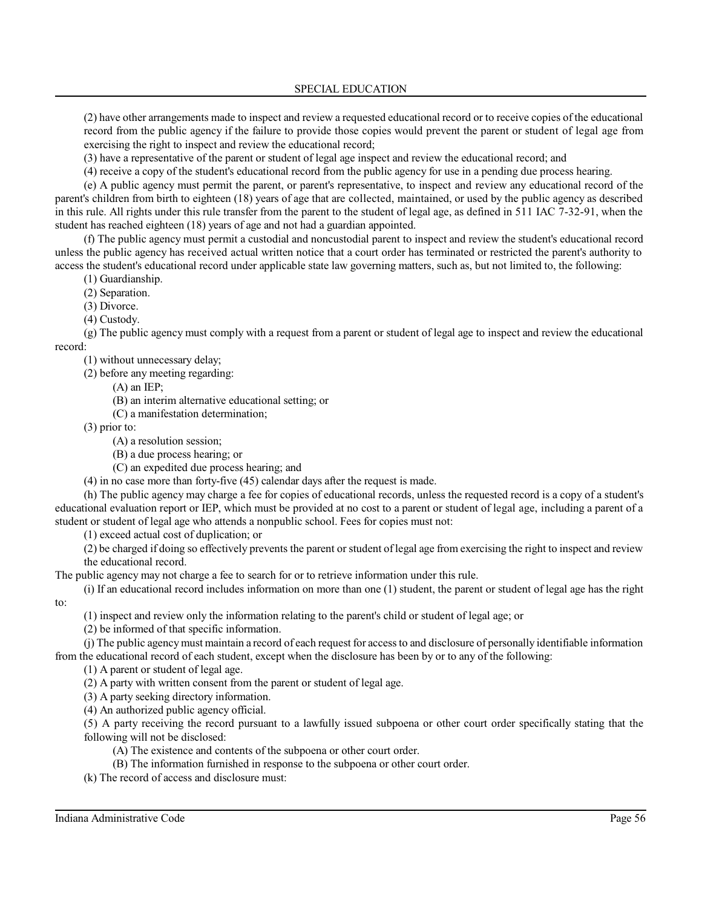(2) have other arrangements made to inspect and review a requested educational record or to receive copies of the educational record from the public agency if the failure to provide those copies would prevent the parent or student of legal age from exercising the right to inspect and review the educational record;

(3) have a representative of the parent or student of legal age inspect and review the educational record; and

(4) receive a copy of the student's educational record from the public agency for use in a pending due process hearing.

(e) A public agency must permit the parent, or parent's representative, to inspect and review any educational record of the parent's children from birth to eighteen (18) years of age that are collected, maintained, or used by the public agency as described in this rule. All rights under this rule transfer from the parent to the student of legal age, as defined in 511 IAC 7-32-91, when the student has reached eighteen (18) years of age and not had a guardian appointed.

(f) The public agency must permit a custodial and noncustodial parent to inspect and review the student's educational record unless the public agency has received actual written notice that a court order has terminated or restricted the parent's authority to access the student's educational record under applicable state law governing matters, such as, but not limited to, the following:

(1) Guardianship.

(2) Separation.

(3) Divorce.

(4) Custody.

(g) The public agency must comply with a request from a parent or student of legal age to inspect and review the educational record:

(1) without unnecessary delay;

(2) before any meeting regarding:

(A) an IEP;

(B) an interim alternative educational setting; or

(C) a manifestation determination;

(3) prior to:

(A) a resolution session;

(B) a due process hearing; or

(C) an expedited due process hearing; and

(4) in no case more than forty-five (45) calendar days after the request is made.

(h) The public agency may charge a fee for copies of educational records, unless the requested record is a copy of a student's educational evaluation report or IEP, which must be provided at no cost to a parent or student of legal age, including a parent of a student or student of legal age who attends a nonpublic school. Fees for copies must not:

(1) exceed actual cost of duplication; or

(2) be charged if doing so effectively prevents the parent or student of legal age from exercising the right to inspect and review the educational record.

The public agency may not charge a fee to search for or to retrieve information under this rule.

(i) If an educational record includes information on more than one (1) student, the parent or student of legal age has the right to:

(1) inspect and review only the information relating to the parent's child or student of legal age; or

(2) be informed of that specific information.

(j) The public agencymust maintain a record of each request for accessto and disclosure of personally identifiable information from the educational record of each student, except when the disclosure has been by or to any of the following:

(1) A parent or student of legal age.

(2) A party with written consent from the parent or student of legal age.

(3) A party seeking directory information.

(4) An authorized public agency official.

(5) A party receiving the record pursuant to a lawfully issued subpoena or other court order specifically stating that the following will not be disclosed:

- (A) The existence and contents of the subpoena or other court order.
- (B) The information furnished in response to the subpoena or other court order.

(k) The record of access and disclosure must: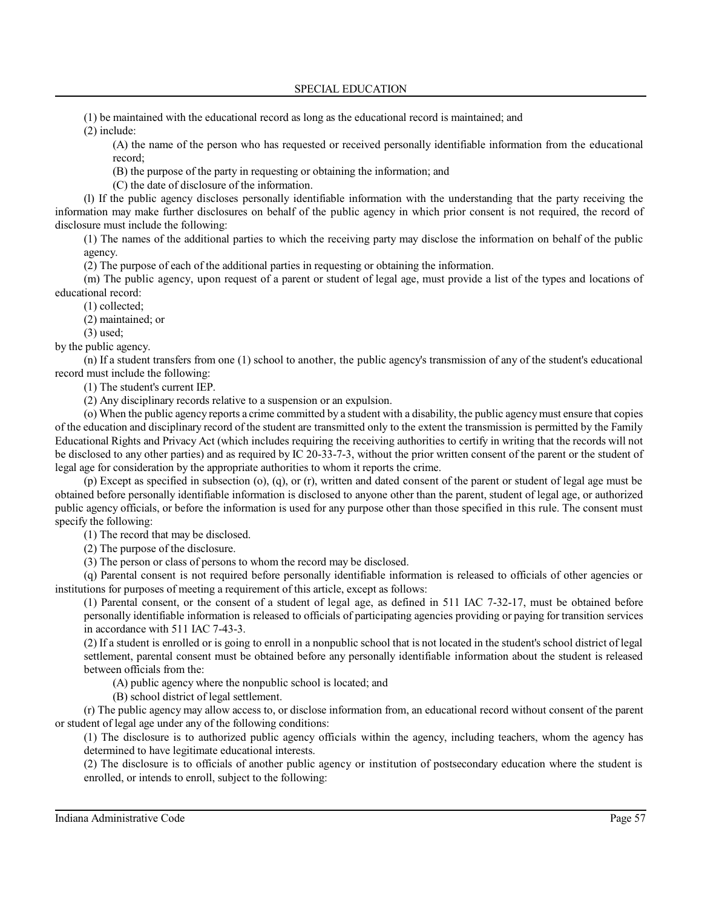(1) be maintained with the educational record as long as the educational record is maintained; and

(2) include:

(A) the name of the person who has requested or received personally identifiable information from the educational record;

(B) the purpose of the party in requesting or obtaining the information; and

(C) the date of disclosure of the information.

(l) If the public agency discloses personally identifiable information with the understanding that the party receiving the information may make further disclosures on behalf of the public agency in which prior consent is not required, the record of disclosure must include the following:

(1) The names of the additional parties to which the receiving party may disclose the information on behalf of the public agency.

(2) The purpose of each of the additional parties in requesting or obtaining the information.

(m) The public agency, upon request of a parent or student of legal age, must provide a list of the types and locations of educational record:

(1) collected;

(2) maintained; or

(3) used;

by the public agency.

(n) If a student transfers from one (1) school to another, the public agency's transmission of any of the student's educational record must include the following:

(1) The student's current IEP.

(2) Any disciplinary records relative to a suspension or an expulsion.

(o) When the public agency reports a crime committed by a student with a disability, the public agencymust ensure that copies of the education and disciplinary record of the student are transmitted only to the extent the transmission is permitted by the Family Educational Rights and Privacy Act (which includes requiring the receiving authorities to certify in writing that the records will not be disclosed to any other parties) and as required by IC 20-33-7-3, without the prior written consent of the parent or the student of legal age for consideration by the appropriate authorities to whom it reports the crime.

(p) Except as specified in subsection (o), (q), or (r), written and dated consent of the parent or student of legal age must be obtained before personally identifiable information is disclosed to anyone other than the parent, student of legal age, or authorized public agency officials, or before the information is used for any purpose other than those specified in this rule. The consent must specify the following:

(1) The record that may be disclosed.

(2) The purpose of the disclosure.

(3) The person or class of persons to whom the record may be disclosed.

(q) Parental consent is not required before personally identifiable information is released to officials of other agencies or institutions for purposes of meeting a requirement of this article, except as follows:

(1) Parental consent, or the consent of a student of legal age, as defined in 511 IAC 7-32-17, must be obtained before personally identifiable information is released to officials of participating agencies providing or paying for transition services in accordance with 511 IAC 7-43-3.

(2) If a student is enrolled or is going to enroll in a nonpublic school that is not located in the student's school district of legal settlement, parental consent must be obtained before any personally identifiable information about the student is released between officials from the:

(A) public agency where the nonpublic school is located; and

(B) school district of legal settlement.

(r) The public agency may allow access to, or disclose information from, an educational record without consent of the parent or student of legal age under any of the following conditions:

(1) The disclosure is to authorized public agency officials within the agency, including teachers, whom the agency has determined to have legitimate educational interests.

(2) The disclosure is to officials of another public agency or institution of postsecondary education where the student is enrolled, or intends to enroll, subject to the following: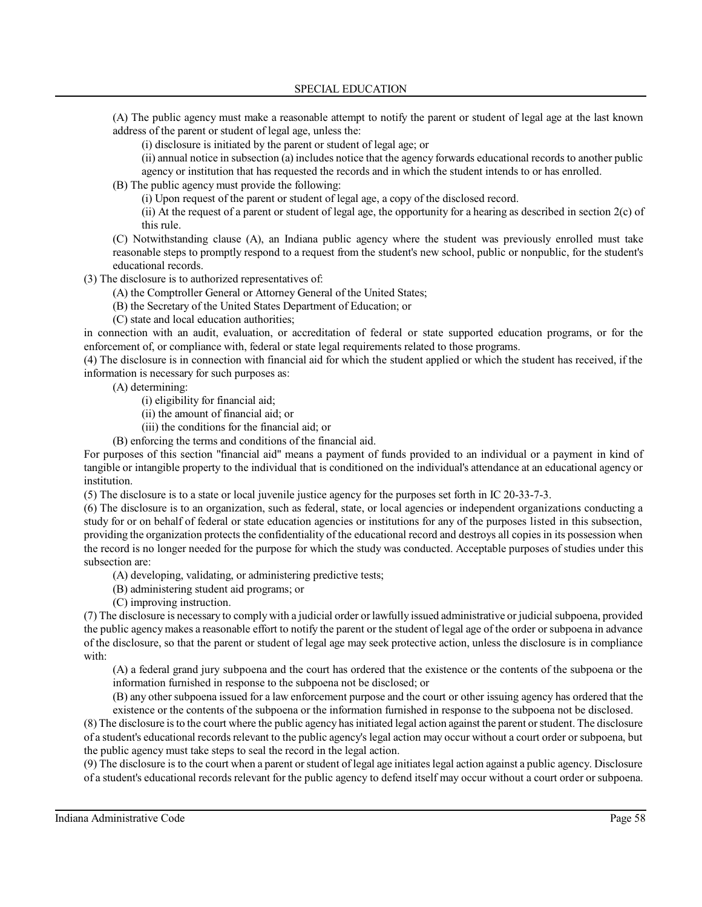(A) The public agency must make a reasonable attempt to notify the parent or student of legal age at the last known address of the parent or student of legal age, unless the:

(i) disclosure is initiated by the parent or student of legal age; or

(ii) annual notice in subsection (a) includes notice that the agency forwards educational records to another public agency or institution that has requested the records and in which the student intends to or has enrolled.

(B) The public agency must provide the following:

(i) Upon request of the parent or student of legal age, a copy of the disclosed record.

(ii) At the request of a parent or student of legal age, the opportunity for a hearing as described in section 2(c) of this rule.

(C) Notwithstanding clause (A), an Indiana public agency where the student was previously enrolled must take reasonable steps to promptly respond to a request from the student's new school, public or nonpublic, for the student's educational records.

(3) The disclosure is to authorized representatives of:

(A) the Comptroller General or Attorney General of the United States;

(B) the Secretary of the United States Department of Education; or

(C) state and local education authorities;

in connection with an audit, evaluation, or accreditation of federal or state supported education programs, or for the enforcement of, or compliance with, federal or state legal requirements related to those programs.

(4) The disclosure is in connection with financial aid for which the student applied or which the student has received, if the information is necessary for such purposes as:

(A) determining:

(i) eligibility for financial aid;

(ii) the amount of financial aid; or

(iii) the conditions for the financial aid; or

(B) enforcing the terms and conditions of the financial aid.

For purposes of this section "financial aid" means a payment of funds provided to an individual or a payment in kind of tangible or intangible property to the individual that is conditioned on the individual's attendance at an educational agency or institution.

(5) The disclosure is to a state or local juvenile justice agency for the purposes set forth in IC 20-33-7-3.

(6) The disclosure is to an organization, such as federal, state, or local agencies or independent organizations conducting a study for or on behalf of federal or state education agencies or institutions for any of the purposes listed in this subsection, providing the organization protects the confidentiality of the educational record and destroys all copies in its possession when the record is no longer needed for the purpose for which the study was conducted. Acceptable purposes of studies under this subsection are:

(A) developing, validating, or administering predictive tests;

(B) administering student aid programs; or

(C) improving instruction.

(7) The disclosure is necessary to comply with a judicial order orlawfully issued administrative or judicial subpoena, provided the public agencymakes a reasonable effort to notify the parent or the student of legal age of the order or subpoena in advance of the disclosure, so that the parent or student of legal age may seek protective action, unless the disclosure is in compliance with:

(A) a federal grand jury subpoena and the court has ordered that the existence or the contents of the subpoena or the information furnished in response to the subpoena not be disclosed; or

(B) any other subpoena issued for a law enforcement purpose and the court or other issuing agency has ordered that the existence or the contents of the subpoena or the information furnished in response to the subpoena not be disclosed.

(8) The disclosure isto the court where the public agency has initiated legal action against the parent orstudent. The disclosure of a student's educational records relevant to the public agency's legal action may occur without a court order or subpoena, but the public agency must take steps to seal the record in the legal action.

(9) The disclosure is to the court when a parent orstudent of legal age initiateslegal action against a public agency. Disclosure of a student's educational records relevant for the public agency to defend itself may occur without a court order or subpoena.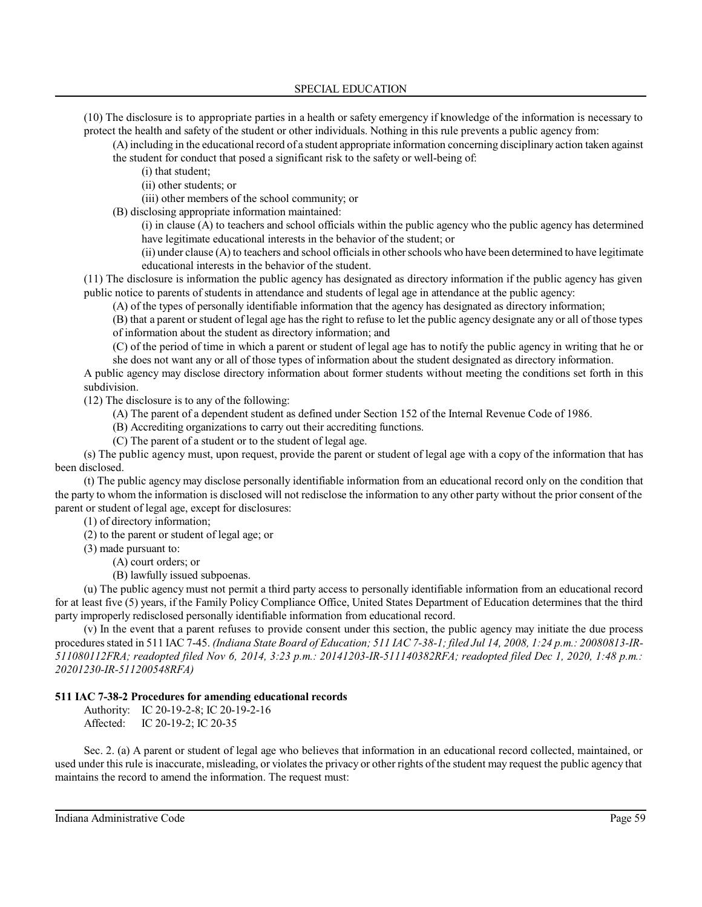(10) The disclosure is to appropriate parties in a health or safety emergency if knowledge of the information is necessary to protect the health and safety of the student or other individuals. Nothing in this rule prevents a public agency from:

(A) including in the educational record of a student appropriate information concerning disciplinary action taken against the student for conduct that posed a significant risk to the safety or well-being of:

(i) that student;

(ii) other students; or

(iii) other members of the school community; or

(B) disclosing appropriate information maintained:

(i) in clause (A) to teachers and school officials within the public agency who the public agency has determined have legitimate educational interests in the behavior of the student; or

(ii) under clause (A) to teachers and school officialsin otherschools who have been determined to have legitimate educational interests in the behavior of the student.

(11) The disclosure is information the public agency has designated as directory information if the public agency has given public notice to parents of students in attendance and students of legal age in attendance at the public agency:

(A) of the types of personally identifiable information that the agency has designated as directory information;

(B) that a parent or student of legal age has the right to refuse to let the public agency designate any or all of those types of information about the student as directory information; and

(C) of the period of time in which a parent or student of legal age has to notify the public agency in writing that he or she does not want any or all of those types of information about the student designated as directory information.

A public agency may disclose directory information about former students without meeting the conditions set forth in this subdivision.

(12) The disclosure is to any of the following:

(A) The parent of a dependent student as defined under Section 152 of the Internal Revenue Code of 1986.

(B) Accrediting organizations to carry out their accrediting functions.

(C) The parent of a student or to the student of legal age.

(s) The public agency must, upon request, provide the parent or student of legal age with a copy of the information that has been disclosed.

(t) The public agency may disclose personally identifiable information from an educational record only on the condition that the party to whom the information is disclosed will not redisclose the information to any other party without the prior consent of the parent or student of legal age, except for disclosures:

(1) of directory information;

(2) to the parent or student of legal age; or

(3) made pursuant to:

(A) court orders; or

(B) lawfully issued subpoenas.

(u) The public agency must not permit a third party access to personally identifiable information from an educational record for at least five (5) years, if the Family Policy Compliance Office, United States Department of Education determines that the third party improperly redisclosed personally identifiable information from educational record.

(v) In the event that a parent refuses to provide consent under this section, the public agency may initiate the due process procedures stated in 511 IAC 7-45. (Indiana State Board of Education; 511 IAC 7-38-1; filed Jul 14, 2008, 1:24 p.m.: 20080813-IR-*511080112FRA; readopted filed Nov 6, 2014, 3:23 p.m.: 20141203-IR-511140382RFA; readopted filed Dec 1, 2020, 1:48 p.m.: 20201230-IR-511200548RFA)*

### **511 IAC 7-38-2 Procedures for amending educational records**

Authority: IC 20-19-2-8; IC 20-19-2-16 Affected: IC 20-19-2; IC 20-35

Sec. 2. (a) A parent or student of legal age who believes that information in an educational record collected, maintained, or used under this rule is inaccurate, misleading, or violatesthe privacy or other rights of the student may request the public agency that maintains the record to amend the information. The request must: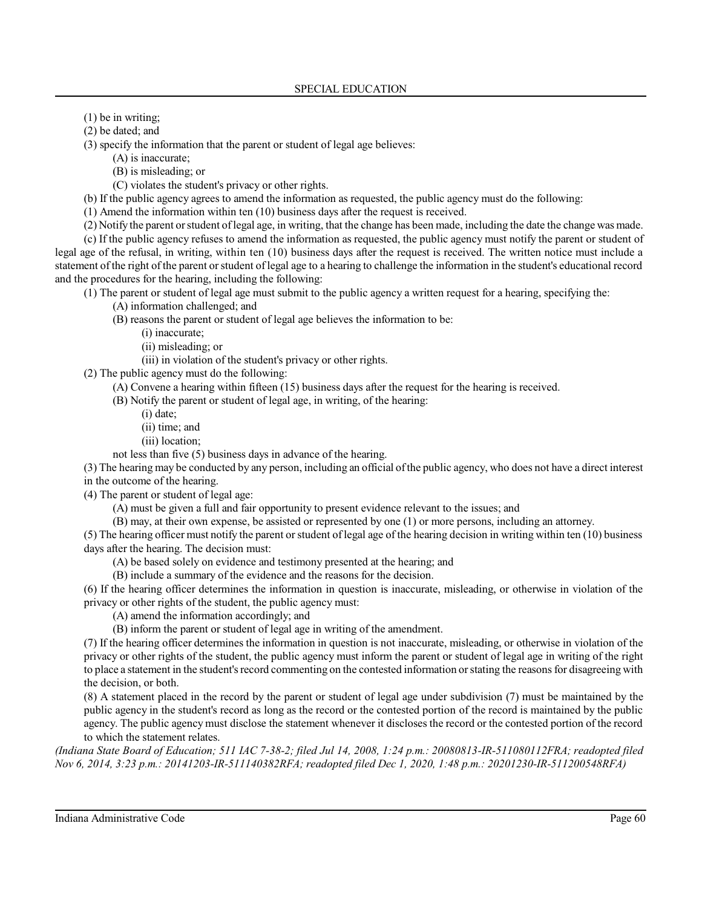- (1) be in writing;
- (2) be dated; and

(3) specify the information that the parent or student of legal age believes:

(A) is inaccurate;

(B) is misleading; or

(C) violates the student's privacy or other rights.

(b) If the public agency agrees to amend the information as requested, the public agency must do the following:

(1) Amend the information within ten (10) business days after the request is received.

(2) Notify the parent orstudent oflegal age, in writing, that the change has been made, including the date the change was made.

(c) If the public agency refuses to amend the information as requested, the public agency must notify the parent or student of legal age of the refusal, in writing, within ten (10) business days after the request is received. The written notice must include a statement of the right of the parent orstudent oflegal age to a hearing to challenge the information in the student's educational record and the procedures for the hearing, including the following:

(1) The parent or student of legal age must submit to the public agency a written request for a hearing, specifying the:

(A) information challenged; and

(B) reasons the parent or student of legal age believes the information to be:

- (i) inaccurate;
	- (ii) misleading; or

(iii) in violation of the student's privacy or other rights.

(2) The public agency must do the following:

(A) Convene a hearing within fifteen (15) business days after the request for the hearing is received.

(B) Notify the parent or student of legal age, in writing, of the hearing:

(i) date;

(ii) time; and

(iii) location;

not less than five (5) business days in advance of the hearing.

(3) The hearing may be conducted by any person, including an official ofthe public agency, who does not have a direct interest in the outcome of the hearing.

(4) The parent or student of legal age:

(A) must be given a full and fair opportunity to present evidence relevant to the issues; and

(B) may, at their own expense, be assisted or represented by one (1) or more persons, including an attorney.

(5) The hearing officer must notify the parent or student of legal age of the hearing decision in writing within ten (10) business days after the hearing. The decision must:

(A) be based solely on evidence and testimony presented at the hearing; and

(B) include a summary of the evidence and the reasons for the decision.

(6) If the hearing officer determines the information in question is inaccurate, misleading, or otherwise in violation of the privacy or other rights of the student, the public agency must:

(A) amend the information accordingly; and

(B) inform the parent or student of legal age in writing of the amendment.

(7) If the hearing officer determines the information in question is not inaccurate, misleading, or otherwise in violation of the privacy or other rights of the student, the public agency must inform the parent or student of legal age in writing of the right to place a statement in the student's record commenting on the contested information orstating the reasonsfor disagreeing with the decision, or both.

(8) A statement placed in the record by the parent or student of legal age under subdivision (7) must be maintained by the public agency in the student's record as long as the record or the contested portion of the record is maintained by the public agency. The public agency must disclose the statement whenever it discloses the record or the contested portion of the record to which the statement relates.

*(Indiana State Board of Education; 511 IAC 7-38-2; filed Jul 14, 2008, 1:24 p.m.: 20080813-IR-511080112FRA; readopted filed Nov 6, 2014, 3:23 p.m.: 20141203-IR-511140382RFA; readopted filed Dec 1, 2020, 1:48 p.m.: 20201230-IR-511200548RFA)*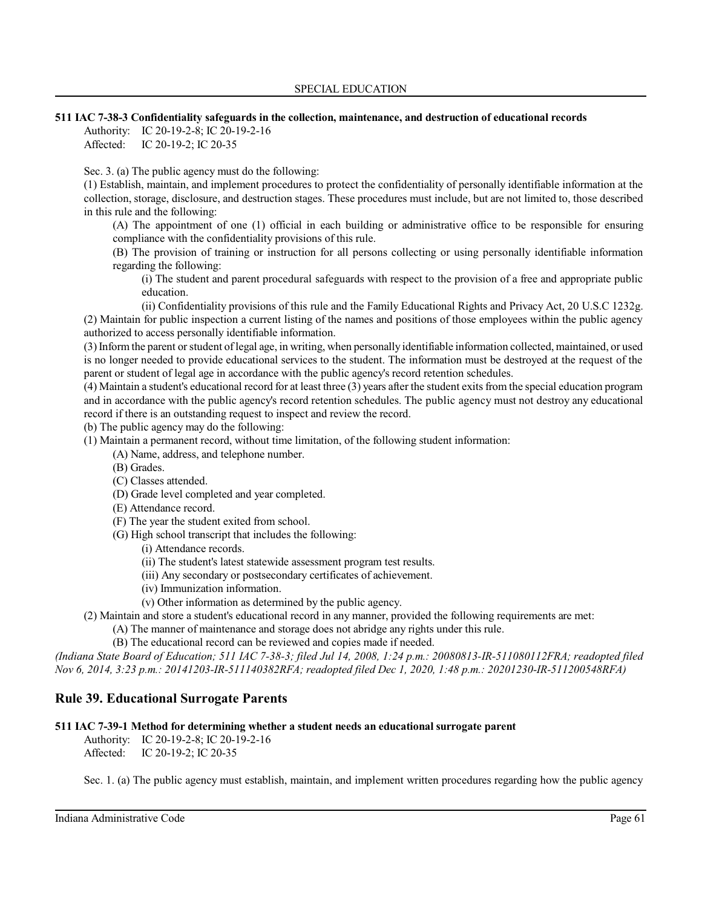### **511 IAC 7-38-3 Confidentiality safeguards in the collection, maintenance, and destruction of educational records**

Authority: IC 20-19-2-8; IC 20-19-2-16 Affected: IC 20-19-2; IC 20-35

Sec. 3. (a) The public agency must do the following:

(1) Establish, maintain, and implement procedures to protect the confidentiality of personally identifiable information at the collection, storage, disclosure, and destruction stages. These procedures must include, but are not limited to, those described in this rule and the following:

(A) The appointment of one (1) official in each building or administrative office to be responsible for ensuring compliance with the confidentiality provisions of this rule.

(B) The provision of training or instruction for all persons collecting or using personally identifiable information regarding the following:

(i) The student and parent procedural safeguards with respect to the provision of a free and appropriate public education.

(ii) Confidentiality provisions of this rule and the Family Educational Rights and Privacy Act, 20 U.S.C 1232g. (2) Maintain for public inspection a current listing of the names and positions of those employees within the public agency authorized to access personally identifiable information.

(3)Inform the parent orstudent oflegal age, in writing, when personally identifiable information collected, maintained, or used is no longer needed to provide educational services to the student. The information must be destroyed at the request of the parent or student of legal age in accordance with the public agency's record retention schedules.

(4) Maintain a student's educational record for at least three (3) years after the student exitsfrom the special education program and in accordance with the public agency's record retention schedules. The public agency must not destroy any educational record if there is an outstanding request to inspect and review the record.

(b) The public agency may do the following:

(1) Maintain a permanent record, without time limitation, of the following student information:

- (A) Name, address, and telephone number.
- (B) Grades.
- (C) Classes attended.
- (D) Grade level completed and year completed.
- (E) Attendance record.
- (F) The year the student exited from school.
- (G) High school transcript that includes the following:
	- (i) Attendance records.
	- (ii) The student's latest statewide assessment program test results.
	- (iii) Any secondary or postsecondary certificates of achievement.
	- (iv) Immunization information.
	- (v) Other information as determined by the public agency.

(2) Maintain and store a student's educational record in any manner, provided the following requirements are met:

(A) The manner of maintenance and storage does not abridge any rights under this rule.

(B) The educational record can be reviewed and copies made if needed.

*(Indiana State Board of Education; 511 IAC 7-38-3; filed Jul 14, 2008, 1:24 p.m.: 20080813-IR-511080112FRA; readopted filed Nov 6, 2014, 3:23 p.m.: 20141203-IR-511140382RFA; readopted filed Dec 1, 2020, 1:48 p.m.: 20201230-IR-511200548RFA)*

# **Rule 39. Educational Surrogate Parents**

## **511 IAC 7-39-1 Method for determining whether a student needs an educational surrogate parent**

Authority: IC 20-19-2-8; IC 20-19-2-16 Affected: IC 20-19-2; IC 20-35

Sec. 1. (a) The public agency must establish, maintain, and implement written procedures regarding how the public agency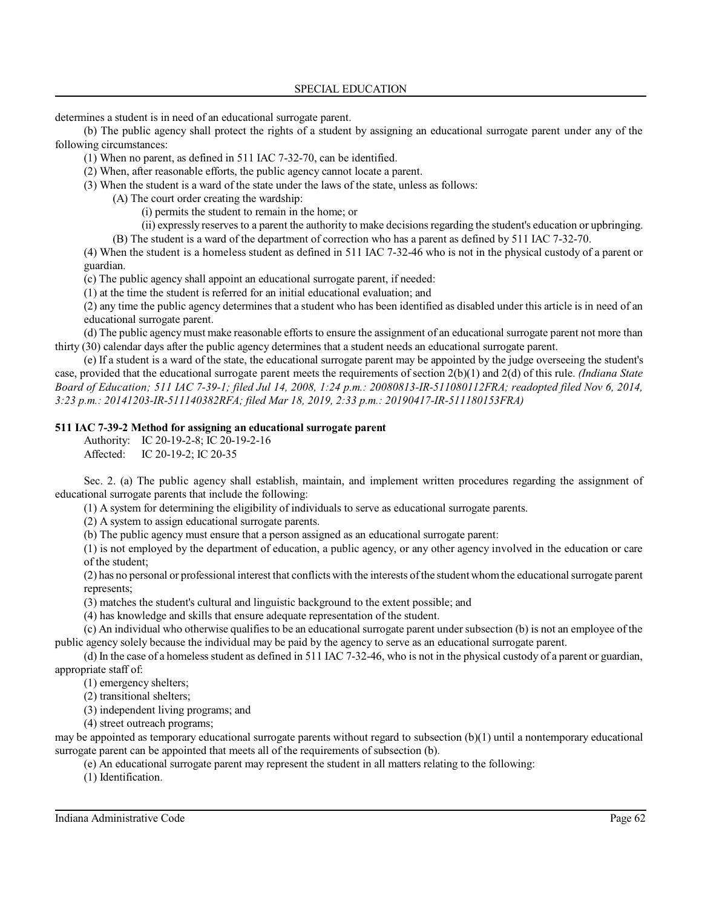determines a student is in need of an educational surrogate parent.

(b) The public agency shall protect the rights of a student by assigning an educational surrogate parent under any of the following circumstances:

(1) When no parent, as defined in 511 IAC 7-32-70, can be identified.

- (2) When, after reasonable efforts, the public agency cannot locate a parent.
- (3) When the student is a ward of the state under the laws of the state, unless as follows:
	- (A) The court order creating the wardship:
		- (i) permits the student to remain in the home; or
		- (ii) expressly reserves to a parent the authority to make decisionsregarding the student's education or upbringing.

(B) The student is a ward of the department of correction who has a parent as defined by 511 IAC 7-32-70. (4) When the student is a homeless student as defined in 511 IAC 7-32-46 who is not in the physical custody of a parent or

guardian.

(c) The public agency shall appoint an educational surrogate parent, if needed:

(1) at the time the student is referred for an initial educational evaluation; and

(2) any time the public agency determines that a student who has been identified as disabled under this article is in need of an educational surrogate parent.

(d) The public agency must make reasonable efforts to ensure the assignment of an educational surrogate parent not more than thirty (30) calendar days after the public agency determines that a student needs an educational surrogate parent.

(e) If a student is a ward of the state, the educational surrogate parent may be appointed by the judge overseeing the student's case, provided that the educational surrogate parent meets the requirements of section 2(b)(1) and 2(d) of this rule. *(Indiana State Board of Education; 511 IAC 7-39-1; filed Jul 14, 2008, 1:24 p.m.: 20080813-IR-511080112FRA; readopted filed Nov 6, 2014, 3:23 p.m.: 20141203-IR-511140382RFA; filed Mar 18, 2019, 2:33 p.m.: 20190417-IR-511180153FRA)*

## **511 IAC 7-39-2 Method for assigning an educational surrogate parent**

Authority: IC 20-19-2-8; IC 20-19-2-16 Affected: IC 20-19-2; IC 20-35

Sec. 2. (a) The public agency shall establish, maintain, and implement written procedures regarding the assignment of educational surrogate parents that include the following:

(1) A system for determining the eligibility of individuals to serve as educational surrogate parents.

(2) A system to assign educational surrogate parents.

(b) The public agency must ensure that a person assigned as an educational surrogate parent:

(1) is not employed by the department of education, a public agency, or any other agency involved in the education or care of the student;

(2) has no personal or professional interest that conflicts with the interests ofthe student whomthe educational surrogate parent represents;

(3) matches the student's cultural and linguistic background to the extent possible; and

(4) has knowledge and skills that ensure adequate representation of the student.

(c) An individual who otherwise qualifiesto be an educational surrogate parent undersubsection (b) is not an employee of the public agency solely because the individual may be paid by the agency to serve as an educational surrogate parent.

(d) In the case of a homeless student as defined in 511 IAC 7-32-46, who is not in the physical custody of a parent or guardian, appropriate staff of:

(1) emergency shelters;

(2) transitional shelters;

(3) independent living programs; and

(4) street outreach programs;

may be appointed as temporary educational surrogate parents without regard to subsection (b)(1) until a nontemporary educational surrogate parent can be appointed that meets all of the requirements of subsection (b).

(e) An educational surrogate parent may represent the student in all matters relating to the following:

(1) Identification.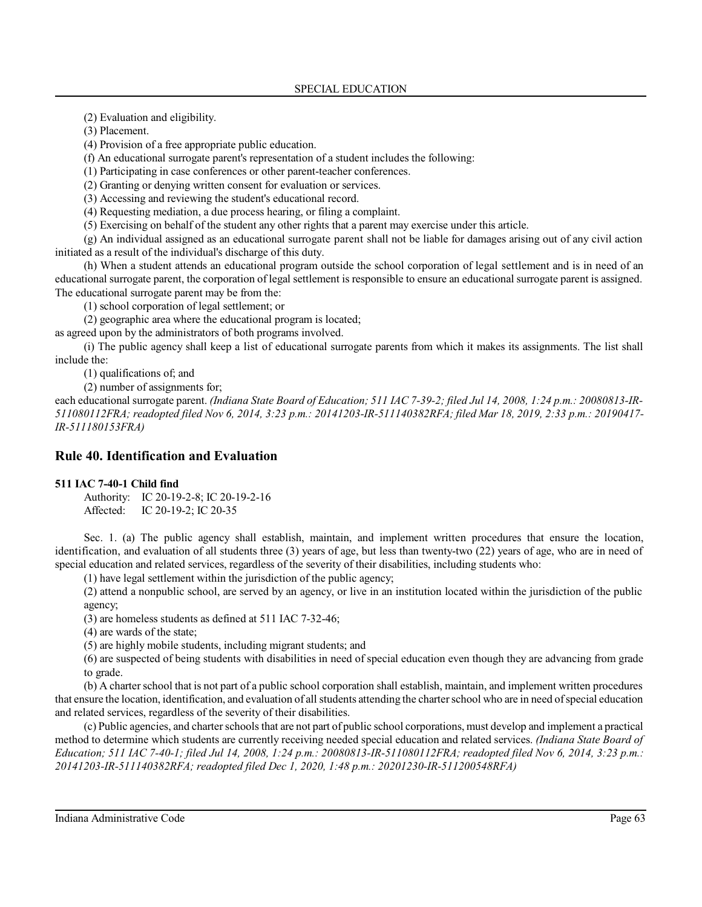(2) Evaluation and eligibility.

(3) Placement.

(4) Provision of a free appropriate public education.

(f) An educational surrogate parent's representation of a student includes the following:

(1) Participating in case conferences or other parent-teacher conferences.

(2) Granting or denying written consent for evaluation or services.

(3) Accessing and reviewing the student's educational record.

(4) Requesting mediation, a due process hearing, or filing a complaint.

(5) Exercising on behalf of the student any other rights that a parent may exercise under this article.

(g) An individual assigned as an educational surrogate parent shall not be liable for damages arising out of any civil action initiated as a result of the individual's discharge of this duty.

(h) When a student attends an educational program outside the school corporation of legal settlement and is in need of an educational surrogate parent, the corporation of legal settlement is responsible to ensure an educational surrogate parent is assigned. The educational surrogate parent may be from the:

(1) school corporation of legal settlement; or

(2) geographic area where the educational program is located;

as agreed upon by the administrators of both programs involved.

(i) The public agency shall keep a list of educational surrogate parents from which it makes its assignments. The list shall include the:

(1) qualifications of; and

(2) number of assignments for;

each educational surrogate parent. *(Indiana State Board of Education; 511 IAC 7-39-2; filed Jul 14, 2008, 1:24 p.m.: 20080813-IR-511080112FRA; readopted filed Nov 6, 2014, 3:23 p.m.: 20141203-IR-511140382RFA; filed Mar 18, 2019, 2:33 p.m.: 20190417- IR-511180153FRA)*

# **Rule 40. Identification and Evaluation**

## **511 IAC 7-40-1 Child find**

Authority: IC 20-19-2-8; IC 20-19-2-16 Affected: IC 20-19-2; IC 20-35

Sec. 1. (a) The public agency shall establish, maintain, and implement written procedures that ensure the location, identification, and evaluation of all students three (3) years of age, but less than twenty-two (22) years of age, who are in need of special education and related services, regardless of the severity of their disabilities, including students who:

(1) have legal settlement within the jurisdiction of the public agency;

(2) attend a nonpublic school, are served by an agency, or live in an institution located within the jurisdiction of the public agency;

(3) are homeless students as defined at 511 IAC 7-32-46;

(4) are wards of the state;

(5) are highly mobile students, including migrant students; and

(6) are suspected of being students with disabilities in need of special education even though they are advancing from grade to grade.

(b) A charterschool that is not part of a public school corporation shall establish, maintain, and implement written procedures that ensure the location, identification, and evaluation of all students attending the charterschool who are in need ofspecial education and related services, regardless of the severity of their disabilities.

(c) Public agencies, and charterschoolsthat are not part of public school corporations, must develop and implement a practical method to determine which students are currently receiving needed special education and related services. *(Indiana State Board of Education; 511 IAC 7-40-1; filed Jul 14, 2008, 1:24 p.m.: 20080813-IR-511080112FRA; readopted filed Nov 6, 2014, 3:23 p.m.: 20141203-IR-511140382RFA; readopted filed Dec 1, 2020, 1:48 p.m.: 20201230-IR-511200548RFA)*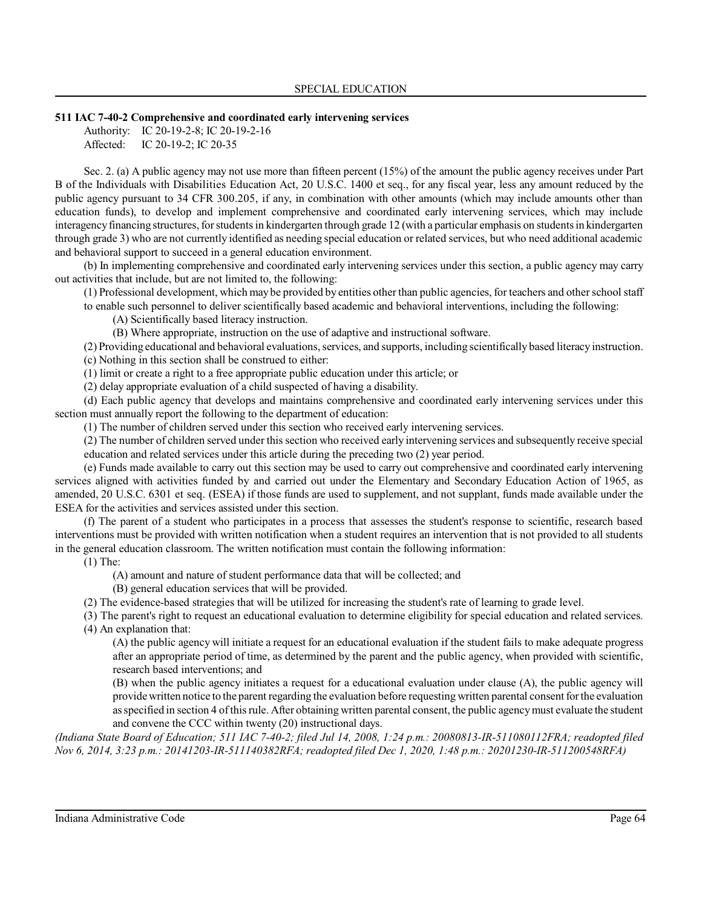### **511 IAC 7-40-2 Comprehensive and coordinated early intervening services**

Authority: IC 20-19-2-8; IC 20-19-2-16 Affected: IC 20-19-2; IC 20-35

Sec. 2. (a) A public agency may not use more than fifteen percent (15%) of the amount the public agency receives under Part B of the Individuals with Disabilities Education Act, 20 U.S.C. 1400 et seq., for any fiscal year, less any amount reduced by the public agency pursuant to 34 CFR 300.205, if any, in combination with other amounts (which may include amounts other than education funds), to develop and implement comprehensive and coordinated early intervening services, which may include interagencyfinancing structures, forstudentsin kindergarten through grade 12 (with a particular emphasis on studentsin kindergarten through grade 3) who are not currently identified as needing special education or related services, but who need additional academic and behavioral support to succeed in a general education environment.

(b) In implementing comprehensive and coordinated early intervening services under this section, a public agency may carry out activities that include, but are not limited to, the following:

(1) Professional development, which may be provided by entities otherthan public agencies, for teachers and otherschool staff to enable such personnel to deliver scientifically based academic and behavioral interventions, including the following:

(A) Scientifically based literacy instruction.

(B) Where appropriate, instruction on the use of adaptive and instructional software.

(2) Providing educational and behavioral evaluations, services, and supports, including scientifically based literacy instruction. (c) Nothing in this section shall be construed to either:

(1) limit or create a right to a free appropriate public education under this article; or

(2) delay appropriate evaluation of a child suspected of having a disability.

(d) Each public agency that develops and maintains comprehensive and coordinated early intervening services under this section must annually report the following to the department of education:

(1) The number of children served under this section who received early intervening services.

(2) The number of children served under thissection who received early intervening services and subsequently receive special education and related services under this article during the preceding two (2) year period.

(e) Funds made available to carry out this section may be used to carry out comprehensive and coordinated early intervening services aligned with activities funded by and carried out under the Elementary and Secondary Education Action of 1965, as amended, 20 U.S.C. 6301 et seq. (ESEA) if those funds are used to supplement, and not supplant, funds made available under the ESEA for the activities and services assisted under this section.

(f) The parent of a student who participates in a process that assesses the student's response to scientific, research based interventions must be provided with written notification when a student requires an intervention that is not provided to all students in the general education classroom. The written notification must contain the following information:

(1) The:

(A) amount and nature of student performance data that will be collected; and

(B) general education services that will be provided.

(2) The evidence-based strategies that will be utilized for increasing the student's rate of learning to grade level.

(3) The parent's right to request an educational evaluation to determine eligibility for special education and related services. (4) An explanation that:

(A) the public agency will initiate a request for an educational evaluation if the student fails to make adequate progress after an appropriate period of time, as determined by the parent and the public agency, when provided with scientific, research based interventions; and

(B) when the public agency initiates a request for a educational evaluation under clause (A), the public agency will provide written notice to the parent regarding the evaluation before requesting written parental consent forthe evaluation as specified in section 4 ofthisrule. After obtaining written parental consent, the public agencymust evaluate the student and convene the CCC within twenty (20) instructional days.

*(Indiana State Board of Education; 511 IAC 7-40-2; filed Jul 14, 2008, 1:24 p.m.: 20080813-IR-511080112FRA; readopted filed Nov 6, 2014, 3:23 p.m.: 20141203-IR-511140382RFA; readopted filed Dec 1, 2020, 1:48 p.m.: 20201230-IR-511200548RFA)*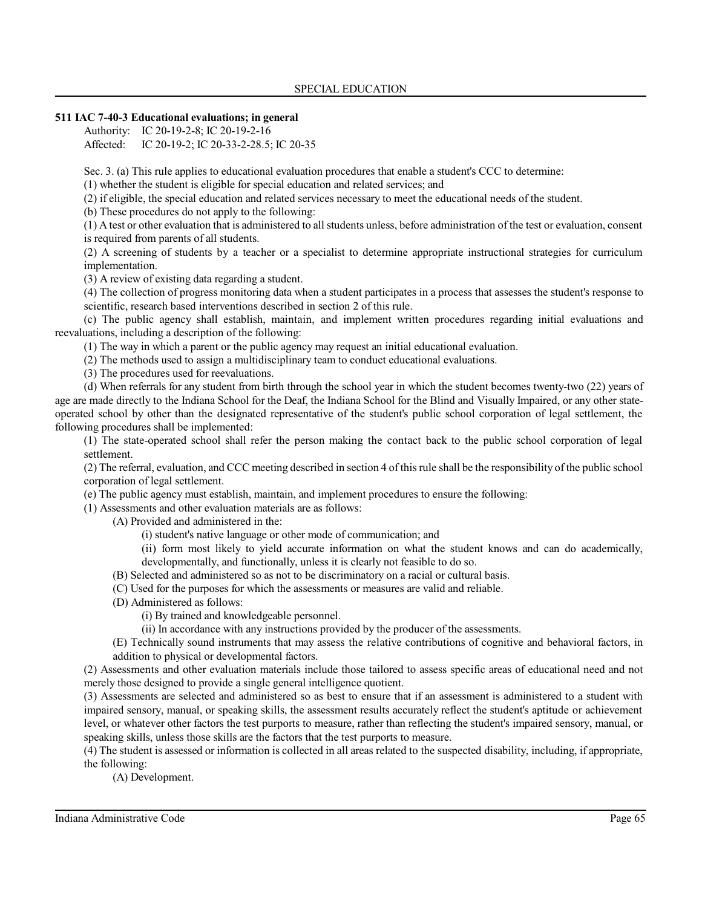## **511 IAC 7-40-3 Educational evaluations; in general**

Authority: IC 20-19-2-8; IC 20-19-2-16 Affected: IC 20-19-2; IC 20-33-2-28.5; IC 20-35

Sec. 3. (a) This rule applies to educational evaluation procedures that enable a student's CCC to determine:

(1) whether the student is eligible for special education and related services; and

(2) if eligible, the special education and related services necessary to meet the educational needs of the student.

(b) These procedures do not apply to the following:

(1) A test or other evaluation that is administered to all students unless, before administration of the test or evaluation, consent is required from parents of all students.

(2) A screening of students by a teacher or a specialist to determine appropriate instructional strategies for curriculum implementation.

(3) A review of existing data regarding a student.

(4) The collection of progress monitoring data when a student participates in a process that assesses the student's response to scientific, research based interventions described in section 2 of this rule.

(c) The public agency shall establish, maintain, and implement written procedures regarding initial evaluations and reevaluations, including a description of the following:

(1) The way in which a parent or the public agency may request an initial educational evaluation.

(2) The methods used to assign a multidisciplinary team to conduct educational evaluations.

(3) The procedures used for reevaluations.

(d) When referrals for any student from birth through the school year in which the student becomes twenty-two (22) years of age are made directly to the Indiana School for the Deaf, the Indiana School for the Blind and Visually Impaired, or any other stateoperated school by other than the designated representative of the student's public school corporation of legal settlement, the following procedures shall be implemented:

(1) The state-operated school shall refer the person making the contact back to the public school corporation of legal settlement.

(2) The referral, evaluation, and CCC meeting described in section 4 of thisrule shall be the responsibility of the public school corporation of legal settlement.

(e) The public agency must establish, maintain, and implement procedures to ensure the following:

(1) Assessments and other evaluation materials are as follows:

(A) Provided and administered in the:

(i) student's native language or other mode of communication; and

(ii) form most likely to yield accurate information on what the student knows and can do academically, developmentally, and functionally, unless it is clearly not feasible to do so.

(B) Selected and administered so as not to be discriminatory on a racial or cultural basis.

(C) Used for the purposes for which the assessments or measures are valid and reliable.

(D) Administered as follows:

(i) By trained and knowledgeable personnel.

(ii) In accordance with any instructions provided by the producer of the assessments.

(E) Technically sound instruments that may assess the relative contributions of cognitive and behavioral factors, in addition to physical or developmental factors.

(2) Assessments and other evaluation materials include those tailored to assess specific areas of educational need and not merely those designed to provide a single general intelligence quotient.

(3) Assessments are selected and administered so as best to ensure that if an assessment is administered to a student with impaired sensory, manual, or speaking skills, the assessment results accurately reflect the student's aptitude or achievement level, or whatever other factors the test purports to measure, rather than reflecting the student's impaired sensory, manual, or speaking skills, unless those skills are the factors that the test purports to measure.

(4) The student is assessed or information is collected in all areas related to the suspected disability, including, if appropriate, the following:

(A) Development.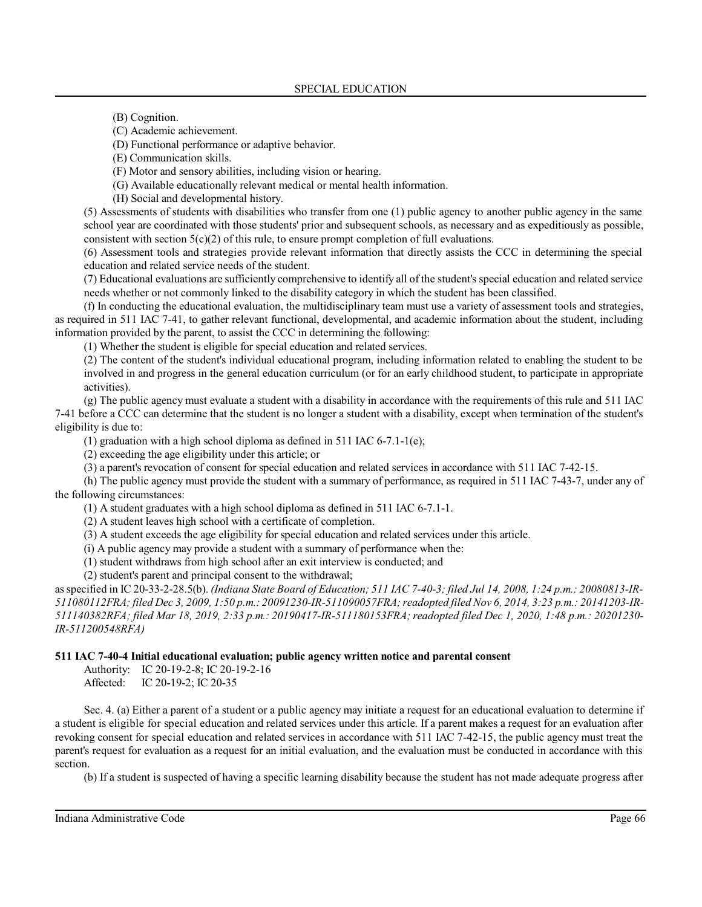(B) Cognition.

(C) Academic achievement.

(D) Functional performance or adaptive behavior.

(E) Communication skills.

(F) Motor and sensory abilities, including vision or hearing.

(G) Available educationally relevant medical or mental health information.

(H) Social and developmental history.

(5) Assessments of students with disabilities who transfer from one (1) public agency to another public agency in the same school year are coordinated with those students' prior and subsequent schools, as necessary and as expeditiously as possible, consistent with section  $5(c)(2)$  of this rule, to ensure prompt completion of full evaluations.

(6) Assessment tools and strategies provide relevant information that directly assists the CCC in determining the special education and related service needs of the student.

(7) Educational evaluations are sufficiently comprehensive to identify all of the student's special education and related service needs whether or not commonly linked to the disability category in which the student has been classified.

(f) In conducting the educational evaluation, the multidisciplinary team must use a variety of assessment tools and strategies, as required in 511 IAC 7-41, to gather relevant functional, developmental, and academic information about the student, including information provided by the parent, to assist the CCC in determining the following:

(1) Whether the student is eligible for special education and related services.

(2) The content of the student's individual educational program, including information related to enabling the student to be involved in and progress in the general education curriculum (or for an early childhood student, to participate in appropriate activities).

(g) The public agency must evaluate a student with a disability in accordance with the requirements of this rule and 511 IAC 7-41 before a CCC can determine that the student is no longer a student with a disability, except when termination of the student's eligibility is due to:

(1) graduation with a high school diploma as defined in 511 IAC 6-7.1-1(e);

(2) exceeding the age eligibility under this article; or

(3) a parent's revocation of consent for special education and related services in accordance with 511 IAC 7-42-15.

(h) The public agency must provide the student with a summary of performance, as required in 511 IAC 7-43-7, under any of the following circumstances:

(1) A student graduates with a high school diploma as defined in 511 IAC 6-7.1-1.

(2) A student leaves high school with a certificate of completion.

(3) A student exceeds the age eligibility for special education and related services under this article.

(i) A public agency may provide a student with a summary of performance when the:

(1) student withdraws from high school after an exit interview is conducted; and

(2) student's parent and principal consent to the withdrawal;

as specified in IC 20-33-2-28.5(b). *(Indiana State Board of Education; 511 IAC 7-40-3; filed Jul 14, 2008, 1:24 p.m.: 20080813-IR-511080112FRA; filed Dec 3, 2009, 1:50 p.m.: 20091230-IR-511090057FRA;readopted filed Nov 6, 2014, 3:23 p.m.: 20141203-IR-511140382RFA; filed Mar 18, 2019, 2:33 p.m.: 20190417-IR-511180153FRA; readopted filed Dec 1, 2020, 1:48 p.m.: 20201230- IR-511200548RFA)*

### **511 IAC 7-40-4 Initial educational evaluation; public agency written notice and parental consent**

Authority: IC 20-19-2-8; IC 20-19-2-16 Affected: IC 20-19-2; IC 20-35

Sec. 4. (a) Either a parent of a student or a public agency may initiate a request for an educational evaluation to determine if a student is eligible for special education and related services under this article. If a parent makes a request for an evaluation after revoking consent for special education and related services in accordance with 511 IAC 7-42-15, the public agency must treat the parent's request for evaluation as a request for an initial evaluation, and the evaluation must be conducted in accordance with this section.

(b) If a student is suspected of having a specific learning disability because the student has not made adequate progress after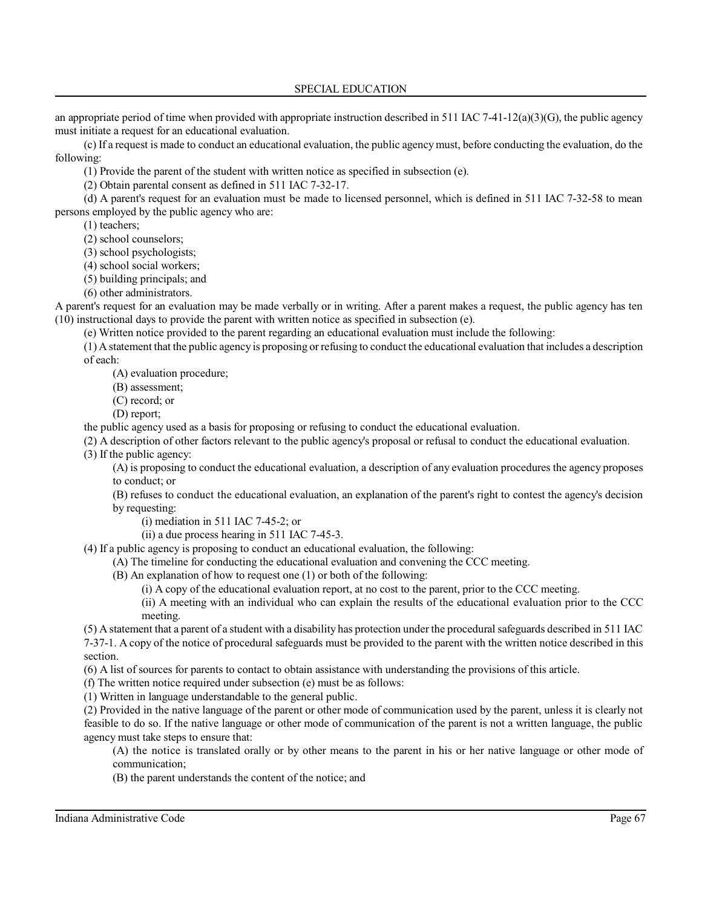SPECIAL EDUCATION

an appropriate period of time when provided with appropriate instruction described in 511 IAC 7-41-12(a)(3)(G), the public agency must initiate a request for an educational evaluation.

(c) If a request is made to conduct an educational evaluation, the public agencymust, before conducting the evaluation, do the following:

(1) Provide the parent of the student with written notice as specified in subsection (e).

(2) Obtain parental consent as defined in 511 IAC 7-32-17.

(d) A parent's request for an evaluation must be made to licensed personnel, which is defined in 511 IAC 7-32-58 to mean persons employed by the public agency who are:

(1) teachers;

(2) school counselors;

(3) school psychologists;

(4) school social workers;

(5) building principals; and

(6) other administrators.

A parent's request for an evaluation may be made verbally or in writing. After a parent makes a request, the public agency has ten (10) instructional days to provide the parent with written notice as specified in subsection (e).

(e) Written notice provided to the parent regarding an educational evaluation must include the following:

(1) A statement that the public agency is proposing or refusing to conduct the educational evaluation that includes a description of each:

(A) evaluation procedure;

(B) assessment;

(C) record; or

(D) report;

the public agency used as a basis for proposing or refusing to conduct the educational evaluation.

(2) A description of other factors relevant to the public agency's proposal or refusal to conduct the educational evaluation.

(3) If the public agency:

(A) is proposing to conduct the educational evaluation, a description of any evaluation procedures the agency proposes to conduct; or

(B) refuses to conduct the educational evaluation, an explanation of the parent's right to contest the agency's decision by requesting:

- (i) mediation in 511 IAC 7-45-2; or
- (ii) a due process hearing in 511 IAC 7-45-3.

(4) If a public agency is proposing to conduct an educational evaluation, the following:

(A) The timeline for conducting the educational evaluation and convening the CCC meeting.

(B) An explanation of how to request one (1) or both of the following:

(i) A copy of the educational evaluation report, at no cost to the parent, prior to the CCC meeting.

(ii) A meeting with an individual who can explain the results of the educational evaluation prior to the CCC meeting.

(5) A statement that a parent of a student with a disability has protection under the procedural safeguards described in 511 IAC 7-37-1. A copy of the notice of procedural safeguards must be provided to the parent with the written notice described in this section.

(6) A list of sources for parents to contact to obtain assistance with understanding the provisions of this article.

(f) The written notice required under subsection (e) must be as follows:

(1) Written in language understandable to the general public.

(2) Provided in the native language of the parent or other mode of communication used by the parent, unless it is clearly not feasible to do so. If the native language or other mode of communication of the parent is not a written language, the public agency must take steps to ensure that:

(A) the notice is translated orally or by other means to the parent in his or her native language or other mode of communication;

(B) the parent understands the content of the notice; and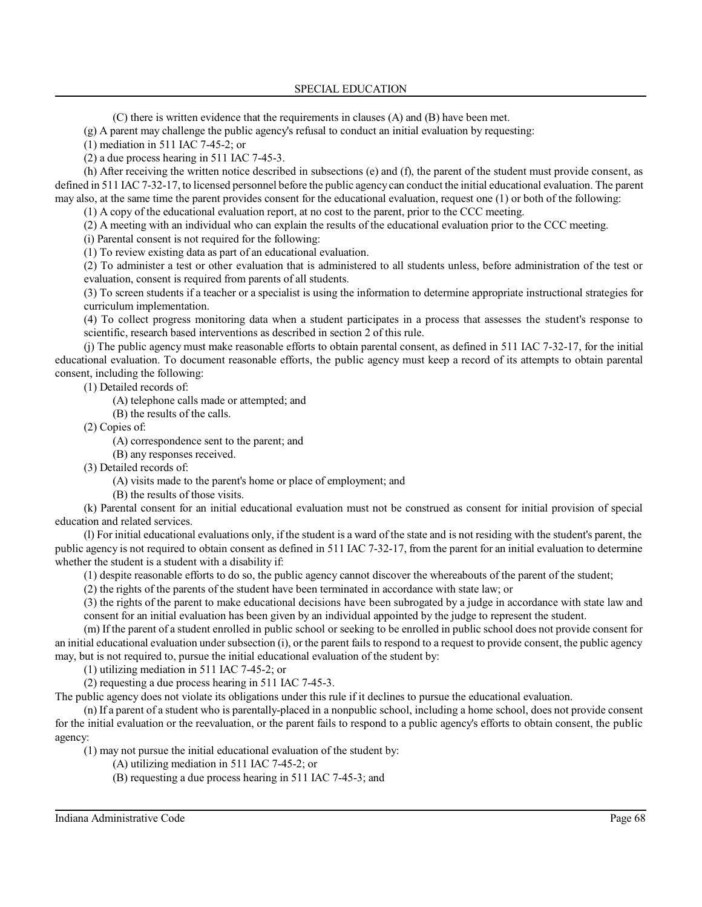(C) there is written evidence that the requirements in clauses (A) and (B) have been met.

(g) A parent may challenge the public agency's refusal to conduct an initial evaluation by requesting:

(1) mediation in 511 IAC 7-45-2; or

(2) a due process hearing in 511 IAC 7-45-3.

(h) After receiving the written notice described in subsections (e) and (f), the parent of the student must provide consent, as defined in 511 IAC 7-32-17, to licensed personnel before the public agencycan conduct the initial educational evaluation. The parent may also, at the same time the parent provides consent for the educational evaluation, request one (1) or both of the following:

(1) A copy of the educational evaluation report, at no cost to the parent, prior to the CCC meeting.

(2) A meeting with an individual who can explain the results of the educational evaluation prior to the CCC meeting.

(i) Parental consent is not required for the following:

(1) To review existing data as part of an educational evaluation.

(2) To administer a test or other evaluation that is administered to all students unless, before administration of the test or evaluation, consent is required from parents of all students.

(3) To screen students if a teacher or a specialist is using the information to determine appropriate instructional strategies for curriculum implementation.

(4) To collect progress monitoring data when a student participates in a process that assesses the student's response to scientific, research based interventions as described in section 2 of this rule.

(j) The public agency must make reasonable efforts to obtain parental consent, as defined in 511 IAC 7-32-17, for the initial educational evaluation. To document reasonable efforts, the public agency must keep a record of its attempts to obtain parental consent, including the following:

(1) Detailed records of:

(A) telephone calls made or attempted; and

(B) the results of the calls.

(2) Copies of:

(A) correspondence sent to the parent; and

(B) any responses received.

(3) Detailed records of:

(A) visits made to the parent's home or place of employment; and

(B) the results of those visits.

(k) Parental consent for an initial educational evaluation must not be construed as consent for initial provision of special education and related services.

(l) For initial educational evaluations only, if the student is a ward of the state and is not residing with the student's parent, the public agency is not required to obtain consent as defined in 511 IAC 7-32-17, from the parent for an initial evaluation to determine whether the student is a student with a disability if:

(1) despite reasonable efforts to do so, the public agency cannot discover the whereabouts of the parent of the student;

(2) the rights of the parents of the student have been terminated in accordance with state law; or

(3) the rights of the parent to make educational decisions have been subrogated by a judge in accordance with state law and consent for an initial evaluation has been given by an individual appointed by the judge to represent the student.

(m) If the parent of a student enrolled in public school or seeking to be enrolled in public school does not provide consent for an initial educational evaluation under subsection (i), or the parent fails to respond to a request to provide consent, the public agency may, but is not required to, pursue the initial educational evaluation of the student by:

(1) utilizing mediation in 511 IAC 7-45-2; or

(2) requesting a due process hearing in 511 IAC 7-45-3.

The public agency does not violate its obligations under this rule if it declines to pursue the educational evaluation.

(n) If a parent of a student who is parentally-placed in a nonpublic school, including a home school, does not provide consent for the initial evaluation or the reevaluation, or the parent fails to respond to a public agency's efforts to obtain consent, the public agency:

(1) may not pursue the initial educational evaluation of the student by:

(A) utilizing mediation in 511 IAC 7-45-2; or

(B) requesting a due process hearing in 511 IAC 7-45-3; and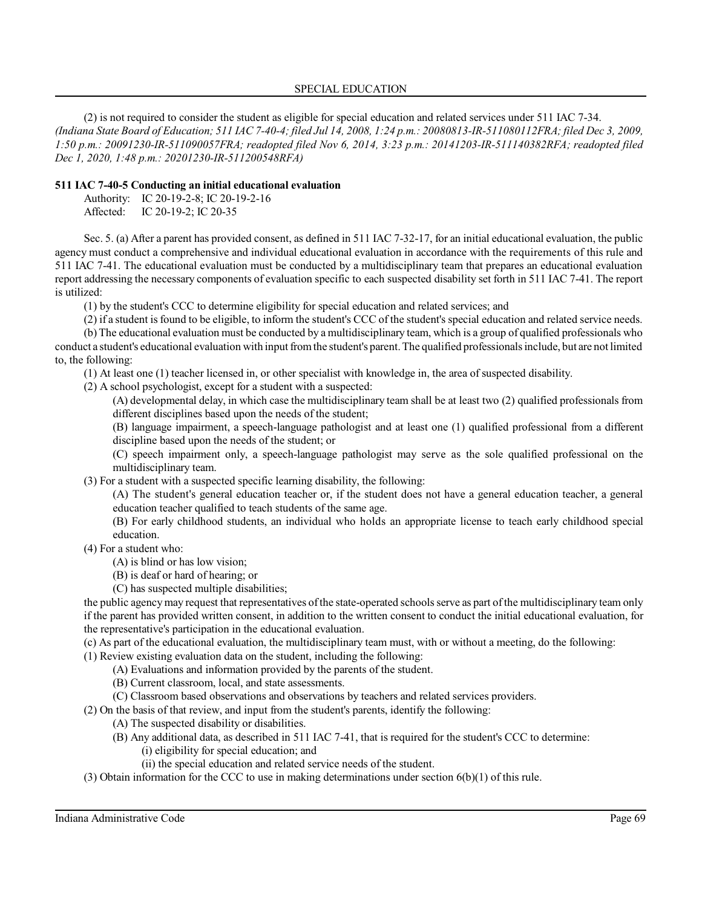(2) is not required to consider the student as eligible for special education and related services under 511 IAC 7-34. *(Indiana State Board of Education; 511 IAC 7-40-4; filed Jul 14, 2008, 1:24 p.m.: 20080813-IR-511080112FRA; filed Dec 3, 2009, 1:50 p.m.: 20091230-IR-511090057FRA; readopted filed Nov 6, 2014, 3:23 p.m.: 20141203-IR-511140382RFA; readopted filed Dec 1, 2020, 1:48 p.m.: 20201230-IR-511200548RFA)*

# **511 IAC 7-40-5 Conducting an initial educational evaluation**

Authority: IC 20-19-2-8; IC 20-19-2-16 Affected: IC 20-19-2; IC 20-35

Sec. 5. (a) After a parent has provided consent, as defined in 511 IAC 7-32-17, for an initial educational evaluation, the public agency must conduct a comprehensive and individual educational evaluation in accordance with the requirements of this rule and 511 IAC 7-41. The educational evaluation must be conducted by a multidisciplinary team that prepares an educational evaluation report addressing the necessary components of evaluation specific to each suspected disability set forth in 511 IAC 7-41. The report is utilized:

(1) by the student's CCC to determine eligibility for special education and related services; and

(2) if a student isfound to be eligible, to inform the student's CCC of the student's special education and related service needs.

(b) The educational evaluation must be conducted by a multidisciplinary team, which is a group of qualified professionals who conduct a student's educational evaluation with input fromthe student's parent.The qualified professionalsinclude, but are not limited to, the following:

(1) At least one (1) teacher licensed in, or other specialist with knowledge in, the area of suspected disability.

(2) A school psychologist, except for a student with a suspected:

(A) developmental delay, in which case the multidisciplinary team shall be at least two (2) qualified professionals from different disciplines based upon the needs of the student;

(B) language impairment, a speech-language pathologist and at least one (1) qualified professional from a different discipline based upon the needs of the student; or

(C) speech impairment only, a speech-language pathologist may serve as the sole qualified professional on the multidisciplinary team.

(3) For a student with a suspected specific learning disability, the following:

(A) The student's general education teacher or, if the student does not have a general education teacher, a general education teacher qualified to teach students of the same age.

(B) For early childhood students, an individual who holds an appropriate license to teach early childhood special education.

(4) For a student who:

(A) is blind or has low vision;

(B) is deaf or hard of hearing; or

(C) has suspected multiple disabilities;

the public agency may request that representatives of the state-operated schools serve as part of the multidisciplinary team only if the parent has provided written consent, in addition to the written consent to conduct the initial educational evaluation, for the representative's participation in the educational evaluation.

(c) As part of the educational evaluation, the multidisciplinary team must, with or without a meeting, do the following:

(1) Review existing evaluation data on the student, including the following:

- (A) Evaluations and information provided by the parents of the student.
- (B) Current classroom, local, and state assessments.
- (C) Classroom based observations and observations by teachers and related services providers.

(2) On the basis of that review, and input from the student's parents, identify the following:

- (A) The suspected disability or disabilities.
- (B) Any additional data, as described in 511 IAC 7-41, that is required for the student's CCC to determine: (i) eligibility for special education; and
	- (ii) the special education and related service needs of the student.
- (3) Obtain information for the CCC to use in making determinations under section 6(b)(1) of this rule.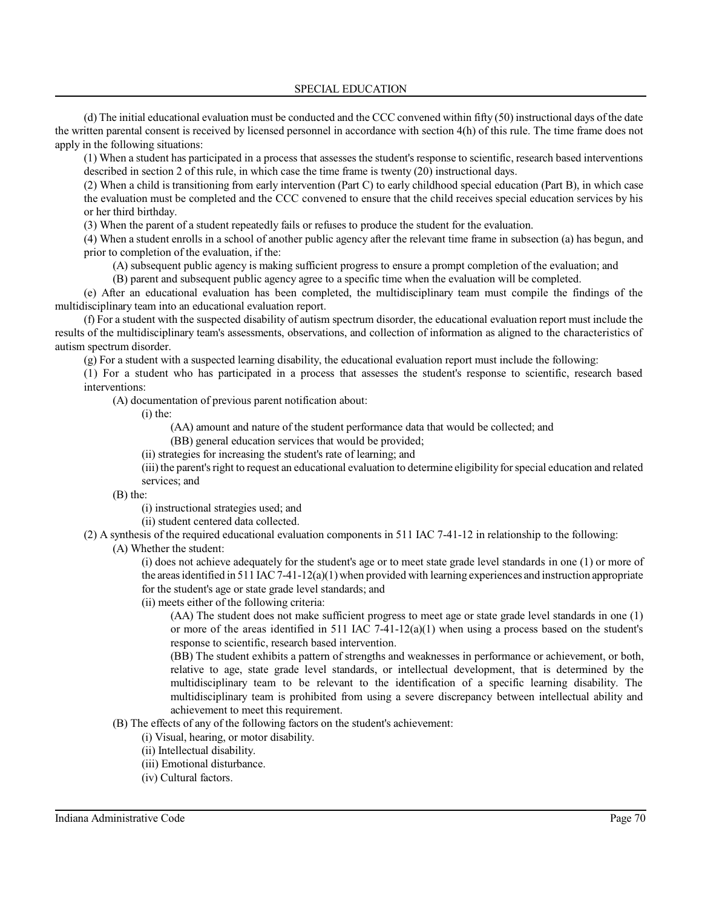SPECIAL EDUCATION

(d) The initial educational evaluation must be conducted and the CCC convened within fifty (50) instructional days of the date the written parental consent is received by licensed personnel in accordance with section 4(h) of this rule. The time frame does not apply in the following situations:

(1) When a student has participated in a process that assesses the student's response to scientific, research based interventions described in section 2 of this rule, in which case the time frame is twenty (20) instructional days.

(2) When a child is transitioning from early intervention (Part C) to early childhood special education (Part B), in which case the evaluation must be completed and the CCC convened to ensure that the child receives special education services by his or her third birthday.

(3) When the parent of a student repeatedly fails or refuses to produce the student for the evaluation.

(4) When a student enrolls in a school of another public agency after the relevant time frame in subsection (a) has begun, and prior to completion of the evaluation, if the:

(A) subsequent public agency is making sufficient progress to ensure a prompt completion of the evaluation; and

(B) parent and subsequent public agency agree to a specific time when the evaluation will be completed.

(e) After an educational evaluation has been completed, the multidisciplinary team must compile the findings of the multidisciplinary team into an educational evaluation report.

(f) For a student with the suspected disability of autism spectrum disorder, the educational evaluation report must include the results of the multidisciplinary team's assessments, observations, and collection of information as aligned to the characteristics of autism spectrum disorder.

(g) For a student with a suspected learning disability, the educational evaluation report must include the following:

(1) For a student who has participated in a process that assesses the student's response to scientific, research based interventions:

(A) documentation of previous parent notification about:

(i) the:

(AA) amount and nature of the student performance data that would be collected; and

(BB) general education services that would be provided;

(ii) strategies for increasing the student's rate of learning; and

(iii) the parent's right to request an educational evaluation to determine eligibility for special education and related services; and

(B) the:

(i) instructional strategies used; and

(ii) student centered data collected.

(2) A synthesis of the required educational evaluation components in 511 IAC 7-41-12 in relationship to the following:

(A) Whether the student:

(i) does not achieve adequately for the student's age or to meet state grade level standards in one (1) or more of the areas identified in 511 IAC 7-41-12(a)(1) when provided with learning experiences and instruction appropriate for the student's age or state grade level standards; and

(ii) meets either of the following criteria:

(AA) The student does not make sufficient progress to meet age or state grade level standards in one (1) or more of the areas identified in 511 IAC  $7-41-12(a)(1)$  when using a process based on the student's response to scientific, research based intervention.

(BB) The student exhibits a pattern of strengths and weaknesses in performance or achievement, or both, relative to age, state grade level standards, or intellectual development, that is determined by the multidisciplinary team to be relevant to the identification of a specific learning disability. The multidisciplinary team is prohibited from using a severe discrepancy between intellectual ability and achievement to meet this requirement.

# (B) The effects of any of the following factors on the student's achievement:

- (i) Visual, hearing, or motor disability.
- (ii) Intellectual disability.
- (iii) Emotional disturbance.
- (iv) Cultural factors.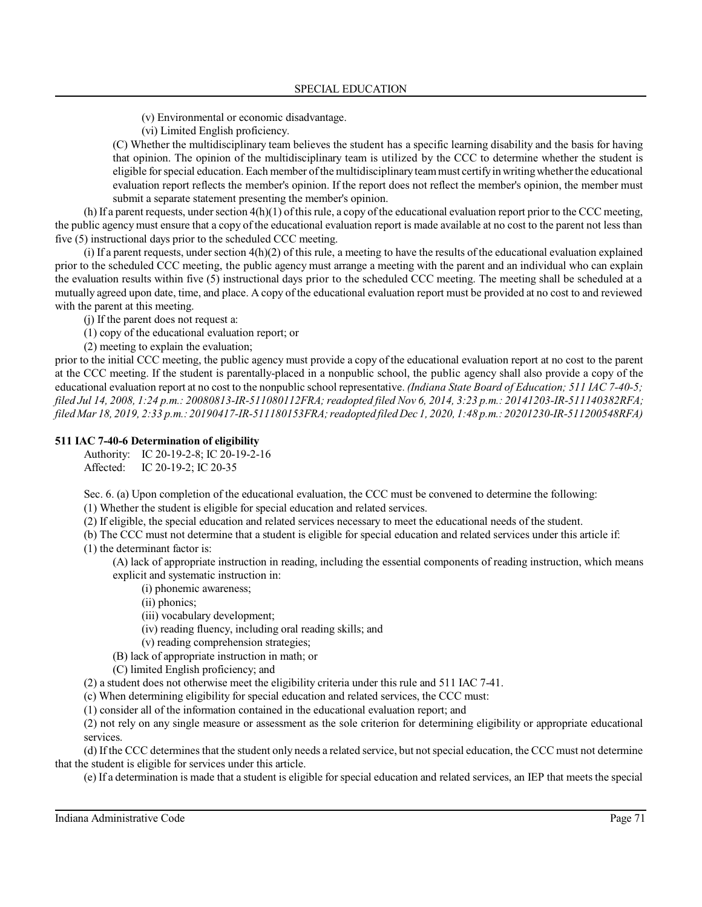- (v) Environmental or economic disadvantage.
- (vi) Limited English proficiency.

(C) Whether the multidisciplinary team believes the student has a specific learning disability and the basis for having that opinion. The opinion of the multidisciplinary team is utilized by the CCC to determine whether the student is eligible forspecial education. Each member ofthe multidisciplinary teammust certifyin writingwhetherthe educational evaluation report reflects the member's opinion. If the report does not reflect the member's opinion, the member must submit a separate statement presenting the member's opinion.

(h) If a parent requests, under section  $4(h)(1)$  of this rule, a copy of the educational evaluation report prior to the CCC meeting, the public agency must ensure that a copy of the educational evaluation report is made available at no cost to the parent not less than five (5) instructional days prior to the scheduled CCC meeting.

(i) If a parent requests, under section  $4(h)(2)$  of this rule, a meeting to have the results of the educational evaluation explained prior to the scheduled CCC meeting, the public agency must arrange a meeting with the parent and an individual who can explain the evaluation results within five (5) instructional days prior to the scheduled CCC meeting. The meeting shall be scheduled at a mutually agreed upon date, time, and place. A copy of the educational evaluation report must be provided at no cost to and reviewed with the parent at this meeting.

(j) If the parent does not request a:

- (1) copy of the educational evaluation report; or
- (2) meeting to explain the evaluation;

prior to the initial CCC meeting, the public agency must provide a copy of the educational evaluation report at no cost to the parent at the CCC meeting. If the student is parentally-placed in a nonpublic school, the public agency shall also provide a copy of the educational evaluation report at no cost to the nonpublic school representative. *(Indiana State Board of Education; 511 IAC 7-40-5; filed Jul 14, 2008, 1:24 p.m.: 20080813-IR-511080112FRA;readopted filed Nov 6, 2014, 3:23 p.m.: 20141203-IR-511140382RFA; filed Mar 18, 2019, 2:33 p.m.: 20190417-IR-511180153FRA;readopted filed Dec 1, 2020, 1:48 p.m.: 20201230-IR-511200548RFA)*

## **511 IAC 7-40-6 Determination of eligibility**

Authority: IC 20-19-2-8; IC 20-19-2-16 Affected: IC 20-19-2; IC 20-35

Sec. 6. (a) Upon completion of the educational evaluation, the CCC must be convened to determine the following:

(1) Whether the student is eligible for special education and related services.

(2) If eligible, the special education and related services necessary to meet the educational needs of the student.

(b) The CCC must not determine that a student is eligible for special education and related services under this article if: (1) the determinant factor is:

(A) lack of appropriate instruction in reading, including the essential components of reading instruction, which means explicit and systematic instruction in:

(i) phonemic awareness;

(ii) phonics;

- (iii) vocabulary development;
- (iv) reading fluency, including oral reading skills; and

(v) reading comprehension strategies;

(B) lack of appropriate instruction in math; or

(C) limited English proficiency; and

(2) a student does not otherwise meet the eligibility criteria under this rule and 511 IAC 7-41.

(c) When determining eligibility for special education and related services, the CCC must:

(1) consider all of the information contained in the educational evaluation report; and

(2) not rely on any single measure or assessment as the sole criterion for determining eligibility or appropriate educational services.

(d) If the CCC determines that the student only needs a related service, but not special education, the CCC must not determine that the student is eligible for services under this article.

(e) If a determination is made that a student is eligible for special education and related services, an IEP that meets the special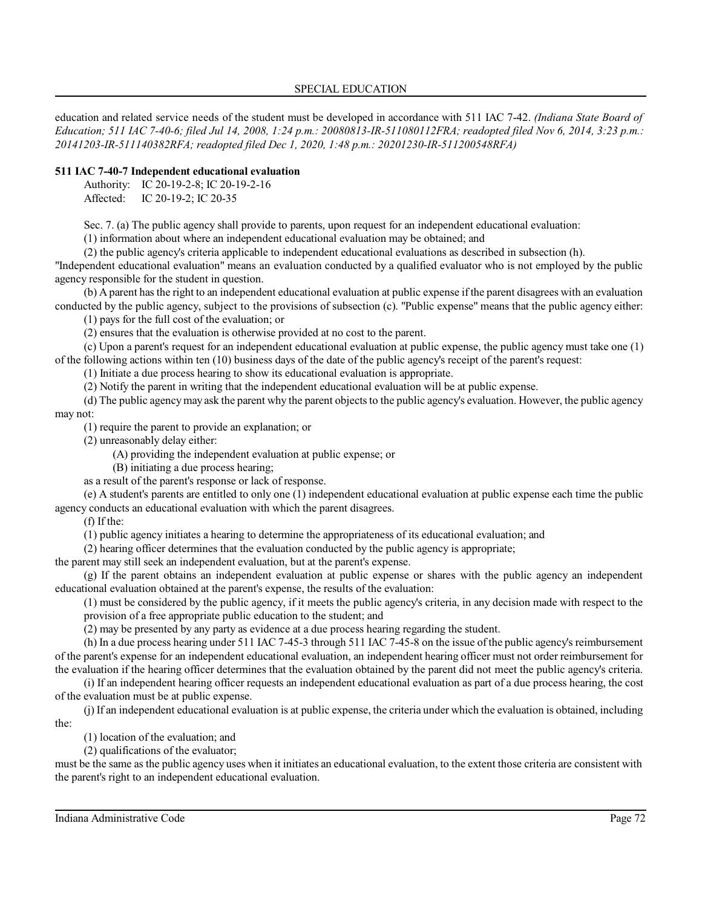education and related service needs of the student must be developed in accordance with 511 IAC 7-42. *(Indiana State Board of Education; 511 IAC 7-40-6; filed Jul 14, 2008, 1:24 p.m.: 20080813-IR-511080112FRA; readopted filed Nov 6, 2014, 3:23 p.m.: 20141203-IR-511140382RFA; readopted filed Dec 1, 2020, 1:48 p.m.: 20201230-IR-511200548RFA)*

# **511 IAC 7-40-7 Independent educational evaluation**

Authority: IC 20-19-2-8; IC 20-19-2-16 Affected: IC 20-19-2; IC 20-35

Sec. 7. (a) The public agency shall provide to parents, upon request for an independent educational evaluation:

(1) information about where an independent educational evaluation may be obtained; and

(2) the public agency's criteria applicable to independent educational evaluations as described in subsection (h).

"Independent educational evaluation" means an evaluation conducted by a qualified evaluator who is not employed by the public agency responsible for the student in question.

(b) A parent has the right to an independent educational evaluation at public expense ifthe parent disagrees with an evaluation conducted by the public agency, subject to the provisions of subsection (c). "Public expense" means that the public agency either:

(1) pays for the full cost of the evaluation; or

(2) ensures that the evaluation is otherwise provided at no cost to the parent.

(c) Upon a parent's request for an independent educational evaluation at public expense, the public agency must take one (1) of the following actions within ten (10) business days of the date of the public agency's receipt of the parent's request:

(1) Initiate a due process hearing to show its educational evaluation is appropriate.

(2) Notify the parent in writing that the independent educational evaluation will be at public expense.

(d) The public agencymay ask the parent why the parent objects to the public agency's evaluation. However, the public agency may not:

(1) require the parent to provide an explanation; or

(2) unreasonably delay either:

(A) providing the independent evaluation at public expense; or

(B) initiating a due process hearing;

as a result of the parent's response or lack of response.

(e) A student's parents are entitled to only one (1) independent educational evaluation at public expense each time the public agency conducts an educational evaluation with which the parent disagrees.

(f) If the:

(1) public agency initiates a hearing to determine the appropriateness of its educational evaluation; and

(2) hearing officer determines that the evaluation conducted by the public agency is appropriate;

the parent may still seek an independent evaluation, but at the parent's expense.

(g) If the parent obtains an independent evaluation at public expense or shares with the public agency an independent educational evaluation obtained at the parent's expense, the results of the evaluation:

(1) must be considered by the public agency, if it meets the public agency's criteria, in any decision made with respect to the provision of a free appropriate public education to the student; and

(2) may be presented by any party as evidence at a due process hearing regarding the student.

(h) In a due process hearing under 511 IAC 7-45-3 through 511 IAC 7-45-8 on the issue of the public agency's reimbursement of the parent's expense for an independent educational evaluation, an independent hearing officer must not order reimbursement for the evaluation if the hearing officer determines that the evaluation obtained by the parent did not meet the public agency's criteria.

(i) If an independent hearing officer requests an independent educational evaluation as part of a due process hearing, the cost of the evaluation must be at public expense.

(j) If an independent educational evaluation is at public expense, the criteria under which the evaluation is obtained, including the:

(1) location of the evaluation; and

(2) qualifications of the evaluator;

must be the same as the public agency uses when it initiates an educational evaluation, to the extent those criteria are consistent with the parent's right to an independent educational evaluation.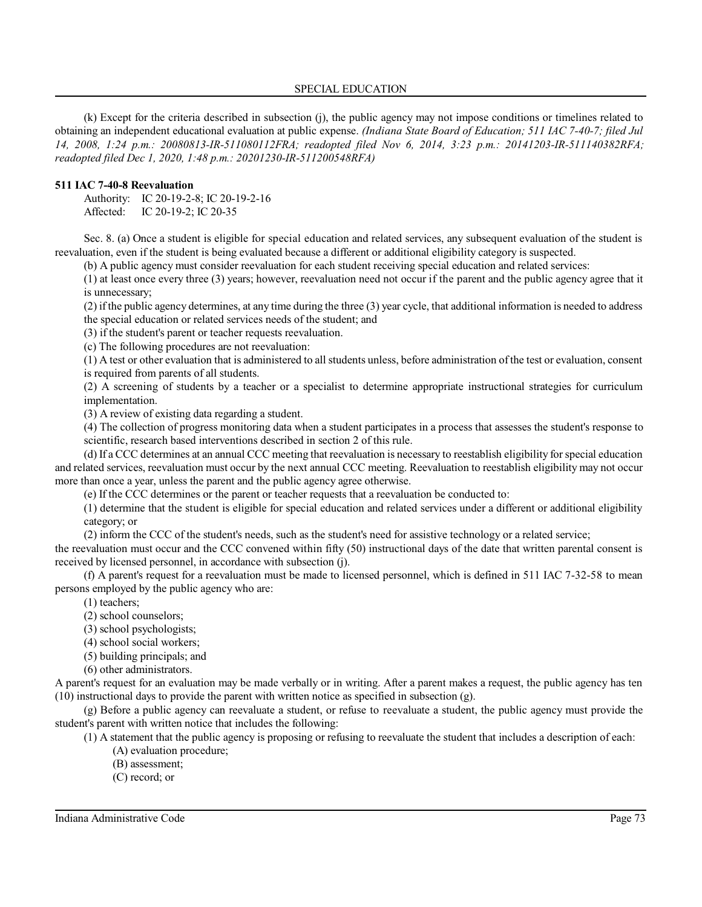(k) Except for the criteria described in subsection (j), the public agency may not impose conditions or timelines related to obtaining an independent educational evaluation at public expense. *(Indiana State Board of Education; 511 IAC 7-40-7; filed Jul 14, 2008, 1:24 p.m.: 20080813-IR-511080112FRA; readopted filed Nov 6, 2014, 3:23 p.m.: 20141203-IR-511140382RFA; readopted filed Dec 1, 2020, 1:48 p.m.: 20201230-IR-511200548RFA)*

### **511 IAC 7-40-8 Reevaluation**

Authority: IC 20-19-2-8; IC 20-19-2-16 Affected: IC 20-19-2; IC 20-35

Sec. 8. (a) Once a student is eligible for special education and related services, any subsequent evaluation of the student is reevaluation, even if the student is being evaluated because a different or additional eligibility category is suspected.

(b) A public agency must consider reevaluation for each student receiving special education and related services:

(1) at least once every three (3) years; however, reevaluation need not occur if the parent and the public agency agree that it is unnecessary;

(2) ifthe public agency determines, at any time during the three (3) year cycle, that additional information is needed to address the special education or related services needs of the student; and

(3) if the student's parent or teacher requests reevaluation.

(c) The following procedures are not reevaluation:

(1) A test or other evaluation that is administered to all students unless, before administration ofthe test or evaluation, consent is required from parents of all students.

(2) A screening of students by a teacher or a specialist to determine appropriate instructional strategies for curriculum implementation.

(3) A review of existing data regarding a student.

(4) The collection of progress monitoring data when a student participates in a process that assesses the student's response to scientific, research based interventions described in section 2 of this rule.

(d) If a CCC determines at an annual CCC meeting that reevaluation is necessary to reestablish eligibility forspecial education and related services, reevaluation must occur by the next annual CCC meeting. Reevaluation to reestablish eligibility may not occur more than once a year, unless the parent and the public agency agree otherwise.

(e) If the CCC determines or the parent or teacher requests that a reevaluation be conducted to:

(1) determine that the student is eligible for special education and related services under a different or additional eligibility category; or

(2) inform the CCC of the student's needs, such as the student's need for assistive technology or a related service;

the reevaluation must occur and the CCC convened within fifty (50) instructional days of the date that written parental consent is received by licensed personnel, in accordance with subsection (j).

(f) A parent's request for a reevaluation must be made to licensed personnel, which is defined in 511 IAC 7-32-58 to mean persons employed by the public agency who are:

(1) teachers;

- (2) school counselors;
- (3) school psychologists;
- (4) school social workers;
- (5) building principals; and
- (6) other administrators.

A parent's request for an evaluation may be made verbally or in writing. After a parent makes a request, the public agency has ten (10) instructional days to provide the parent with written notice as specified in subsection (g).

(g) Before a public agency can reevaluate a student, or refuse to reevaluate a student, the public agency must provide the student's parent with written notice that includes the following:

(1) A statement that the public agency is proposing or refusing to reevaluate the student that includes a description of each:

- (A) evaluation procedure;
- (B) assessment;
- (C) record; or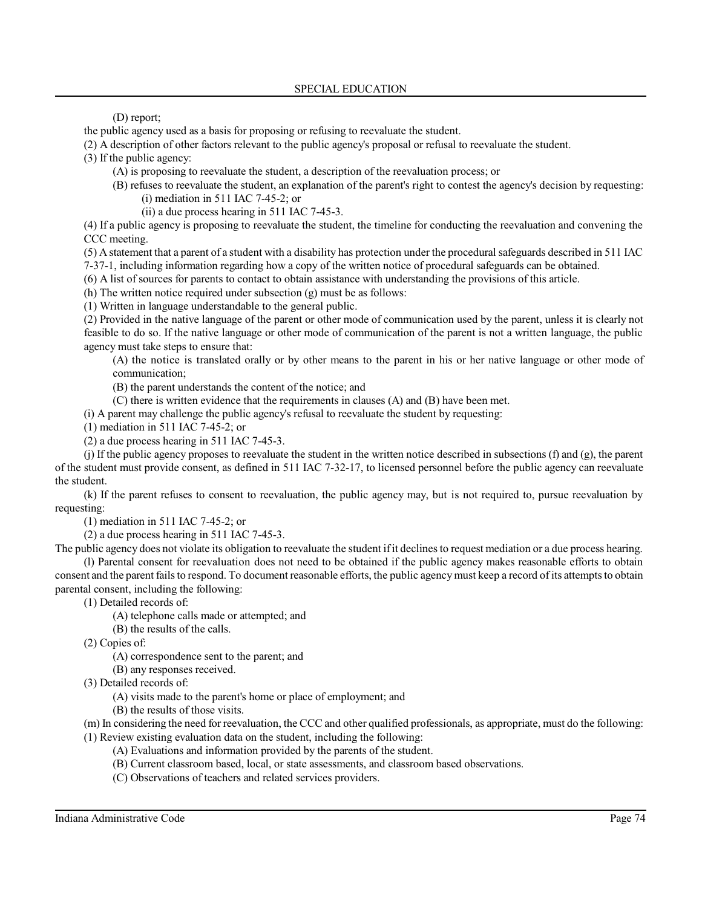(D) report;

the public agency used as a basis for proposing or refusing to reevaluate the student.

(2) A description of other factors relevant to the public agency's proposal or refusal to reevaluate the student.

(3) If the public agency:

- (A) is proposing to reevaluate the student, a description of the reevaluation process; or
- (B) refuses to reevaluate the student, an explanation of the parent's right to contest the agency's decision by requesting: (i) mediation in 511 IAC 7-45-2; or
	- (ii) a due process hearing in 511 IAC 7-45-3.

(4) If a public agency is proposing to reevaluate the student, the timeline for conducting the reevaluation and convening the CCC meeting.

(5) A statement that a parent of a student with a disability has protection under the procedural safeguards described in 511 IAC

7-37-1, including information regarding how a copy of the written notice of procedural safeguards can be obtained.

(6) A list of sources for parents to contact to obtain assistance with understanding the provisions of this article.

(h) The written notice required under subsection (g) must be as follows:

(1) Written in language understandable to the general public.

(2) Provided in the native language of the parent or other mode of communication used by the parent, unless it is clearly not feasible to do so. If the native language or other mode of communication of the parent is not a written language, the public agency must take steps to ensure that:

(A) the notice is translated orally or by other means to the parent in his or her native language or other mode of communication;

(B) the parent understands the content of the notice; and

(C) there is written evidence that the requirements in clauses (A) and (B) have been met.

(i) A parent may challenge the public agency's refusal to reevaluate the student by requesting:

(1) mediation in 511 IAC 7-45-2; or

(2) a due process hearing in 511 IAC 7-45-3.

(j) If the public agency proposes to reevaluate the student in the written notice described in subsections (f) and (g), the parent of the student must provide consent, as defined in 511 IAC 7-32-17, to licensed personnel before the public agency can reevaluate the student.

(k) If the parent refuses to consent to reevaluation, the public agency may, but is not required to, pursue reevaluation by requesting:

(1) mediation in 511 IAC 7-45-2; or

(2) a due process hearing in 511 IAC 7-45-3.

The public agency does not violate its obligation to reevaluate the student ifit declinesto request mediation or a due process hearing. (l) Parental consent for reevaluation does not need to be obtained if the public agency makes reasonable efforts to obtain consent and the parent failsto respond. To document reasonable efforts, the public agencymust keep a record of its attemptsto obtain parental consent, including the following:

(1) Detailed records of:

- (A) telephone calls made or attempted; and
- (B) the results of the calls.

(2) Copies of:

(A) correspondence sent to the parent; and

(B) any responses received.

(3) Detailed records of:

(A) visits made to the parent's home or place of employment; and

(B) the results of those visits.

(m) In considering the need for reevaluation, the CCC and other qualified professionals, as appropriate, must do the following: (1) Review existing evaluation data on the student, including the following:

- (A) Evaluations and information provided by the parents of the student.
- (B) Current classroom based, local, or state assessments, and classroom based observations.
- (C) Observations of teachers and related services providers.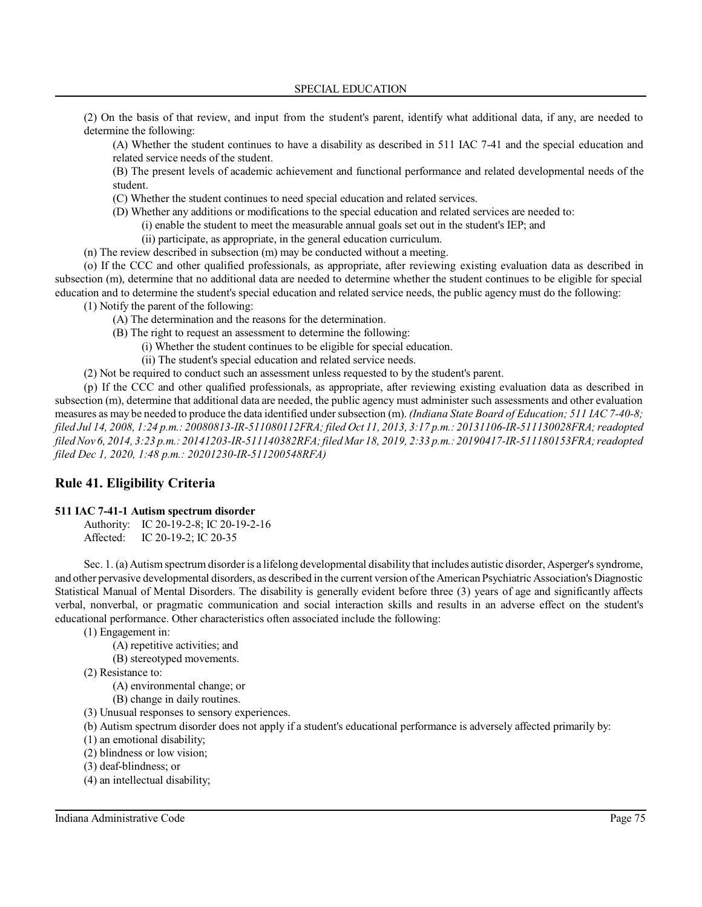(2) On the basis of that review, and input from the student's parent, identify what additional data, if any, are needed to determine the following:

(A) Whether the student continues to have a disability as described in 511 IAC 7-41 and the special education and related service needs of the student.

(B) The present levels of academic achievement and functional performance and related developmental needs of the student.

(C) Whether the student continues to need special education and related services.

(D) Whether any additions or modifications to the special education and related services are needed to:

(i) enable the student to meet the measurable annual goals set out in the student's IEP; and

(ii) participate, as appropriate, in the general education curriculum.

(n) The review described in subsection (m) may be conducted without a meeting.

(o) If the CCC and other qualified professionals, as appropriate, after reviewing existing evaluation data as described in subsection (m), determine that no additional data are needed to determine whether the student continues to be eligible for special education and to determine the student's special education and related service needs, the public agency must do the following:

(1) Notify the parent of the following:

(A) The determination and the reasons for the determination.

- (B) The right to request an assessment to determine the following:
	- (i) Whether the student continues to be eligible for special education.

(ii) The student's special education and related service needs.

(2) Not be required to conduct such an assessment unless requested to by the student's parent.

(p) If the CCC and other qualified professionals, as appropriate, after reviewing existing evaluation data as described in subsection (m), determine that additional data are needed, the public agency must administer such assessments and other evaluation measures as may be needed to produce the data identified under subsection (m). *(Indiana State Board of Education;* 511 IAC 7-40-8; *filed Jul 14, 2008, 1:24 p.m.: 20080813-IR-511080112FRA; filed Oct 11, 2013, 3:17 p.m.: 20131106-IR-511130028FRA;readopted filed Nov 6, 2014, 3:23 p.m.: 20141203-IR-511140382RFA;filed Mar 18, 2019, 2:33 p.m.: 20190417-IR-511180153FRA;readopted filed Dec 1, 2020, 1:48 p.m.: 20201230-IR-511200548RFA)*

# **Rule 41. Eligibility Criteria**

# **511 IAC 7-41-1 Autism spectrum disorder**

Authority: IC 20-19-2-8; IC 20-19-2-16 Affected: IC 20-19-2; IC 20-35

Sec. 1. (a) Autism spectrum disorderis a lifelong developmental disability that includes autistic disorder, Asperger's syndrome, and other pervasive developmental disorders, as described in the current version ofthe American Psychiatric Association's Diagnostic Statistical Manual of Mental Disorders. The disability is generally evident before three (3) years of age and significantly affects verbal, nonverbal, or pragmatic communication and social interaction skills and results in an adverse effect on the student's educational performance. Other characteristics often associated include the following:

(1) Engagement in:

(A) repetitive activities; and

(B) stereotyped movements.

(2) Resistance to:

(A) environmental change; or

(B) change in daily routines.

(3) Unusual responses to sensory experiences.

(b) Autism spectrum disorder does not apply if a student's educational performance is adversely affected primarily by:

(1) an emotional disability;

(2) blindness or low vision;

(3) deaf-blindness; or

(4) an intellectual disability;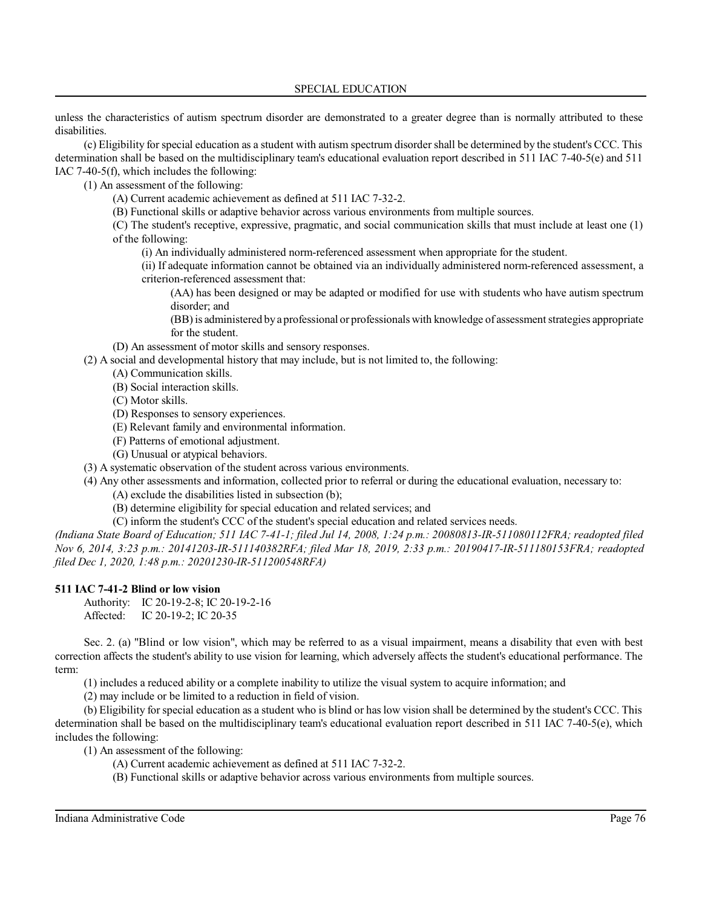unless the characteristics of autism spectrum disorder are demonstrated to a greater degree than is normally attributed to these disabilities.

(c) Eligibility for special education as a student with autism spectrum disorder shall be determined by the student's CCC. This determination shall be based on the multidisciplinary team's educational evaluation report described in 511 IAC 7-40-5(e) and 511 IAC 7-40-5(f), which includes the following:

(1) An assessment of the following:

(A) Current academic achievement as defined at 511 IAC 7-32-2.

(B) Functional skills or adaptive behavior across various environments from multiple sources.

(C) The student's receptive, expressive, pragmatic, and social communication skills that must include at least one (1) of the following:

(i) An individually administered norm-referenced assessment when appropriate for the student.

(ii) If adequate information cannot be obtained via an individually administered norm-referenced assessment, a criterion-referenced assessment that:

(AA) has been designed or may be adapted or modified for use with students who have autism spectrum disorder; and

(BB)is administered bya professional or professionals with knowledge of assessment strategies appropriate for the student.

(D) An assessment of motor skills and sensory responses.

(2) A social and developmental history that may include, but is not limited to, the following:

(A) Communication skills.

- (B) Social interaction skills.
- (C) Motor skills.
- (D) Responses to sensory experiences.
- (E) Relevant family and environmental information.
- (F) Patterns of emotional adjustment.
- (G) Unusual or atypical behaviors.

(3) A systematic observation of the student across various environments.

(4) Any other assessments and information, collected prior to referral or during the educational evaluation, necessary to:

(A) exclude the disabilities listed in subsection (b);

(B) determine eligibility for special education and related services; and

(C) inform the student's CCC of the student's special education and related services needs.

*(Indiana State Board of Education; 511 IAC 7-41-1; filed Jul 14, 2008, 1:24 p.m.: 20080813-IR-511080112FRA; readopted filed Nov 6, 2014, 3:23 p.m.: 20141203-IR-511140382RFA; filed Mar 18, 2019, 2:33 p.m.: 20190417-IR-511180153FRA; readopted filed Dec 1, 2020, 1:48 p.m.: 20201230-IR-511200548RFA)*

# **511 IAC 7-41-2 Blind or low vision**

Authority: IC 20-19-2-8; IC 20-19-2-16 Affected: IC 20-19-2; IC 20-35

Sec. 2. (a) "Blind or low vision", which may be referred to as a visual impairment, means a disability that even with best correction affects the student's ability to use vision for learning, which adversely affects the student's educational performance. The term:

(1) includes a reduced ability or a complete inability to utilize the visual system to acquire information; and

(2) may include or be limited to a reduction in field of vision.

(b) Eligibility for special education as a student who is blind or has low vision shall be determined by the student's CCC. This determination shall be based on the multidisciplinary team's educational evaluation report described in 511 IAC 7-40-5(e), which includes the following:

(1) An assessment of the following:

- (A) Current academic achievement as defined at 511 IAC 7-32-2.
- (B) Functional skills or adaptive behavior across various environments from multiple sources.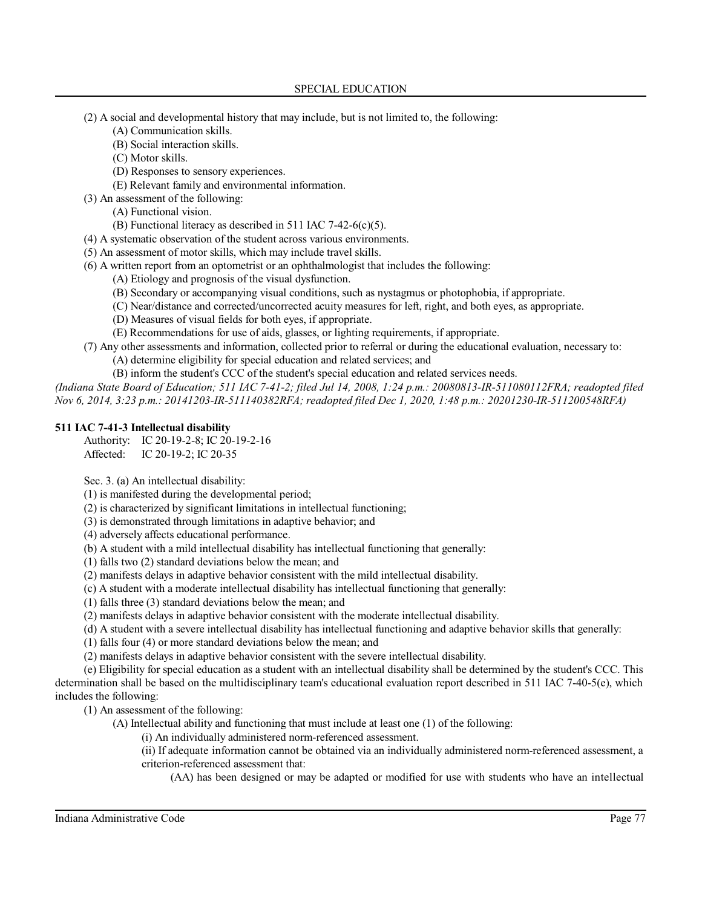- (2) A social and developmental history that may include, but is not limited to, the following:
	- (A) Communication skills.
	- (B) Social interaction skills.
	- (C) Motor skills.
	- (D) Responses to sensory experiences.
	- (E) Relevant family and environmental information.
- (3) An assessment of the following:
	- (A) Functional vision.
	- (B) Functional literacy as described in 511 IAC 7-42-6(c)(5).
- (4) A systematic observation of the student across various environments.
- (5) An assessment of motor skills, which may include travel skills.
- (6) A written report from an optometrist or an ophthalmologist that includes the following:
	- (A) Etiology and prognosis of the visual dysfunction.
	- (B) Secondary or accompanying visual conditions, such as nystagmus or photophobia, if appropriate.
	- (C) Near/distance and corrected/uncorrected acuity measures for left, right, and both eyes, as appropriate.
	- (D) Measures of visual fields for both eyes, if appropriate.
	- (E) Recommendations for use of aids, glasses, or lighting requirements, if appropriate.
- (7) Any other assessments and information, collected prior to referral or during the educational evaluation, necessary to:
	- (A) determine eligibility for special education and related services; and
	- (B) inform the student's CCC of the student's special education and related services needs.

*(Indiana State Board of Education; 511 IAC 7-41-2; filed Jul 14, 2008, 1:24 p.m.: 20080813-IR-511080112FRA; readopted filed Nov 6, 2014, 3:23 p.m.: 20141203-IR-511140382RFA; readopted filed Dec 1, 2020, 1:48 p.m.: 20201230-IR-511200548RFA)*

# **511 IAC 7-41-3 Intellectual disability**

Authority: IC 20-19-2-8; IC 20-19-2-16 Affected: IC 20-19-2; IC 20-35

Sec. 3. (a) An intellectual disability:

(1) is manifested during the developmental period;

(2) is characterized by significant limitations in intellectual functioning;

(3) is demonstrated through limitations in adaptive behavior; and

(4) adversely affects educational performance.

(b) A student with a mild intellectual disability has intellectual functioning that generally:

(1) falls two (2) standard deviations below the mean; and

(2) manifests delays in adaptive behavior consistent with the mild intellectual disability.

- (c) A student with a moderate intellectual disability has intellectual functioning that generally:
- (1) falls three (3) standard deviations below the mean; and

(2) manifests delays in adaptive behavior consistent with the moderate intellectual disability.

(d) A student with a severe intellectual disability has intellectual functioning and adaptive behavior skills that generally:

(1) falls four (4) or more standard deviations below the mean; and

(2) manifests delays in adaptive behavior consistent with the severe intellectual disability.

(e) Eligibility for special education as a student with an intellectual disability shall be determined by the student's CCC. This determination shall be based on the multidisciplinary team's educational evaluation report described in 511 IAC 7-40-5(e), which includes the following:

(1) An assessment of the following:

(A) Intellectual ability and functioning that must include at least one (1) of the following:

- (i) An individually administered norm-referenced assessment.
- (ii) If adequate information cannot be obtained via an individually administered norm-referenced assessment, a criterion-referenced assessment that:

(AA) has been designed or may be adapted or modified for use with students who have an intellectual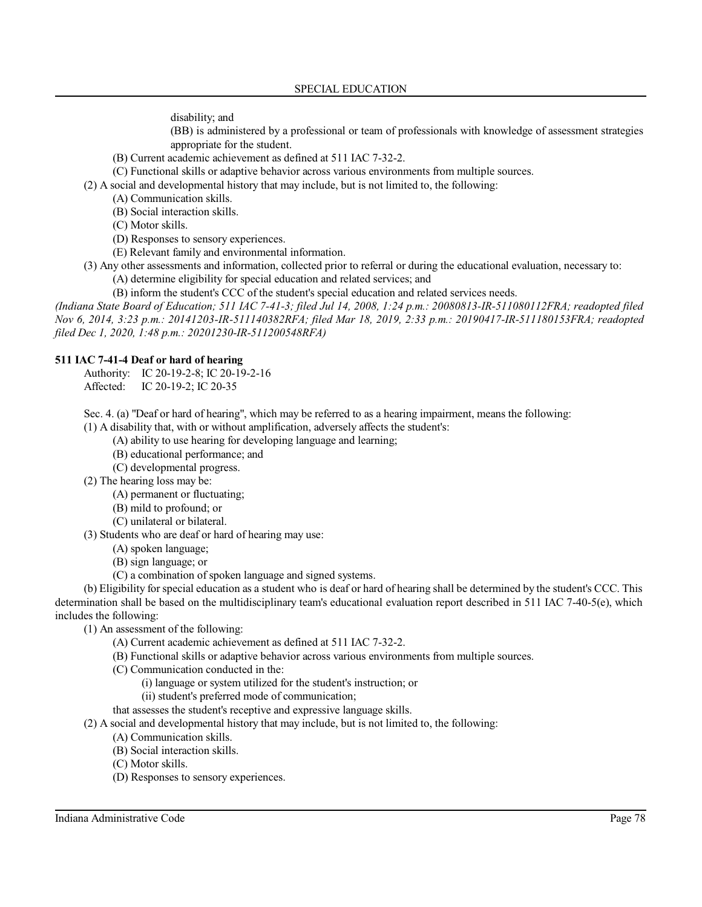disability; and

(BB) is administered by a professional or team of professionals with knowledge of assessment strategies appropriate for the student.

- (B) Current academic achievement as defined at 511 IAC 7-32-2.
- (C) Functional skills or adaptive behavior across various environments from multiple sources.

(2) A social and developmental history that may include, but is not limited to, the following:

- (A) Communication skills.
- (B) Social interaction skills.
- (C) Motor skills.
- (D) Responses to sensory experiences.
- (E) Relevant family and environmental information.
- (3) Any other assessments and information, collected prior to referral or during the educational evaluation, necessary to:
	- (A) determine eligibility for special education and related services; and

(B) inform the student's CCC of the student's special education and related services needs.

*(Indiana State Board of Education; 511 IAC 7-41-3; filed Jul 14, 2008, 1:24 p.m.: 20080813-IR-511080112FRA; readopted filed Nov 6, 2014, 3:23 p.m.: 20141203-IR-511140382RFA; filed Mar 18, 2019, 2:33 p.m.: 20190417-IR-511180153FRA; readopted filed Dec 1, 2020, 1:48 p.m.: 20201230-IR-511200548RFA)*

### **511 IAC 7-41-4 Deaf or hard of hearing**

Authority: IC 20-19-2-8; IC 20-19-2-16 Affected: IC 20-19-2; IC 20-35

Sec. 4. (a) "Deaf or hard of hearing", which may be referred to as a hearing impairment, means the following:

(1) A disability that, with or without amplification, adversely affects the student's:

(A) ability to use hearing for developing language and learning;

- (B) educational performance; and
- (C) developmental progress.
- (2) The hearing loss may be:
	- (A) permanent or fluctuating;
	- (B) mild to profound; or
	- (C) unilateral or bilateral.
- (3) Students who are deaf or hard of hearing may use:
	- (A) spoken language;
	- (B) sign language; or
	- (C) a combination of spoken language and signed systems.

(b) Eligibility for special education as a student who is deaf or hard of hearing shall be determined by the student's CCC. This determination shall be based on the multidisciplinary team's educational evaluation report described in 511 IAC 7-40-5(e), which includes the following:

(1) An assessment of the following:

- (A) Current academic achievement as defined at 511 IAC 7-32-2.
- (B) Functional skills or adaptive behavior across various environments from multiple sources.
- (C) Communication conducted in the:
	- (i) language or system utilized for the student's instruction; or
	- (ii) student's preferred mode of communication;

that assesses the student's receptive and expressive language skills.

- (2) A social and developmental history that may include, but is not limited to, the following:
	- (A) Communication skills.
	- (B) Social interaction skills.
	- (C) Motor skills.
	- (D) Responses to sensory experiences.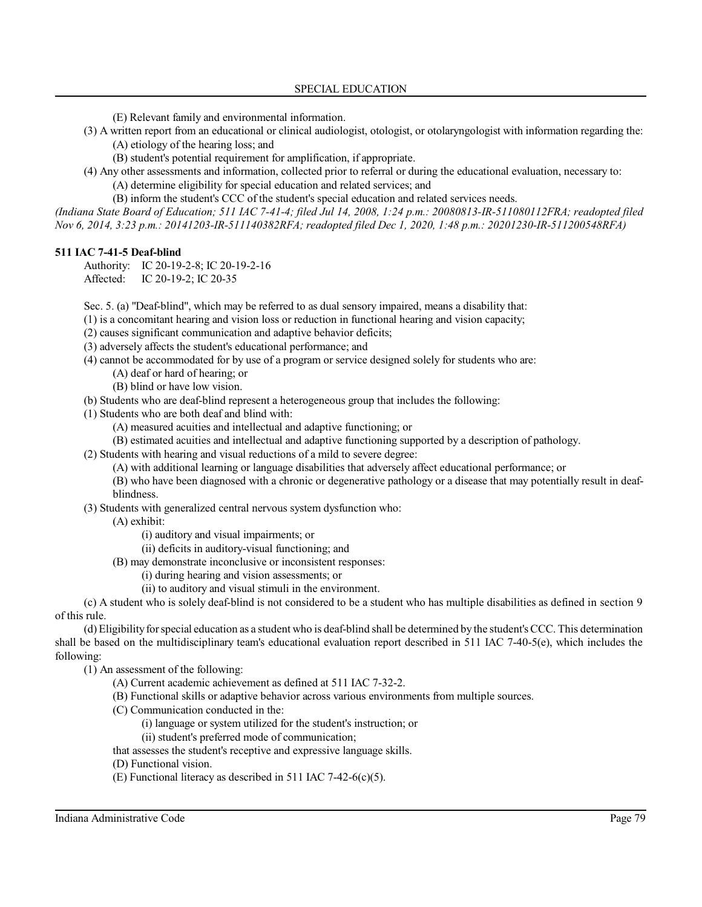(E) Relevant family and environmental information.

(3) A written report from an educational or clinical audiologist, otologist, or otolaryngologist with information regarding the: (A) etiology of the hearing loss; and

(B) student's potential requirement for amplification, if appropriate.

(4) Any other assessments and information, collected prior to referral or during the educational evaluation, necessary to: (A) determine eligibility for special education and related services; and

(B) inform the student's CCC of the student's special education and related services needs.

*(Indiana State Board of Education; 511 IAC 7-41-4; filed Jul 14, 2008, 1:24 p.m.: 20080813-IR-511080112FRA; readopted filed Nov 6, 2014, 3:23 p.m.: 20141203-IR-511140382RFA; readopted filed Dec 1, 2020, 1:48 p.m.: 20201230-IR-511200548RFA)*

# **511 IAC 7-41-5 Deaf-blind**

Authority: IC 20-19-2-8; IC 20-19-2-16 Affected: IC 20-19-2; IC 20-35

Sec. 5. (a) "Deaf-blind", which may be referred to as dual sensory impaired, means a disability that:

- (1) is a concomitant hearing and vision loss or reduction in functional hearing and vision capacity;
- (2) causes significant communication and adaptive behavior deficits;
- (3) adversely affects the student's educational performance; and
- (4) cannot be accommodated for by use of a program or service designed solely for students who are:
	- (A) deaf or hard of hearing; or
		- (B) blind or have low vision.
- (b) Students who are deaf-blind represent a heterogeneous group that includes the following:
- (1) Students who are both deaf and blind with:
	- (A) measured acuities and intellectual and adaptive functioning; or
	- (B) estimated acuities and intellectual and adaptive functioning supported by a description of pathology.
- (2) Students with hearing and visual reductions of a mild to severe degree:
	- (A) with additional learning or language disabilities that adversely affect educational performance; or
	- (B) who have been diagnosed with a chronic or degenerative pathology or a disease that may potentially result in deafblindness.
- (3) Students with generalized central nervous system dysfunction who:
	- (A) exhibit:
		- (i) auditory and visual impairments; or
		- (ii) deficits in auditory-visual functioning; and
		- (B) may demonstrate inconclusive or inconsistent responses:
			- (i) during hearing and vision assessments; or
			- (ii) to auditory and visual stimuli in the environment.

(c) A student who is solely deaf-blind is not considered to be a student who has multiple disabilities as defined in section 9 of this rule.

(d) Eligibilityforspecial education as a student who is deaf-blind shall be determined by the student's CCC. This determination shall be based on the multidisciplinary team's educational evaluation report described in 511 IAC 7-40-5(e), which includes the following:

(1) An assessment of the following:

- (A) Current academic achievement as defined at 511 IAC 7-32-2.
- (B) Functional skills or adaptive behavior across various environments from multiple sources.
- (C) Communication conducted in the:
	- (i) language or system utilized for the student's instruction; or
	- (ii) student's preferred mode of communication;
- that assesses the student's receptive and expressive language skills.
- (D) Functional vision.
- (E) Functional literacy as described in 511 IAC 7-42-6(c)(5).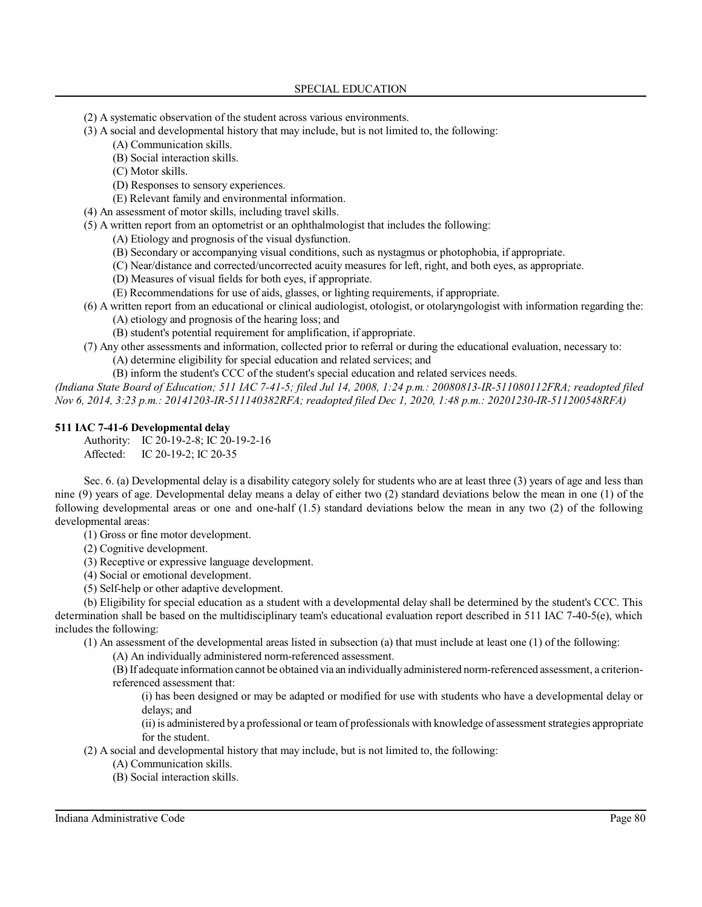(2) A systematic observation of the student across various environments.

- (3) A social and developmental history that may include, but is not limited to, the following:
	- (A) Communication skills.
		- (B) Social interaction skills.
		- (C) Motor skills.
		- (D) Responses to sensory experiences.
	- (E) Relevant family and environmental information.
- (4) An assessment of motor skills, including travel skills.
- (5) A written report from an optometrist or an ophthalmologist that includes the following:
	- (A) Etiology and prognosis of the visual dysfunction.
	- (B) Secondary or accompanying visual conditions, such as nystagmus or photophobia, if appropriate.
	- (C) Near/distance and corrected/uncorrected acuity measures for left, right, and both eyes, as appropriate.
	- (D) Measures of visual fields for both eyes, if appropriate.
	- (E) Recommendations for use of aids, glasses, or lighting requirements, if appropriate.
- (6) A written report from an educational or clinical audiologist, otologist, or otolaryngologist with information regarding the:
	- (A) etiology and prognosis of the hearing loss; and
	- (B) student's potential requirement for amplification, if appropriate.
- (7) Any other assessments and information, collected prior to referral or during the educational evaluation, necessary to:
	- (A) determine eligibility for special education and related services; and
	- (B) inform the student's CCC of the student's special education and related services needs.

*(Indiana State Board of Education; 511 IAC 7-41-5; filed Jul 14, 2008, 1:24 p.m.: 20080813-IR-511080112FRA; readopted filed Nov 6, 2014, 3:23 p.m.: 20141203-IR-511140382RFA; readopted filed Dec 1, 2020, 1:48 p.m.: 20201230-IR-511200548RFA)*

# **511 IAC 7-41-6 Developmental delay**

Authority: IC 20-19-2-8; IC 20-19-2-16 Affected: IC 20-19-2; IC 20-35

Sec. 6. (a) Developmental delay is a disability category solely for students who are at least three (3) years of age and less than nine (9) years of age. Developmental delay means a delay of either two (2) standard deviations below the mean in one (1) of the following developmental areas or one and one-half (1.5) standard deviations below the mean in any two (2) of the following developmental areas:

(1) Gross or fine motor development.

- (2) Cognitive development.
- (3) Receptive or expressive language development.
- (4) Social or emotional development.
- (5) Self-help or other adaptive development.

(b) Eligibility for special education as a student with a developmental delay shall be determined by the student's CCC. This determination shall be based on the multidisciplinary team's educational evaluation report described in 511 IAC 7-40-5(e), which includes the following:

(1) An assessment of the developmental areas listed in subsection (a) that must include at least one (1) of the following:

(A) An individually administered norm-referenced assessment.

(B)If adequate information cannot be obtained via an individuallyadministered norm-referenced assessment, a criterionreferenced assessment that:

(i) has been designed or may be adapted or modified for use with students who have a developmental delay or delays; and

(ii)is administered by a professional or team of professionals with knowledge of assessment strategies appropriate for the student.

(2) A social and developmental history that may include, but is not limited to, the following:

- (A) Communication skills.
- (B) Social interaction skills.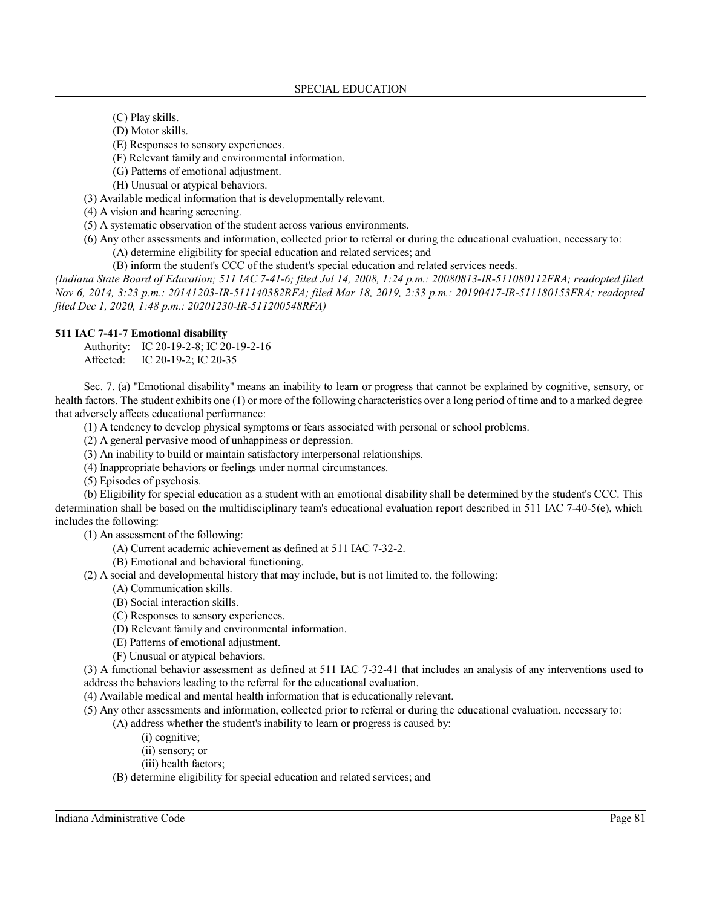- (C) Play skills.
- (D) Motor skills.
- (E) Responses to sensory experiences.
- (F) Relevant family and environmental information.
- (G) Patterns of emotional adjustment.
- (H) Unusual or atypical behaviors.
- (3) Available medical information that is developmentally relevant.
- (4) A vision and hearing screening.
- (5) A systematic observation of the student across various environments.
- (6) Any other assessments and information, collected prior to referral or during the educational evaluation, necessary to:
	- (A) determine eligibility for special education and related services; and
	- (B) inform the student's CCC of the student's special education and related services needs.

*(Indiana State Board of Education; 511 IAC 7-41-6; filed Jul 14, 2008, 1:24 p.m.: 20080813-IR-511080112FRA; readopted filed Nov 6, 2014, 3:23 p.m.: 20141203-IR-511140382RFA; filed Mar 18, 2019, 2:33 p.m.: 20190417-IR-511180153FRA; readopted filed Dec 1, 2020, 1:48 p.m.: 20201230-IR-511200548RFA)*

### **511 IAC 7-41-7 Emotional disability**

Authority: IC 20-19-2-8; IC 20-19-2-16 Affected: IC 20-19-2; IC 20-35

Sec. 7. (a) "Emotional disability" means an inability to learn or progress that cannot be explained by cognitive, sensory, or health factors. The student exhibits one (1) or more of the following characteristics over a long period of time and to a marked degree that adversely affects educational performance:

- (1) A tendency to develop physical symptoms or fears associated with personal or school problems.
- (2) A general pervasive mood of unhappiness or depression.
- (3) An inability to build or maintain satisfactory interpersonal relationships.
- (4) Inappropriate behaviors or feelings under normal circumstances.
- (5) Episodes of psychosis.

(b) Eligibility for special education as a student with an emotional disability shall be determined by the student's CCC. This determination shall be based on the multidisciplinary team's educational evaluation report described in 511 IAC 7-40-5(e), which includes the following:

(1) An assessment of the following:

- (A) Current academic achievement as defined at 511 IAC 7-32-2.
- (B) Emotional and behavioral functioning.
- (2) A social and developmental history that may include, but is not limited to, the following:
	- (A) Communication skills.
	- (B) Social interaction skills.
	- (C) Responses to sensory experiences.
	- (D) Relevant family and environmental information.
	- (E) Patterns of emotional adjustment.
	- (F) Unusual or atypical behaviors.

(3) A functional behavior assessment as defined at 511 IAC 7-32-41 that includes an analysis of any interventions used to address the behaviors leading to the referral for the educational evaluation.

(4) Available medical and mental health information that is educationally relevant.

- (5) Any other assessments and information, collected prior to referral or during the educational evaluation, necessary to:
	- (A) address whether the student's inability to learn or progress is caused by:
		- (i) cognitive;
		- (ii) sensory; or
		- (iii) health factors;
		- (B) determine eligibility for special education and related services; and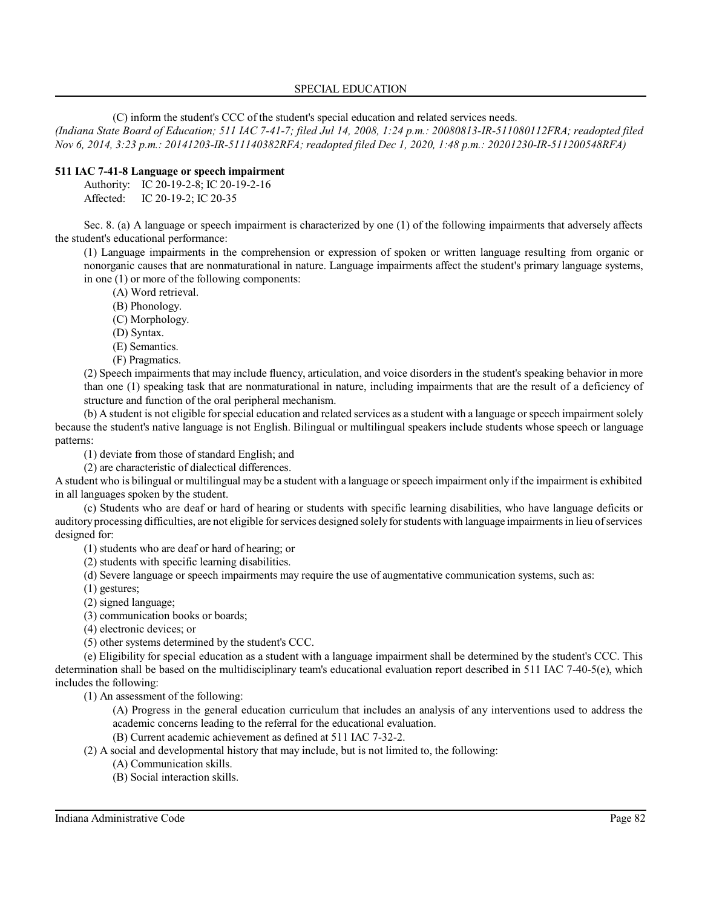(C) inform the student's CCC of the student's special education and related services needs.

*(Indiana State Board of Education; 511 IAC 7-41-7; filed Jul 14, 2008, 1:24 p.m.: 20080813-IR-511080112FRA; readopted filed Nov 6, 2014, 3:23 p.m.: 20141203-IR-511140382RFA; readopted filed Dec 1, 2020, 1:48 p.m.: 20201230-IR-511200548RFA)*

# **511 IAC 7-41-8 Language or speech impairment**

Authority: IC 20-19-2-8; IC 20-19-2-16 Affected: IC 20-19-2; IC 20-35

Sec. 8. (a) A language or speech impairment is characterized by one (1) of the following impairments that adversely affects the student's educational performance:

(1) Language impairments in the comprehension or expression of spoken or written language resulting from organic or nonorganic causes that are nonmaturational in nature. Language impairments affect the student's primary language systems, in one (1) or more of the following components:

(A) Word retrieval.

- (B) Phonology.
- (C) Morphology.
- (D) Syntax.
- (E) Semantics.
- (F) Pragmatics.

(2) Speech impairments that may include fluency, articulation, and voice disorders in the student's speaking behavior in more than one (1) speaking task that are nonmaturational in nature, including impairments that are the result of a deficiency of structure and function of the oral peripheral mechanism.

(b) A student is not eligible forspecial education and related services as a student with a language orspeech impairment solely because the student's native language is not English. Bilingual or multilingual speakers include students whose speech or language patterns:

(1) deviate from those of standard English; and

(2) are characteristic of dialectical differences.

A student who is bilingual or multilingual may be a student with a language orspeech impairment only ifthe impairment is exhibited in all languages spoken by the student.

(c) Students who are deaf or hard of hearing or students with specific learning disabilities, who have language deficits or auditory processing difficulties, are not eligible forservices designed solely forstudents with language impairmentsin lieu ofservices designed for:

(1) students who are deaf or hard of hearing; or

(2) students with specific learning disabilities.

(d) Severe language or speech impairments may require the use of augmentative communication systems, such as:

(1) gestures;

(2) signed language;

(3) communication books or boards;

(4) electronic devices; or

(5) other systems determined by the student's CCC.

(e) Eligibility for special education as a student with a language impairment shall be determined by the student's CCC. This determination shall be based on the multidisciplinary team's educational evaluation report described in 511 IAC 7-40-5(e), which includes the following:

(1) An assessment of the following:

(A) Progress in the general education curriculum that includes an analysis of any interventions used to address the academic concerns leading to the referral for the educational evaluation.

(B) Current academic achievement as defined at 511 IAC 7-32-2.

(2) A social and developmental history that may include, but is not limited to, the following:

- (A) Communication skills.
- (B) Social interaction skills.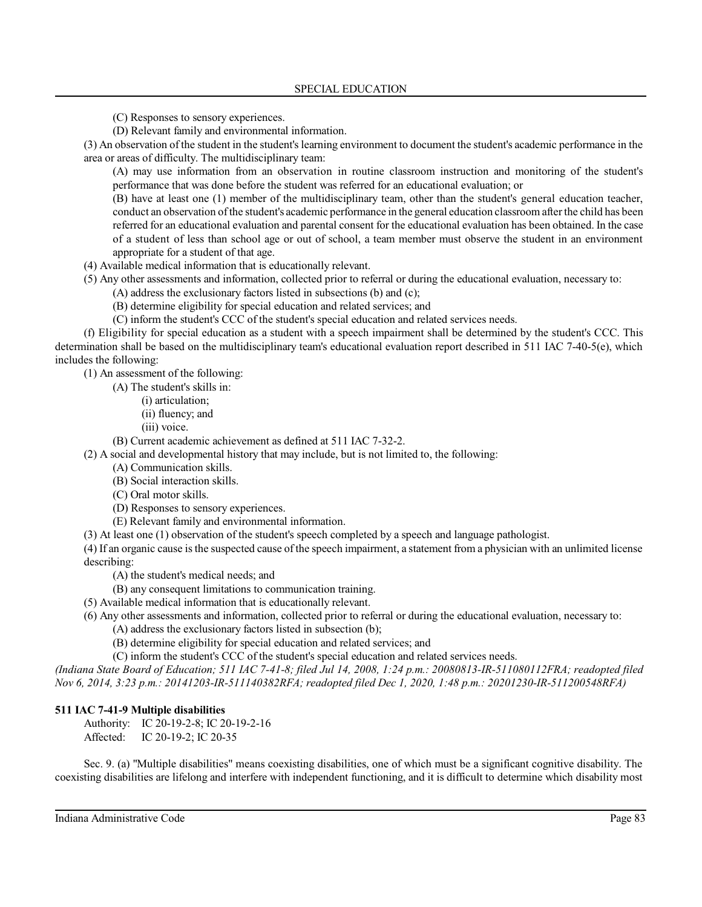(C) Responses to sensory experiences.

(D) Relevant family and environmental information.

(3) An observation of the student in the student's learning environment to document the student's academic performance in the area or areas of difficulty. The multidisciplinary team:

(A) may use information from an observation in routine classroom instruction and monitoring of the student's performance that was done before the student was referred for an educational evaluation; or

(B) have at least one (1) member of the multidisciplinary team, other than the student's general education teacher, conduct an observation ofthe student's academic performance in the general education classroom afterthe child has been referred for an educational evaluation and parental consent for the educational evaluation has been obtained. In the case of a student of less than school age or out of school, a team member must observe the student in an environment appropriate for a student of that age.

(4) Available medical information that is educationally relevant.

(5) Any other assessments and information, collected prior to referral or during the educational evaluation, necessary to:

(A) address the exclusionary factors listed in subsections (b) and (c);

(B) determine eligibility for special education and related services; and

(C) inform the student's CCC of the student's special education and related services needs.

(f) Eligibility for special education as a student with a speech impairment shall be determined by the student's CCC. This determination shall be based on the multidisciplinary team's educational evaluation report described in 511 IAC 7-40-5(e), which includes the following:

(1) An assessment of the following:

(A) The student's skills in:

(i) articulation;

(ii) fluency; and

(iii) voice.

(B) Current academic achievement as defined at 511 IAC 7-32-2.

(2) A social and developmental history that may include, but is not limited to, the following:

(A) Communication skills.

(B) Social interaction skills.

(C) Oral motor skills.

(D) Responses to sensory experiences.

(E) Relevant family and environmental information.

(3) At least one (1) observation of the student's speech completed by a speech and language pathologist.

(4) If an organic cause isthe suspected cause of the speech impairment, a statement from a physician with an unlimited license describing:

(A) the student's medical needs; and

(B) any consequent limitations to communication training.

(5) Available medical information that is educationally relevant.

(6) Any other assessments and information, collected prior to referral or during the educational evaluation, necessary to:

(A) address the exclusionary factors listed in subsection (b);

(B) determine eligibility for special education and related services; and

(C) inform the student's CCC of the student's special education and related services needs.

*(Indiana State Board of Education; 511 IAC 7-41-8; filed Jul 14, 2008, 1:24 p.m.: 20080813-IR-511080112FRA; readopted filed Nov 6, 2014, 3:23 p.m.: 20141203-IR-511140382RFA; readopted filed Dec 1, 2020, 1:48 p.m.: 20201230-IR-511200548RFA)*

# **511 IAC 7-41-9 Multiple disabilities**

Authority: IC 20-19-2-8; IC 20-19-2-16 Affected: IC 20-19-2; IC 20-35

Sec. 9. (a) "Multiple disabilities" means coexisting disabilities, one of which must be a significant cognitive disability. The coexisting disabilities are lifelong and interfere with independent functioning, and it is difficult to determine which disability most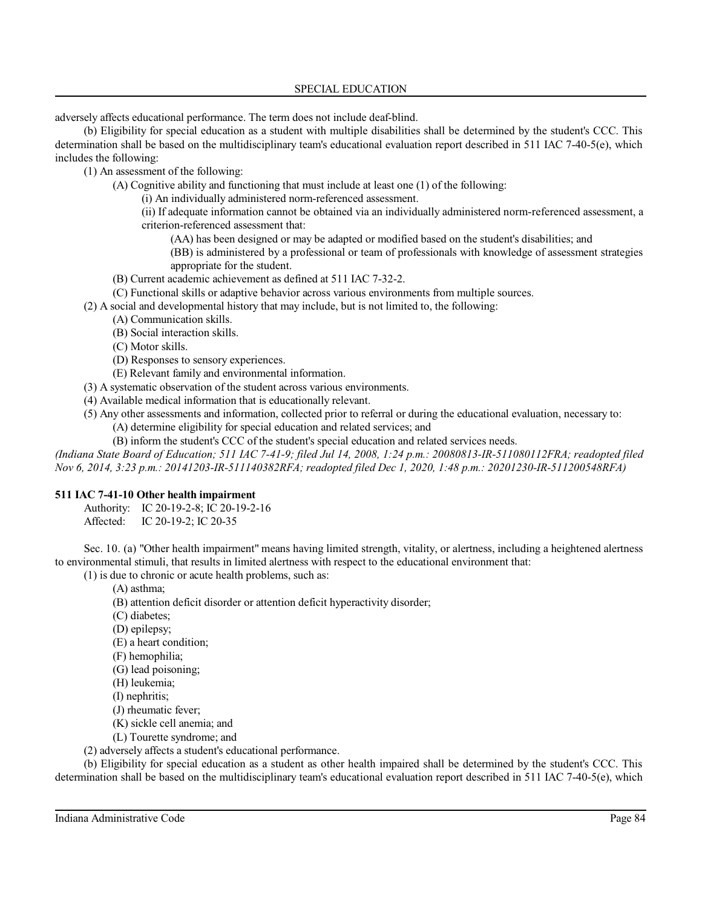adversely affects educational performance. The term does not include deaf-blind.

(b) Eligibility for special education as a student with multiple disabilities shall be determined by the student's CCC. This determination shall be based on the multidisciplinary team's educational evaluation report described in 511 IAC 7-40-5(e), which includes the following:

(1) An assessment of the following:

(A) Cognitive ability and functioning that must include at least one (1) of the following:

(i) An individually administered norm-referenced assessment.

(ii) If adequate information cannot be obtained via an individually administered norm-referenced assessment, a criterion-referenced assessment that:

(AA) has been designed or may be adapted or modified based on the student's disabilities; and

(BB) is administered by a professional or team of professionals with knowledge of assessment strategies appropriate for the student.

- (B) Current academic achievement as defined at 511 IAC 7-32-2.
- (C) Functional skills or adaptive behavior across various environments from multiple sources.
- (2) A social and developmental history that may include, but is not limited to, the following:
	- (A) Communication skills.
	- (B) Social interaction skills.
	- (C) Motor skills.
	- (D) Responses to sensory experiences.
	- (E) Relevant family and environmental information.
- (3) A systematic observation of the student across various environments.
- (4) Available medical information that is educationally relevant.
- (5) Any other assessments and information, collected prior to referral or during the educational evaluation, necessary to:
	- (A) determine eligibility for special education and related services; and
- (B) inform the student's CCC of the student's special education and related services needs.

*(Indiana State Board of Education; 511 IAC 7-41-9; filed Jul 14, 2008, 1:24 p.m.: 20080813-IR-511080112FRA; readopted filed Nov 6, 2014, 3:23 p.m.: 20141203-IR-511140382RFA; readopted filed Dec 1, 2020, 1:48 p.m.: 20201230-IR-511200548RFA)*

# **511 IAC 7-41-10 Other health impairment**

Authority: IC 20-19-2-8; IC 20-19-2-16 Affected: IC 20-19-2; IC 20-35

Sec. 10. (a) "Other health impairment" means having limited strength, vitality, or alertness, including a heightened alertness to environmental stimuli, that results in limited alertness with respect to the educational environment that:

(1) is due to chronic or acute health problems, such as:

- (A) asthma;
- (B) attention deficit disorder or attention deficit hyperactivity disorder;
- (C) diabetes;
- (D) epilepsy;
- (E) a heart condition;
- (F) hemophilia;
- (G) lead poisoning;
- (H) leukemia;
- (I) nephritis;
- (J) rheumatic fever;
- (K) sickle cell anemia; and
- (L) Tourette syndrome; and

(2) adversely affects a student's educational performance.

(b) Eligibility for special education as a student as other health impaired shall be determined by the student's CCC. This determination shall be based on the multidisciplinary team's educational evaluation report described in 511 IAC 7-40-5(e), which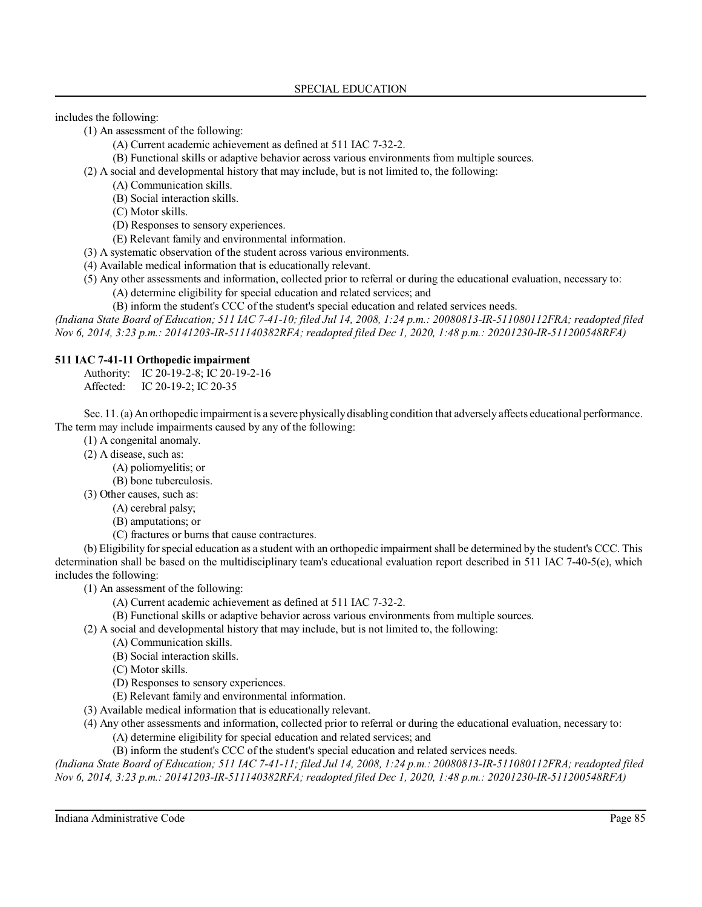includes the following:

(1) An assessment of the following:

- (A) Current academic achievement as defined at 511 IAC 7-32-2.
- (B) Functional skills or adaptive behavior across various environments from multiple sources.
- (2) A social and developmental history that may include, but is not limited to, the following:
	- (A) Communication skills.
	- (B) Social interaction skills.
	- (C) Motor skills.
	- (D) Responses to sensory experiences.
	- (E) Relevant family and environmental information.
- (3) A systematic observation of the student across various environments.
- (4) Available medical information that is educationally relevant.
- (5) Any other assessments and information, collected prior to referral or during the educational evaluation, necessary to:
	- (A) determine eligibility for special education and related services; and

(B) inform the student's CCC of the student's special education and related services needs.

*(Indiana State Board of Education; 511 IAC 7-41-10; filed Jul 14, 2008, 1:24 p.m.: 20080813-IR-511080112FRA; readopted filed Nov 6, 2014, 3:23 p.m.: 20141203-IR-511140382RFA; readopted filed Dec 1, 2020, 1:48 p.m.: 20201230-IR-511200548RFA)*

### **511 IAC 7-41-11 Orthopedic impairment**

Authority: IC 20-19-2-8; IC 20-19-2-16 Affected: IC 20-19-2; IC 20-35

Sec. 11. (a)An orthopedic impairment is a severe physicallydisabling condition that adversely affects educational performance. The term may include impairments caused by any of the following:

(1) A congenital anomaly.

- (2) A disease, such as:
	- (A) poliomyelitis; or
	- (B) bone tuberculosis.
- (3) Other causes, such as:
	- (A) cerebral palsy;
	- (B) amputations; or
	- (C) fractures or burns that cause contractures.

(b) Eligibility forspecial education as a student with an orthopedic impairment shall be determined by the student's CCC. This determination shall be based on the multidisciplinary team's educational evaluation report described in 511 IAC 7-40-5(e), which includes the following:

(1) An assessment of the following:

- (A) Current academic achievement as defined at 511 IAC 7-32-2.
- (B) Functional skills or adaptive behavior across various environments from multiple sources.
- (2) A social and developmental history that may include, but is not limited to, the following:
	- (A) Communication skills.
	- (B) Social interaction skills.
	- (C) Motor skills.
	- (D) Responses to sensory experiences.
	- (E) Relevant family and environmental information.
- (3) Available medical information that is educationally relevant.
- (4) Any other assessments and information, collected prior to referral or during the educational evaluation, necessary to:
	- (A) determine eligibility for special education and related services; and
	- (B) inform the student's CCC of the student's special education and related services needs.

*(Indiana State Board of Education; 511 IAC 7-41-11; filed Jul 14, 2008, 1:24 p.m.: 20080813-IR-511080112FRA; readopted filed Nov 6, 2014, 3:23 p.m.: 20141203-IR-511140382RFA; readopted filed Dec 1, 2020, 1:48 p.m.: 20201230-IR-511200548RFA)*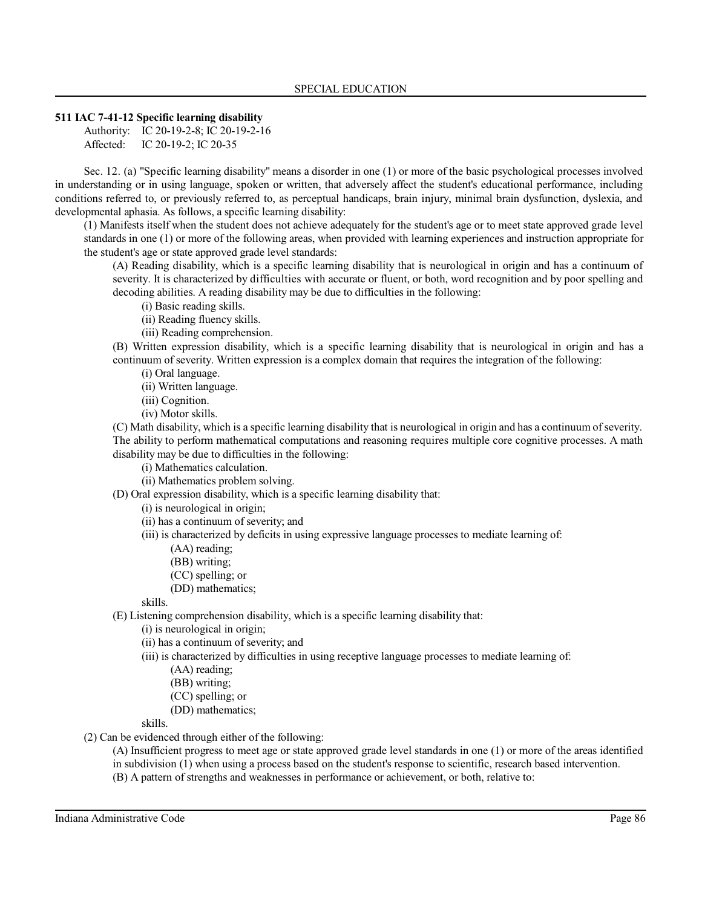# **511 IAC 7-41-12 Specific learning disability**

Authority: IC 20-19-2-8; IC 20-19-2-16 Affected: IC 20-19-2; IC 20-35

Sec. 12. (a) "Specific learning disability" means a disorder in one (1) or more of the basic psychological processes involved in understanding or in using language, spoken or written, that adversely affect the student's educational performance, including conditions referred to, or previously referred to, as perceptual handicaps, brain injury, minimal brain dysfunction, dyslexia, and developmental aphasia. As follows, a specific learning disability:

(1) Manifests itself when the student does not achieve adequately for the student's age or to meet state approved grade level standards in one (1) or more of the following areas, when provided with learning experiences and instruction appropriate for the student's age or state approved grade level standards:

(A) Reading disability, which is a specific learning disability that is neurological in origin and has a continuum of severity. It is characterized by difficulties with accurate or fluent, or both, word recognition and by poor spelling and decoding abilities. A reading disability may be due to difficulties in the following:

- (i) Basic reading skills.
- (ii) Reading fluency skills.

(iii) Reading comprehension.

(B) Written expression disability, which is a specific learning disability that is neurological in origin and has a continuum of severity. Written expression is a complex domain that requires the integration of the following:

(i) Oral language.

(ii) Written language.

- (iii) Cognition.
- (iv) Motor skills.

(C) Math disability, which is a specific learning disability that is neurological in origin and has a continuum ofseverity. The ability to perform mathematical computations and reasoning requires multiple core cognitive processes. A math disability may be due to difficulties in the following:

- (i) Mathematics calculation.
- (ii) Mathematics problem solving.

(D) Oral expression disability, which is a specific learning disability that:

(i) is neurological in origin;

(ii) has a continuum of severity; and

(iii) is characterized by deficits in using expressive language processes to mediate learning of:

- (AA) reading;
- (BB) writing;
- (CC) spelling; or
- (DD) mathematics;

skills.

(E) Listening comprehension disability, which is a specific learning disability that:

- (i) is neurological in origin;
- (ii) has a continuum of severity; and
- (iii) is characterized by difficulties in using receptive language processes to mediate learning of:
	- (AA) reading;
	- (BB) writing;
	- (CC) spelling; or
	- (DD) mathematics;

skills.

(2) Can be evidenced through either of the following:

(A) Insufficient progress to meet age or state approved grade level standards in one (1) or more of the areas identified in subdivision (1) when using a process based on the student's response to scientific, research based intervention.

(B) A pattern of strengths and weaknesses in performance or achievement, or both, relative to: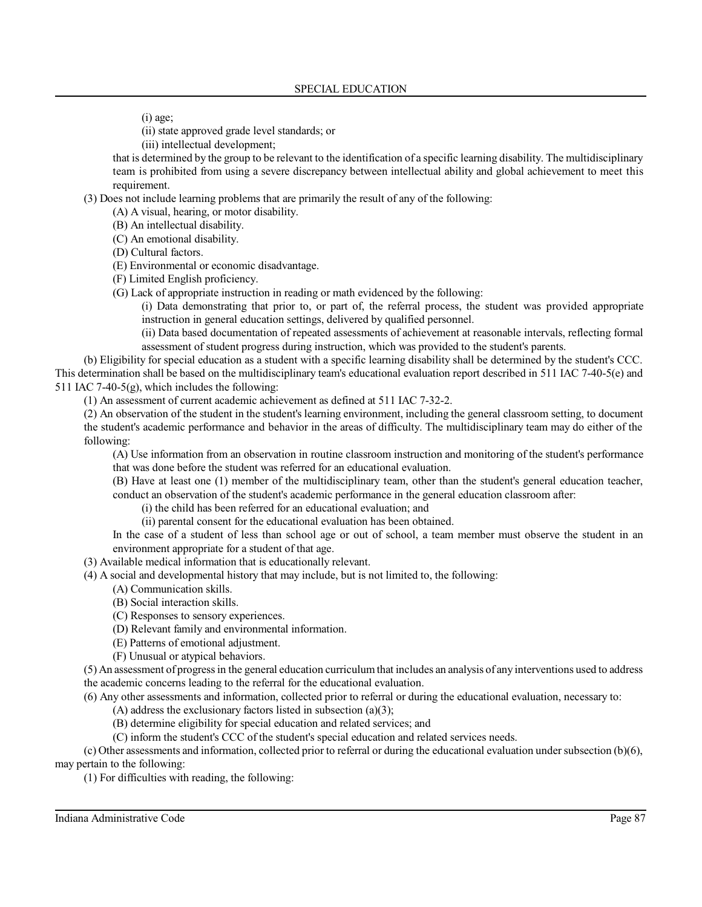(i) age;

(ii) state approved grade level standards; or

(iii) intellectual development;

that is determined by the group to be relevant to the identification of a specific learning disability. The multidisciplinary team is prohibited from using a severe discrepancy between intellectual ability and global achievement to meet this requirement.

(3) Does not include learning problems that are primarily the result of any of the following:

(A) A visual, hearing, or motor disability.

(B) An intellectual disability.

(C) An emotional disability.

- (D) Cultural factors.
- (E) Environmental or economic disadvantage.
- (F) Limited English proficiency.
- (G) Lack of appropriate instruction in reading or math evidenced by the following:

(i) Data demonstrating that prior to, or part of, the referral process, the student was provided appropriate instruction in general education settings, delivered by qualified personnel.

(ii) Data based documentation of repeated assessments of achievement at reasonable intervals, reflecting formal assessment of student progress during instruction, which was provided to the student's parents.

(b) Eligibility for special education as a student with a specific learning disability shall be determined by the student's CCC. This determination shall be based on the multidisciplinary team's educational evaluation report described in 511 IAC 7-40-5(e) and 511 IAC 7-40-5(g), which includes the following:

(1) An assessment of current academic achievement as defined at 511 IAC 7-32-2.

(2) An observation of the student in the student's learning environment, including the general classroom setting, to document the student's academic performance and behavior in the areas of difficulty. The multidisciplinary team may do either of the following:

(A) Use information from an observation in routine classroom instruction and monitoring of the student's performance

that was done before the student was referred for an educational evaluation.

(B) Have at least one (1) member of the multidisciplinary team, other than the student's general education teacher, conduct an observation of the student's academic performance in the general education classroom after:

(i) the child has been referred for an educational evaluation; and

(ii) parental consent for the educational evaluation has been obtained.

In the case of a student of less than school age or out of school, a team member must observe the student in an environment appropriate for a student of that age.

(3) Available medical information that is educationally relevant.

- (4) A social and developmental history that may include, but is not limited to, the following:
	- (A) Communication skills.
	- (B) Social interaction skills.
	- (C) Responses to sensory experiences.
	- (D) Relevant family and environmental information.
	- (E) Patterns of emotional adjustment.
	- (F) Unusual or atypical behaviors.

(5) An assessment of progress in the general education curriculum that includes an analysis of any interventions used to address the academic concerns leading to the referral for the educational evaluation.

(6) Any other assessments and information, collected prior to referral or during the educational evaluation, necessary to:

 $(A)$  address the exclusionary factors listed in subsection (a)(3);

(B) determine eligibility for special education and related services; and

(C) inform the student's CCC of the student's special education and related services needs.

 $(c)$  Other assessments and information, collected prior to referral or during the educational evaluation under subsection  $(b)(6)$ , may pertain to the following:

(1) For difficulties with reading, the following: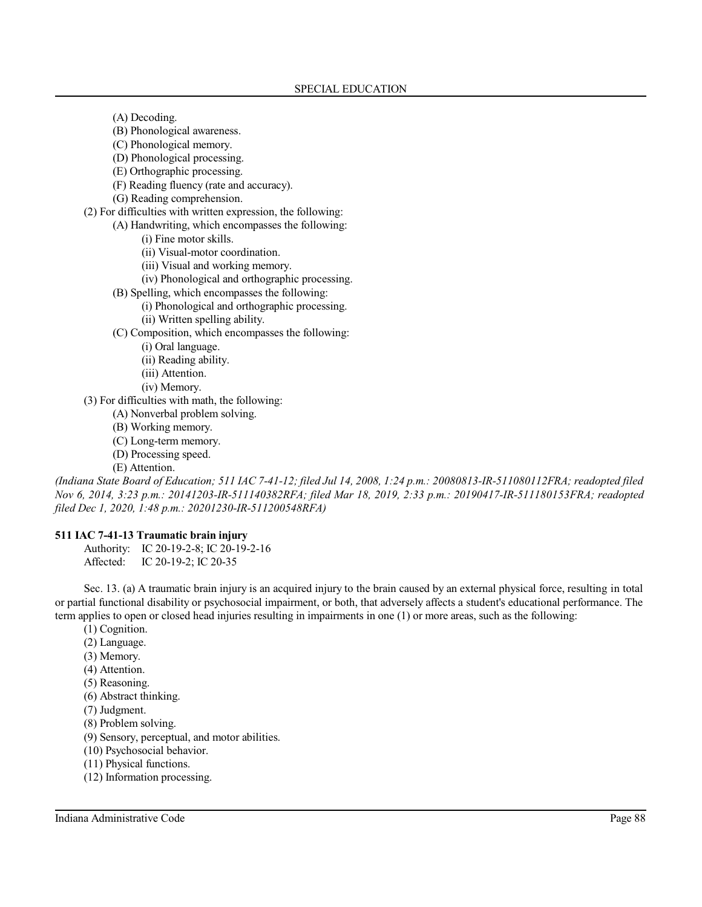(A) Decoding.

- (B) Phonological awareness.
- (C) Phonological memory.
- (D) Phonological processing.
- (E) Orthographic processing.
- (F) Reading fluency (rate and accuracy).
- (G) Reading comprehension.
- (2) For difficulties with written expression, the following:
	- (A) Handwriting, which encompasses the following:
		- (i) Fine motor skills.
		- (ii) Visual-motor coordination.
		- (iii) Visual and working memory.
		- (iv) Phonological and orthographic processing.
	- (B) Spelling, which encompasses the following:
		- (i) Phonological and orthographic processing.
		- (ii) Written spelling ability.
	- (C) Composition, which encompasses the following:
		- (i) Oral language.
		- (ii) Reading ability.
		- (iii) Attention.
		- (iv) Memory.
- (3) For difficulties with math, the following:
	- (A) Nonverbal problem solving.
	- (B) Working memory.
	- (C) Long-term memory.
	- (D) Processing speed.

(E) Attention.

*(Indiana State Board of Education; 511 IAC 7-41-12; filed Jul 14, 2008, 1:24 p.m.: 20080813-IR-511080112FRA; readopted filed Nov 6, 2014, 3:23 p.m.: 20141203-IR-511140382RFA; filed Mar 18, 2019, 2:33 p.m.: 20190417-IR-511180153FRA; readopted filed Dec 1, 2020, 1:48 p.m.: 20201230-IR-511200548RFA)*

#### **511 IAC 7-41-13 Traumatic brain injury**

Authority: IC 20-19-2-8; IC 20-19-2-16 Affected: IC 20-19-2; IC 20-35

Sec. 13. (a) A traumatic brain injury is an acquired injury to the brain caused by an external physical force, resulting in total or partial functional disability or psychosocial impairment, or both, that adversely affects a student's educational performance. The term applies to open or closed head injuries resulting in impairments in one (1) or more areas, such as the following:

- (1) Cognition.
- (2) Language.
- (3) Memory.
- (4) Attention.
- (5) Reasoning.
- (6) Abstract thinking.
- (7) Judgment.
- (8) Problem solving.
- (9) Sensory, perceptual, and motor abilities.
- (10) Psychosocial behavior.
- (11) Physical functions.
- (12) Information processing.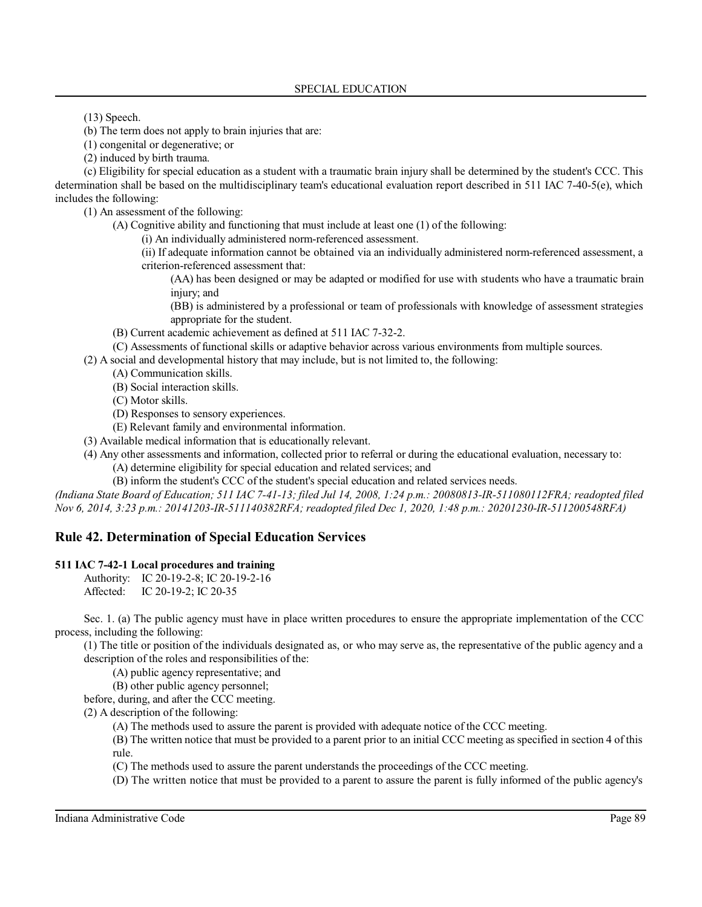(13) Speech.

(b) The term does not apply to brain injuries that are:

(1) congenital or degenerative; or

(2) induced by birth trauma.

(c) Eligibility for special education as a student with a traumatic brain injury shall be determined by the student's CCC. This determination shall be based on the multidisciplinary team's educational evaluation report described in 511 IAC 7-40-5(e), which includes the following:

(1) An assessment of the following:

(A) Cognitive ability and functioning that must include at least one (1) of the following:

(i) An individually administered norm-referenced assessment.

(ii) If adequate information cannot be obtained via an individually administered norm-referenced assessment, a criterion-referenced assessment that:

(AA) has been designed or may be adapted or modified for use with students who have a traumatic brain injury; and

(BB) is administered by a professional or team of professionals with knowledge of assessment strategies appropriate for the student.

(B) Current academic achievement as defined at 511 IAC 7-32-2.

(C) Assessments of functional skills or adaptive behavior across various environments from multiple sources.

(2) A social and developmental history that may include, but is not limited to, the following:

(A) Communication skills.

(B) Social interaction skills.

(C) Motor skills.

(D) Responses to sensory experiences.

(E) Relevant family and environmental information.

(3) Available medical information that is educationally relevant.

(4) Any other assessments and information, collected prior to referral or during the educational evaluation, necessary to:

(A) determine eligibility for special education and related services; and

(B) inform the student's CCC of the student's special education and related services needs.

*(Indiana State Board of Education; 511 IAC 7-41-13; filed Jul 14, 2008, 1:24 p.m.: 20080813-IR-511080112FRA; readopted filed Nov 6, 2014, 3:23 p.m.: 20141203-IR-511140382RFA; readopted filed Dec 1, 2020, 1:48 p.m.: 20201230-IR-511200548RFA)*

# **Rule 42. Determination of Special Education Services**

# **511 IAC 7-42-1 Local procedures and training**

Authority: IC 20-19-2-8; IC 20-19-2-16

Affected: IC 20-19-2; IC 20-35

Sec. 1. (a) The public agency must have in place written procedures to ensure the appropriate implementation of the CCC process, including the following:

(1) The title or position of the individuals designated as, or who may serve as, the representative of the public agency and a description of the roles and responsibilities of the:

(A) public agency representative; and

(B) other public agency personnel;

before, during, and after the CCC meeting.

(2) A description of the following:

(A) The methods used to assure the parent is provided with adequate notice of the CCC meeting.

(B) The written notice that must be provided to a parent prior to an initial CCC meeting as specified in section 4 of this rule.

(C) The methods used to assure the parent understands the proceedings of the CCC meeting.

(D) The written notice that must be provided to a parent to assure the parent is fully informed of the public agency's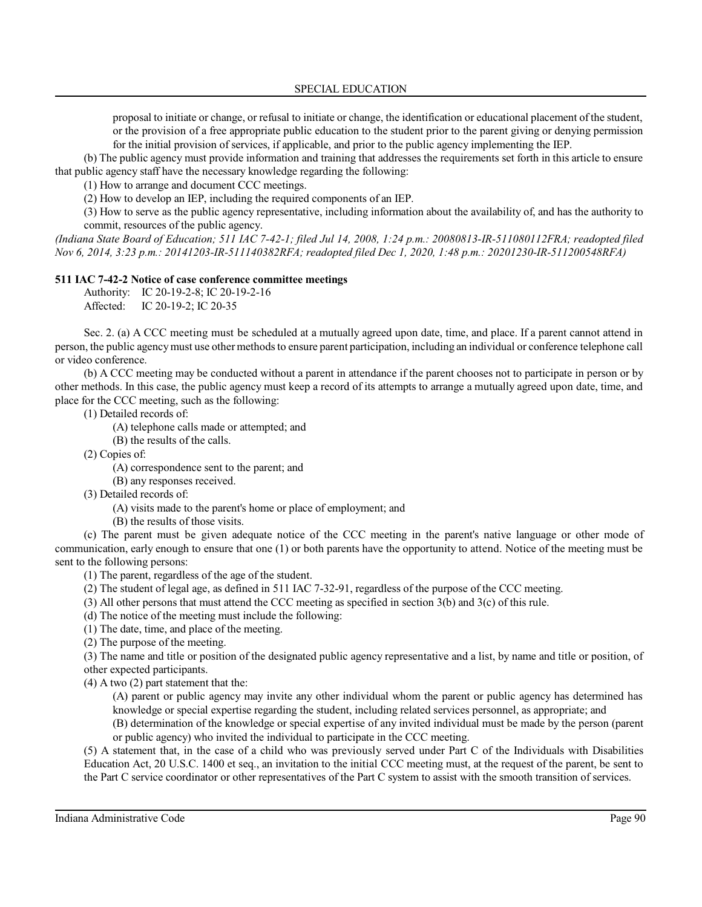proposal to initiate or change, or refusal to initiate or change, the identification or educational placement of the student, or the provision of a free appropriate public education to the student prior to the parent giving or denying permission for the initial provision of services, if applicable, and prior to the public agency implementing the IEP.

(b) The public agency must provide information and training that addresses the requirements set forth in this article to ensure that public agency staff have the necessary knowledge regarding the following:

(1) How to arrange and document CCC meetings.

(2) How to develop an IEP, including the required components of an IEP.

(3) How to serve as the public agency representative, including information about the availability of, and has the authority to commit, resources of the public agency.

*(Indiana State Board of Education; 511 IAC 7-42-1; filed Jul 14, 2008, 1:24 p.m.: 20080813-IR-511080112FRA; readopted filed Nov 6, 2014, 3:23 p.m.: 20141203-IR-511140382RFA; readopted filed Dec 1, 2020, 1:48 p.m.: 20201230-IR-511200548RFA)*

# **511 IAC 7-42-2 Notice of case conference committee meetings**

Authority: IC 20-19-2-8; IC 20-19-2-16 Affected: IC 20-19-2; IC 20-35

Sec. 2. (a) A CCC meeting must be scheduled at a mutually agreed upon date, time, and place. If a parent cannot attend in person, the public agencymust use other methodsto ensure parent participation, including an individual or conference telephone call or video conference.

(b) A CCC meeting may be conducted without a parent in attendance if the parent chooses not to participate in person or by other methods. In this case, the public agency must keep a record of its attempts to arrange a mutually agreed upon date, time, and place for the CCC meeting, such as the following:

(1) Detailed records of:

(A) telephone calls made or attempted; and

(B) the results of the calls.

(2) Copies of:

(A) correspondence sent to the parent; and

(B) any responses received.

(3) Detailed records of:

(A) visits made to the parent's home or place of employment; and

(B) the results of those visits.

(c) The parent must be given adequate notice of the CCC meeting in the parent's native language or other mode of communication, early enough to ensure that one (1) or both parents have the opportunity to attend. Notice of the meeting must be sent to the following persons:

(1) The parent, regardless of the age of the student.

(2) The student of legal age, as defined in 511 IAC 7-32-91, regardless of the purpose of the CCC meeting.

(3) All other persons that must attend the CCC meeting as specified in section 3(b) and 3(c) of this rule.

(d) The notice of the meeting must include the following:

(1) The date, time, and place of the meeting.

(2) The purpose of the meeting.

(3) The name and title or position of the designated public agency representative and a list, by name and title or position, of other expected participants.

(4) A two (2) part statement that the:

(A) parent or public agency may invite any other individual whom the parent or public agency has determined has knowledge or special expertise regarding the student, including related services personnel, as appropriate; and

(B) determination of the knowledge or special expertise of any invited individual must be made by the person (parent or public agency) who invited the individual to participate in the CCC meeting.

(5) A statement that, in the case of a child who was previously served under Part C of the Individuals with Disabilities Education Act, 20 U.S.C. 1400 et seq., an invitation to the initial CCC meeting must, at the request of the parent, be sent to the Part C service coordinator or other representatives of the Part C system to assist with the smooth transition of services.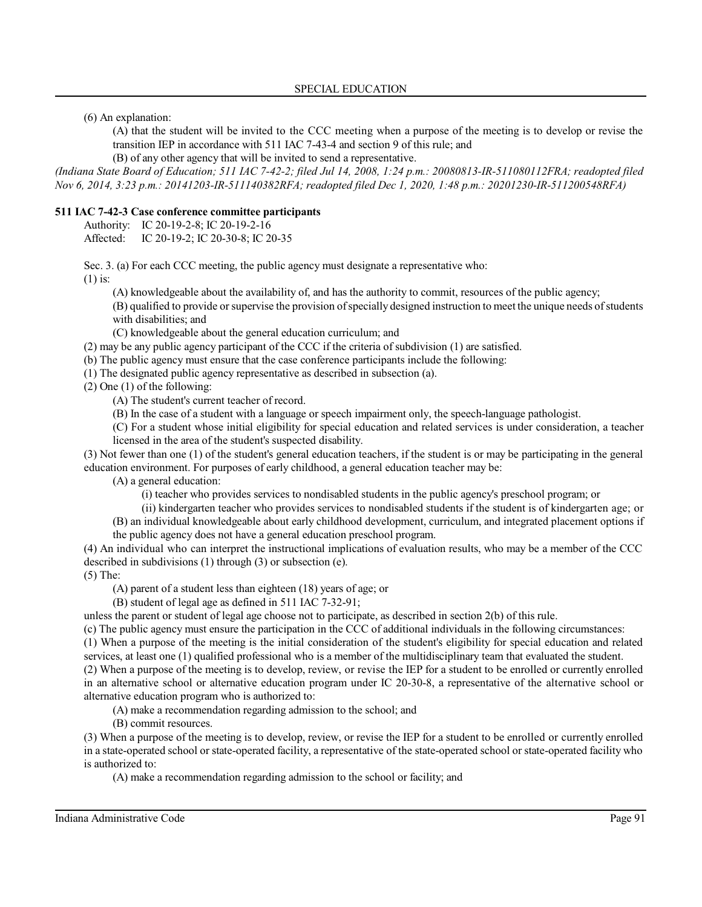(6) An explanation:

(A) that the student will be invited to the CCC meeting when a purpose of the meeting is to develop or revise the transition IEP in accordance with 511 IAC 7-43-4 and section 9 of this rule; and

(B) of any other agency that will be invited to send a representative.

*(Indiana State Board of Education; 511 IAC 7-42-2; filed Jul 14, 2008, 1:24 p.m.: 20080813-IR-511080112FRA; readopted filed Nov 6, 2014, 3:23 p.m.: 20141203-IR-511140382RFA; readopted filed Dec 1, 2020, 1:48 p.m.: 20201230-IR-511200548RFA)*

# **511 IAC 7-42-3 Case conference committee participants**

Authority: IC 20-19-2-8; IC 20-19-2-16

Affected: IC 20-19-2; IC 20-30-8; IC 20-35

Sec. 3. (a) For each CCC meeting, the public agency must designate a representative who:

(1) is:

(A) knowledgeable about the availability of, and has the authority to commit, resources of the public agency;

(B) qualified to provide orsupervise the provision ofspecially designed instruction to meet the unique needs ofstudents with disabilities; and

(C) knowledgeable about the general education curriculum; and

(2) may be any public agency participant of the CCC if the criteria of subdivision (1) are satisfied.

(b) The public agency must ensure that the case conference participants include the following:

(1) The designated public agency representative as described in subsection (a).

(2) One (1) of the following:

(A) The student's current teacher of record.

(B) In the case of a student with a language or speech impairment only, the speech-language pathologist.

(C) For a student whose initial eligibility for special education and related services is under consideration, a teacher licensed in the area of the student's suspected disability.

(3) Not fewer than one (1) of the student's general education teachers, if the student is or may be participating in the general education environment. For purposes of early childhood, a general education teacher may be:

(A) a general education:

(i) teacher who provides services to nondisabled students in the public agency's preschool program; or

(ii) kindergarten teacher who provides services to nondisabled students if the student is of kindergarten age; or

(B) an individual knowledgeable about early childhood development, curriculum, and integrated placement options if the public agency does not have a general education preschool program.

(4) An individual who can interpret the instructional implications of evaluation results, who may be a member of the CCC described in subdivisions (1) through (3) or subsection (e).

(5) The:

(A) parent of a student less than eighteen (18) years of age; or

(B) student of legal age as defined in 511 IAC 7-32-91;

unless the parent or student of legal age choose not to participate, as described in section 2(b) of this rule.

(c) The public agency must ensure the participation in the CCC of additional individuals in the following circumstances:

(1) When a purpose of the meeting is the initial consideration of the student's eligibility for special education and related services, at least one (1) qualified professional who is a member of the multidisciplinary team that evaluated the student.

(2) When a purpose of the meeting is to develop, review, or revise the IEP for a student to be enrolled or currently enrolled in an alternative school or alternative education program under IC 20-30-8, a representative of the alternative school or alternative education program who is authorized to:

(A) make a recommendation regarding admission to the school; and

(B) commit resources.

(3) When a purpose of the meeting is to develop, review, or revise the IEP for a student to be enrolled or currently enrolled in a state-operated school or state-operated facility, a representative of the state-operated school or state-operated facility who is authorized to:

(A) make a recommendation regarding admission to the school or facility; and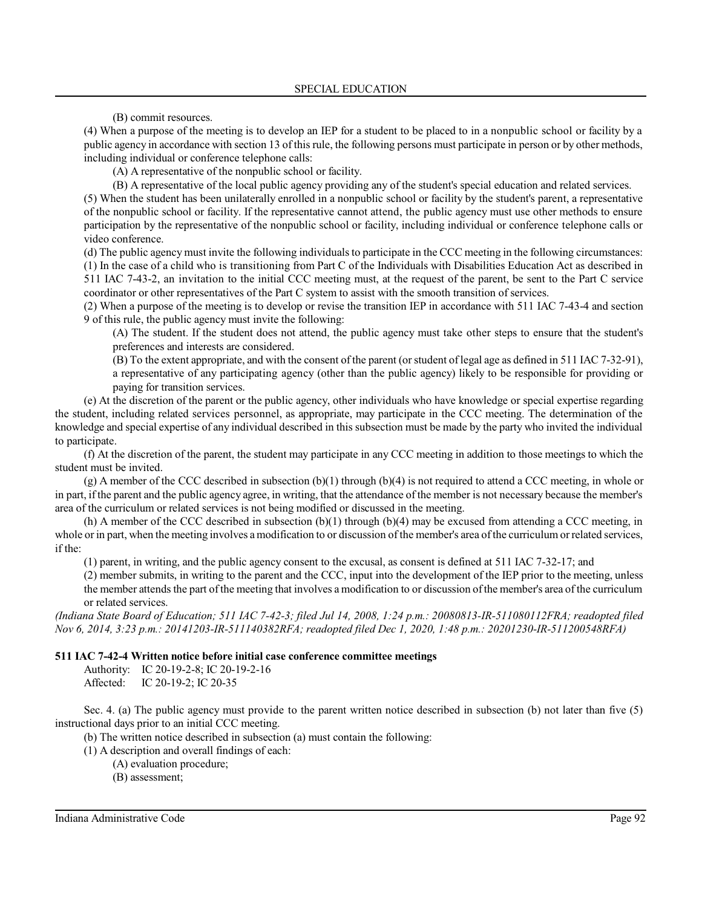(B) commit resources.

(4) When a purpose of the meeting is to develop an IEP for a student to be placed to in a nonpublic school or facility by a public agency in accordance with section 13 of thisrule, the following persons must participate in person or by other methods, including individual or conference telephone calls:

(A) A representative of the nonpublic school or facility.

(B) A representative of the local public agency providing any of the student's special education and related services.

(5) When the student has been unilaterally enrolled in a nonpublic school or facility by the student's parent, a representative of the nonpublic school or facility. If the representative cannot attend, the public agency must use other methods to ensure participation by the representative of the nonpublic school or facility, including individual or conference telephone calls or video conference.

(d) The public agency must invite the following individualsto participate in the CCC meeting in the following circumstances: (1) In the case of a child who is transitioning from Part C of the Individuals with Disabilities Education Act as described in 511 IAC 7-43-2, an invitation to the initial CCC meeting must, at the request of the parent, be sent to the Part C service coordinator or other representatives of the Part C system to assist with the smooth transition of services.

(2) When a purpose of the meeting is to develop or revise the transition IEP in accordance with 511 IAC 7-43-4 and section 9 of this rule, the public agency must invite the following:

(A) The student. If the student does not attend, the public agency must take other steps to ensure that the student's preferences and interests are considered.

(B) To the extent appropriate, and with the consent ofthe parent (orstudent oflegal age as defined in 511 IAC 7-32-91), a representative of any participating agency (other than the public agency) likely to be responsible for providing or paying for transition services.

(e) At the discretion of the parent or the public agency, other individuals who have knowledge or special expertise regarding the student, including related services personnel, as appropriate, may participate in the CCC meeting. The determination of the knowledge and special expertise of any individual described in this subsection must be made by the party who invited the individual to participate.

(f) At the discretion of the parent, the student may participate in any CCC meeting in addition to those meetings to which the student must be invited.

 $(g)$  A member of the CCC described in subsection  $(b)(1)$  through  $(b)(4)$  is not required to attend a CCC meeting, in whole or in part, ifthe parent and the public agency agree, in writing, that the attendance of the member is not necessary because the member's area of the curriculum or related services is not being modified or discussed in the meeting.

(h) A member of the CCC described in subsection  $(b)(1)$  through  $(b)(4)$  may be excused from attending a CCC meeting, in whole or in part, when the meeting involves a modification to or discussion of the member's area ofthe curriculum orrelated services, if the:

(1) parent, in writing, and the public agency consent to the excusal, as consent is defined at 511 IAC 7-32-17; and

(2) member submits, in writing to the parent and the CCC, input into the development of the IEP prior to the meeting, unless the member attends the part of the meeting that involves a modification to or discussion of the member's area of the curriculum or related services.

*(Indiana State Board of Education; 511 IAC 7-42-3; filed Jul 14, 2008, 1:24 p.m.: 20080813-IR-511080112FRA; readopted filed Nov 6, 2014, 3:23 p.m.: 20141203-IR-511140382RFA; readopted filed Dec 1, 2020, 1:48 p.m.: 20201230-IR-511200548RFA)*

#### **511 IAC 7-42-4 Written notice before initial case conference committee meetings**

Authority: IC 20-19-2-8; IC 20-19-2-16 Affected: IC 20-19-2; IC 20-35

Sec. 4. (a) The public agency must provide to the parent written notice described in subsection (b) not later than five (5) instructional days prior to an initial CCC meeting.

(b) The written notice described in subsection (a) must contain the following:

(1) A description and overall findings of each:

- (A) evaluation procedure;
- (B) assessment;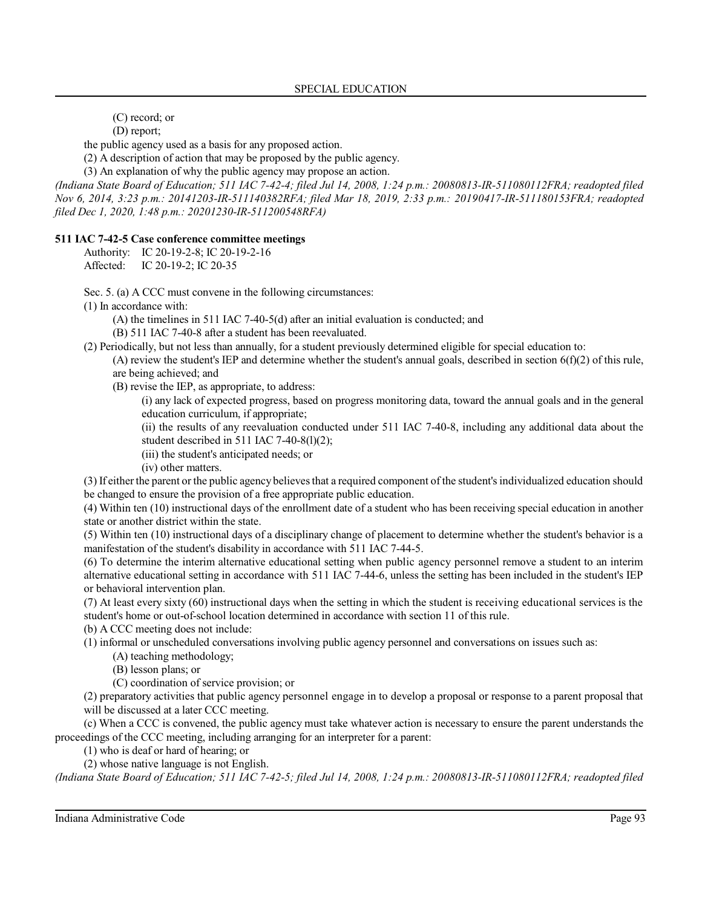(C) record; or

(D) report;

the public agency used as a basis for any proposed action.

(2) A description of action that may be proposed by the public agency.

(3) An explanation of why the public agency may propose an action.

*(Indiana State Board of Education; 511 IAC 7-42-4; filed Jul 14, 2008, 1:24 p.m.: 20080813-IR-511080112FRA; readopted filed Nov 6, 2014, 3:23 p.m.: 20141203-IR-511140382RFA; filed Mar 18, 2019, 2:33 p.m.: 20190417-IR-511180153FRA; readopted filed Dec 1, 2020, 1:48 p.m.: 20201230-IR-511200548RFA)*

# **511 IAC 7-42-5 Case conference committee meetings**

Authority: IC 20-19-2-8; IC 20-19-2-16 Affected: IC 20-19-2; IC 20-35

Sec. 5. (a) A CCC must convene in the following circumstances:

(1) In accordance with:

(A) the timelines in 511 IAC 7-40-5(d) after an initial evaluation is conducted; and

(B) 511 IAC 7-40-8 after a student has been reevaluated.

(2) Periodically, but not less than annually, for a student previously determined eligible for special education to:

(A) review the student's IEP and determine whether the student's annual goals, described in section  $6(f)(2)$  of this rule, are being achieved; and

(B) revise the IEP, as appropriate, to address:

(i) any lack of expected progress, based on progress monitoring data, toward the annual goals and in the general education curriculum, if appropriate;

(ii) the results of any reevaluation conducted under 511 IAC 7-40-8, including any additional data about the student described in 511 IAC 7-40-8(1)(2);

(iii) the student's anticipated needs; or

(iv) other matters.

(3) If eitherthe parent or the public agencybelievesthat a required component of the student's individualized education should be changed to ensure the provision of a free appropriate public education.

(4) Within ten (10) instructional days of the enrollment date of a student who has been receiving special education in another state or another district within the state.

(5) Within ten (10) instructional days of a disciplinary change of placement to determine whether the student's behavior is a manifestation of the student's disability in accordance with 511 IAC 7-44-5.

(6) To determine the interim alternative educational setting when public agency personnel remove a student to an interim alternative educational setting in accordance with 511 IAC 7-44-6, unless the setting has been included in the student's IEP or behavioral intervention plan.

(7) At least every sixty (60) instructional days when the setting in which the student is receiving educational services is the student's home or out-of-school location determined in accordance with section 11 of this rule.

(b) A CCC meeting does not include:

(1) informal or unscheduled conversations involving public agency personnel and conversations on issues such as:

(A) teaching methodology;

(B) lesson plans; or

(C) coordination of service provision; or

(2) preparatory activities that public agency personnel engage in to develop a proposal or response to a parent proposal that will be discussed at a later CCC meeting.

(c) When a CCC is convened, the public agency must take whatever action is necessary to ensure the parent understands the proceedings of the CCC meeting, including arranging for an interpreter for a parent:

(1) who is deaf or hard of hearing; or

(2) whose native language is not English.

*(Indiana State Board of Education; 511 IAC 7-42-5; filed Jul 14, 2008, 1:24 p.m.: 20080813-IR-511080112FRA; readopted filed*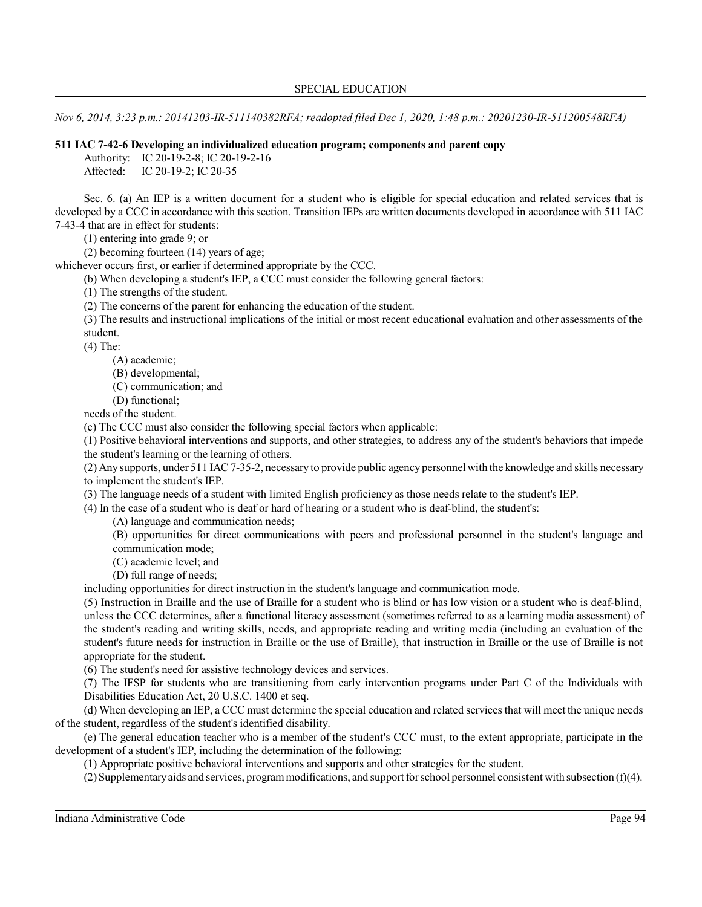*Nov 6, 2014, 3:23 p.m.: 20141203-IR-511140382RFA; readopted filed Dec 1, 2020, 1:48 p.m.: 20201230-IR-511200548RFA)*

# **511 IAC 7-42-6 Developing an individualized education program; components and parent copy**

Authority: IC 20-19-2-8; IC 20-19-2-16

Affected: IC 20-19-2; IC 20-35

Sec. 6. (a) An IEP is a written document for a student who is eligible for special education and related services that is developed by a CCC in accordance with this section. Transition IEPs are written documents developed in accordance with 511 IAC 7-43-4 that are in effect for students:

(1) entering into grade 9; or

(2) becoming fourteen (14) years of age;

whichever occurs first, or earlier if determined appropriate by the CCC.

(b) When developing a student's IEP, a CCC must consider the following general factors:

(1) The strengths of the student.

(2) The concerns of the parent for enhancing the education of the student.

(3) The results and instructional implications of the initial or most recent educational evaluation and other assessments of the student.

(4) The:

(A) academic;

(B) developmental;

(C) communication; and

(D) functional;

needs of the student.

(c) The CCC must also consider the following special factors when applicable:

(1) Positive behavioral interventions and supports, and other strategies, to address any of the student's behaviors that impede the student's learning or the learning of others.

(2) Any supports, under 511 IAC 7-35-2, necessary to provide public agency personnel with the knowledge and skills necessary to implement the student's IEP.

(3) The language needs of a student with limited English proficiency as those needs relate to the student's IEP.

(4) In the case of a student who is deaf or hard of hearing or a student who is deaf-blind, the student's:

(A) language and communication needs;

(B) opportunities for direct communications with peers and professional personnel in the student's language and communication mode;

(C) academic level; and

(D) full range of needs;

including opportunities for direct instruction in the student's language and communication mode.

(5) Instruction in Braille and the use of Braille for a student who is blind or has low vision or a student who is deaf-blind, unless the CCC determines, after a functional literacy assessment (sometimes referred to as a learning media assessment) of the student's reading and writing skills, needs, and appropriate reading and writing media (including an evaluation of the student's future needs for instruction in Braille or the use of Braille), that instruction in Braille or the use of Braille is not appropriate for the student.

(6) The student's need for assistive technology devices and services.

(7) The IFSP for students who are transitioning from early intervention programs under Part C of the Individuals with Disabilities Education Act, 20 U.S.C. 1400 et seq.

(d) When developing an IEP, a CCC must determine the special education and related servicesthat will meet the unique needs of the student, regardless of the student's identified disability.

(e) The general education teacher who is a member of the student's CCC must, to the extent appropriate, participate in the development of a student's IEP, including the determination of the following:

(1) Appropriate positive behavioral interventions and supports and other strategies for the student.

(2)Supplementaryaids and services, programmodifications, and support forschool personnel consistent with subsection (f)(4).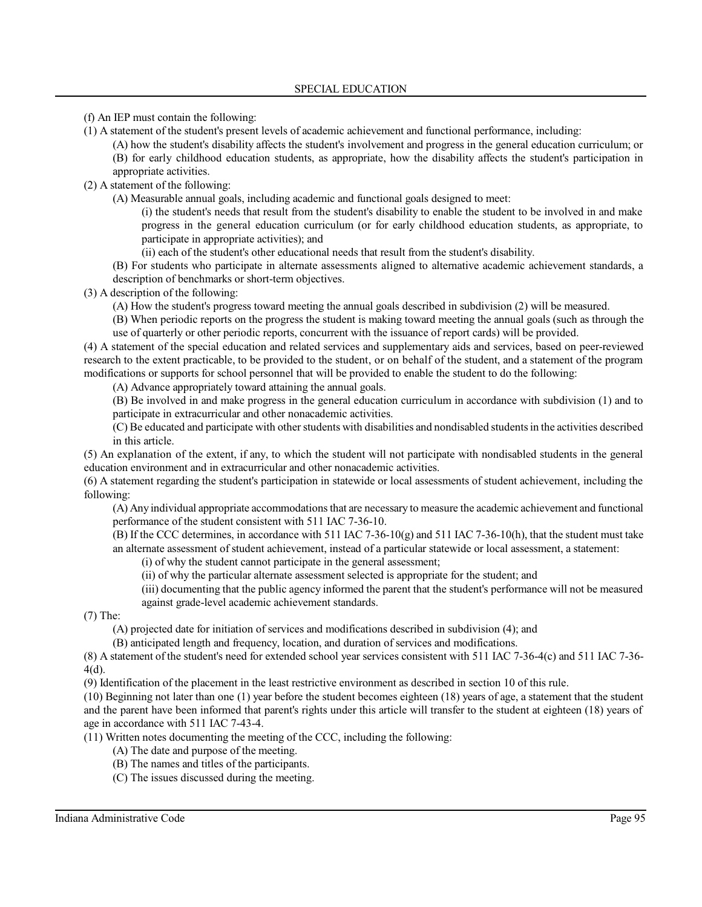(f) An IEP must contain the following:

- (1) A statement of the student's present levels of academic achievement and functional performance, including:
	- (A) how the student's disability affects the student's involvement and progress in the general education curriculum; or (B) for early childhood education students, as appropriate, how the disability affects the student's participation in
	- appropriate activities.
- (2) A statement of the following:
	- (A) Measurable annual goals, including academic and functional goals designed to meet:
		- (i) the student's needs that result from the student's disability to enable the student to be involved in and make progress in the general education curriculum (or for early childhood education students, as appropriate, to participate in appropriate activities); and
		- (ii) each of the student's other educational needs that result from the student's disability.
		- (B) For students who participate in alternate assessments aligned to alternative academic achievement standards, a description of benchmarks or short-term objectives.

(3) A description of the following:

- (A) How the student's progress toward meeting the annual goals described in subdivision (2) will be measured.
- (B) When periodic reports on the progress the student is making toward meeting the annual goals (such as through the use of quarterly or other periodic reports, concurrent with the issuance of report cards) will be provided.

(4) A statement of the special education and related services and supplementary aids and services, based on peer-reviewed research to the extent practicable, to be provided to the student, or on behalf of the student, and a statement of the program modifications or supports for school personnel that will be provided to enable the student to do the following:

(A) Advance appropriately toward attaining the annual goals.

(B) Be involved in and make progress in the general education curriculum in accordance with subdivision (1) and to participate in extracurricular and other nonacademic activities.

(C) Be educated and participate with other students with disabilities and nondisabled students in the activities described in this article.

(5) An explanation of the extent, if any, to which the student will not participate with nondisabled students in the general education environment and in extracurricular and other nonacademic activities.

(6) A statement regarding the student's participation in statewide or local assessments of student achievement, including the following:

(A) Any individual appropriate accommodationsthat are necessary to measure the academic achievement and functional performance of the student consistent with 511 IAC 7-36-10.

(B) If the CCC determines, in accordance with 511 IAC 7-36-10(g) and 511 IAC 7-36-10(h), that the student must take an alternate assessment of student achievement, instead of a particular statewide or local assessment, a statement:

(i) of why the student cannot participate in the general assessment;

(ii) of why the particular alternate assessment selected is appropriate for the student; and

(iii) documenting that the public agency informed the parent that the student's performance will not be measured against grade-level academic achievement standards.

(7) The:

(A) projected date for initiation of services and modifications described in subdivision (4); and

(B) anticipated length and frequency, location, and duration of services and modifications.

(8) A statement of the student's need for extended school year services consistent with 511 IAC 7-36-4(c) and 511 IAC 7-36- 4(d).

(9) Identification of the placement in the least restrictive environment as described in section 10 of this rule.

(10) Beginning not later than one (1) year before the student becomes eighteen (18) years of age, a statement that the student and the parent have been informed that parent's rights under this article will transfer to the student at eighteen (18) years of age in accordance with 511 IAC 7-43-4.

(11) Written notes documenting the meeting of the CCC, including the following:

- (A) The date and purpose of the meeting.
- (B) The names and titles of the participants.
- (C) The issues discussed during the meeting.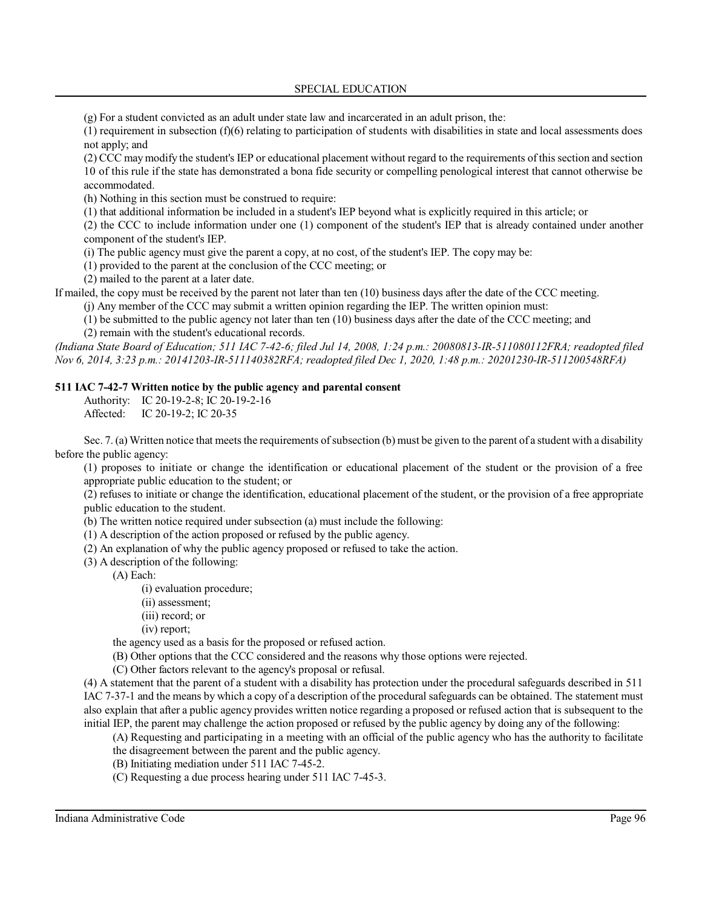### SPECIAL EDUCATION

(g) For a student convicted as an adult under state law and incarcerated in an adult prison, the:

(1) requirement in subsection (f)(6) relating to participation of students with disabilities in state and local assessments does not apply; and

(2) CCC may modify the student's IEP or educational placement without regard to the requirements ofthissection and section 10 of this rule if the state has demonstrated a bona fide security or compelling penological interest that cannot otherwise be accommodated.

(h) Nothing in this section must be construed to require:

(1) that additional information be included in a student's IEP beyond what is explicitly required in this article; or

(2) the CCC to include information under one (1) component of the student's IEP that is already contained under another component of the student's IEP.

(i) The public agency must give the parent a copy, at no cost, of the student's IEP. The copy may be:

(1) provided to the parent at the conclusion of the CCC meeting; or

(2) mailed to the parent at a later date.

If mailed, the copy must be received by the parent not later than ten (10) business days after the date of the CCC meeting.

(j) Any member of the CCC may submit a written opinion regarding the IEP. The written opinion must:

(1) be submitted to the public agency not later than ten (10) business days after the date of the CCC meeting; and

(2) remain with the student's educational records.

*(Indiana State Board of Education; 511 IAC 7-42-6; filed Jul 14, 2008, 1:24 p.m.: 20080813-IR-511080112FRA; readopted filed Nov 6, 2014, 3:23 p.m.: 20141203-IR-511140382RFA; readopted filed Dec 1, 2020, 1:48 p.m.: 20201230-IR-511200548RFA)*

# **511 IAC 7-42-7 Written notice by the public agency and parental consent**

Authority: IC 20-19-2-8; IC 20-19-2-16

Affected: IC 20-19-2; IC 20-35

Sec. 7. (a) Written notice that meets the requirements of subsection (b) must be given to the parent of a student with a disability before the public agency:

(1) proposes to initiate or change the identification or educational placement of the student or the provision of a free appropriate public education to the student; or

(2) refuses to initiate or change the identification, educational placement of the student, or the provision of a free appropriate public education to the student.

- (b) The written notice required under subsection (a) must include the following:
- (1) A description of the action proposed or refused by the public agency.
- (2) An explanation of why the public agency proposed or refused to take the action.
- (3) A description of the following:

(A) Each:

- (i) evaluation procedure;
- (ii) assessment;
- (iii) record; or
- (iv) report;

the agency used as a basis for the proposed or refused action.

(B) Other options that the CCC considered and the reasons why those options were rejected.

(C) Other factors relevant to the agency's proposal or refusal.

(4) A statement that the parent of a student with a disability has protection under the procedural safeguards described in 511 IAC 7-37-1 and the means by which a copy of a description of the procedural safeguards can be obtained. The statement must also explain that after a public agency provides written notice regarding a proposed or refused action that is subsequent to the initial IEP, the parent may challenge the action proposed or refused by the public agency by doing any of the following:

(A) Requesting and participating in a meeting with an official of the public agency who has the authority to facilitate

- the disagreement between the parent and the public agency.
- (B) Initiating mediation under 511 IAC 7-45-2.
- (C) Requesting a due process hearing under 511 IAC 7-45-3.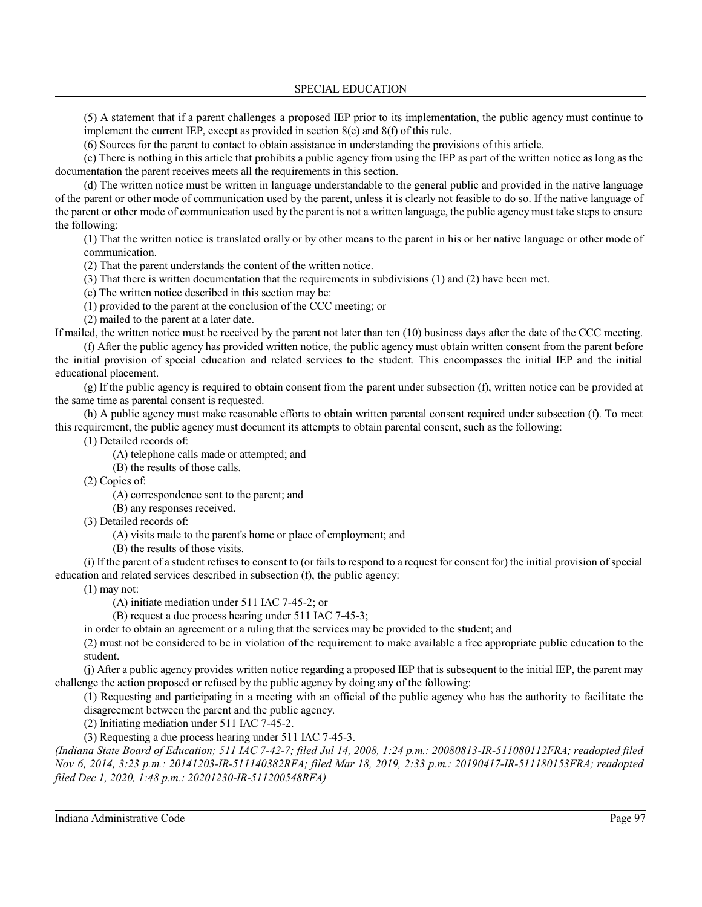(5) A statement that if a parent challenges a proposed IEP prior to its implementation, the public agency must continue to implement the current IEP, except as provided in section 8(e) and 8(f) of this rule.

(6) Sources for the parent to contact to obtain assistance in understanding the provisions of this article.

(c) There is nothing in this article that prohibits a public agency from using the IEP as part of the written notice as long as the documentation the parent receives meets all the requirements in this section.

(d) The written notice must be written in language understandable to the general public and provided in the native language of the parent or other mode of communication used by the parent, unless it is clearly not feasible to do so. If the native language of the parent or other mode of communication used by the parent is not a written language, the public agency must take steps to ensure the following:

(1) That the written notice is translated orally or by other means to the parent in his or her native language or other mode of communication.

(2) That the parent understands the content of the written notice.

(3) That there is written documentation that the requirements in subdivisions (1) and (2) have been met.

(e) The written notice described in this section may be:

(1) provided to the parent at the conclusion of the CCC meeting; or

(2) mailed to the parent at a later date.

If mailed, the written notice must be received by the parent not later than ten (10) business days after the date of the CCC meeting. (f) After the public agency has provided written notice, the public agency must obtain written consent from the parent before the initial provision of special education and related services to the student. This encompasses the initial IEP and the initial educational placement.

(g) If the public agency is required to obtain consent from the parent under subsection (f), written notice can be provided at the same time as parental consent is requested.

(h) A public agency must make reasonable efforts to obtain written parental consent required under subsection (f). To meet this requirement, the public agency must document its attempts to obtain parental consent, such as the following:

(1) Detailed records of:

(A) telephone calls made or attempted; and

(B) the results of those calls.

(2) Copies of:

(A) correspondence sent to the parent; and

(B) any responses received.

(3) Detailed records of:

(A) visits made to the parent's home or place of employment; and

(B) the results of those visits.

(i) If the parent of a student refuses to consent to (or failsto respond to a request for consent for) the initial provision ofspecial education and related services described in subsection (f), the public agency:

(1) may not:

(A) initiate mediation under 511 IAC 7-45-2; or

(B) request a due process hearing under 511 IAC 7-45-3;

in order to obtain an agreement or a ruling that the services may be provided to the student; and

(2) must not be considered to be in violation of the requirement to make available a free appropriate public education to the student.

(j) After a public agency provides written notice regarding a proposed IEP that is subsequent to the initial IEP, the parent may challenge the action proposed or refused by the public agency by doing any of the following:

(1) Requesting and participating in a meeting with an official of the public agency who has the authority to facilitate the disagreement between the parent and the public agency.

(2) Initiating mediation under 511 IAC 7-45-2.

(3) Requesting a due process hearing under 511 IAC 7-45-3.

*(Indiana State Board of Education; 511 IAC 7-42-7; filed Jul 14, 2008, 1:24 p.m.: 20080813-IR-511080112FRA; readopted filed Nov 6, 2014, 3:23 p.m.: 20141203-IR-511140382RFA; filed Mar 18, 2019, 2:33 p.m.: 20190417-IR-511180153FRA; readopted filed Dec 1, 2020, 1:48 p.m.: 20201230-IR-511200548RFA)*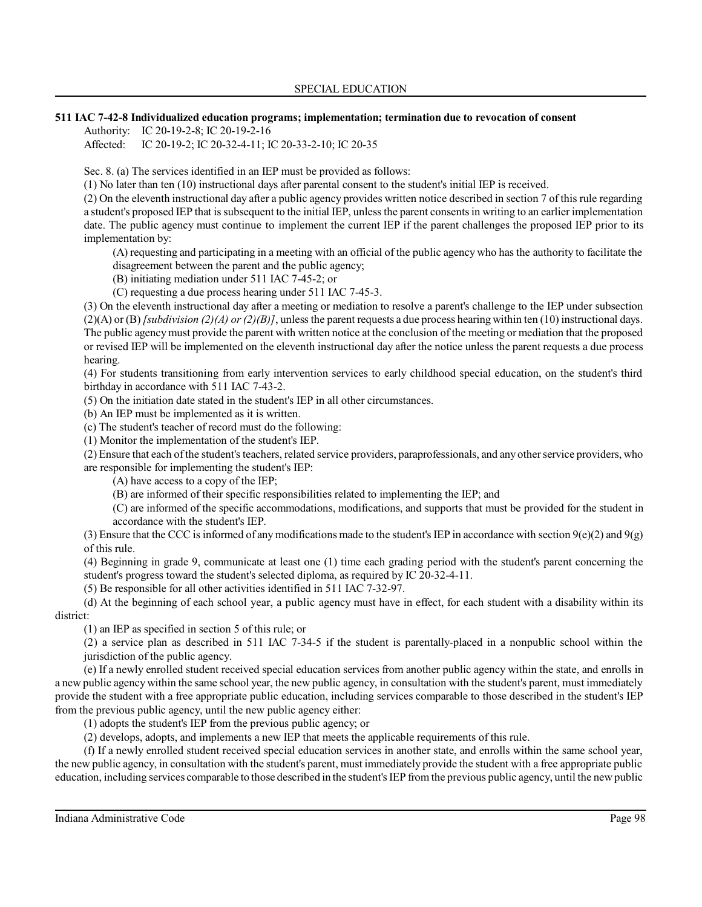### **511 IAC 7-42-8 Individualized education programs; implementation; termination due to revocation of consent**

Authority: IC 20-19-2-8; IC 20-19-2-16

Affected: IC 20-19-2; IC 20-32-4-11; IC 20-33-2-10; IC 20-35

Sec. 8. (a) The services identified in an IEP must be provided as follows:

(1) No later than ten (10) instructional days after parental consent to the student's initial IEP is received.

(2) On the eleventh instructional day after a public agency provides written notice described in section 7 of this rule regarding a student's proposed IEP that issubsequent to the initial IEP, unless the parent consentsin writing to an earlier implementation date. The public agency must continue to implement the current IEP if the parent challenges the proposed IEP prior to its implementation by:

(A) requesting and participating in a meeting with an official of the public agency who has the authority to facilitate the disagreement between the parent and the public agency;

(B) initiating mediation under 511 IAC 7-45-2; or

(C) requesting a due process hearing under 511 IAC 7-45-3.

(3) On the eleventh instructional day after a meeting or mediation to resolve a parent's challenge to the IEP under subsection (2)(A) or (B)*[subdivision (2)(A) or (2)(B)]*, unless the parent requests a due process hearing within ten (10) instructional days. The public agencymust provide the parent with written notice at the conclusion of the meeting or mediation that the proposed or revised IEP will be implemented on the eleventh instructional day after the notice unless the parent requests a due process hearing.

(4) For students transitioning from early intervention services to early childhood special education, on the student's third birthday in accordance with 511 IAC 7-43-2.

(5) On the initiation date stated in the student's IEP in all other circumstances.

(b) An IEP must be implemented as it is written.

(c) The student's teacher of record must do the following:

(1) Monitor the implementation of the student's IEP.

(2) Ensure that each ofthe student's teachers, related service providers, paraprofessionals, and any otherservice providers, who are responsible for implementing the student's IEP:

(A) have access to a copy of the IEP;

(B) are informed of their specific responsibilities related to implementing the IEP; and

(C) are informed of the specific accommodations, modifications, and supports that must be provided for the student in accordance with the student's IEP.

(3) Ensure that the CCC is informed of any modifications made to the student's IEP in accordance with section  $9(e)(2)$  and  $9(g)$ of this rule.

(4) Beginning in grade 9, communicate at least one (1) time each grading period with the student's parent concerning the student's progress toward the student's selected diploma, as required by IC 20-32-4-11.

(5) Be responsible for all other activities identified in 511 IAC 7-32-97.

(d) At the beginning of each school year, a public agency must have in effect, for each student with a disability within its district:

(1) an IEP as specified in section 5 of this rule; or

(2) a service plan as described in 511 IAC 7-34-5 if the student is parentally-placed in a nonpublic school within the jurisdiction of the public agency.

(e) If a newly enrolled student received special education services from another public agency within the state, and enrolls in a new public agency within the same school year, the new public agency, in consultation with the student's parent, must immediately provide the student with a free appropriate public education, including services comparable to those described in the student's IEP from the previous public agency, until the new public agency either:

(1) adopts the student's IEP from the previous public agency; or

(2) develops, adopts, and implements a new IEP that meets the applicable requirements of this rule.

(f) If a newly enrolled student received special education services in another state, and enrolls within the same school year, the new public agency, in consultation with the student's parent, must immediately provide the student with a free appropriate public education, including services comparable to those described in the student's IEP from the previous public agency, until the new public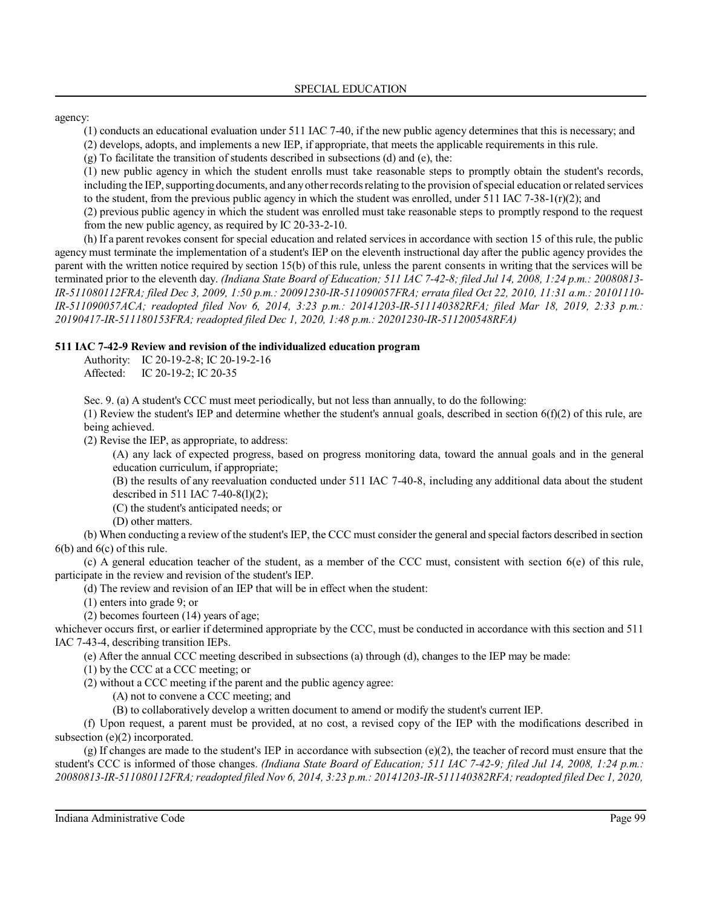agency:

(1) conducts an educational evaluation under 511 IAC 7-40, if the new public agency determines that this is necessary; and

(2) develops, adopts, and implements a new IEP, if appropriate, that meets the applicable requirements in this rule.

(g) To facilitate the transition of students described in subsections (d) and (e), the:

(1) new public agency in which the student enrolls must take reasonable steps to promptly obtain the student's records, including the IEP, supporting documents, and any other records relating to the provision of special education or related services to the student, from the previous public agency in which the student was enrolled, under  $511$  IAC  $7-38-1(r)(2)$ ; and

(2) previous public agency in which the student was enrolled must take reasonable steps to promptly respond to the request from the new public agency, as required by IC 20-33-2-10.

(h) If a parent revokes consent for special education and related services in accordance with section 15 of this rule, the public agency must terminate the implementation of a student's IEP on the eleventh instructional day after the public agency provides the parent with the written notice required by section 15(b) of this rule, unless the parent consents in writing that the services will be terminated prior to the eleventh day. *(Indiana State Board of Education; 511 IAC 7-42-8; filed Jul 14, 2008, 1:24 p.m.: 20080813- IR-511080112FRA; filed Dec 3, 2009, 1:50 p.m.: 20091230-IR-511090057FRA; errata filed Oct 22, 2010, 11:31 a.m.: 20101110- IR-511090057ACA; readopted filed Nov 6, 2014, 3:23 p.m.: 20141203-IR-511140382RFA; filed Mar 18, 2019, 2:33 p.m.: 20190417-IR-511180153FRA; readopted filed Dec 1, 2020, 1:48 p.m.: 20201230-IR-511200548RFA)*

# **511 IAC 7-42-9 Review and revision of the individualized education program**

Authority: IC 20-19-2-8; IC 20-19-2-16 Affected: IC 20-19-2; IC 20-35

Sec. 9. (a) A student's CCC must meet periodically, but not less than annually, to do the following:

(1) Review the student's IEP and determine whether the student's annual goals, described in section  $6(f)(2)$  of this rule, are being achieved.

(2) Revise the IEP, as appropriate, to address:

(A) any lack of expected progress, based on progress monitoring data, toward the annual goals and in the general education curriculum, if appropriate;

(B) the results of any reevaluation conducted under 511 IAC 7-40-8, including any additional data about the student described in 511 IAC 7-40-8(l)(2);

(C) the student's anticipated needs; or

(D) other matters.

(b) When conducting a review of the student's IEP, the CCC must consider the general and special factors described in section 6(b) and 6(c) of this rule.

(c) A general education teacher of the student, as a member of the CCC must, consistent with section 6(e) of this rule, participate in the review and revision of the student's IEP.

(d) The review and revision of an IEP that will be in effect when the student:

(1) enters into grade 9; or

(2) becomes fourteen (14) years of age;

whichever occurs first, or earlier if determined appropriate by the CCC, must be conducted in accordance with this section and 511 IAC 7-43-4, describing transition IEPs.

(e) After the annual CCC meeting described in subsections (a) through (d), changes to the IEP may be made:

(1) by the CCC at a CCC meeting; or

(2) without a CCC meeting if the parent and the public agency agree:

(A) not to convene a CCC meeting; and

(B) to collaboratively develop a written document to amend or modify the student's current IEP.

(f) Upon request, a parent must be provided, at no cost, a revised copy of the IEP with the modifications described in subsection (e)(2) incorporated.

(g) If changes are made to the student's IEP in accordance with subsection  $(e)(2)$ , the teacher of record must ensure that the student's CCC is informed of those changes. *(Indiana State Board of Education; 511 IAC 7-42-9; filed Jul 14, 2008, 1:24 p.m.: 20080813-IR-511080112FRA;readopted filed Nov 6, 2014, 3:23 p.m.: 20141203-IR-511140382RFA; readopted filed Dec 1, 2020,*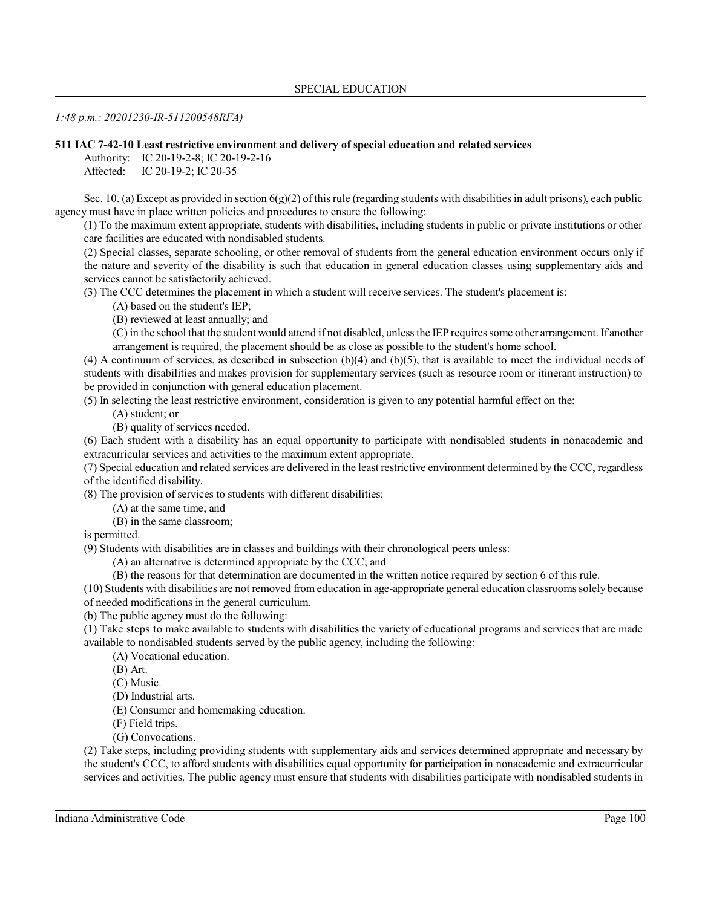# *1:48 p.m.: 20201230-IR-511200548RFA)*

# **511 IAC 7-42-10 Least restrictive environment and delivery of special education and related services**

Authority: IC 20-19-2-8; IC 20-19-2-16

Affected: IC 20-19-2; IC 20-35

Sec. 10. (a) Except as provided in section  $6(g)(2)$  of this rule (regarding students with disabilities in adult prisons), each public agency must have in place written policies and procedures to ensure the following:

(1) To the maximum extent appropriate, students with disabilities, including students in public or private institutions or other care facilities are educated with nondisabled students.

(2) Special classes, separate schooling, or other removal of students from the general education environment occurs only if the nature and severity of the disability is such that education in general education classes using supplementary aids and services cannot be satisfactorily achieved.

(3) The CCC determines the placement in which a student will receive services. The student's placement is:

(A) based on the student's IEP;

(B) reviewed at least annually; and

(C)in the school that the student would attend if not disabled, unless the IEP requiressome other arrangement. If another arrangement is required, the placement should be as close as possible to the student's home school.

(4) A continuum of services, as described in subsection  $(b)(4)$  and  $(b)(5)$ , that is available to meet the individual needs of students with disabilities and makes provision for supplementary services (such as resource room or itinerant instruction) to be provided in conjunction with general education placement.

(5) In selecting the least restrictive environment, consideration is given to any potential harmful effect on the:

(A) student; or

(B) quality of services needed.

(6) Each student with a disability has an equal opportunity to participate with nondisabled students in nonacademic and extracurricular services and activities to the maximum extent appropriate.

(7) Special education and related services are delivered in the least restrictive environment determined by the CCC, regardless of the identified disability.

(8) The provision of services to students with different disabilities:

(A) at the same time; and

(B) in the same classroom;

is permitted.

(9) Students with disabilities are in classes and buildings with their chronological peers unless:

(A) an alternative is determined appropriate by the CCC; and

(B) the reasons for that determination are documented in the written notice required by section 6 of this rule.

(10) Students with disabilities are not removed from education in age-appropriate general education classrooms solely because of needed modifications in the general curriculum.

(b) The public agency must do the following:

(1) Take steps to make available to students with disabilities the variety of educational programs and services that are made available to nondisabled students served by the public agency, including the following:

(A) Vocational education.

(B) Art.

(C) Music.

(D) Industrial arts.

(E) Consumer and homemaking education.

(F) Field trips.

(G) Convocations.

(2) Take steps, including providing students with supplementary aids and services determined appropriate and necessary by the student's CCC, to afford students with disabilities equal opportunity for participation in nonacademic and extracurricular services and activities. The public agency must ensure that students with disabilities participate with nondisabled students in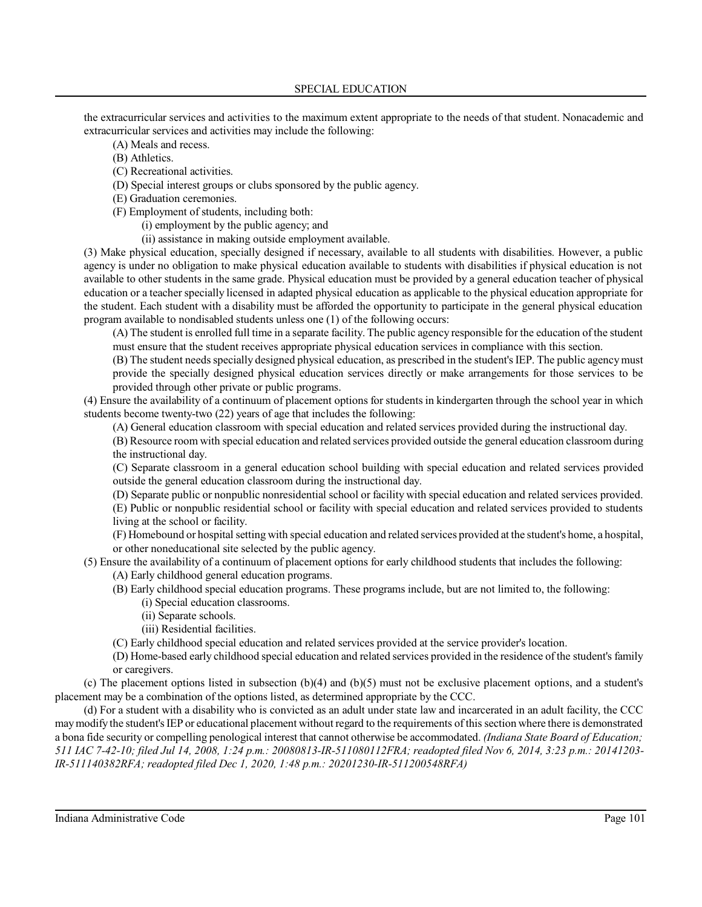### SPECIAL EDUCATION

the extracurricular services and activities to the maximum extent appropriate to the needs of that student. Nonacademic and extracurricular services and activities may include the following:

- (A) Meals and recess.
- (B) Athletics.
- (C) Recreational activities.
- (D) Special interest groups or clubs sponsored by the public agency.
- (E) Graduation ceremonies.
- (F) Employment of students, including both:
	- (i) employment by the public agency; and
	- (ii) assistance in making outside employment available.

(3) Make physical education, specially designed if necessary, available to all students with disabilities. However, a public agency is under no obligation to make physical education available to students with disabilities if physical education is not available to other students in the same grade. Physical education must be provided by a general education teacher of physical education or a teacher specially licensed in adapted physical education as applicable to the physical education appropriate for the student. Each student with a disability must be afforded the opportunity to participate in the general physical education program available to nondisabled students unless one (1) of the following occurs:

(A) The student is enrolled full time in a separate facility. The public agency responsible for the education of the student must ensure that the student receives appropriate physical education services in compliance with this section.

(B) The student needsspecially designed physical education, as prescribed in the student's IEP. The public agencymust provide the specially designed physical education services directly or make arrangements for those services to be provided through other private or public programs.

(4) Ensure the availability of a continuum of placement options for students in kindergarten through the school year in which students become twenty-two (22) years of age that includes the following:

(A) General education classroom with special education and related services provided during the instructional day.

(B) Resource room with special education and related services provided outside the general education classroom during the instructional day.

(C) Separate classroom in a general education school building with special education and related services provided outside the general education classroom during the instructional day.

(D) Separate public or nonpublic nonresidential school or facility with special education and related services provided. (E) Public or nonpublic residential school or facility with special education and related services provided to students living at the school or facility.

(F) Homebound or hospital setting with special education and related services provided at the student's home, a hospital, or other noneducational site selected by the public agency.

(5) Ensure the availability of a continuum of placement options for early childhood students that includes the following: (A) Early childhood general education programs.

- (B) Early childhood special education programs. These programs include, but are not limited to, the following:
	- (i) Special education classrooms.
	- (ii) Separate schools.
	- (iii) Residential facilities.
- (C) Early childhood special education and related services provided at the service provider's location.

(D) Home-based early childhood special education and related services provided in the residence ofthe student's family or caregivers.

(c) The placement options listed in subsection (b)(4) and (b)(5) must not be exclusive placement options, and a student's placement may be a combination of the options listed, as determined appropriate by the CCC.

(d) For a student with a disability who is convicted as an adult under state law and incarcerated in an adult facility, the CCC maymodify the student's IEP or educational placement without regard to the requirements ofthissection where there is demonstrated a bona fide security or compelling penological interest that cannot otherwise be accommodated. *(Indiana State Board of Education; 511 IAC 7-42-10; filed Jul 14, 2008, 1:24 p.m.: 20080813-IR-511080112FRA; readopted filed Nov 6, 2014, 3:23 p.m.: 20141203- IR-511140382RFA; readopted filed Dec 1, 2020, 1:48 p.m.: 20201230-IR-511200548RFA)*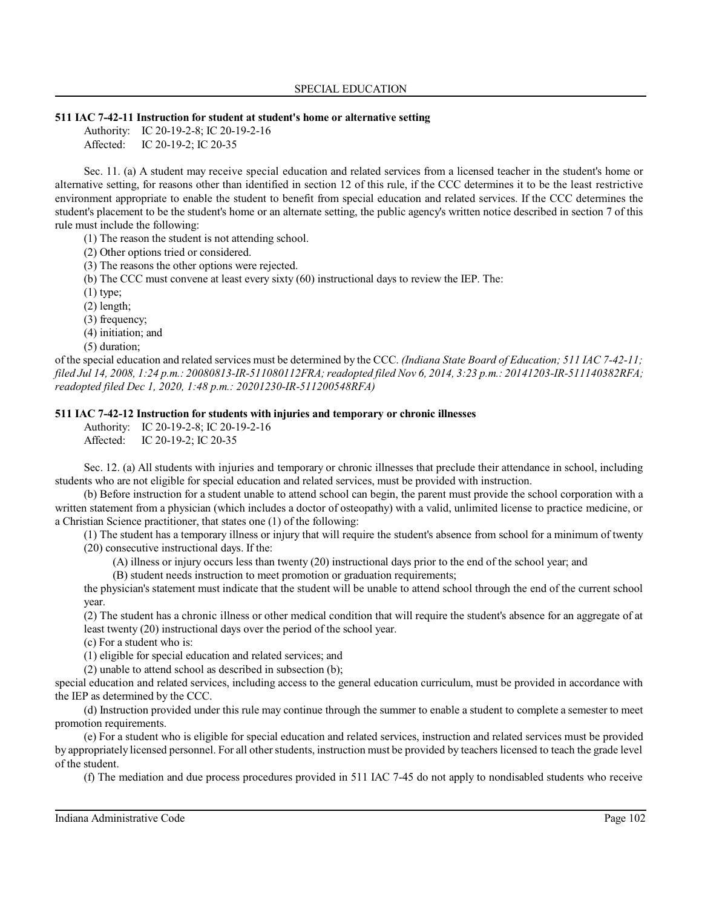### **511 IAC 7-42-11 Instruction for student at student's home or alternative setting**

Authority: IC 20-19-2-8; IC 20-19-2-16 Affected: IC 20-19-2; IC 20-35

Sec. 11. (a) A student may receive special education and related services from a licensed teacher in the student's home or alternative setting, for reasons other than identified in section 12 of this rule, if the CCC determines it to be the least restrictive environment appropriate to enable the student to benefit from special education and related services. If the CCC determines the student's placement to be the student's home or an alternate setting, the public agency's written notice described in section 7 of this rule must include the following:

(1) The reason the student is not attending school.

(2) Other options tried or considered.

(3) The reasons the other options were rejected.

(b) The CCC must convene at least every sixty (60) instructional days to review the IEP. The:

 $(1)$  type;

(2) length;

(3) frequency;

(4) initiation; and

(5) duration;

of the special education and related services must be determined by the CCC. *(Indiana State Board of Education; 511 IAC 7-42-11; filed Jul 14, 2008, 1:24 p.m.: 20080813-IR-511080112FRA;readopted filed Nov 6, 2014, 3:23 p.m.: 20141203-IR-511140382RFA; readopted filed Dec 1, 2020, 1:48 p.m.: 20201230-IR-511200548RFA)*

# **511 IAC 7-42-12 Instruction for students with injuries and temporary or chronic illnesses**

Authority: IC 20-19-2-8; IC 20-19-2-16 Affected: IC 20-19-2; IC 20-35

Sec. 12. (a) All students with injuries and temporary or chronic illnesses that preclude their attendance in school, including students who are not eligible for special education and related services, must be provided with instruction.

(b) Before instruction for a student unable to attend school can begin, the parent must provide the school corporation with a written statement from a physician (which includes a doctor of osteopathy) with a valid, unlimited license to practice medicine, or a Christian Science practitioner, that states one (1) of the following:

(1) The student has a temporary illness or injury that will require the student's absence from school for a minimum of twenty (20) consecutive instructional days. If the:

(A) illness or injury occurs less than twenty (20) instructional days prior to the end of the school year; and

(B) student needs instruction to meet promotion or graduation requirements;

the physician's statement must indicate that the student will be unable to attend school through the end of the current school year.

(2) The student has a chronic illness or other medical condition that will require the student's absence for an aggregate of at least twenty (20) instructional days over the period of the school year.

(c) For a student who is:

(1) eligible for special education and related services; and

(2) unable to attend school as described in subsection (b);

special education and related services, including access to the general education curriculum, must be provided in accordance with the IEP as determined by the CCC.

(d) Instruction provided under this rule may continue through the summer to enable a student to complete a semester to meet promotion requirements.

(e) For a student who is eligible for special education and related services, instruction and related services must be provided by appropriately licensed personnel. For all other students, instruction must be provided by teachers licensed to teach the grade level of the student.

(f) The mediation and due process procedures provided in 511 IAC 7-45 do not apply to nondisabled students who receive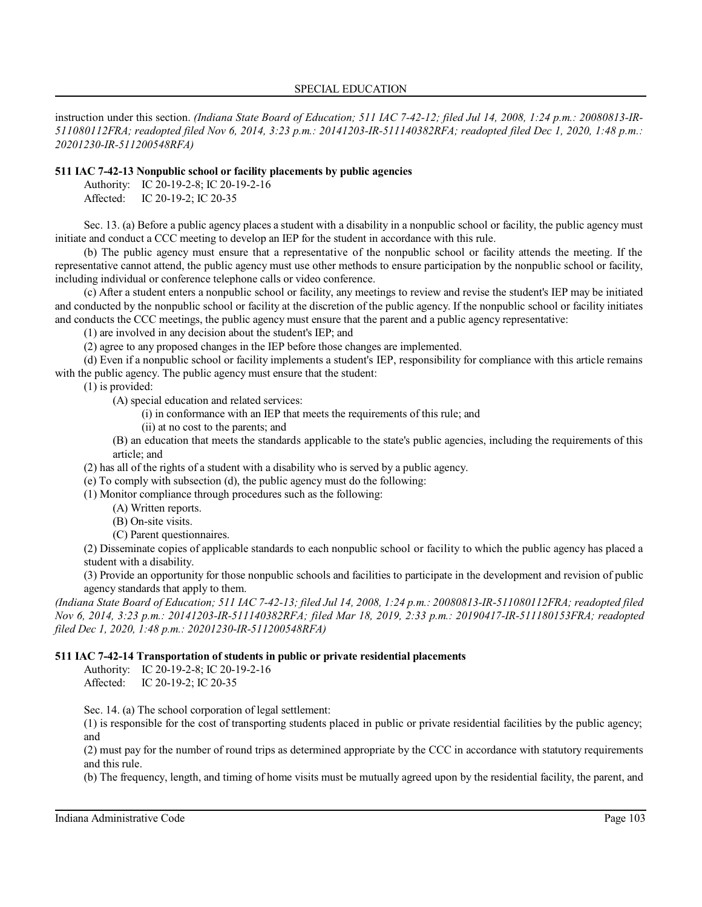instruction under this section. *(Indiana State Board of Education; 511 IAC 7-42-12; filed Jul 14, 2008, 1:24 p.m.: 20080813-IR-511080112FRA; readopted filed Nov 6, 2014, 3:23 p.m.: 20141203-IR-511140382RFA; readopted filed Dec 1, 2020, 1:48 p.m.: 20201230-IR-511200548RFA)*

### **511 IAC 7-42-13 Nonpublic school or facility placements by public agencies**

Authority: IC 20-19-2-8; IC 20-19-2-16

Affected: IC 20-19-2; IC 20-35

Sec. 13. (a) Before a public agency places a student with a disability in a nonpublic school or facility, the public agency must initiate and conduct a CCC meeting to develop an IEP for the student in accordance with this rule.

(b) The public agency must ensure that a representative of the nonpublic school or facility attends the meeting. If the representative cannot attend, the public agency must use other methods to ensure participation by the nonpublic school or facility, including individual or conference telephone calls or video conference.

(c) After a student enters a nonpublic school or facility, any meetings to review and revise the student's IEP may be initiated and conducted by the nonpublic school or facility at the discretion of the public agency. If the nonpublic school or facility initiates and conducts the CCC meetings, the public agency must ensure that the parent and a public agency representative:

(1) are involved in any decision about the student's IEP; and

(2) agree to any proposed changes in the IEP before those changes are implemented.

(d) Even if a nonpublic school or facility implements a student's IEP, responsibility for compliance with this article remains with the public agency. The public agency must ensure that the student:

(1) is provided:

(A) special education and related services:

(i) in conformance with an IEP that meets the requirements of this rule; and

(ii) at no cost to the parents; and

(B) an education that meets the standards applicable to the state's public agencies, including the requirements of this article; and

(2) has all of the rights of a student with a disability who is served by a public agency.

(e) To comply with subsection (d), the public agency must do the following:

(1) Monitor compliance through procedures such as the following:

- (A) Written reports.
- (B) On-site visits.
- (C) Parent questionnaires.

(2) Disseminate copies of applicable standards to each nonpublic school or facility to which the public agency has placed a student with a disability.

(3) Provide an opportunity for those nonpublic schools and facilities to participate in the development and revision of public agency standards that apply to them.

*(Indiana State Board of Education; 511 IAC 7-42-13; filed Jul 14, 2008, 1:24 p.m.: 20080813-IR-511080112FRA; readopted filed Nov 6, 2014, 3:23 p.m.: 20141203-IR-511140382RFA; filed Mar 18, 2019, 2:33 p.m.: 20190417-IR-511180153FRA; readopted filed Dec 1, 2020, 1:48 p.m.: 20201230-IR-511200548RFA)*

# **511 IAC 7-42-14 Transportation of students in public or private residential placements**

Authority: IC 20-19-2-8; IC 20-19-2-16 Affected: IC 20-19-2; IC 20-35

Sec. 14. (a) The school corporation of legal settlement:

(1) is responsible for the cost of transporting students placed in public or private residential facilities by the public agency; and

(2) must pay for the number of round trips as determined appropriate by the CCC in accordance with statutory requirements and this rule.

(b) The frequency, length, and timing of home visits must be mutually agreed upon by the residential facility, the parent, and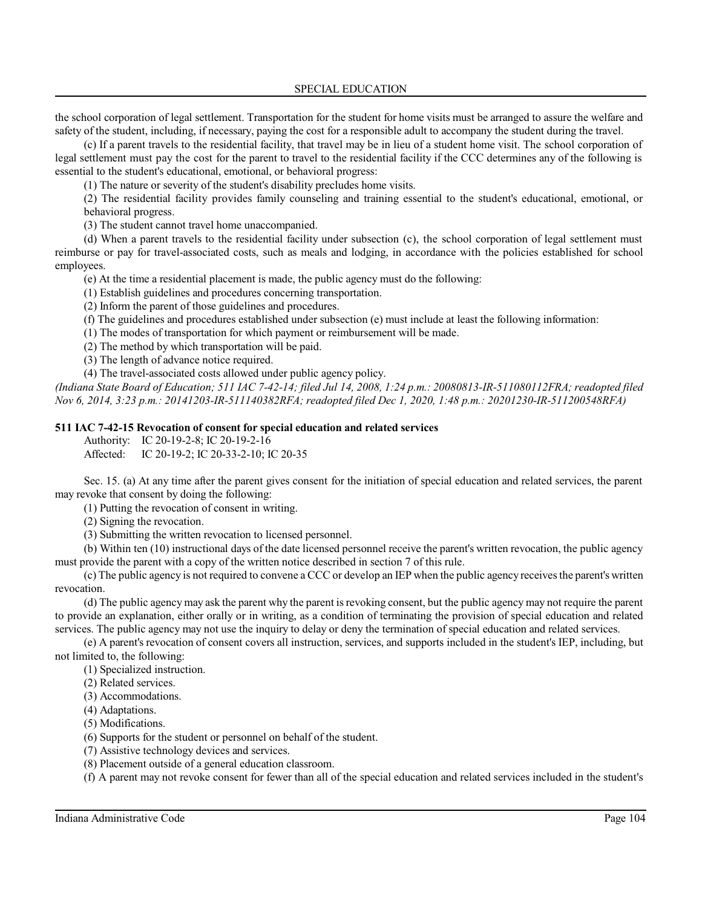the school corporation of legal settlement. Transportation for the student for home visits must be arranged to assure the welfare and safety of the student, including, if necessary, paying the cost for a responsible adult to accompany the student during the travel.

(c) If a parent travels to the residential facility, that travel may be in lieu of a student home visit. The school corporation of legal settlement must pay the cost for the parent to travel to the residential facility if the CCC determines any of the following is essential to the student's educational, emotional, or behavioral progress:

(1) The nature or severity of the student's disability precludes home visits.

(2) The residential facility provides family counseling and training essential to the student's educational, emotional, or behavioral progress.

(3) The student cannot travel home unaccompanied.

(d) When a parent travels to the residential facility under subsection (c), the school corporation of legal settlement must reimburse or pay for travel-associated costs, such as meals and lodging, in accordance with the policies established for school employees.

(e) At the time a residential placement is made, the public agency must do the following:

(1) Establish guidelines and procedures concerning transportation.

(2) Inform the parent of those guidelines and procedures.

(f) The guidelines and procedures established under subsection (e) must include at least the following information:

(1) The modes of transportation for which payment or reimbursement will be made.

(2) The method by which transportation will be paid.

(3) The length of advance notice required.

(4) The travel-associated costs allowed under public agency policy.

*(Indiana State Board of Education; 511 IAC 7-42-14; filed Jul 14, 2008, 1:24 p.m.: 20080813-IR-511080112FRA; readopted filed Nov 6, 2014, 3:23 p.m.: 20141203-IR-511140382RFA; readopted filed Dec 1, 2020, 1:48 p.m.: 20201230-IR-511200548RFA)*

# **511 IAC 7-42-15 Revocation of consent for special education and related services**

Authority: IC 20-19-2-8; IC 20-19-2-16

Affected: IC 20-19-2; IC 20-33-2-10; IC 20-35

Sec. 15. (a) At any time after the parent gives consent for the initiation of special education and related services, the parent may revoke that consent by doing the following:

(1) Putting the revocation of consent in writing.

(2) Signing the revocation.

(3) Submitting the written revocation to licensed personnel.

(b) Within ten (10) instructional days of the date licensed personnel receive the parent's written revocation, the public agency must provide the parent with a copy of the written notice described in section 7 of this rule.

(c) The public agency is not required to convene a CCC or develop an IEP when the public agency receivesthe parent's written revocation.

(d) The public agency may ask the parent why the parent isrevoking consent, but the public agency may not require the parent to provide an explanation, either orally or in writing, as a condition of terminating the provision of special education and related services. The public agency may not use the inquiry to delay or deny the termination of special education and related services.

(e) A parent's revocation of consent covers all instruction, services, and supports included in the student's IEP, including, but not limited to, the following:

(1) Specialized instruction.

(2) Related services.

(3) Accommodations.

(4) Adaptations.

(5) Modifications.

(6) Supports for the student or personnel on behalf of the student.

(7) Assistive technology devices and services.

(8) Placement outside of a general education classroom.

(f) A parent may not revoke consent for fewer than all of the special education and related services included in the student's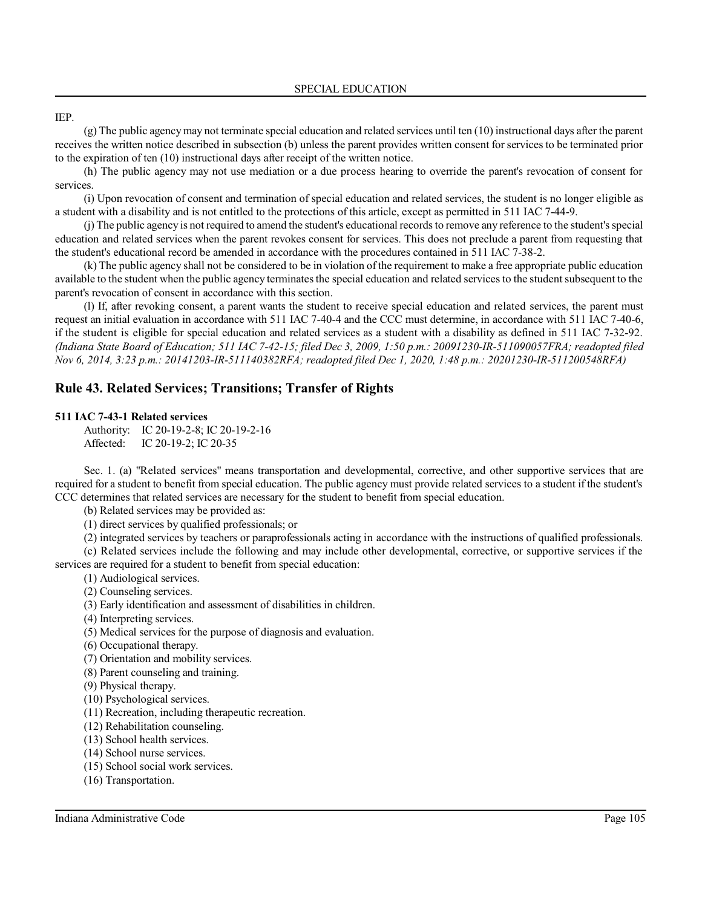### IEP.

(g) The public agencymay not terminate special education and related services until ten (10) instructional days after the parent receives the written notice described in subsection (b) unless the parent provides written consent for services to be terminated prior to the expiration of ten (10) instructional days after receipt of the written notice.

(h) The public agency may not use mediation or a due process hearing to override the parent's revocation of consent for services.

(i) Upon revocation of consent and termination of special education and related services, the student is no longer eligible as a student with a disability and is not entitled to the protections of this article, except as permitted in 511 IAC 7-44-9.

(j) The public agency is not required to amend the student's educational records to remove any reference to the student's special education and related services when the parent revokes consent for services. This does not preclude a parent from requesting that the student's educational record be amended in accordance with the procedures contained in 511 IAC 7-38-2.

(k) The public agency shall not be considered to be in violation of the requirement to make a free appropriate public education available to the student when the public agency terminates the special education and related services to the student subsequent to the parent's revocation of consent in accordance with this section.

(l) If, after revoking consent, a parent wants the student to receive special education and related services, the parent must request an initial evaluation in accordance with 511 IAC 7-40-4 and the CCC must determine, in accordance with 511 IAC 7-40-6, if the student is eligible for special education and related services as a student with a disability as defined in 511 IAC 7-32-92. *(Indiana State Board of Education; 511 IAC 7-42-15; filed Dec 3, 2009, 1:50 p.m.: 20091230-IR-511090057FRA; readopted filed Nov 6, 2014, 3:23 p.m.: 20141203-IR-511140382RFA; readopted filed Dec 1, 2020, 1:48 p.m.: 20201230-IR-511200548RFA)*

# **Rule 43. Related Services; Transitions; Transfer of Rights**

#### **511 IAC 7-43-1 Related services**

Authority: IC 20-19-2-8; IC 20-19-2-16 Affected: IC 20-19-2; IC 20-35

Sec. 1. (a) "Related services" means transportation and developmental, corrective, and other supportive services that are required for a student to benefit from special education. The public agency must provide related services to a student if the student's CCC determines that related services are necessary for the student to benefit from special education.

(b) Related services may be provided as:

(1) direct services by qualified professionals; or

(2) integrated services by teachers or paraprofessionals acting in accordance with the instructions of qualified professionals.

(c) Related services include the following and may include other developmental, corrective, or supportive services if the services are required for a student to benefit from special education:

(1) Audiological services.

- (2) Counseling services.
- (3) Early identification and assessment of disabilities in children.
- (4) Interpreting services.
- (5) Medical services for the purpose of diagnosis and evaluation.
- (6) Occupational therapy.
- (7) Orientation and mobility services.
- (8) Parent counseling and training.
- (9) Physical therapy.
- (10) Psychological services.
- (11) Recreation, including therapeutic recreation.
- (12) Rehabilitation counseling.
- (13) School health services.
- (14) School nurse services.
- (15) School social work services.
- (16) Transportation.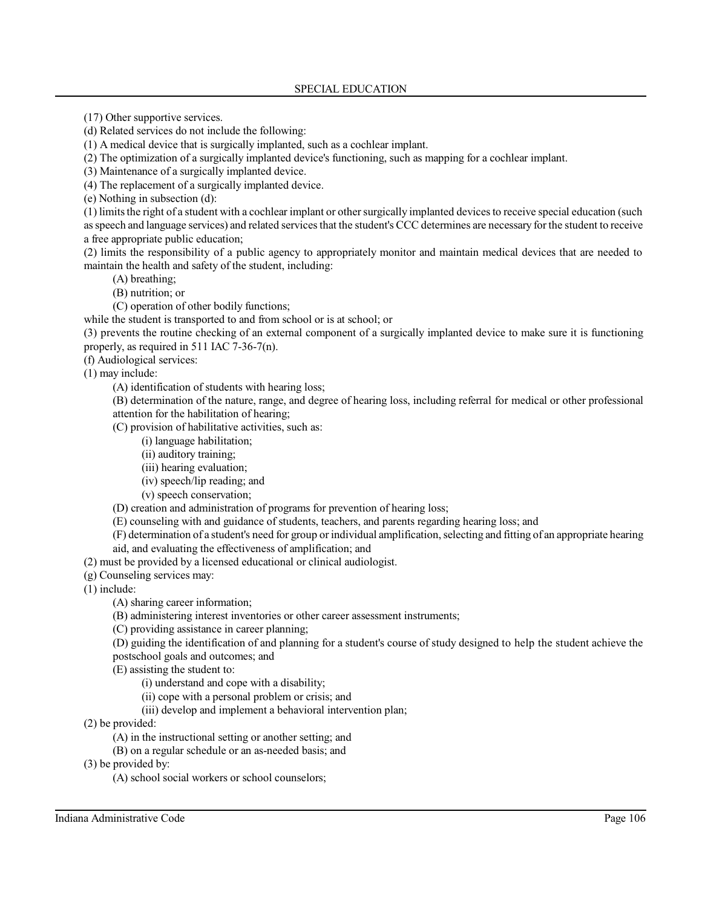(17) Other supportive services.

(d) Related services do not include the following:

(1) A medical device that is surgically implanted, such as a cochlear implant.

(2) The optimization of a surgically implanted device's functioning, such as mapping for a cochlear implant.

(3) Maintenance of a surgically implanted device.

(4) The replacement of a surgically implanted device.

(e) Nothing in subsection (d):

(1) limitsthe right of a student with a cochlear implant or othersurgically implanted devicesto receive special education (such as speech and language services) and related services that the student's CCC determines are necessary for the student to receive a free appropriate public education;

(2) limits the responsibility of a public agency to appropriately monitor and maintain medical devices that are needed to maintain the health and safety of the student, including:

(A) breathing;

(B) nutrition; or

(C) operation of other bodily functions;

while the student is transported to and from school or is at school; or

(3) prevents the routine checking of an external component of a surgically implanted device to make sure it is functioning properly, as required in 511 IAC 7-36-7(n).

(f) Audiological services:

(1) may include:

(A) identification of students with hearing loss;

(B) determination of the nature, range, and degree of hearing loss, including referral for medical or other professional attention for the habilitation of hearing;

(C) provision of habilitative activities, such as:

(i) language habilitation;

(ii) auditory training;

(iii) hearing evaluation;

(iv) speech/lip reading; and

(v) speech conservation;

(D) creation and administration of programs for prevention of hearing loss;

- (E) counseling with and guidance of students, teachers, and parents regarding hearing loss; and
- (F) determination of a student's need for group or individual amplification,selecting and fitting of an appropriate hearing

aid, and evaluating the effectiveness of amplification; and

(2) must be provided by a licensed educational or clinical audiologist.

(g) Counseling services may:

(1) include:

(A) sharing career information;

(B) administering interest inventories or other career assessment instruments;

(C) providing assistance in career planning;

(D) guiding the identification of and planning for a student's course of study designed to help the student achieve the postschool goals and outcomes; and

(E) assisting the student to:

(i) understand and cope with a disability;

- (ii) cope with a personal problem or crisis; and
- (iii) develop and implement a behavioral intervention plan;

(2) be provided:

(A) in the instructional setting or another setting; and

(B) on a regular schedule or an as-needed basis; and

(3) be provided by:

(A) school social workers or school counselors;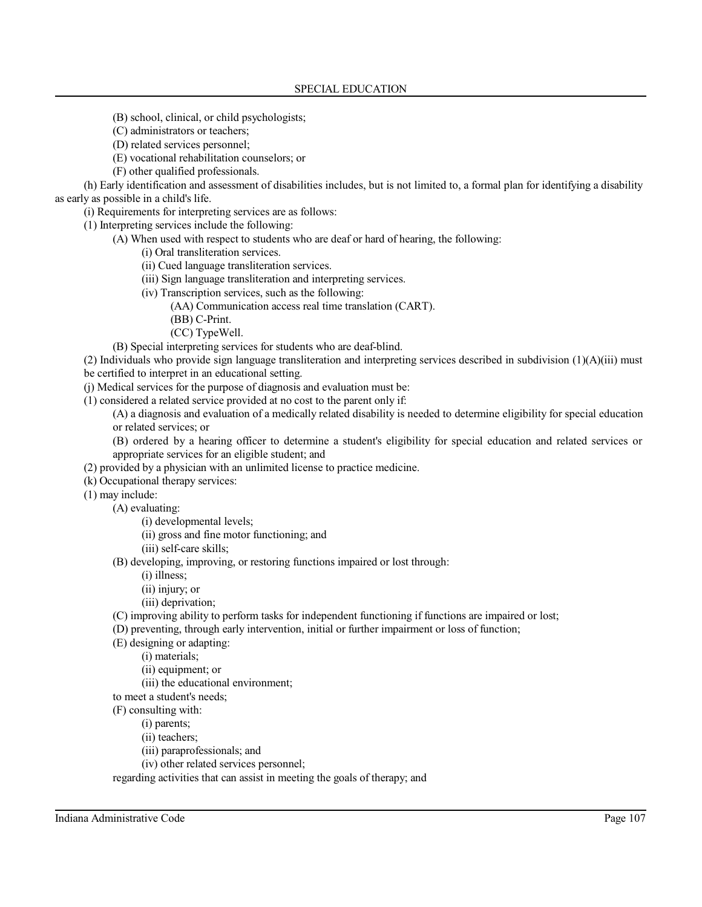- (B) school, clinical, or child psychologists;
- (C) administrators or teachers;
- (D) related services personnel;
- (E) vocational rehabilitation counselors; or
- (F) other qualified professionals.

(h) Early identification and assessment of disabilities includes, but is not limited to, a formal plan for identifying a disability as early as possible in a child's life.

(i) Requirements for interpreting services are as follows:

(1) Interpreting services include the following:

(A) When used with respect to students who are deaf or hard of hearing, the following:

(i) Oral transliteration services.

- (ii) Cued language transliteration services.
- (iii) Sign language transliteration and interpreting services.
- (iv) Transcription services, such as the following:
	- (AA) Communication access real time translation (CART).
	- (BB) C-Print.
	- (CC) TypeWell.

(B) Special interpreting services for students who are deaf-blind.

(2) Individuals who provide sign language transliteration and interpreting services described in subdivision (1)(A)(iii) must be certified to interpret in an educational setting.

(j) Medical services for the purpose of diagnosis and evaluation must be:

(1) considered a related service provided at no cost to the parent only if:

(A) a diagnosis and evaluation of a medically related disability is needed to determine eligibility for special education or related services; or

(B) ordered by a hearing officer to determine a student's eligibility for special education and related services or appropriate services for an eligible student; and

- (2) provided by a physician with an unlimited license to practice medicine.
- (k) Occupational therapy services:
- (1) may include:
	- (A) evaluating:
		- (i) developmental levels;
		- (ii) gross and fine motor functioning; and
		- (iii) self-care skills;

(B) developing, improving, or restoring functions impaired or lost through:

(i) illness;

(ii) injury; or

- (iii) deprivation;
- (C) improving ability to perform tasks for independent functioning if functions are impaired or lost;
- (D) preventing, through early intervention, initial or further impairment or loss of function;

(E) designing or adapting:

(i) materials;

- (ii) equipment; or
- (iii) the educational environment;

to meet a student's needs;

(F) consulting with:

(i) parents;

- (ii) teachers;
- (iii) paraprofessionals; and
- (iv) other related services personnel;

regarding activities that can assist in meeting the goals of therapy; and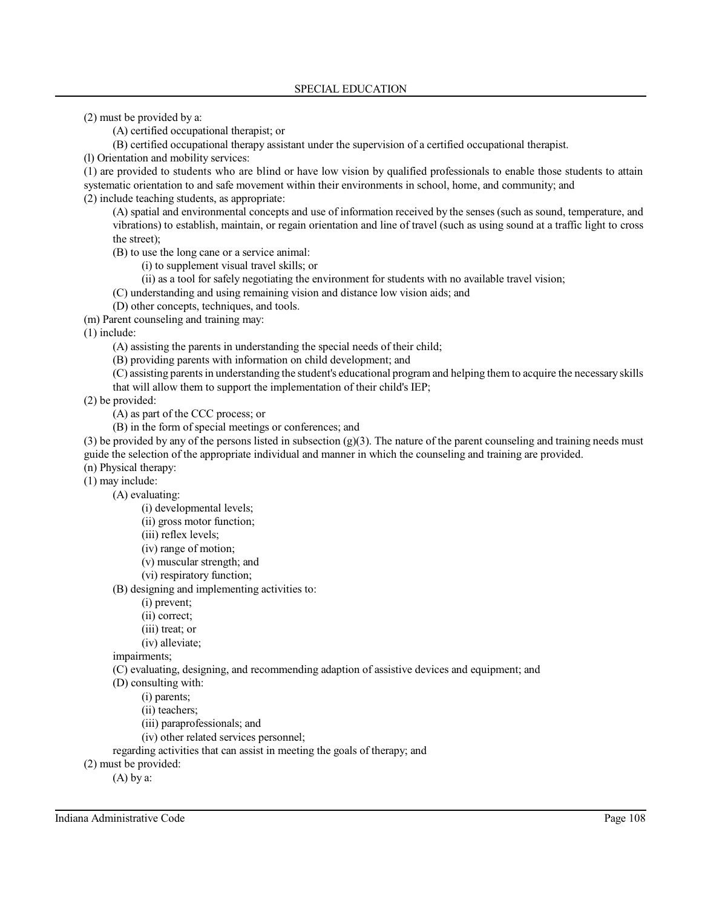(2) must be provided by a:

(A) certified occupational therapist; or

(B) certified occupational therapy assistant under the supervision of a certified occupational therapist.

(l) Orientation and mobility services:

(1) are provided to students who are blind or have low vision by qualified professionals to enable those students to attain systematic orientation to and safe movement within their environments in school, home, and community; and

(2) include teaching students, as appropriate:

(A) spatial and environmental concepts and use of information received by the senses (such as sound, temperature, and vibrations) to establish, maintain, or regain orientation and line of travel (such as using sound at a traffic light to cross the street);

(B) to use the long cane or a service animal:

(i) to supplement visual travel skills; or

(ii) as a tool for safely negotiating the environment for students with no available travel vision;

(C) understanding and using remaining vision and distance low vision aids; and

(D) other concepts, techniques, and tools.

(m) Parent counseling and training may:

(1) include:

(A) assisting the parents in understanding the special needs of their child;

(B) providing parents with information on child development; and

(C) assisting parentsin understanding the student's educational program and helping them to acquire the necessary skills that will allow them to support the implementation of their child's IEP;

(2) be provided:

(A) as part of the CCC process; or

(B) in the form of special meetings or conferences; and

(3) be provided by any of the persons listed in subsection  $(g)(3)$ . The nature of the parent counseling and training needs must guide the selection of the appropriate individual and manner in which the counseling and training are provided. (n) Physical therapy:

(1) may include:

(A) evaluating:

(i) developmental levels;

(ii) gross motor function;

(iii) reflex levels;

(iv) range of motion;

(v) muscular strength; and

(vi) respiratory function;

(B) designing and implementing activities to:

(i) prevent;

(ii) correct;

(iii) treat; or

(iv) alleviate;

impairments;

(C) evaluating, designing, and recommending adaption of assistive devices and equipment; and

(D) consulting with:

(i) parents;

(ii) teachers;

(iii) paraprofessionals; and

(iv) other related services personnel;

regarding activities that can assist in meeting the goals of therapy; and

(2) must be provided:

(A) by a: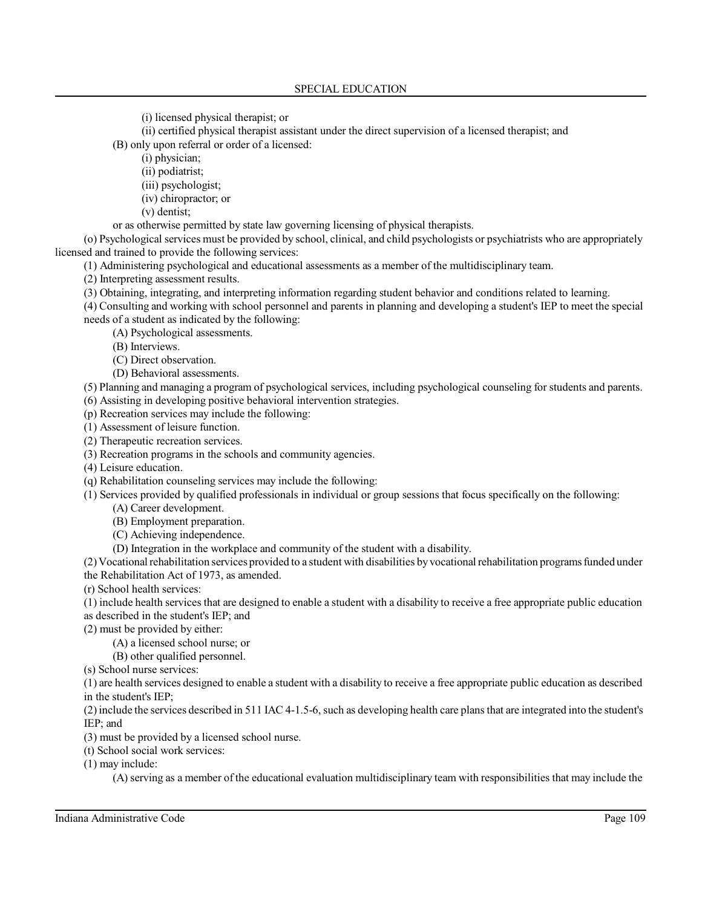(i) licensed physical therapist; or

(ii) certified physical therapist assistant under the direct supervision of a licensed therapist; and

(B) only upon referral or order of a licensed:

(i) physician;

(ii) podiatrist;

(iii) psychologist;

(iv) chiropractor; or

(v) dentist;

or as otherwise permitted by state law governing licensing of physical therapists.

(o) Psychological services must be provided by school, clinical, and child psychologists or psychiatrists who are appropriately licensed and trained to provide the following services:

(1) Administering psychological and educational assessments as a member of the multidisciplinary team.

(2) Interpreting assessment results.

(3) Obtaining, integrating, and interpreting information regarding student behavior and conditions related to learning.

(4) Consulting and working with school personnel and parents in planning and developing a student's IEP to meet the special needs of a student as indicated by the following:

(A) Psychological assessments.

(B) Interviews.

(C) Direct observation.

(D) Behavioral assessments.

(5) Planning and managing a program of psychological services, including psychological counseling for students and parents. (6) Assisting in developing positive behavioral intervention strategies.

(p) Recreation services may include the following:

(1) Assessment of leisure function.

(2) Therapeutic recreation services.

(3) Recreation programs in the schools and community agencies.

(4) Leisure education.

(q) Rehabilitation counseling services may include the following:

(1) Services provided by qualified professionals in individual or group sessions that focus specifically on the following:

(A) Career development.

(B) Employment preparation.

(C) Achieving independence.

(D) Integration in the workplace and community of the student with a disability.

(2)Vocational rehabilitation services provided to a student with disabilities byvocational rehabilitation programs funded under the Rehabilitation Act of 1973, as amended.

(r) School health services:

(1) include health services that are designed to enable a student with a disability to receive a free appropriate public education as described in the student's IEP; and

(2) must be provided by either:

(A) a licensed school nurse; or

(B) other qualified personnel.

(s) School nurse services:

(1) are health services designed to enable a student with a disability to receive a free appropriate public education as described in the student's IEP;

(2)include the services described in 511 IAC 4-1.5-6, such as developing health care plans that are integrated into the student's IEP; and

(3) must be provided by a licensed school nurse.

(t) School social work services:

(1) may include:

(A) serving as a member of the educational evaluation multidisciplinary team with responsibilities that may include the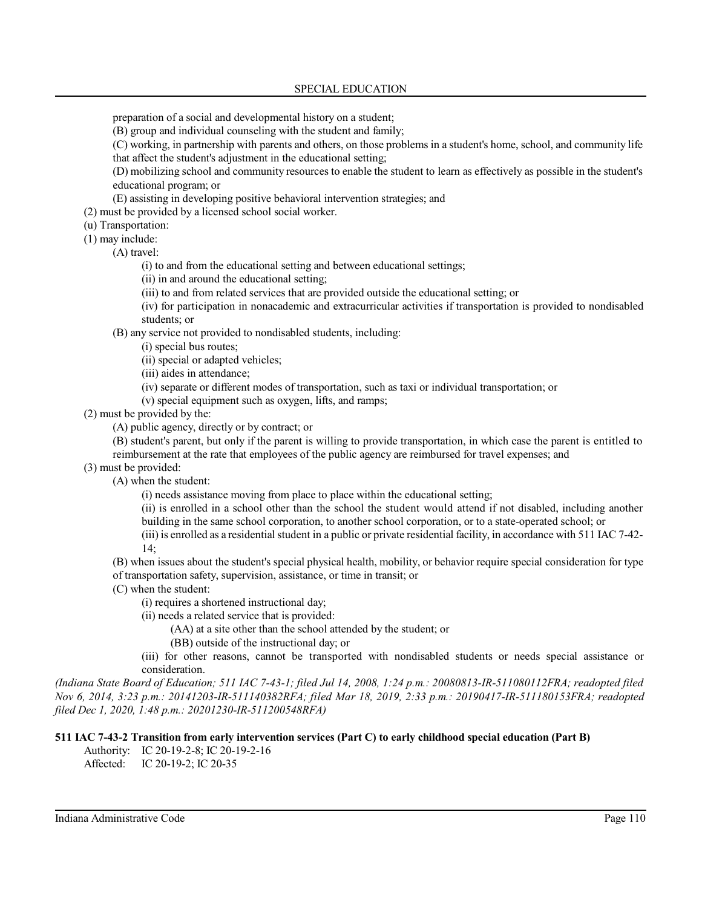preparation of a social and developmental history on a student;

(B) group and individual counseling with the student and family;

(C) working, in partnership with parents and others, on those problems in a student's home, school, and community life that affect the student's adjustment in the educational setting;

(D) mobilizing school and community resources to enable the student to learn as effectively as possible in the student's educational program; or

(E) assisting in developing positive behavioral intervention strategies; and

(2) must be provided by a licensed school social worker.

(u) Transportation:

(1) may include:

(A) travel:

(i) to and from the educational setting and between educational settings;

(ii) in and around the educational setting;

(iii) to and from related services that are provided outside the educational setting; or

(iv) for participation in nonacademic and extracurricular activities if transportation is provided to nondisabled students; or

(B) any service not provided to nondisabled students, including:

(i) special bus routes;

(ii) special or adapted vehicles;

(iii) aides in attendance;

(iv) separate or different modes of transportation, such as taxi or individual transportation; or

(v) special equipment such as oxygen, lifts, and ramps;

(2) must be provided by the:

(A) public agency, directly or by contract; or

(B) student's parent, but only if the parent is willing to provide transportation, in which case the parent is entitled to reimbursement at the rate that employees of the public agency are reimbursed for travel expenses; and

(3) must be provided:

(A) when the student:

(i) needs assistance moving from place to place within the educational setting;

(ii) is enrolled in a school other than the school the student would attend if not disabled, including another building in the same school corporation, to another school corporation, or to a state-operated school; or

(iii) is enrolled as a residential student in a public or private residential facility, in accordance with 511 IAC 7-42- 14;

(B) when issues about the student's special physical health, mobility, or behavior require special consideration for type of transportation safety, supervision, assistance, or time in transit; or

(C) when the student:

(i) requires a shortened instructional day;

(ii) needs a related service that is provided:

(AA) at a site other than the school attended by the student; or

(BB) outside of the instructional day; or

(iii) for other reasons, cannot be transported with nondisabled students or needs special assistance or consideration.

*(Indiana State Board of Education; 511 IAC 7-43-1; filed Jul 14, 2008, 1:24 p.m.: 20080813-IR-511080112FRA; readopted filed Nov 6, 2014, 3:23 p.m.: 20141203-IR-511140382RFA; filed Mar 18, 2019, 2:33 p.m.: 20190417-IR-511180153FRA; readopted filed Dec 1, 2020, 1:48 p.m.: 20201230-IR-511200548RFA)*

## **511 IAC 7-43-2 Transition from early intervention services (Part C) to early childhood special education (Part B)**

Authority: IC 20-19-2-8; IC 20-19-2-16

Affected: IC 20-19-2; IC 20-35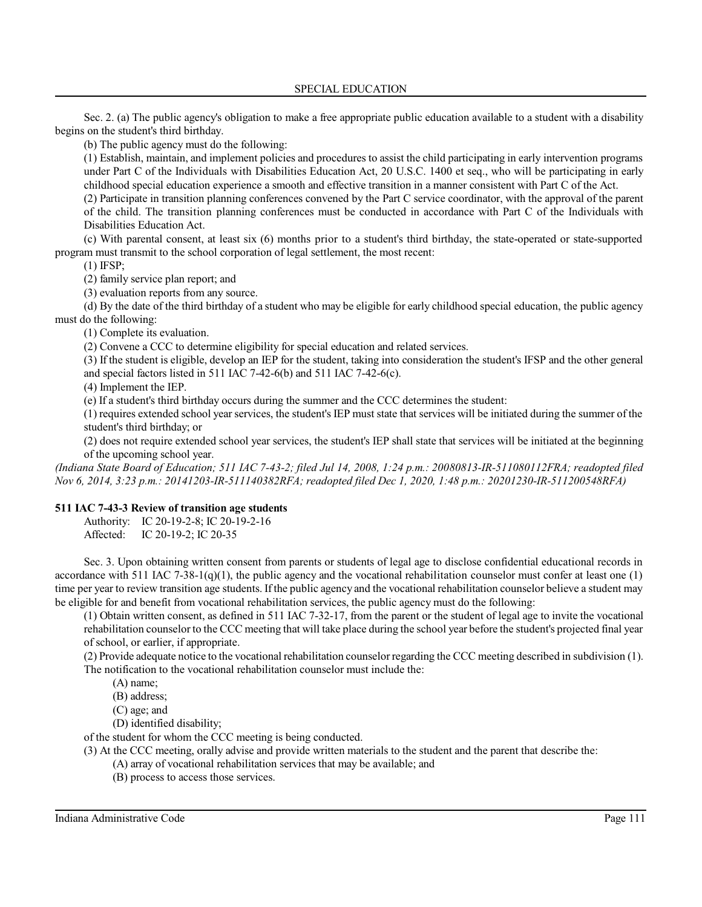Sec. 2. (a) The public agency's obligation to make a free appropriate public education available to a student with a disability begins on the student's third birthday.

(b) The public agency must do the following:

(1) Establish, maintain, and implement policies and procedures to assist the child participating in early intervention programs under Part C of the Individuals with Disabilities Education Act, 20 U.S.C. 1400 et seq., who will be participating in early childhood special education experience a smooth and effective transition in a manner consistent with Part C of the Act.

(2) Participate in transition planning conferences convened by the Part C service coordinator, with the approval of the parent of the child. The transition planning conferences must be conducted in accordance with Part C of the Individuals with Disabilities Education Act.

(c) With parental consent, at least six (6) months prior to a student's third birthday, the state-operated or state-supported program must transmit to the school corporation of legal settlement, the most recent:

(1) IFSP;

(2) family service plan report; and

(3) evaluation reports from any source.

(d) By the date of the third birthday of a student who may be eligible for early childhood special education, the public agency must do the following:

(1) Complete its evaluation.

(2) Convene a CCC to determine eligibility for special education and related services.

(3) If the student is eligible, develop an IEP for the student, taking into consideration the student's IFSP and the other general and special factors listed in 511 IAC 7-42-6(b) and 511 IAC 7-42-6(c).

(4) Implement the IEP.

(e) If a student's third birthday occurs during the summer and the CCC determines the student:

(1) requires extended school year services, the student's IEP must state that services will be initiated during the summer of the student's third birthday; or

(2) does not require extended school year services, the student's IEP shall state that services will be initiated at the beginning of the upcoming school year.

*(Indiana State Board of Education; 511 IAC 7-43-2; filed Jul 14, 2008, 1:24 p.m.: 20080813-IR-511080112FRA; readopted filed Nov 6, 2014, 3:23 p.m.: 20141203-IR-511140382RFA; readopted filed Dec 1, 2020, 1:48 p.m.: 20201230-IR-511200548RFA)*

# **511 IAC 7-43-3 Review of transition age students**

Authority: IC 20-19-2-8; IC 20-19-2-16 Affected: IC 20-19-2; IC 20-35

Sec. 3. Upon obtaining written consent from parents or students of legal age to disclose confidential educational records in accordance with 511 IAC 7-38-1(q)(1), the public agency and the vocational rehabilitation counselor must confer at least one (1) time per year to review transition age students. If the public agency and the vocational rehabilitation counselor believe a student may be eligible for and benefit from vocational rehabilitation services, the public agency must do the following:

(1) Obtain written consent, as defined in 511 IAC 7-32-17, from the parent or the student of legal age to invite the vocational rehabilitation counselor to the CCC meeting that will take place during the school year before the student's projected final year of school, or earlier, if appropriate.

(2) Provide adequate notice to the vocational rehabilitation counselorregarding the CCC meeting described in subdivision (1). The notification to the vocational rehabilitation counselor must include the:

(A) name;

(B) address;

(C) age; and

(D) identified disability;

of the student for whom the CCC meeting is being conducted.

(3) At the CCC meeting, orally advise and provide written materials to the student and the parent that describe the:

- (A) array of vocational rehabilitation services that may be available; and
- (B) process to access those services.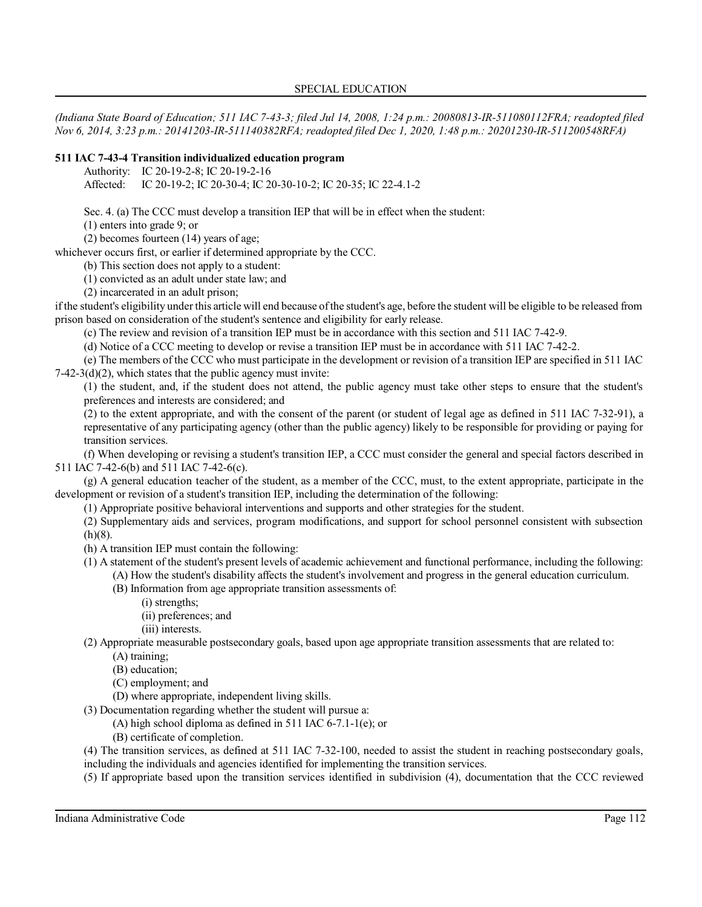*(Indiana State Board of Education; 511 IAC 7-43-3; filed Jul 14, 2008, 1:24 p.m.: 20080813-IR-511080112FRA; readopted filed Nov 6, 2014, 3:23 p.m.: 20141203-IR-511140382RFA; readopted filed Dec 1, 2020, 1:48 p.m.: 20201230-IR-511200548RFA)*

## **511 IAC 7-43-4 Transition individualized education program**

Authority: IC 20-19-2-8; IC 20-19-2-16

Affected: IC 20-19-2; IC 20-30-4; IC 20-30-10-2; IC 20-35; IC 22-4.1-2

Sec. 4. (a) The CCC must develop a transition IEP that will be in effect when the student:

(1) enters into grade 9; or

(2) becomes fourteen (14) years of age;

whichever occurs first, or earlier if determined appropriate by the CCC.

(b) This section does not apply to a student:

(1) convicted as an adult under state law; and

(2) incarcerated in an adult prison;

ifthe student's eligibility under this article will end because ofthe student's age, before the student will be eligible to be released from prison based on consideration of the student's sentence and eligibility for early release.

(c) The review and revision of a transition IEP must be in accordance with this section and 511 IAC 7-42-9.

(d) Notice of a CCC meeting to develop or revise a transition IEP must be in accordance with 511 IAC 7-42-2.

(e) The members of the CCC who must participate in the development or revision of a transition IEP are specified in 511 IAC 7-42-3(d)(2), which states that the public agency must invite:

(1) the student, and, if the student does not attend, the public agency must take other steps to ensure that the student's preferences and interests are considered; and

(2) to the extent appropriate, and with the consent of the parent (or student of legal age as defined in 511 IAC 7-32-91), a representative of any participating agency (other than the public agency) likely to be responsible for providing or paying for transition services.

(f) When developing or revising a student's transition IEP, a CCC must consider the general and special factors described in 511 IAC 7-42-6(b) and 511 IAC 7-42-6(c).

(g) A general education teacher of the student, as a member of the CCC, must, to the extent appropriate, participate in the development or revision of a student's transition IEP, including the determination of the following:

(1) Appropriate positive behavioral interventions and supports and other strategies for the student.

(2) Supplementary aids and services, program modifications, and support for school personnel consistent with subsection  $(h)(8)$ .

(h) A transition IEP must contain the following:

(1) A statement of the student's present levels of academic achievement and functional performance, including the following:

(A) How the student's disability affects the student's involvement and progress in the general education curriculum.

- (B) Information from age appropriate transition assessments of:
	- (i) strengths;
	- (ii) preferences; and
	- (iii) interests.

(2) Appropriate measurable postsecondary goals, based upon age appropriate transition assessments that are related to:

- (A) training;
	- (B) education;
	- (C) employment; and

(D) where appropriate, independent living skills.

(3) Documentation regarding whether the student will pursue a:

(A) high school diploma as defined in 511 IAC 6-7.1-1(e); or

(B) certificate of completion.

(4) The transition services, as defined at 511 IAC 7-32-100, needed to assist the student in reaching postsecondary goals, including the individuals and agencies identified for implementing the transition services.

(5) If appropriate based upon the transition services identified in subdivision (4), documentation that the CCC reviewed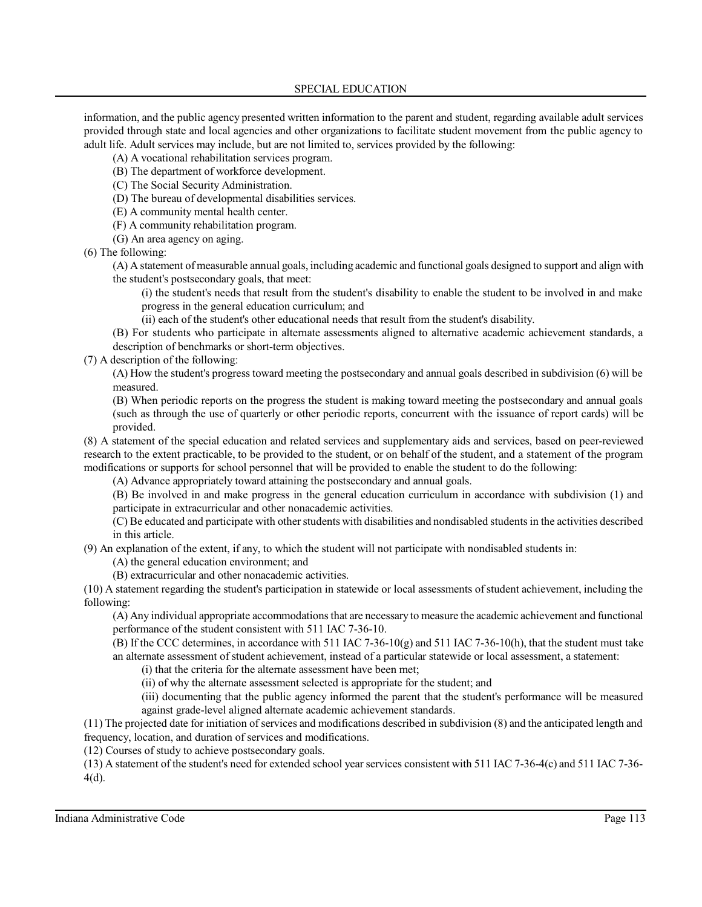information, and the public agency presented written information to the parent and student, regarding available adult services provided through state and local agencies and other organizations to facilitate student movement from the public agency to adult life. Adult services may include, but are not limited to, services provided by the following:

(A) A vocational rehabilitation services program.

- (B) The department of workforce development.
- (C) The Social Security Administration.
- (D) The bureau of developmental disabilities services.
- (E) A community mental health center.
- (F) A community rehabilitation program.
- (G) An area agency on aging.
- (6) The following:

(A) A statement of measurable annual goals, including academic and functional goals designed to support and align with the student's postsecondary goals, that meet:

(i) the student's needs that result from the student's disability to enable the student to be involved in and make progress in the general education curriculum; and

(ii) each of the student's other educational needs that result from the student's disability.

(B) For students who participate in alternate assessments aligned to alternative academic achievement standards, a description of benchmarks or short-term objectives.

(7) A description of the following:

(A) How the student's progress toward meeting the postsecondary and annual goals described in subdivision (6) will be measured.

(B) When periodic reports on the progress the student is making toward meeting the postsecondary and annual goals (such as through the use of quarterly or other periodic reports, concurrent with the issuance of report cards) will be provided.

(8) A statement of the special education and related services and supplementary aids and services, based on peer-reviewed research to the extent practicable, to be provided to the student, or on behalf of the student, and a statement of the program modifications or supports for school personnel that will be provided to enable the student to do the following:

(A) Advance appropriately toward attaining the postsecondary and annual goals.

(B) Be involved in and make progress in the general education curriculum in accordance with subdivision (1) and participate in extracurricular and other nonacademic activities.

(C) Be educated and participate with otherstudents with disabilities and nondisabled studentsin the activities described in this article.

(9) An explanation of the extent, if any, to which the student will not participate with nondisabled students in:

- (A) the general education environment; and
- (B) extracurricular and other nonacademic activities.

(10) A statement regarding the student's participation in statewide or local assessments ofstudent achievement, including the following:

(A) Any individual appropriate accommodationsthat are necessary to measure the academic achievement and functional performance of the student consistent with 511 IAC 7-36-10.

(B) If the CCC determines, in accordance with 511 IAC 7-36-10(g) and 511 IAC 7-36-10(h), that the student must take an alternate assessment of student achievement, instead of a particular statewide or local assessment, a statement:

(i) that the criteria for the alternate assessment have been met;

(ii) of why the alternate assessment selected is appropriate for the student; and

(iii) documenting that the public agency informed the parent that the student's performance will be measured against grade-level aligned alternate academic achievement standards.

(11) The projected date for initiation ofservices and modifications described in subdivision (8) and the anticipated length and frequency, location, and duration of services and modifications.

(12) Courses of study to achieve postsecondary goals.

(13) A statement of the student's need for extended school year services consistent with 511 IAC 7-36-4(c) and 511 IAC 7-36- 4(d).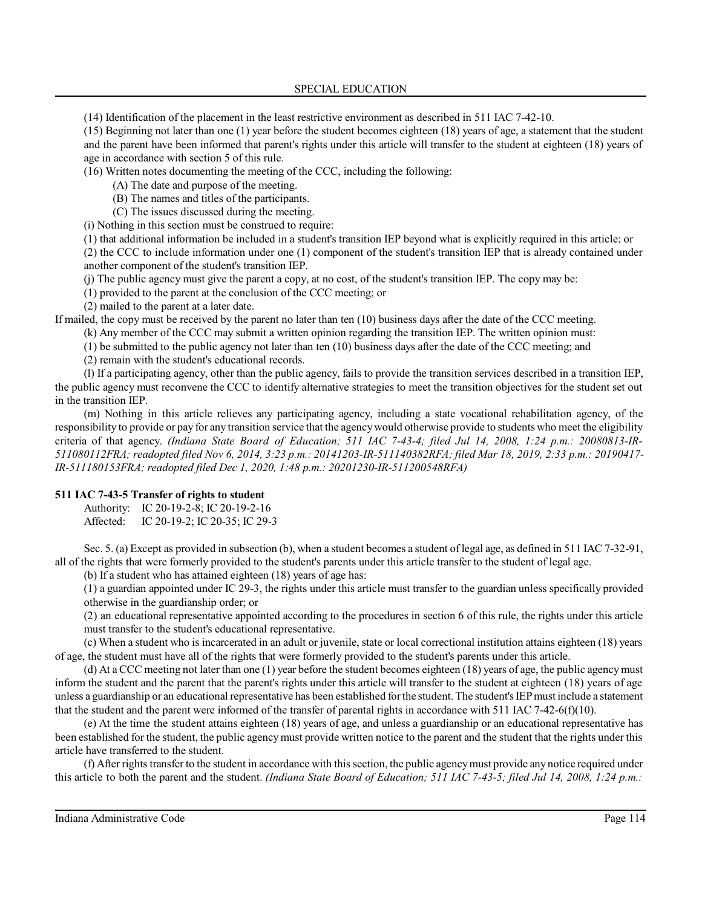(14) Identification of the placement in the least restrictive environment as described in 511 IAC 7-42-10.

(15) Beginning not later than one (1) year before the student becomes eighteen (18) years of age, a statement that the student and the parent have been informed that parent's rights under this article will transfer to the student at eighteen (18) years of age in accordance with section 5 of this rule.

(16) Written notes documenting the meeting of the CCC, including the following:

(A) The date and purpose of the meeting.

(B) The names and titles of the participants.

(C) The issues discussed during the meeting.

(i) Nothing in this section must be construed to require:

(1) that additional information be included in a student's transition IEP beyond what is explicitly required in this article; or

(2) the CCC to include information under one (1) component of the student's transition IEP that is already contained under another component of the student's transition IEP.

(j) The public agency must give the parent a copy, at no cost, of the student's transition IEP. The copy may be:

(1) provided to the parent at the conclusion of the CCC meeting; or

(2) mailed to the parent at a later date.

If mailed, the copy must be received by the parent no later than ten (10) business days after the date of the CCC meeting.

(k) Any member of the CCC may submit a written opinion regarding the transition IEP. The written opinion must:

(1) be submitted to the public agency not later than ten (10) business days after the date of the CCC meeting; and

(2) remain with the student's educational records.

(l) If a participating agency, other than the public agency, fails to provide the transition services described in a transition IEP, the public agency must reconvene the CCC to identify alternative strategies to meet the transition objectives for the student set out in the transition IEP.

(m) Nothing in this article relieves any participating agency, including a state vocational rehabilitation agency, of the responsibility to provide or pay for any transition service that the agencywould otherwise provide to students who meet the eligibility criteria of that agency. *(Indiana State Board of Education; 511 IAC 7-43-4; filed Jul 14, 2008, 1:24 p.m.: 20080813-IR-511080112FRA; readopted filed Nov 6, 2014, 3:23 p.m.: 20141203-IR-511140382RFA; filed Mar 18, 2019, 2:33 p.m.: 20190417- IR-511180153FRA; readopted filed Dec 1, 2020, 1:48 p.m.: 20201230-IR-511200548RFA)*

## **511 IAC 7-43-5 Transfer of rights to student**

Authority: IC 20-19-2-8; IC 20-19-2-16 Affected: IC 20-19-2; IC 20-35; IC 29-3

Sec. 5. (a) Except as provided in subsection (b), when a student becomes a student of legal age, as defined in 511 IAC 7-32-91, all of the rights that were formerly provided to the student's parents under this article transfer to the student of legal age.

(b) If a student who has attained eighteen (18) years of age has:

(1) a guardian appointed under IC 29-3, the rights under this article must transfer to the guardian unless specifically provided otherwise in the guardianship order; or

(2) an educational representative appointed according to the procedures in section 6 of this rule, the rights under this article must transfer to the student's educational representative.

(c) When a student who is incarcerated in an adult or juvenile, state or local correctional institution attains eighteen (18) years of age, the student must have all of the rights that were formerly provided to the student's parents under this article.

(d) At a CCC meeting not later than one (1) year before the student becomes eighteen (18) years of age, the public agencymust inform the student and the parent that the parent's rights under this article will transfer to the student at eighteen (18) years of age unless a guardianship or an educational representative has been established forthe student.The student's IEPmust include a statement that the student and the parent were informed of the transfer of parental rights in accordance with 511 IAC 7-42-6(f)(10).

(e) At the time the student attains eighteen (18) years of age, and unless a guardianship or an educational representative has been established for the student, the public agency must provide written notice to the parent and the student that the rights under this article have transferred to the student.

(f) After rightstransfer to the student in accordance with thissection, the public agencymust provide any notice required under this article to both the parent and the student. *(Indiana State Board of Education; 511 IAC 7-43-5; filed Jul 14, 2008, 1:24 p.m.:*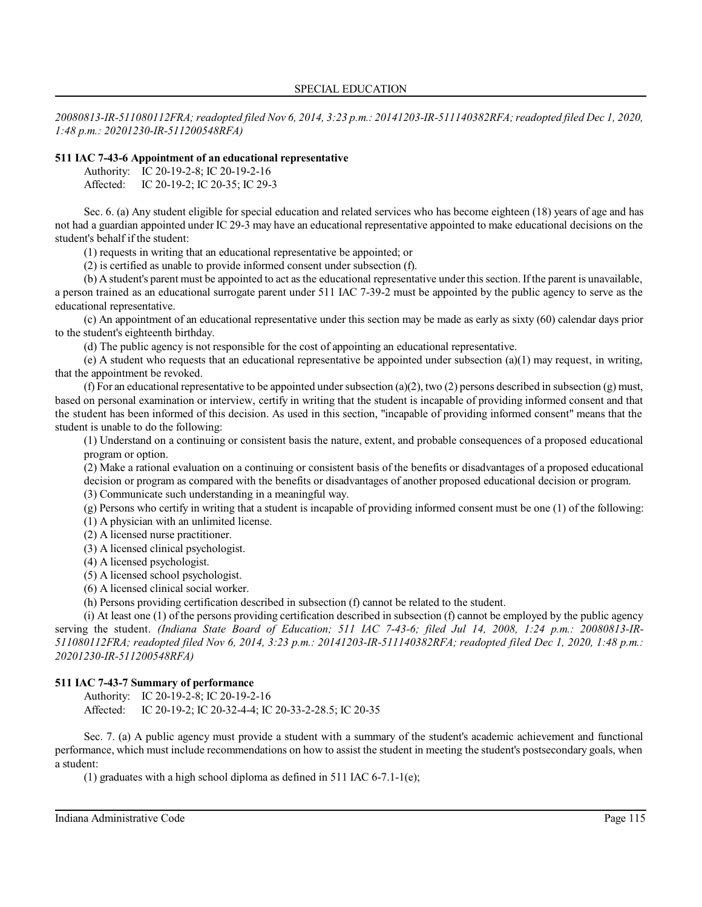*20080813-IR-511080112FRA; readopted filed Nov 6, 2014, 3:23 p.m.: 20141203-IR-511140382RFA;readopted filed Dec 1, 2020, 1:48 p.m.: 20201230-IR-511200548RFA)*

#### **511 IAC 7-43-6 Appointment of an educational representative**

Authority: IC 20-19-2-8; IC 20-19-2-16 Affected: IC 20-19-2; IC 20-35; IC 29-3

Sec. 6. (a) Any student eligible for special education and related services who has become eighteen (18) years of age and has not had a guardian appointed under IC 29-3 may have an educational representative appointed to make educational decisions on the student's behalf if the student:

(1) requests in writing that an educational representative be appointed; or

(2) is certified as unable to provide informed consent under subsection (f).

(b) A student's parent must be appointed to act as the educational representative under this section. Ifthe parent is unavailable, a person trained as an educational surrogate parent under 511 IAC 7-39-2 must be appointed by the public agency to serve as the educational representative.

(c) An appointment of an educational representative under this section may be made as early as sixty (60) calendar days prior to the student's eighteenth birthday.

(d) The public agency is not responsible for the cost of appointing an educational representative.

(e) A student who requests that an educational representative be appointed under subsection (a)(1) may request, in writing, that the appointment be revoked.

(f) For an educational representative to be appointed under subsection (a)(2), two (2) persons described in subsection (g) must, based on personal examination or interview, certify in writing that the student is incapable of providing informed consent and that the student has been informed of this decision. As used in this section, "incapable of providing informed consent" means that the student is unable to do the following:

(1) Understand on a continuing or consistent basis the nature, extent, and probable consequences of a proposed educational program or option.

(2) Make a rational evaluation on a continuing or consistent basis of the benefits or disadvantages of a proposed educational decision or program as compared with the benefits or disadvantages of another proposed educational decision or program.

(3) Communicate such understanding in a meaningful way.

(g) Persons who certify in writing that a student is incapable of providing informed consent must be one (1) of the following:

(1) A physician with an unlimited license.

(2) A licensed nurse practitioner.

(3) A licensed clinical psychologist.

(4) A licensed psychologist.

(5) A licensed school psychologist.

(6) A licensed clinical social worker.

(h) Persons providing certification described in subsection (f) cannot be related to the student.

(i) At least one (1) of the persons providing certification described in subsection (f) cannot be employed by the public agency serving the student. *(Indiana State Board of Education; 511 IAC 7-43-6; filed Jul 14, 2008, 1:24 p.m.: 20080813-IR-511080112FRA; readopted filed Nov 6, 2014, 3:23 p.m.: 20141203-IR-511140382RFA; readopted filed Dec 1, 2020, 1:48 p.m.: 20201230-IR-511200548RFA)*

#### **511 IAC 7-43-7 Summary of performance**

Authority: IC 20-19-2-8; IC 20-19-2-16 Affected: IC 20-19-2; IC 20-32-4-4; IC 20-33-2-28.5; IC 20-35

Sec. 7. (a) A public agency must provide a student with a summary of the student's academic achievement and functional performance, which must include recommendations on how to assist the student in meeting the student's postsecondary goals, when a student:

(1) graduates with a high school diploma as defined in 511 IAC 6-7.1-1(e);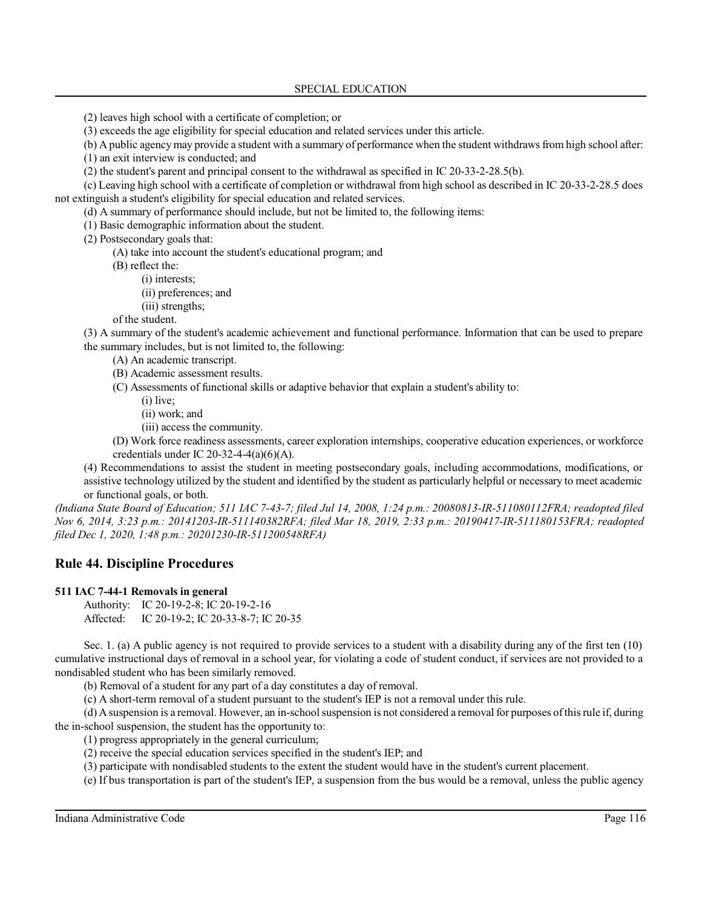(2) leaves high school with a certificate of completion; or

(3) exceeds the age eligibility for special education and related services under this article.

(b) A public agencymay provide a student with a summary of performance when the student withdraws from high school after:

(1) an exit interview is conducted; and

(2) the student's parent and principal consent to the withdrawal as specified in IC 20-33-2-28.5(b).

(c) Leaving high school with a certificate of completion or withdrawal from high school as described in IC 20-33-2-28.5 does not extinguish a student's eligibility for special education and related services.

(d) A summary of performance should include, but not be limited to, the following items:

(1) Basic demographic information about the student.

(2) Postsecondary goals that:

(A) take into account the student's educational program; and

(B) reflect the:

(i) interests;

- (ii) preferences; and
- (iii) strengths;

of the student.

(3) A summary of the student's academic achievement and functional performance. Information that can be used to prepare the summary includes, but is not limited to, the following:

- (A) An academic transcript.
- (B) Academic assessment results.
- (C) Assessments of functional skills or adaptive behavior that explain a student's ability to:
	- (i) live;
	- (ii) work; and
	- (iii) access the community.
- (D) Work force readiness assessments, career exploration internships, cooperative education experiences, or workforce credentials under IC 20-32-4-4(a)(6)(A).

(4) Recommendations to assist the student in meeting postsecondary goals, including accommodations, modifications, or assistive technology utilized by the student and identified by the student as particularly helpful or necessary to meet academic or functional goals, or both.

*(Indiana State Board of Education; 511 IAC 7-43-7; filed Jul 14, 2008, 1:24 p.m.: 20080813-IR-511080112FRA; readopted filed Nov 6, 2014, 3:23 p.m.: 20141203-IR-511140382RFA; filed Mar 18, 2019, 2:33 p.m.: 20190417-IR-511180153FRA; readopted filed Dec 1, 2020, 1:48 p.m.: 20201230-IR-511200548RFA)*

# **Rule 44. Discipline Procedures**

## **511 IAC 7-44-1 Removals in general**

Authority: IC 20-19-2-8; IC 20-19-2-16 Affected: IC 20-19-2; IC 20-33-8-7; IC 20-35

Sec. 1. (a) A public agency is not required to provide services to a student with a disability during any of the first ten (10) cumulative instructional days of removal in a school year, for violating a code of student conduct, if services are not provided to a nondisabled student who has been similarly removed.

(b) Removal of a student for any part of a day constitutes a day of removal.

(c) A short-term removal of a student pursuant to the student's IEP is not a removal under this rule.

(d) Asuspension is a removal. However, an in-school suspension is not considered a removal for purposes ofthisrule if, during the in-school suspension, the student has the opportunity to:

(1) progress appropriately in the general curriculum;

- (2) receive the special education services specified in the student's IEP; and
- (3) participate with nondisabled students to the extent the student would have in the student's current placement.

(e) If bus transportation is part of the student's IEP, a suspension from the bus would be a removal, unless the public agency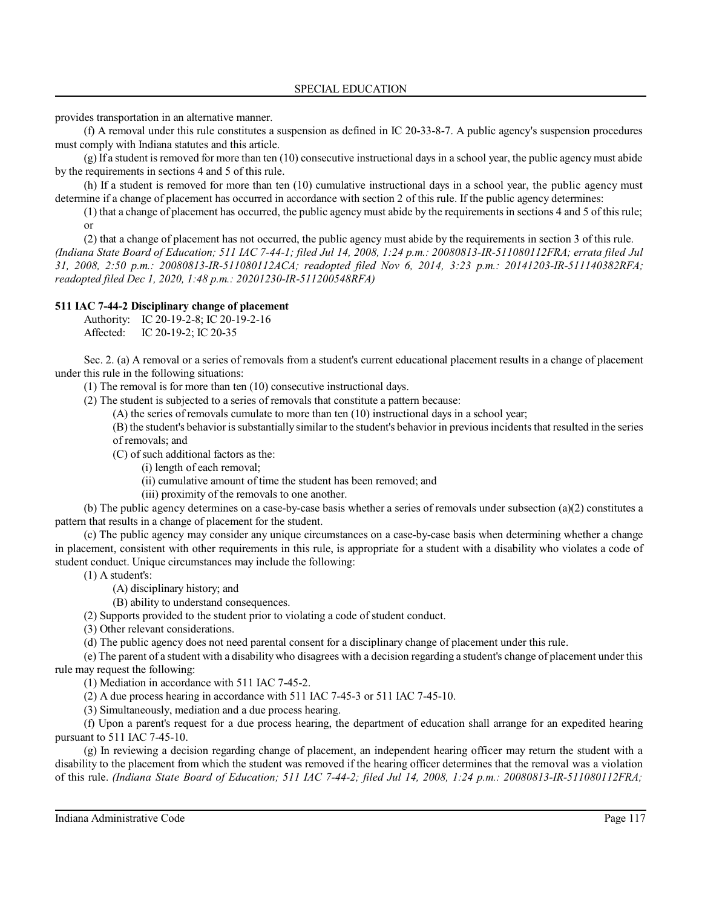provides transportation in an alternative manner.

(f) A removal under this rule constitutes a suspension as defined in IC 20-33-8-7. A public agency's suspension procedures must comply with Indiana statutes and this article.

(g) If a student isremoved for more than ten (10) consecutive instructional days in a school year, the public agency must abide by the requirements in sections 4 and 5 of this rule.

(h) If a student is removed for more than ten (10) cumulative instructional days in a school year, the public agency must determine if a change of placement has occurred in accordance with section 2 of this rule. If the public agency determines:

(1) that a change of placement has occurred, the public agency must abide by the requirements in sections 4 and 5 of this rule; or

(2) that a change of placement has not occurred, the public agency must abide by the requirements in section 3 of this rule. *(Indiana State Board of Education; 511 IAC 7-44-1; filed Jul 14, 2008, 1:24 p.m.: 20080813-IR-511080112FRA; errata filed Jul 31, 2008, 2:50 p.m.: 20080813-IR-511080112ACA; readopted filed Nov 6, 2014, 3:23 p.m.: 20141203-IR-511140382RFA; readopted filed Dec 1, 2020, 1:48 p.m.: 20201230-IR-511200548RFA)*

#### **511 IAC 7-44-2 Disciplinary change of placement**

Authority: IC 20-19-2-8; IC 20-19-2-16

Affected: IC 20-19-2; IC 20-35

Sec. 2. (a) A removal or a series of removals from a student's current educational placement results in a change of placement under this rule in the following situations:

(1) The removal is for more than ten (10) consecutive instructional days.

(2) The student is subjected to a series of removals that constitute a pattern because:

(A) the series of removals cumulate to more than ten (10) instructional days in a school year;

(B) the student's behavior is substantially similar to the student's behavior in previous incidents that resulted in the series of removals; and

(C) of such additional factors as the:

(i) length of each removal;

(ii) cumulative amount of time the student has been removed; and

(iii) proximity of the removals to one another.

(b) The public agency determines on a case-by-case basis whether a series of removals under subsection (a)(2) constitutes a pattern that results in a change of placement for the student.

(c) The public agency may consider any unique circumstances on a case-by-case basis when determining whether a change in placement, consistent with other requirements in this rule, is appropriate for a student with a disability who violates a code of student conduct. Unique circumstances may include the following:

(1) A student's:

(A) disciplinary history; and

(B) ability to understand consequences.

(2) Supports provided to the student prior to violating a code of student conduct.

(3) Other relevant considerations.

(d) The public agency does not need parental consent for a disciplinary change of placement under this rule.

(e) The parent of a student with a disability who disagrees with a decision regarding a student's change of placement under this rule may request the following:

(1) Mediation in accordance with 511 IAC 7-45-2.

(2) A due process hearing in accordance with 511 IAC 7-45-3 or 511 IAC 7-45-10.

(3) Simultaneously, mediation and a due process hearing.

(f) Upon a parent's request for a due process hearing, the department of education shall arrange for an expedited hearing pursuant to 511 IAC 7-45-10.

(g) In reviewing a decision regarding change of placement, an independent hearing officer may return the student with a disability to the placement from which the student was removed if the hearing officer determines that the removal was a violation of this rule. *(Indiana State Board of Education; 511 IAC 7-44-2; filed Jul 14, 2008, 1:24 p.m.: 20080813-IR-511080112FRA;*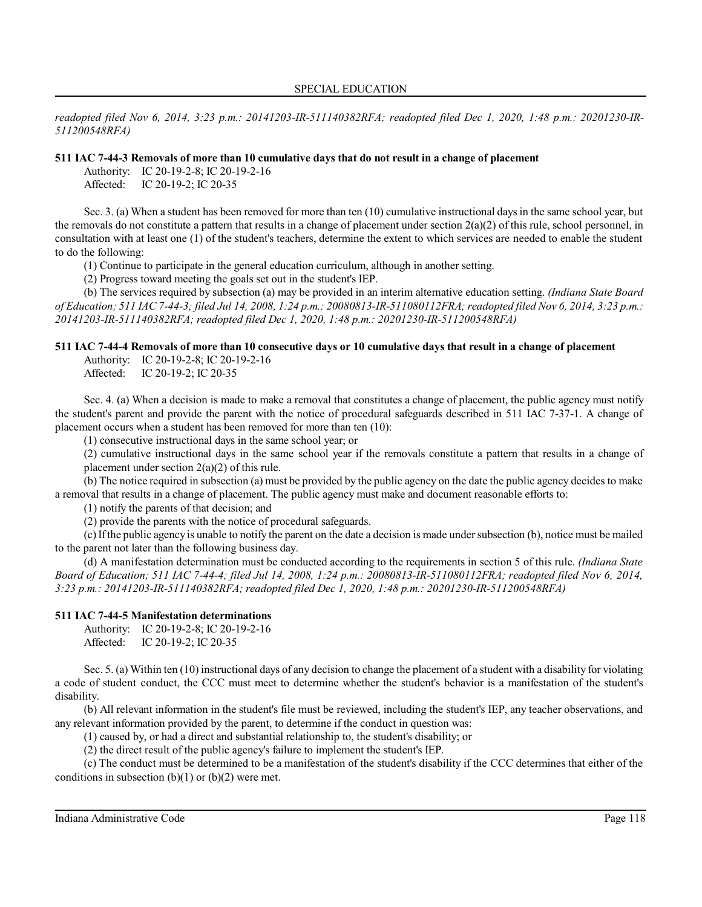*readopted filed Nov 6, 2014, 3:23 p.m.: 20141203-IR-511140382RFA; readopted filed Dec 1, 2020, 1:48 p.m.: 20201230-IR-511200548RFA)*

#### **511 IAC 7-44-3 Removals of more than 10 cumulative days that do not result in a change of placement**

Authority: IC 20-19-2-8; IC 20-19-2-16 Affected: IC 20-19-2; IC 20-35

Sec. 3. (a) When a student has been removed for more than ten (10) cumulative instructional days in the same school year, but the removals do not constitute a pattern that results in a change of placement under section  $2(a)(2)$  of this rule, school personnel, in consultation with at least one (1) of the student's teachers, determine the extent to which services are needed to enable the student to do the following:

(1) Continue to participate in the general education curriculum, although in another setting.

(2) Progress toward meeting the goals set out in the student's IEP.

(b) The services required by subsection (a) may be provided in an interim alternative education setting. *(Indiana State Board of Education; 511 IAC 7-44-3; filed Jul 14, 2008, 1:24 p.m.: 20080813-IR-511080112FRA;readopted filed Nov 6, 2014, 3:23 p.m.: 20141203-IR-511140382RFA; readopted filed Dec 1, 2020, 1:48 p.m.: 20201230-IR-511200548RFA)*

## **511 IAC 7-44-4 Removals of more than 10 consecutive days or 10 cumulative days that result in a change of placement**

Authority: IC 20-19-2-8; IC 20-19-2-16 Affected: IC 20-19-2; IC 20-35

Sec. 4. (a) When a decision is made to make a removal that constitutes a change of placement, the public agency must notify the student's parent and provide the parent with the notice of procedural safeguards described in 511 IAC 7-37-1. A change of placement occurs when a student has been removed for more than ten (10):

(1) consecutive instructional days in the same school year; or

(2) cumulative instructional days in the same school year if the removals constitute a pattern that results in a change of placement under section 2(a)(2) of this rule.

(b) The notice required in subsection (a) must be provided by the public agency on the date the public agency decides to make a removal that results in a change of placement. The public agency must make and document reasonable efforts to:

(1) notify the parents of that decision; and

(2) provide the parents with the notice of procedural safeguards.

(c)Ifthe public agency is unable to notify the parent on the date a decision is made undersubsection (b), notice must be mailed to the parent not later than the following business day.

(d) A manifestation determination must be conducted according to the requirements in section 5 of this rule. *(Indiana State Board of Education; 511 IAC 7-44-4; filed Jul 14, 2008, 1:24 p.m.: 20080813-IR-511080112FRA; readopted filed Nov 6, 2014, 3:23 p.m.: 20141203-IR-511140382RFA; readopted filed Dec 1, 2020, 1:48 p.m.: 20201230-IR-511200548RFA)*

#### **511 IAC 7-44-5 Manifestation determinations**

Authority: IC 20-19-2-8; IC 20-19-2-16 Affected: IC 20-19-2; IC 20-35

Sec. 5. (a) Within ten (10) instructional days of any decision to change the placement of a student with a disability for violating a code of student conduct, the CCC must meet to determine whether the student's behavior is a manifestation of the student's disability.

(b) All relevant information in the student's file must be reviewed, including the student's IEP, any teacher observations, and any relevant information provided by the parent, to determine if the conduct in question was:

(1) caused by, or had a direct and substantial relationship to, the student's disability; or

(2) the direct result of the public agency's failure to implement the student's IEP.

(c) The conduct must be determined to be a manifestation of the student's disability if the CCC determines that either of the conditions in subsection  $(b)(1)$  or  $(b)(2)$  were met.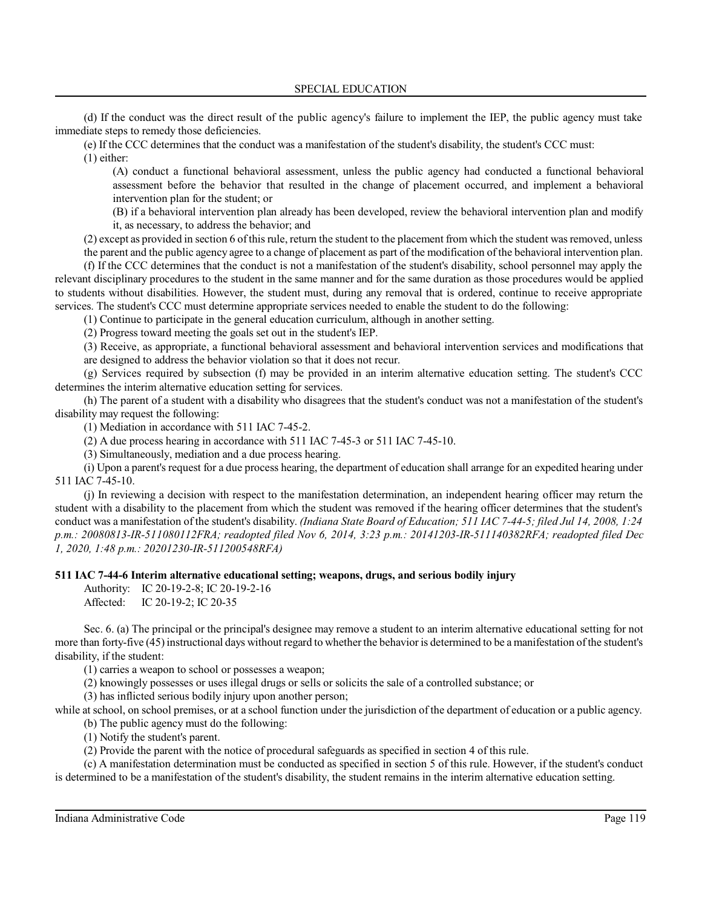(d) If the conduct was the direct result of the public agency's failure to implement the IEP, the public agency must take immediate steps to remedy those deficiencies.

(e) If the CCC determines that the conduct was a manifestation of the student's disability, the student's CCC must: (1) either:

(A) conduct a functional behavioral assessment, unless the public agency had conducted a functional behavioral assessment before the behavior that resulted in the change of placement occurred, and implement a behavioral intervention plan for the student; or

(B) if a behavioral intervention plan already has been developed, review the behavioral intervention plan and modify it, as necessary, to address the behavior; and

(2) except as provided in section 6 ofthisrule, return the student to the placement from which the student was removed, unless the parent and the public agency agree to a change of placement as part of the modification of the behavioral intervention plan.

(f) If the CCC determines that the conduct is not a manifestation of the student's disability, school personnel may apply the relevant disciplinary procedures to the student in the same manner and for the same duration as those procedures would be applied to students without disabilities. However, the student must, during any removal that is ordered, continue to receive appropriate services. The student's CCC must determine appropriate services needed to enable the student to do the following:

(1) Continue to participate in the general education curriculum, although in another setting.

(2) Progress toward meeting the goals set out in the student's IEP.

(3) Receive, as appropriate, a functional behavioral assessment and behavioral intervention services and modifications that are designed to address the behavior violation so that it does not recur.

(g) Services required by subsection (f) may be provided in an interim alternative education setting. The student's CCC determines the interim alternative education setting for services.

(h) The parent of a student with a disability who disagrees that the student's conduct was not a manifestation of the student's disability may request the following:

(1) Mediation in accordance with 511 IAC 7-45-2.

(2) A due process hearing in accordance with 511 IAC 7-45-3 or 511 IAC 7-45-10.

(3) Simultaneously, mediation and a due process hearing.

(i) Upon a parent's request for a due process hearing, the department of education shall arrange for an expedited hearing under 511 IAC 7-45-10.

(j) In reviewing a decision with respect to the manifestation determination, an independent hearing officer may return the student with a disability to the placement from which the student was removed if the hearing officer determines that the student's conduct was a manifestation of the student's disability. *(Indiana State Board of Education; 511 IAC 7-44-5; filed Jul 14, 2008, 1:24 p.m.: 20080813-IR-511080112FRA; readopted filed Nov 6, 2014, 3:23 p.m.: 20141203-IR-511140382RFA; readopted filed Dec 1, 2020, 1:48 p.m.: 20201230-IR-511200548RFA)*

#### **511 IAC 7-44-6 Interim alternative educational setting; weapons, drugs, and serious bodily injury**

Authority: IC 20-19-2-8; IC 20-19-2-16 Affected: IC 20-19-2; IC 20-35

Sec. 6. (a) The principal or the principal's designee may remove a student to an interim alternative educational setting for not more than forty-five (45) instructional days without regard to whether the behavior is determined to be a manifestation of the student's disability, if the student:

(1) carries a weapon to school or possesses a weapon;

(2) knowingly possesses or uses illegal drugs or sells or solicits the sale of a controlled substance; or

(3) has inflicted serious bodily injury upon another person;

while at school, on school premises, or at a school function under the jurisdiction of the department of education or a public agency.

(b) The public agency must do the following:

(1) Notify the student's parent.

(2) Provide the parent with the notice of procedural safeguards as specified in section 4 of this rule.

(c) A manifestation determination must be conducted as specified in section 5 of this rule. However, if the student's conduct is determined to be a manifestation of the student's disability, the student remains in the interim alternative education setting.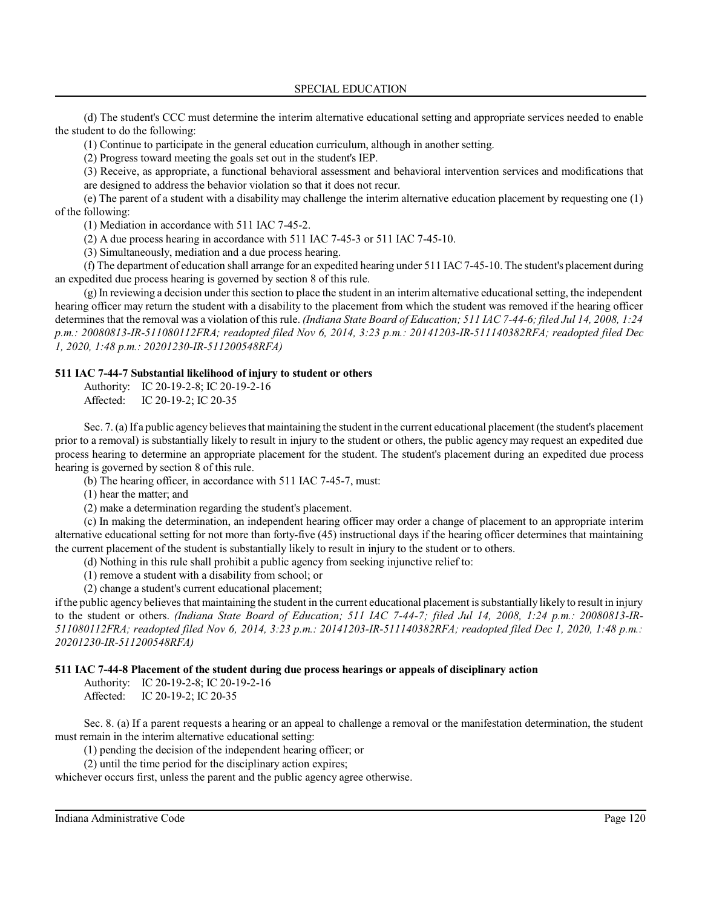(d) The student's CCC must determine the interim alternative educational setting and appropriate services needed to enable the student to do the following:

(1) Continue to participate in the general education curriculum, although in another setting.

(2) Progress toward meeting the goals set out in the student's IEP.

(3) Receive, as appropriate, a functional behavioral assessment and behavioral intervention services and modifications that

are designed to address the behavior violation so that it does not recur.

(e) The parent of a student with a disability may challenge the interim alternative education placement by requesting one (1) of the following:

(1) Mediation in accordance with 511 IAC 7-45-2.

(2) A due process hearing in accordance with 511 IAC 7-45-3 or 511 IAC 7-45-10.

(3) Simultaneously, mediation and a due process hearing.

(f) The department of education shall arrange for an expedited hearing under 511 IAC 7-45-10. The student's placement during an expedited due process hearing is governed by section 8 of this rule.

(g) In reviewing a decision under thissection to place the student in an interimalternative educational setting, the independent hearing officer may return the student with a disability to the placement from which the student was removed if the hearing officer determines that the removal was a violation of thisrule. *(Indiana State Board of Education; 511 IAC 7-44-6; filed Jul 14, 2008, 1:24 p.m.: 20080813-IR-511080112FRA; readopted filed Nov 6, 2014, 3:23 p.m.: 20141203-IR-511140382RFA; readopted filed Dec 1, 2020, 1:48 p.m.: 20201230-IR-511200548RFA)*

#### **511 IAC 7-44-7 Substantial likelihood of injury to student or others**

Authority: IC 20-19-2-8; IC 20-19-2-16 Affected: IC 20-19-2; IC 20-35

Sec. 7. (a) If a public agency believesthat maintaining the student in the current educational placement (the student's placement prior to a removal) is substantially likely to result in injury to the student or others, the public agency may request an expedited due process hearing to determine an appropriate placement for the student. The student's placement during an expedited due process hearing is governed by section 8 of this rule.

(b) The hearing officer, in accordance with 511 IAC 7-45-7, must:

(1) hear the matter; and

(2) make a determination regarding the student's placement.

(c) In making the determination, an independent hearing officer may order a change of placement to an appropriate interim alternative educational setting for not more than forty-five (45) instructional days if the hearing officer determines that maintaining the current placement of the student is substantially likely to result in injury to the student or to others.

(d) Nothing in this rule shall prohibit a public agency from seeking injunctive relief to:

(1) remove a student with a disability from school; or

(2) change a student's current educational placement;

ifthe public agency believesthat maintaining the student in the current educational placement issubstantially likely to result in injury to the student or others. *(Indiana State Board of Education; 511 IAC 7-44-7; filed Jul 14, 2008, 1:24 p.m.: 20080813-IR-511080112FRA; readopted filed Nov 6, 2014, 3:23 p.m.: 20141203-IR-511140382RFA; readopted filed Dec 1, 2020, 1:48 p.m.: 20201230-IR-511200548RFA)*

#### **511 IAC 7-44-8 Placement of the student during due process hearings or appeals of disciplinary action**

Authority: IC 20-19-2-8; IC 20-19-2-16

Affected: IC 20-19-2; IC 20-35

Sec. 8. (a) If a parent requests a hearing or an appeal to challenge a removal or the manifestation determination, the student must remain in the interim alternative educational setting:

(1) pending the decision of the independent hearing officer; or

(2) until the time period for the disciplinary action expires;

whichever occurs first, unless the parent and the public agency agree otherwise.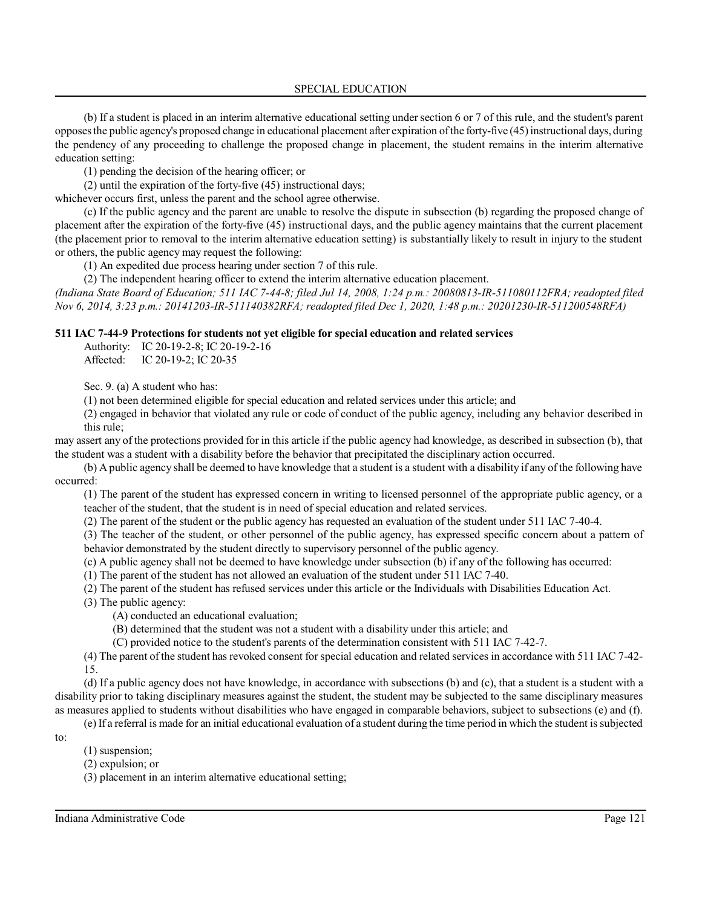(b) If a student is placed in an interim alternative educational setting undersection 6 or 7 of this rule, and the student's parent opposes the public agency's proposed change in educational placement after expiration ofthe forty-five (45)instructional days, during the pendency of any proceeding to challenge the proposed change in placement, the student remains in the interim alternative education setting:

(1) pending the decision of the hearing officer; or

(2) until the expiration of the forty-five (45) instructional days;

whichever occurs first, unless the parent and the school agree otherwise.

(c) If the public agency and the parent are unable to resolve the dispute in subsection (b) regarding the proposed change of placement after the expiration of the forty-five (45) instructional days, and the public agency maintains that the current placement (the placement prior to removal to the interim alternative education setting) is substantially likely to result in injury to the student or others, the public agency may request the following:

(1) An expedited due process hearing under section 7 of this rule.

(2) The independent hearing officer to extend the interim alternative education placement.

*(Indiana State Board of Education; 511 IAC 7-44-8; filed Jul 14, 2008, 1:24 p.m.: 20080813-IR-511080112FRA; readopted filed Nov 6, 2014, 3:23 p.m.: 20141203-IR-511140382RFA; readopted filed Dec 1, 2020, 1:48 p.m.: 20201230-IR-511200548RFA)*

#### **511 IAC 7-44-9 Protections for students not yet eligible for special education and related services**

Authority: IC 20-19-2-8; IC 20-19-2-16 Affected: IC 20-19-2; IC 20-35

Sec. 9. (a) A student who has:

(1) not been determined eligible for special education and related services under this article; and

(2) engaged in behavior that violated any rule or code of conduct of the public agency, including any behavior described in this rule;

may assert any of the protections provided for in this article if the public agency had knowledge, as described in subsection (b), that the student was a student with a disability before the behavior that precipitated the disciplinary action occurred.

(b) A public agency shall be deemed to have knowledge that a student is a student with a disability if any ofthe following have occurred:

(1) The parent of the student has expressed concern in writing to licensed personnel of the appropriate public agency, or a teacher of the student, that the student is in need of special education and related services.

(2) The parent of the student or the public agency has requested an evaluation of the student under 511 IAC 7-40-4.

(3) The teacher of the student, or other personnel of the public agency, has expressed specific concern about a pattern of

behavior demonstrated by the student directly to supervisory personnel of the public agency.

(c) A public agency shall not be deemed to have knowledge under subsection (b) if any of the following has occurred:

(1) The parent of the student has not allowed an evaluation of the student under 511 IAC 7-40.

(2) The parent of the student has refused services under this article or the Individuals with Disabilities Education Act.

(3) The public agency:

(A) conducted an educational evaluation;

(B) determined that the student was not a student with a disability under this article; and

(C) provided notice to the student's parents of the determination consistent with 511 IAC 7-42-7.

(4) The parent of the student has revoked consent for special education and related services in accordance with 511 IAC 7-42- 15.

(d) If a public agency does not have knowledge, in accordance with subsections (b) and (c), that a student is a student with a disability prior to taking disciplinary measures against the student, the student may be subjected to the same disciplinary measures as measures applied to students without disabilities who have engaged in comparable behaviors, subject to subsections (e) and (f).

(e) If a referral is made for an initial educational evaluation of a student during the time period in which the student issubjected

to:

(1) suspension;

(2) expulsion; or

(3) placement in an interim alternative educational setting;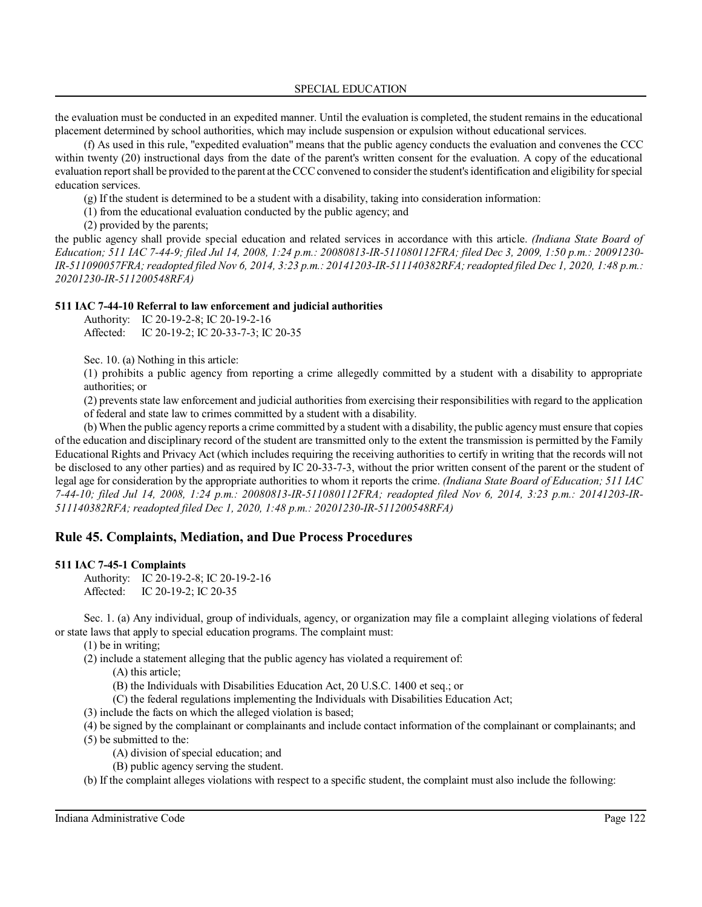the evaluation must be conducted in an expedited manner. Until the evaluation is completed, the student remains in the educational placement determined by school authorities, which may include suspension or expulsion without educational services.

(f) As used in this rule, "expedited evaluation" means that the public agency conducts the evaluation and convenes the CCC within twenty (20) instructional days from the date of the parent's written consent for the evaluation. A copy of the educational evaluation report shall be provided to the parent at the CCCconvened to considerthe student's identification and eligibility forspecial education services.

(g) If the student is determined to be a student with a disability, taking into consideration information:

(1) from the educational evaluation conducted by the public agency; and

(2) provided by the parents;

the public agency shall provide special education and related services in accordance with this article. *(Indiana State Board of Education; 511 IAC 7-44-9; filed Jul 14, 2008, 1:24 p.m.: 20080813-IR-511080112FRA; filed Dec 3, 2009, 1:50 p.m.: 20091230- IR-511090057FRA; readopted filed Nov 6, 2014, 3:23 p.m.: 20141203-IR-511140382RFA;readopted filed Dec 1, 2020, 1:48 p.m.: 20201230-IR-511200548RFA)*

## **511 IAC 7-44-10 Referral to law enforcement and judicial authorities**

Authority: IC 20-19-2-8; IC 20-19-2-16

Affected: IC 20-19-2; IC 20-33-7-3; IC 20-35

Sec. 10. (a) Nothing in this article:

(1) prohibits a public agency from reporting a crime allegedly committed by a student with a disability to appropriate authorities; or

(2) prevents state law enforcement and judicial authorities from exercising their responsibilities with regard to the application of federal and state law to crimes committed by a student with a disability.

(b) When the public agency reports a crime committed by a student with a disability, the public agencymust ensure that copies of the education and disciplinary record of the student are transmitted only to the extent the transmission is permitted by the Family Educational Rights and Privacy Act (which includes requiring the receiving authorities to certify in writing that the records will not be disclosed to any other parties) and as required by IC 20-33-7-3, without the prior written consent of the parent or the student of legal age for consideration by the appropriate authorities to whom it reports the crime. *(Indiana State Board of Education; 511 IAC 7-44-10; filed Jul 14, 2008, 1:24 p.m.: 20080813-IR-511080112FRA; readopted filed Nov 6, 2014, 3:23 p.m.: 20141203-IR-511140382RFA; readopted filed Dec 1, 2020, 1:48 p.m.: 20201230-IR-511200548RFA)*

# **Rule 45. Complaints, Mediation, and Due Process Procedures**

#### **511 IAC 7-45-1 Complaints**

Authority: IC 20-19-2-8; IC 20-19-2-16 Affected: IC 20-19-2; IC 20-35

Sec. 1. (a) Any individual, group of individuals, agency, or organization may file a complaint alleging violations of federal or state laws that apply to special education programs. The complaint must:

(1) be in writing;

(2) include a statement alleging that the public agency has violated a requirement of:

(A) this article;

- (B) the Individuals with Disabilities Education Act, 20 U.S.C. 1400 et seq.; or
- (C) the federal regulations implementing the Individuals with Disabilities Education Act;
- (3) include the facts on which the alleged violation is based;
- (4) be signed by the complainant or complainants and include contact information of the complainant or complainants; and

(5) be submitted to the:

- (A) division of special education; and
- (B) public agency serving the student.

(b) If the complaint alleges violations with respect to a specific student, the complaint must also include the following: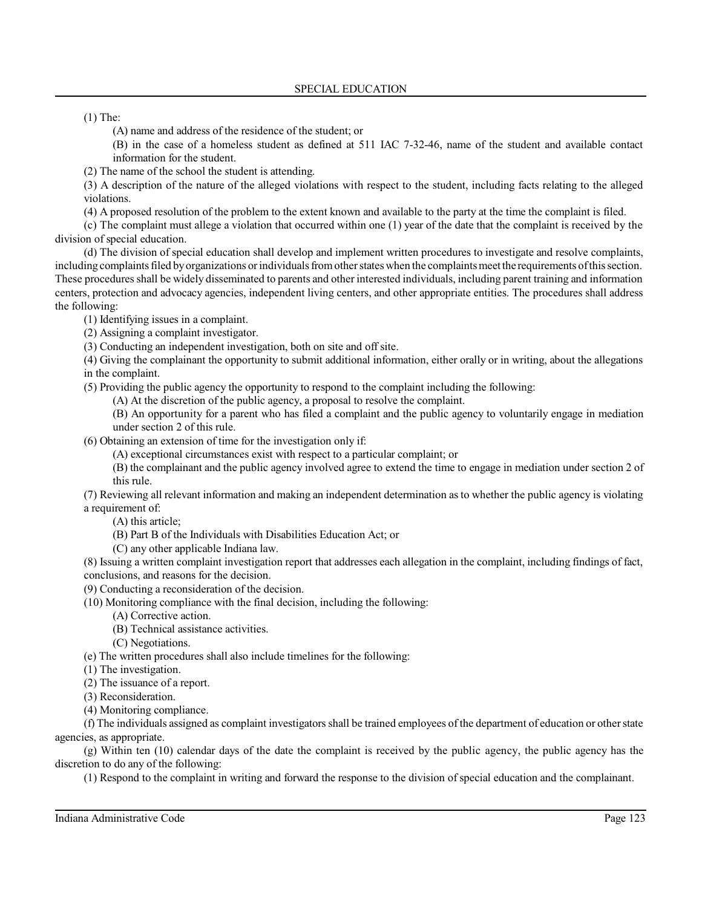(1) The:

(A) name and address of the residence of the student; or

(B) in the case of a homeless student as defined at 511 IAC 7-32-46, name of the student and available contact information for the student.

(2) The name of the school the student is attending.

(3) A description of the nature of the alleged violations with respect to the student, including facts relating to the alleged violations.

(4) A proposed resolution of the problem to the extent known and available to the party at the time the complaint is filed.

(c) The complaint must allege a violation that occurred within one (1) year of the date that the complaint is received by the division of special education.

(d) The division of special education shall develop and implement written procedures to investigate and resolve complaints, including complaints filed by organizations or individuals from other states when the complaints meet the requirements of this section. These proceduresshall be widely disseminated to parents and other interested individuals, including parent training and information centers, protection and advocacy agencies, independent living centers, and other appropriate entities. The procedures shall address the following:

(1) Identifying issues in a complaint.

(2) Assigning a complaint investigator.

(3) Conducting an independent investigation, both on site and off site.

(4) Giving the complainant the opportunity to submit additional information, either orally or in writing, about the allegations in the complaint.

(5) Providing the public agency the opportunity to respond to the complaint including the following:

(A) At the discretion of the public agency, a proposal to resolve the complaint.

(B) An opportunity for a parent who has filed a complaint and the public agency to voluntarily engage in mediation under section 2 of this rule.

(6) Obtaining an extension of time for the investigation only if:

(A) exceptional circumstances exist with respect to a particular complaint; or

(B) the complainant and the public agency involved agree to extend the time to engage in mediation under section 2 of this rule.

(7) Reviewing all relevant information and making an independent determination as to whether the public agency is violating a requirement of:

- (A) this article;
- (B) Part B of the Individuals with Disabilities Education Act; or
- (C) any other applicable Indiana law.

(8) Issuing a written complaint investigation report that addresses each allegation in the complaint, including findings of fact, conclusions, and reasons for the decision.

(9) Conducting a reconsideration of the decision.

(10) Monitoring compliance with the final decision, including the following:

(A) Corrective action.

(B) Technical assistance activities.

(C) Negotiations.

(e) The written procedures shall also include timelines for the following:

- (1) The investigation.
- (2) The issuance of a report.

(3) Reconsideration.

(4) Monitoring compliance.

(f) The individuals assigned as complaint investigators shall be trained employees of the department of education or otherstate agencies, as appropriate.

(g) Within ten (10) calendar days of the date the complaint is received by the public agency, the public agency has the discretion to do any of the following:

(1) Respond to the complaint in writing and forward the response to the division of special education and the complainant.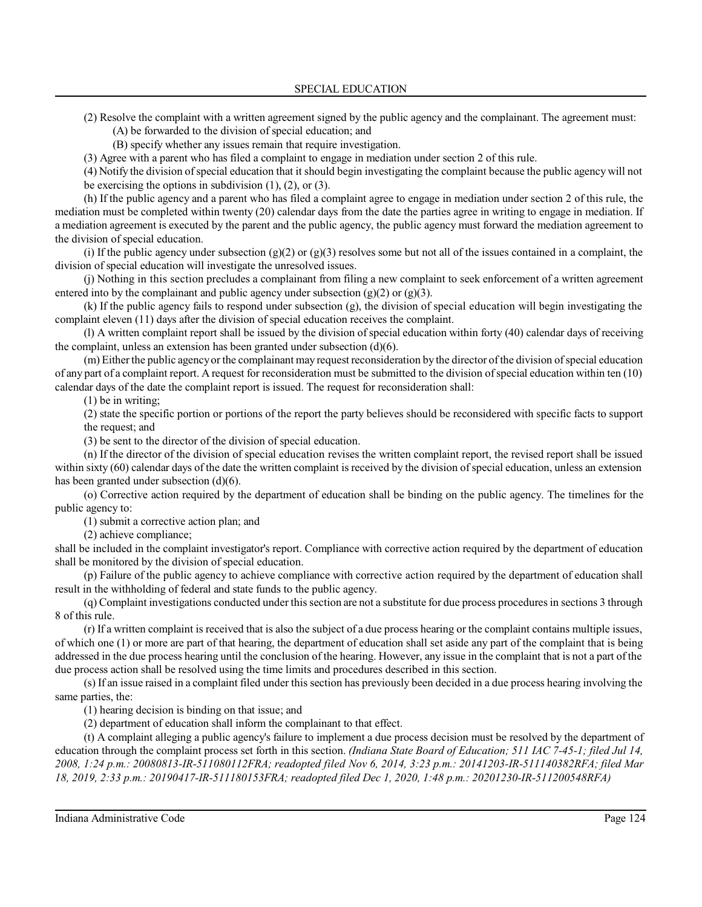(2) Resolve the complaint with a written agreement signed by the public agency and the complainant. The agreement must:

(A) be forwarded to the division of special education; and

(B) specify whether any issues remain that require investigation.

(3) Agree with a parent who has filed a complaint to engage in mediation under section 2 of this rule.

(4) Notify the division ofspecial education that it should begin investigating the complaint because the public agency will not be exercising the options in subdivision  $(1)$ ,  $(2)$ , or  $(3)$ .

(h) If the public agency and a parent who has filed a complaint agree to engage in mediation under section 2 of this rule, the mediation must be completed within twenty (20) calendar days from the date the parties agree in writing to engage in mediation. If a mediation agreement is executed by the parent and the public agency, the public agency must forward the mediation agreement to the division of special education.

(i) If the public agency under subsection  $(g)(2)$  or  $(g)(3)$  resolves some but not all of the issues contained in a complaint, the division of special education will investigate the unresolved issues.

(j) Nothing in this section precludes a complainant from filing a new complaint to seek enforcement of a written agreement entered into by the complainant and public agency under subsection  $(g)(2)$  or  $(g)(3)$ .

(k) If the public agency fails to respond under subsection (g), the division of special education will begin investigating the complaint eleven (11) days after the division of special education receives the complaint.

(l) A written complaint report shall be issued by the division ofspecial education within forty (40) calendar days of receiving the complaint, unless an extension has been granted under subsection (d)(6).

(m) Eitherthe public agencyor the complainant may request reconsideration by the director ofthe division ofspecial education of any part of a complaint report. A request for reconsideration must be submitted to the division ofspecial education within ten (10) calendar days of the date the complaint report is issued. The request for reconsideration shall:

(1) be in writing;

(2) state the specific portion or portions of the report the party believes should be reconsidered with specific facts to support the request; and

(3) be sent to the director of the division of special education.

(n) If the director of the division of special education revises the written complaint report, the revised report shall be issued within sixty (60) calendar days of the date the written complaint is received by the division of special education, unless an extension has been granted under subsection (d)(6).

(o) Corrective action required by the department of education shall be binding on the public agency. The timelines for the public agency to:

(1) submit a corrective action plan; and

(2) achieve compliance;

shall be included in the complaint investigator's report. Compliance with corrective action required by the department of education shall be monitored by the division of special education.

(p) Failure of the public agency to achieve compliance with corrective action required by the department of education shall result in the withholding of federal and state funds to the public agency.

(q) Complaint investigations conducted under thissection are not a substitute for due process proceduresin sections 3 through 8 of this rule.

(r) If a written complaint is received that is also the subject of a due process hearing or the complaint contains multiple issues, of which one (1) or more are part of that hearing, the department of education shall set aside any part of the complaint that is being addressed in the due process hearing until the conclusion of the hearing. However, any issue in the complaint that is not a part of the due process action shall be resolved using the time limits and procedures described in this section.

(s) If an issue raised in a complaint filed under this section has previously been decided in a due process hearing involving the same parties, the:

(1) hearing decision is binding on that issue; and

(2) department of education shall inform the complainant to that effect.

(t) A complaint alleging a public agency's failure to implement a due process decision must be resolved by the department of education through the complaint process set forth in this section. *(Indiana State Board of Education; 511 IAC 7-45-1; filed Jul 14, 2008, 1:24 p.m.: 20080813-IR-511080112FRA; readopted filed Nov 6, 2014, 3:23 p.m.: 20141203-IR-511140382RFA; filed Mar 18, 2019, 2:33 p.m.: 20190417-IR-511180153FRA; readopted filed Dec 1, 2020, 1:48 p.m.: 20201230-IR-511200548RFA)*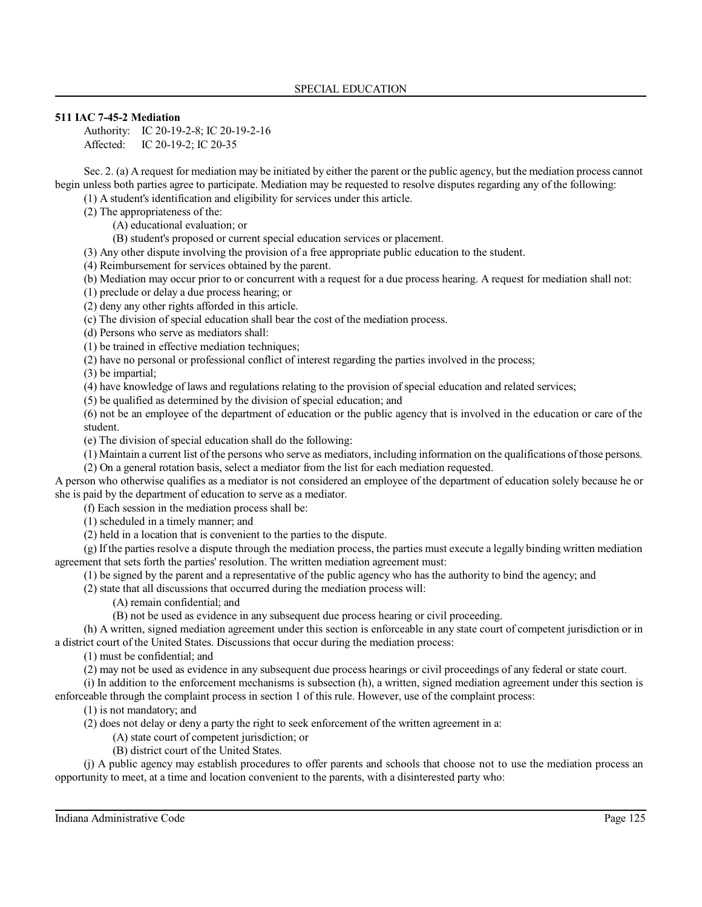## **511 IAC 7-45-2 Mediation**

Authority: IC 20-19-2-8; IC 20-19-2-16 Affected: IC 20-19-2; IC 20-35

Sec. 2. (a) A request for mediation may be initiated by either the parent or the public agency, but the mediation process cannot begin unless both parties agree to participate. Mediation may be requested to resolve disputes regarding any of the following:

(1) A student's identification and eligibility for services under this article.

(2) The appropriateness of the:

(A) educational evaluation; or

(B) student's proposed or current special education services or placement.

(3) Any other dispute involving the provision of a free appropriate public education to the student.

(4) Reimbursement for services obtained by the parent.

(b) Mediation may occur prior to or concurrent with a request for a due process hearing. A request for mediation shall not:

(1) preclude or delay a due process hearing; or

(2) deny any other rights afforded in this article.

(c) The division of special education shall bear the cost of the mediation process.

(d) Persons who serve as mediators shall:

(1) be trained in effective mediation techniques;

(2) have no personal or professional conflict of interest regarding the parties involved in the process;

(3) be impartial;

(4) have knowledge of laws and regulations relating to the provision of special education and related services;

(5) be qualified as determined by the division of special education; and

(6) not be an employee of the department of education or the public agency that is involved in the education or care of the student.

(e) The division of special education shall do the following:

(1) Maintain a current list of the persons who serve as mediators, including information on the qualifications of those persons.

(2) On a general rotation basis, select a mediator from the list for each mediation requested.

A person who otherwise qualifies as a mediator is not considered an employee of the department of education solely because he or she is paid by the department of education to serve as a mediator.

(f) Each session in the mediation process shall be:

(1) scheduled in a timely manner; and

(2) held in a location that is convenient to the parties to the dispute.

(g) If the parties resolve a dispute through the mediation process, the parties must execute a legally binding written mediation agreement that sets forth the parties' resolution. The written mediation agreement must:

(1) be signed by the parent and a representative of the public agency who has the authority to bind the agency; and

(2) state that all discussions that occurred during the mediation process will:

(A) remain confidential; and

(B) not be used as evidence in any subsequent due process hearing or civil proceeding.

(h) A written, signed mediation agreement under this section is enforceable in any state court of competent jurisdiction or in a district court of the United States. Discussions that occur during the mediation process:

(1) must be confidential; and

(2) may not be used as evidence in any subsequent due process hearings or civil proceedings of any federal or state court.

(i) In addition to the enforcement mechanisms is subsection (h), a written, signed mediation agreement under this section is enforceable through the complaint process in section 1 of this rule. However, use of the complaint process:

(1) is not mandatory; and

(2) does not delay or deny a party the right to seek enforcement of the written agreement in a:

(A) state court of competent jurisdiction; or

(B) district court of the United States.

(j) A public agency may establish procedures to offer parents and schools that choose not to use the mediation process an opportunity to meet, at a time and location convenient to the parents, with a disinterested party who: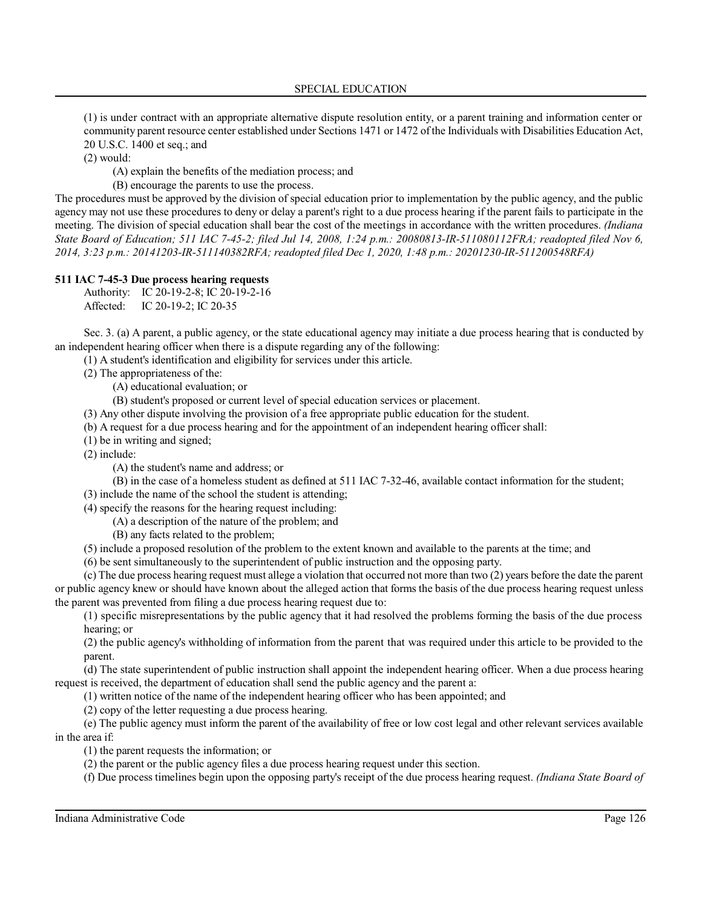(1) is under contract with an appropriate alternative dispute resolution entity, or a parent training and information center or community parent resource center established under Sections 1471 or 1472 ofthe Individuals with Disabilities Education Act, 20 U.S.C. 1400 et seq.; and

(2) would:

(A) explain the benefits of the mediation process; and

(B) encourage the parents to use the process.

The procedures must be approved by the division of special education prior to implementation by the public agency, and the public agency may not use these procedures to deny or delay a parent's right to a due process hearing if the parent fails to participate in the meeting. The division of special education shall bear the cost of the meetings in accordance with the written procedures. *(Indiana State Board of Education; 511 IAC 7-45-2; filed Jul 14, 2008, 1:24 p.m.: 20080813-IR-511080112FRA; readopted filed Nov 6, 2014, 3:23 p.m.: 20141203-IR-511140382RFA; readopted filed Dec 1, 2020, 1:48 p.m.: 20201230-IR-511200548RFA)*

## **511 IAC 7-45-3 Due process hearing requests**

Authority: IC 20-19-2-8; IC 20-19-2-16 Affected: IC 20-19-2; IC 20-35

Sec. 3. (a) A parent, a public agency, or the state educational agency may initiate a due process hearing that is conducted by an independent hearing officer when there is a dispute regarding any of the following:

(1) A student's identification and eligibility for services under this article.

(2) The appropriateness of the:

(A) educational evaluation; or

(B) student's proposed or current level of special education services or placement.

(3) Any other dispute involving the provision of a free appropriate public education for the student.

(b) A request for a due process hearing and for the appointment of an independent hearing officer shall:

(1) be in writing and signed;

(2) include:

(A) the student's name and address; or

(B) in the case of a homeless student as defined at 511 IAC 7-32-46, available contact information for the student;

(3) include the name of the school the student is attending;

(4) specify the reasons for the hearing request including:

(A) a description of the nature of the problem; and

(B) any facts related to the problem;

(5) include a proposed resolution of the problem to the extent known and available to the parents at the time; and

(6) be sent simultaneously to the superintendent of public instruction and the opposing party.

(c) The due process hearing request must allege a violation that occurred not more than two (2) years before the date the parent or public agency knew or should have known about the alleged action that forms the basis of the due process hearing request unless the parent was prevented from filing a due process hearing request due to:

(1) specific misrepresentations by the public agency that it had resolved the problems forming the basis of the due process hearing; or

(2) the public agency's withholding of information from the parent that was required under this article to be provided to the parent.

(d) The state superintendent of public instruction shall appoint the independent hearing officer. When a due process hearing request is received, the department of education shall send the public agency and the parent a:

(1) written notice of the name of the independent hearing officer who has been appointed; and

(2) copy of the letter requesting a due process hearing.

(e) The public agency must inform the parent of the availability of free or low cost legal and other relevant services available in the area if:

(1) the parent requests the information; or

(2) the parent or the public agency files a due process hearing request under this section.

(f) Due process timelines begin upon the opposing party's receipt of the due process hearing request. *(Indiana State Board of*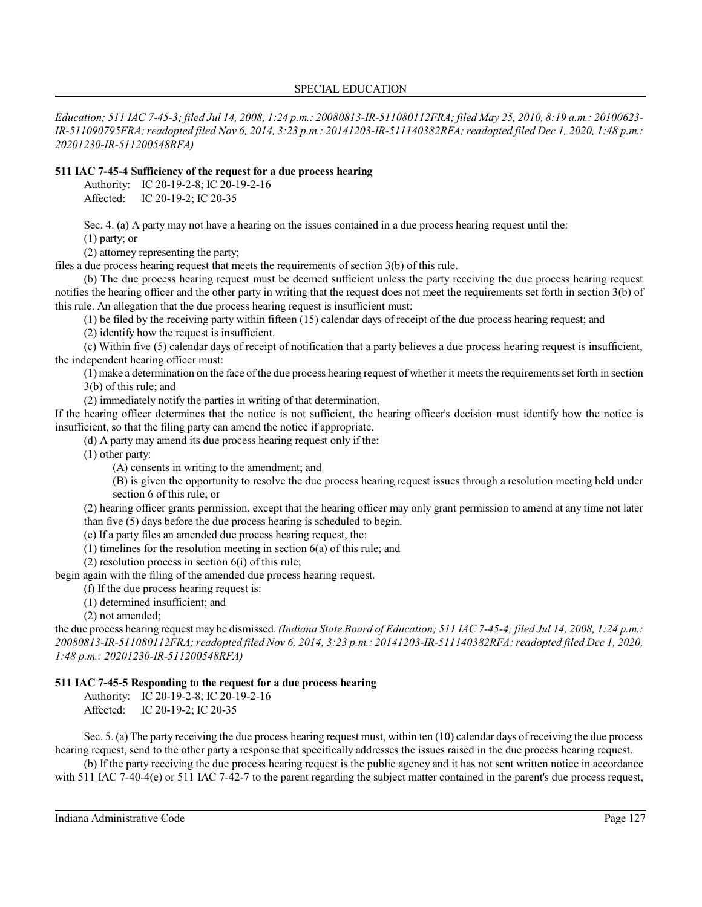*Education; 511 IAC 7-45-3; filed Jul 14, 2008, 1:24 p.m.: 20080813-IR-511080112FRA; filed May 25, 2010, 8:19 a.m.: 20100623- IR-511090795FRA; readopted filed Nov 6, 2014, 3:23 p.m.: 20141203-IR-511140382RFA;readopted filed Dec 1, 2020, 1:48 p.m.: 20201230-IR-511200548RFA)*

## **511 IAC 7-45-4 Sufficiency of the request for a due process hearing**

Authority: IC 20-19-2-8; IC 20-19-2-16 Affected: IC 20-19-2; IC 20-35

Sec. 4. (a) A party may not have a hearing on the issues contained in a due process hearing request until the:

(1) party; or

(2) attorney representing the party;

files a due process hearing request that meets the requirements of section 3(b) of this rule.

(b) The due process hearing request must be deemed sufficient unless the party receiving the due process hearing request notifies the hearing officer and the other party in writing that the request does not meet the requirements set forth in section 3(b) of this rule. An allegation that the due process hearing request is insufficient must:

(1) be filed by the receiving party within fifteen (15) calendar days of receipt of the due process hearing request; and

(2) identify how the request is insufficient.

(c) Within five (5) calendar days of receipt of notification that a party believes a due process hearing request is insufficient, the independent hearing officer must:

(1) make a determination on the face ofthe due process hearing request of whether it meetsthe requirementsset forth in section 3(b) of this rule; and

(2) immediately notify the parties in writing of that determination.

If the hearing officer determines that the notice is not sufficient, the hearing officer's decision must identify how the notice is insufficient, so that the filing party can amend the notice if appropriate.

(d) A party may amend its due process hearing request only if the:

(1) other party:

(A) consents in writing to the amendment; and

(B) is given the opportunity to resolve the due process hearing request issues through a resolution meeting held under section 6 of this rule; or

(2) hearing officer grants permission, except that the hearing officer may only grant permission to amend at any time not later than five (5) days before the due process hearing is scheduled to begin.

(e) If a party files an amended due process hearing request, the:

(1) timelines for the resolution meeting in section 6(a) of this rule; and

(2) resolution process in section  $6(i)$  of this rule;

begin again with the filing of the amended due process hearing request.

(f) If the due process hearing request is:

(1) determined insufficient; and

(2) not amended;

the due process hearing request may be dismissed. *(Indiana State Board of Education; 511 IAC 7-45-4; filed Jul 14, 2008, 1:24 p.m.: 20080813-IR-511080112FRA;readopted filed Nov 6, 2014, 3:23 p.m.: 20141203-IR-511140382RFA;readopted filed Dec 1, 2020, 1:48 p.m.: 20201230-IR-511200548RFA)*

# **511 IAC 7-45-5 Responding to the request for a due process hearing**

Authority: IC 20-19-2-8; IC 20-19-2-16 Affected: IC 20-19-2; IC 20-35

Sec. 5. (a) The party receiving the due process hearing request must, within ten (10) calendar days ofreceiving the due process hearing request, send to the other party a response that specifically addresses the issues raised in the due process hearing request.

(b) If the party receiving the due process hearing request is the public agency and it has not sent written notice in accordance with 511 IAC 7-40-4(e) or 511 IAC 7-42-7 to the parent regarding the subject matter contained in the parent's due process request,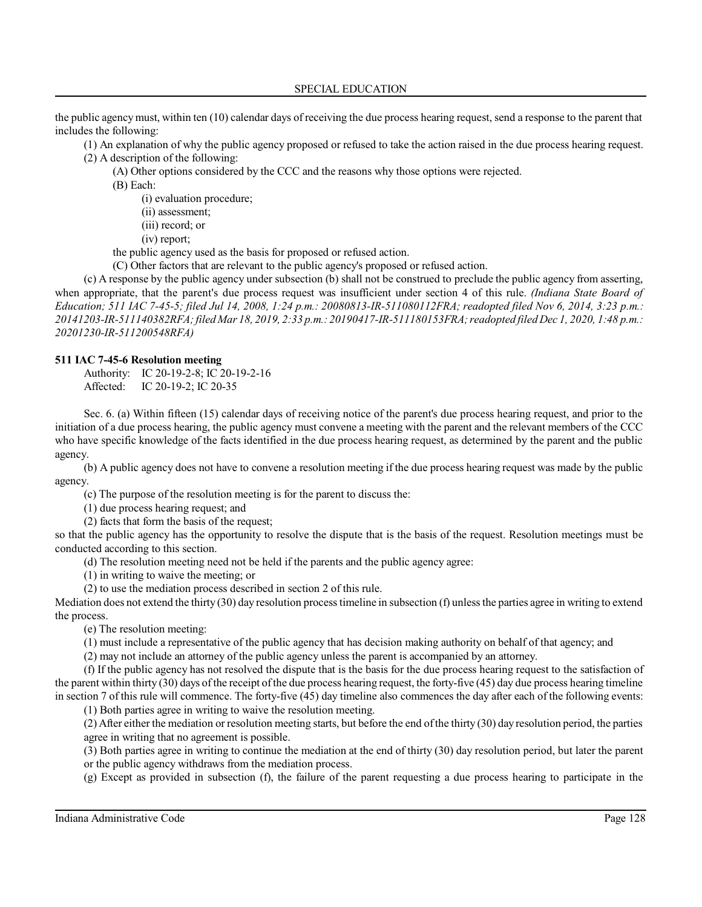the public agencymust, within ten (10) calendar days of receiving the due process hearing request, send a response to the parent that includes the following:

(1) An explanation of why the public agency proposed or refused to take the action raised in the due process hearing request. (2) A description of the following:

- (A) Other options considered by the CCC and the reasons why those options were rejected.
- (B) Each:
	- (i) evaluation procedure;
	- (ii) assessment;
	- (iii) record; or
	- (iv) report;

the public agency used as the basis for proposed or refused action.

(C) Other factors that are relevant to the public agency's proposed or refused action.

(c) A response by the public agency under subsection (b) shall not be construed to preclude the public agency from asserting, when appropriate, that the parent's due process request was insufficient under section 4 of this rule. *(Indiana State Board of Education; 511 IAC 7-45-5; filed Jul 14, 2008, 1:24 p.m.: 20080813-IR-511080112FRA; readopted filed Nov 6, 2014, 3:23 p.m.: 20141203-IR-511140382RFA;filed Mar 18, 2019, 2:33 p.m.: 20190417-IR-511180153FRA;readopted filed Dec 1, 2020, 1:48 p.m.: 20201230-IR-511200548RFA)*

#### **511 IAC 7-45-6 Resolution meeting**

Authority: IC 20-19-2-8; IC 20-19-2-16 Affected: IC 20-19-2; IC 20-35

Sec. 6. (a) Within fifteen (15) calendar days of receiving notice of the parent's due process hearing request, and prior to the initiation of a due process hearing, the public agency must convene a meeting with the parent and the relevant members of the CCC who have specific knowledge of the facts identified in the due process hearing request, as determined by the parent and the public agency.

(b) A public agency does not have to convene a resolution meeting if the due process hearing request was made by the public agency.

(c) The purpose of the resolution meeting is for the parent to discuss the:

(1) due process hearing request; and

(2) facts that form the basis of the request;

so that the public agency has the opportunity to resolve the dispute that is the basis of the request. Resolution meetings must be conducted according to this section.

(d) The resolution meeting need not be held if the parents and the public agency agree:

(1) in writing to waive the meeting; or

(2) to use the mediation process described in section 2 of this rule.

Mediation does not extend the thirty (30) day resolution process timeline in subsection (f) unless the parties agree in writing to extend the process.

(e) The resolution meeting:

(1) must include a representative of the public agency that has decision making authority on behalf of that agency; and

(2) may not include an attorney of the public agency unless the parent is accompanied by an attorney.

(f) If the public agency has not resolved the dispute that is the basis for the due process hearing request to the satisfaction of the parent within thirty (30) days ofthe receipt ofthe due process hearing request, the forty-five (45) day due process hearing timeline in section 7 of this rule will commence. The forty-five (45) day timeline also commences the day after each of the following events:

(1) Both parties agree in writing to waive the resolution meeting.

(2) After either the mediation or resolution meeting starts, but before the end ofthe thirty (30) day resolution period, the parties agree in writing that no agreement is possible.

(3) Both parties agree in writing to continue the mediation at the end of thirty (30) day resolution period, but later the parent or the public agency withdraws from the mediation process.

(g) Except as provided in subsection (f), the failure of the parent requesting a due process hearing to participate in the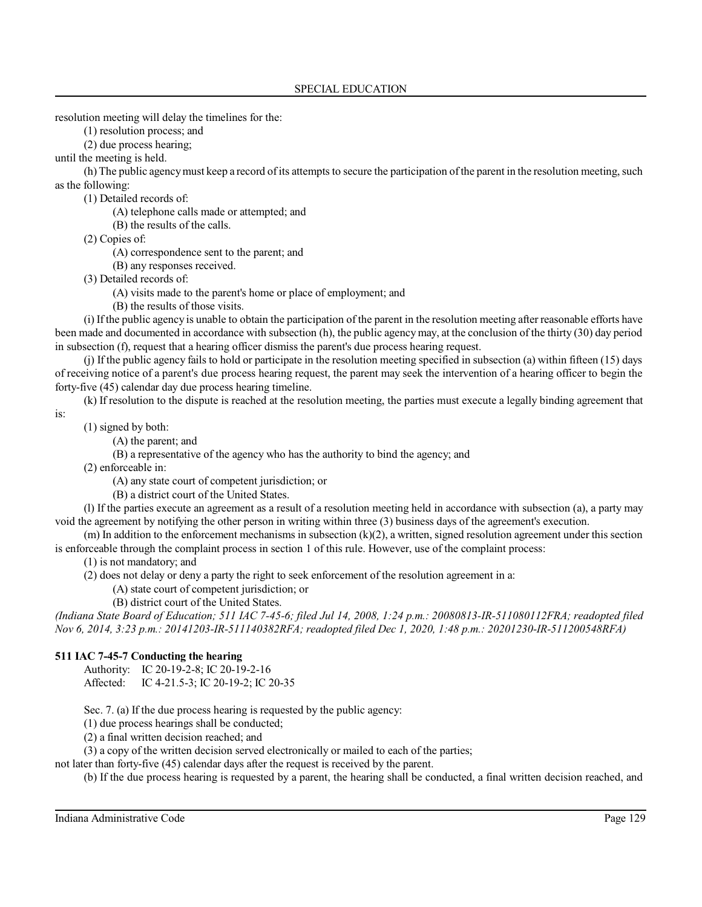resolution meeting will delay the timelines for the:

(1) resolution process; and

(2) due process hearing;

until the meeting is held.

(h) The public agency must keep a record of its attempts to secure the participation of the parent in the resolution meeting, such as the following:

(1) Detailed records of:

(A) telephone calls made or attempted; and

(B) the results of the calls.

(2) Copies of:

(A) correspondence sent to the parent; and

(B) any responses received.

(3) Detailed records of:

(A) visits made to the parent's home or place of employment; and

(B) the results of those visits.

(i) If the public agency is unable to obtain the participation of the parent in the resolution meeting after reasonable efforts have been made and documented in accordance with subsection (h), the public agencymay, at the conclusion of the thirty (30) day period in subsection (f), request that a hearing officer dismiss the parent's due process hearing request.

(j) If the public agency fails to hold or participate in the resolution meeting specified in subsection (a) within fifteen (15) days of receiving notice of a parent's due process hearing request, the parent may seek the intervention of a hearing officer to begin the forty-five (45) calendar day due process hearing timeline.

(k) If resolution to the dispute is reached at the resolution meeting, the parties must execute a legally binding agreement that

is:

(1) signed by both:

(A) the parent; and

(B) a representative of the agency who has the authority to bind the agency; and

(2) enforceable in:

(A) any state court of competent jurisdiction; or

(B) a district court of the United States.

(l) If the parties execute an agreement as a result of a resolution meeting held in accordance with subsection (a), a party may void the agreement by notifying the other person in writing within three (3) business days of the agreement's execution.

 $(m)$  In addition to the enforcement mechanisms in subsection  $(k)(2)$ , a written, signed resolution agreement under this section is enforceable through the complaint process in section 1 of this rule. However, use of the complaint process:

(1) is not mandatory; and

(2) does not delay or deny a party the right to seek enforcement of the resolution agreement in a:

(A) state court of competent jurisdiction; or

(B) district court of the United States.

*(Indiana State Board of Education; 511 IAC 7-45-6; filed Jul 14, 2008, 1:24 p.m.: 20080813-IR-511080112FRA; readopted filed Nov 6, 2014, 3:23 p.m.: 20141203-IR-511140382RFA; readopted filed Dec 1, 2020, 1:48 p.m.: 20201230-IR-511200548RFA)*

# **511 IAC 7-45-7 Conducting the hearing**

Authority: IC 20-19-2-8; IC 20-19-2-16 Affected: IC 4-21.5-3; IC 20-19-2; IC 20-35

Sec. 7. (a) If the due process hearing is requested by the public agency:

(1) due process hearings shall be conducted;

(2) a final written decision reached; and

(3) a copy of the written decision served electronically or mailed to each of the parties;

not later than forty-five (45) calendar days after the request is received by the parent.

(b) If the due process hearing is requested by a parent, the hearing shall be conducted, a final written decision reached, and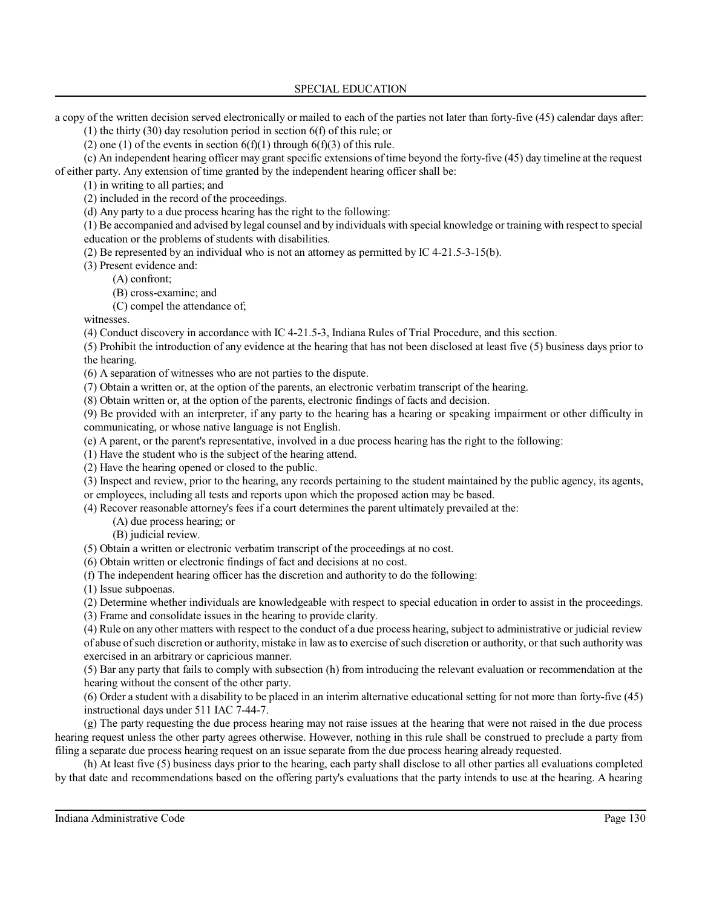a copy of the written decision served electronically or mailed to each of the parties not later than forty-five (45) calendar days after:

(1) the thirty (30) day resolution period in section 6(f) of this rule; or

(2) one (1) of the events in section  $6(f)(1)$  through  $6(f)(3)$  of this rule.

(c) An independent hearing officer may grant specific extensions of time beyond the forty-five (45) day timeline at the request of either party. Any extension of time granted by the independent hearing officer shall be:

(1) in writing to all parties; and

(2) included in the record of the proceedings.

(d) Any party to a due process hearing has the right to the following:

(1) Be accompanied and advised by legal counsel and by individuals with special knowledge or training with respect to special education or the problems of students with disabilities.

(2) Be represented by an individual who is not an attorney as permitted by IC 4-21.5-3-15(b).

(3) Present evidence and:

(A) confront;

(B) cross-examine; and

(C) compel the attendance of;

witnesses.

(4) Conduct discovery in accordance with IC 4-21.5-3, Indiana Rules of Trial Procedure, and this section.

(5) Prohibit the introduction of any evidence at the hearing that has not been disclosed at least five (5) business days prior to the hearing.

(6) A separation of witnesses who are not parties to the dispute.

(7) Obtain a written or, at the option of the parents, an electronic verbatim transcript of the hearing.

(8) Obtain written or, at the option of the parents, electronic findings of facts and decision.

(9) Be provided with an interpreter, if any party to the hearing has a hearing or speaking impairment or other difficulty in communicating, or whose native language is not English.

(e) A parent, or the parent's representative, involved in a due process hearing has the right to the following:

(1) Have the student who is the subject of the hearing attend.

(2) Have the hearing opened or closed to the public.

(3) Inspect and review, prior to the hearing, any records pertaining to the student maintained by the public agency, its agents, or employees, including all tests and reports upon which the proposed action may be based.

(4) Recover reasonable attorney's fees if a court determines the parent ultimately prevailed at the:

(A) due process hearing; or

(B) judicial review.

(5) Obtain a written or electronic verbatim transcript of the proceedings at no cost.

(6) Obtain written or electronic findings of fact and decisions at no cost.

(f) The independent hearing officer has the discretion and authority to do the following:

(1) Issue subpoenas.

(2) Determine whether individuals are knowledgeable with respect to special education in order to assist in the proceedings.

(3) Frame and consolidate issues in the hearing to provide clarity.

(4) Rule on any other matters with respect to the conduct of a due process hearing, subject to administrative or judicial review of abuse ofsuch discretion or authority, mistake in law as to exercise ofsuch discretion or authority, or that such authority was exercised in an arbitrary or capricious manner.

(5) Bar any party that fails to comply with subsection (h) from introducing the relevant evaluation or recommendation at the hearing without the consent of the other party.

(6) Order a student with a disability to be placed in an interim alternative educational setting for not more than forty-five (45) instructional days under 511 IAC 7-44-7.

(g) The party requesting the due process hearing may not raise issues at the hearing that were not raised in the due process hearing request unless the other party agrees otherwise. However, nothing in this rule shall be construed to preclude a party from filing a separate due process hearing request on an issue separate from the due process hearing already requested.

(h) At least five (5) business days prior to the hearing, each party shall disclose to all other parties all evaluations completed by that date and recommendations based on the offering party's evaluations that the party intends to use at the hearing. A hearing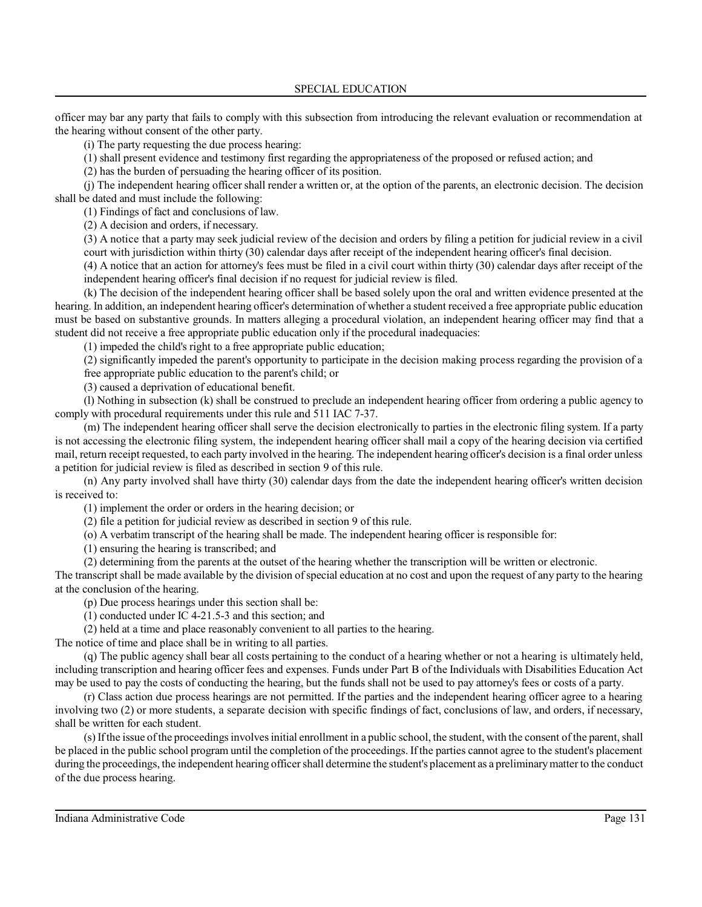officer may bar any party that fails to comply with this subsection from introducing the relevant evaluation or recommendation at the hearing without consent of the other party.

(i) The party requesting the due process hearing:

(1) shall present evidence and testimony first regarding the appropriateness of the proposed or refused action; and

(2) has the burden of persuading the hearing officer of its position.

(j) The independent hearing officershall render a written or, at the option of the parents, an electronic decision. The decision shall be dated and must include the following:

(1) Findings of fact and conclusions of law.

(2) A decision and orders, if necessary.

(3) A notice that a party may seek judicial review of the decision and orders by filing a petition for judicial review in a civil court with jurisdiction within thirty (30) calendar days after receipt of the independent hearing officer's final decision.

(4) A notice that an action for attorney's fees must be filed in a civil court within thirty (30) calendar days after receipt of the independent hearing officer's final decision if no request for judicial review is filed.

(k) The decision of the independent hearing officer shall be based solely upon the oral and written evidence presented at the hearing. In addition, an independent hearing officer's determination of whether a student received a free appropriate public education must be based on substantive grounds. In matters alleging a procedural violation, an independent hearing officer may find that a student did not receive a free appropriate public education only if the procedural inadequacies:

(1) impeded the child's right to a free appropriate public education;

(2) significantly impeded the parent's opportunity to participate in the decision making process regarding the provision of a free appropriate public education to the parent's child; or

(3) caused a deprivation of educational benefit.

(l) Nothing in subsection (k) shall be construed to preclude an independent hearing officer from ordering a public agency to comply with procedural requirements under this rule and 511 IAC 7-37.

(m) The independent hearing officer shall serve the decision electronically to parties in the electronic filing system. If a party is not accessing the electronic filing system, the independent hearing officer shall mail a copy of the hearing decision via certified mail, return receipt requested, to each party involved in the hearing. The independent hearing officer's decision is a final order unless a petition for judicial review is filed as described in section 9 of this rule.

(n) Any party involved shall have thirty (30) calendar days from the date the independent hearing officer's written decision is received to:

(1) implement the order or orders in the hearing decision; or

(2) file a petition for judicial review as described in section 9 of this rule.

(o) A verbatim transcript of the hearing shall be made. The independent hearing officer is responsible for:

(1) ensuring the hearing is transcribed; and

(2) determining from the parents at the outset of the hearing whether the transcription will be written or electronic.

The transcript shall be made available by the division of special education at no cost and upon the request of any party to the hearing at the conclusion of the hearing.

(p) Due process hearings under this section shall be:

(1) conducted under IC 4-21.5-3 and this section; and

(2) held at a time and place reasonably convenient to all parties to the hearing.

The notice of time and place shall be in writing to all parties.

(q) The public agency shall bear all costs pertaining to the conduct of a hearing whether or not a hearing is ultimately held, including transcription and hearing officer fees and expenses. Funds under Part B of the Individuals with Disabilities Education Act may be used to pay the costs of conducting the hearing, but the funds shall not be used to pay attorney's fees or costs of a party.

(r) Class action due process hearings are not permitted. If the parties and the independent hearing officer agree to a hearing involving two (2) or more students, a separate decision with specific findings of fact, conclusions of law, and orders, if necessary, shall be written for each student.

(s)Ifthe issue ofthe proceedings involvesinitial enrollment in a public school, the student, with the consent of the parent,shall be placed in the public school program until the completion of the proceedings. If the parties cannot agree to the student's placement during the proceedings, the independent hearing officer shall determine the student's placement as a preliminary matter to the conduct of the due process hearing.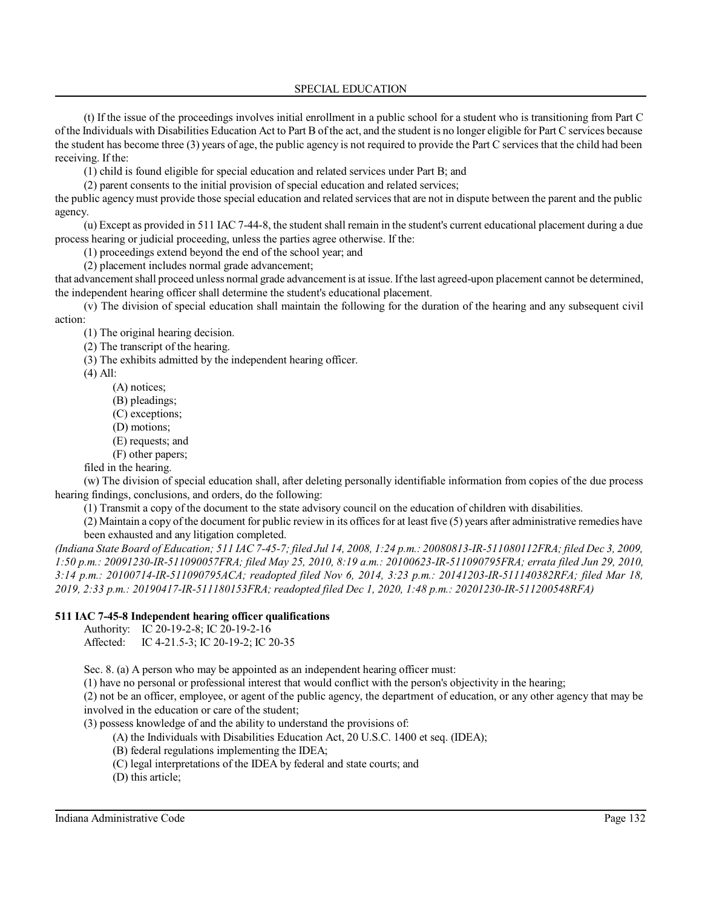(t) If the issue of the proceedings involves initial enrollment in a public school for a student who is transitioning from Part C of the Individuals with Disabilities Education Act to Part B of the act, and the student is no longer eligible for Part C services because the student has become three (3) years of age, the public agency is not required to provide the Part C services that the child had been receiving. If the:

(1) child is found eligible for special education and related services under Part B; and

(2) parent consents to the initial provision of special education and related services;

the public agency must provide those special education and related services that are not in dispute between the parent and the public agency.

(u) Except as provided in 511 IAC 7-44-8, the student shall remain in the student's current educational placement during a due process hearing or judicial proceeding, unless the parties agree otherwise. If the:

(1) proceedings extend beyond the end of the school year; and

(2) placement includes normal grade advancement;

that advancement shall proceed unless normal grade advancement is at issue. Ifthe last agreed-upon placement cannot be determined, the independent hearing officer shall determine the student's educational placement.

(v) The division of special education shall maintain the following for the duration of the hearing and any subsequent civil action:

(1) The original hearing decision.

(2) The transcript of the hearing.

(3) The exhibits admitted by the independent hearing officer.

(4) All:

- (A) notices;
- (B) pleadings;
- (C) exceptions;
- (D) motions;
- (E) requests; and
- (F) other papers;

filed in the hearing. (w) The division of special education shall, after deleting personally identifiable information from copies of the due process hearing findings, conclusions, and orders, do the following:

(1) Transmit a copy of the document to the state advisory council on the education of children with disabilities.

(2) Maintain a copy of the document for public review in its offices for at least five (5) years after administrative remedies have been exhausted and any litigation completed.

*(Indiana State Board of Education; 511 IAC 7-45-7; filed Jul 14, 2008, 1:24 p.m.: 20080813-IR-511080112FRA; filed Dec 3, 2009, 1:50 p.m.: 20091230-IR-511090057FRA; filed May 25, 2010, 8:19 a.m.: 20100623-IR-511090795FRA; errata filed Jun 29, 2010, 3:14 p.m.: 20100714-IR-511090795ACA; readopted filed Nov 6, 2014, 3:23 p.m.: 20141203-IR-511140382RFA; filed Mar 18, 2019, 2:33 p.m.: 20190417-IR-511180153FRA; readopted filed Dec 1, 2020, 1:48 p.m.: 20201230-IR-511200548RFA)*

## **511 IAC 7-45-8 Independent hearing officer qualifications**

Authority: IC 20-19-2-8; IC 20-19-2-16 Affected: IC 4-21.5-3; IC 20-19-2; IC 20-35

Sec. 8. (a) A person who may be appointed as an independent hearing officer must:

(1) have no personal or professional interest that would conflict with the person's objectivity in the hearing;

(2) not be an officer, employee, or agent of the public agency, the department of education, or any other agency that may be involved in the education or care of the student;

(3) possess knowledge of and the ability to understand the provisions of:

- (A) the Individuals with Disabilities Education Act, 20 U.S.C. 1400 et seq. (IDEA);
- (B) federal regulations implementing the IDEA;
- (C) legal interpretations of the IDEA by federal and state courts; and
- (D) this article;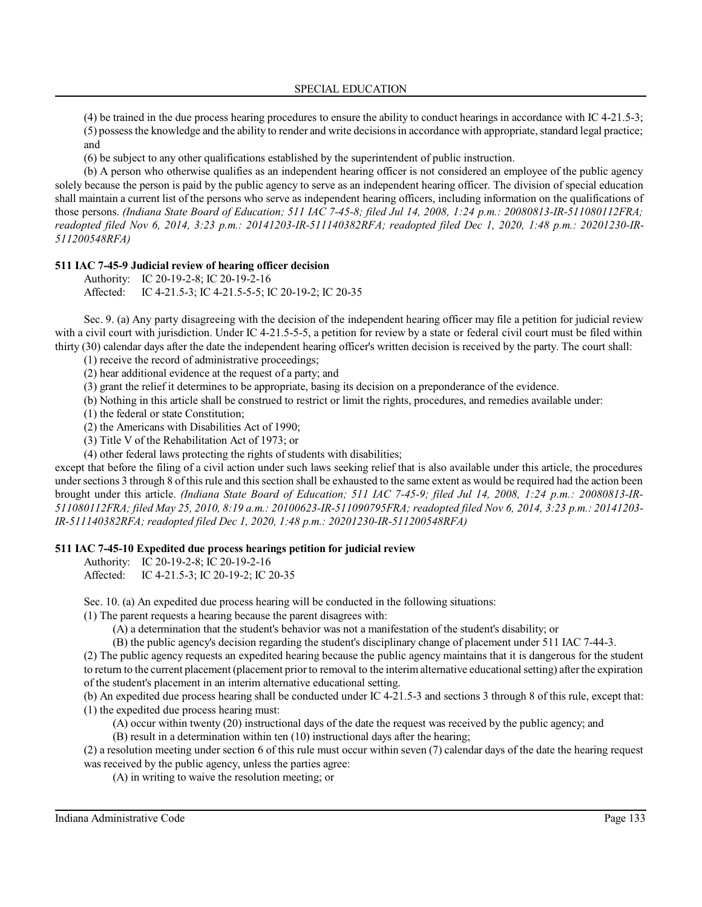(4) be trained in the due process hearing procedures to ensure the ability to conduct hearings in accordance with IC 4-21.5-3;  $(5)$  possess the knowledge and the ability to render and write decisions in accordance with appropriate, standard legal practice; and

(6) be subject to any other qualifications established by the superintendent of public instruction.

(b) A person who otherwise qualifies as an independent hearing officer is not considered an employee of the public agency solely because the person is paid by the public agency to serve as an independent hearing officer. The division of special education shall maintain a current list of the persons who serve as independent hearing officers, including information on the qualifications of those persons. *(Indiana State Board of Education; 511 IAC 7-45-8; filed Jul 14, 2008, 1:24 p.m.: 20080813-IR-511080112FRA; readopted filed Nov 6, 2014, 3:23 p.m.: 20141203-IR-511140382RFA; readopted filed Dec 1, 2020, 1:48 p.m.: 20201230-IR-511200548RFA)*

#### **511 IAC 7-45-9 Judicial review of hearing officer decision**

Authority: IC 20-19-2-8; IC 20-19-2-16 Affected: IC 4-21.5-3; IC 4-21.5-5-5; IC 20-19-2; IC 20-35

Sec. 9. (a) Any party disagreeing with the decision of the independent hearing officer may file a petition for judicial review with a civil court with jurisdiction. Under IC 4-21.5-5-5, a petition for review by a state or federal civil court must be filed within thirty (30) calendar days after the date the independent hearing officer's written decision is received by the party. The court shall:

(1) receive the record of administrative proceedings;

(2) hear additional evidence at the request of a party; and

(3) grant the relief it determines to be appropriate, basing its decision on a preponderance of the evidence.

(b) Nothing in this article shall be construed to restrict or limit the rights, procedures, and remedies available under:

(1) the federal or state Constitution;

(2) the Americans with Disabilities Act of 1990;

(3) Title V of the Rehabilitation Act of 1973; or

(4) other federal laws protecting the rights of students with disabilities;

except that before the filing of a civil action under such laws seeking relief that is also available under this article, the procedures under sections 3 through 8 of this rule and this section shall be exhausted to the same extent as would be required had the action been brought under this article. *(Indiana State Board of Education; 511 IAC 7-45-9; filed Jul 14, 2008, 1:24 p.m.: 20080813-IR-511080112FRA; filed May 25, 2010, 8:19 a.m.: 20100623-IR-511090795FRA; readopted filed Nov 6, 2014, 3:23 p.m.: 20141203- IR-511140382RFA; readopted filed Dec 1, 2020, 1:48 p.m.: 20201230-IR-511200548RFA)*

#### **511 IAC 7-45-10 Expedited due process hearings petition for judicial review**

Authority: IC 20-19-2-8; IC 20-19-2-16

Affected: IC 4-21.5-3; IC 20-19-2; IC 20-35

Sec. 10. (a) An expedited due process hearing will be conducted in the following situations:

(1) The parent requests a hearing because the parent disagrees with:

(A) a determination that the student's behavior was not a manifestation of the student's disability; or

(B) the public agency's decision regarding the student's disciplinary change of placement under 511 IAC 7-44-3.

(2) The public agency requests an expedited hearing because the public agency maintains that it is dangerous for the student to return to the current placement (placement prior to removal to the interimalternative educational setting) after the expiration of the student's placement in an interim alternative educational setting.

(b) An expedited due process hearing shall be conducted under IC 4-21.5-3 and sections 3 through 8 of this rule, except that: (1) the expedited due process hearing must:

(A) occur within twenty (20) instructional days of the date the request was received by the public agency; and

(B) result in a determination within ten (10) instructional days after the hearing;

(2) a resolution meeting under section 6 of this rule must occur within seven (7) calendar days of the date the hearing request was received by the public agency, unless the parties agree:

(A) in writing to waive the resolution meeting; or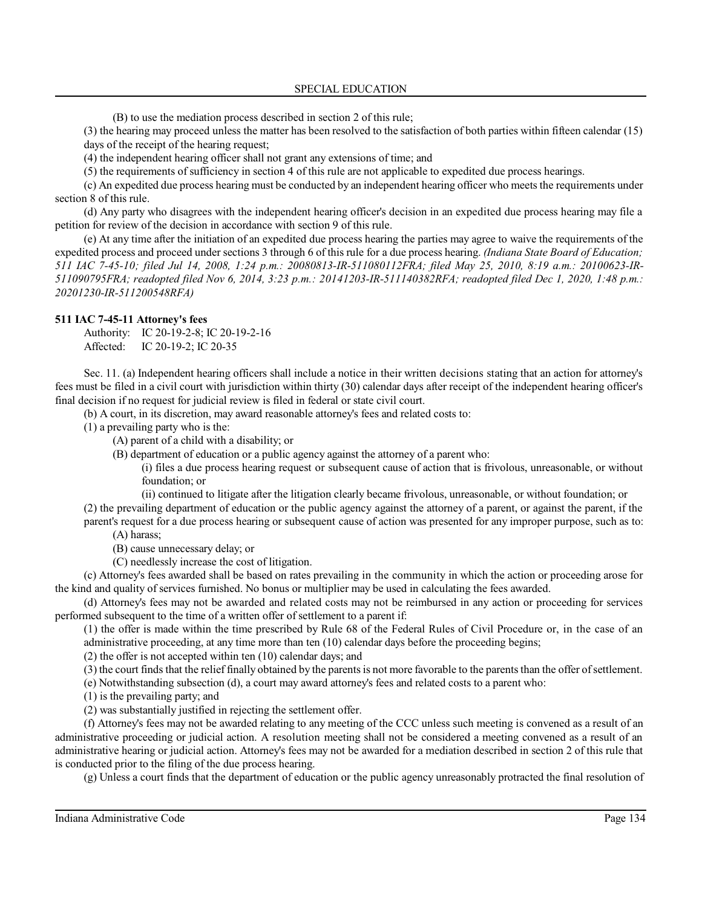(B) to use the mediation process described in section 2 of this rule;

(3) the hearing may proceed unless the matter has been resolved to the satisfaction of both parties within fifteen calendar (15) days of the receipt of the hearing request;

(4) the independent hearing officer shall not grant any extensions of time; and

(5) the requirements of sufficiency in section 4 of this rule are not applicable to expedited due process hearings.

(c) An expedited due process hearing must be conducted by an independent hearing officer who meetsthe requirements under section 8 of this rule.

(d) Any party who disagrees with the independent hearing officer's decision in an expedited due process hearing may file a petition for review of the decision in accordance with section 9 of this rule.

(e) At any time after the initiation of an expedited due process hearing the parties may agree to waive the requirements of the expedited process and proceed under sections 3 through 6 of this rule for a due process hearing. *(Indiana State Board of Education; 511 IAC 7-45-10; filed Jul 14, 2008, 1:24 p.m.: 20080813-IR-511080112FRA; filed May 25, 2010, 8:19 a.m.: 20100623-IR-511090795FRA; readopted filed Nov 6, 2014, 3:23 p.m.: 20141203-IR-511140382RFA; readopted filed Dec 1, 2020, 1:48 p.m.: 20201230-IR-511200548RFA)*

#### **511 IAC 7-45-11 Attorney's fees**

Authority: IC 20-19-2-8; IC 20-19-2-16 Affected: IC 20-19-2; IC 20-35

Sec. 11. (a) Independent hearing officers shall include a notice in their written decisions stating that an action for attorney's fees must be filed in a civil court with jurisdiction within thirty (30) calendar days after receipt of the independent hearing officer's final decision if no request for judicial review is filed in federal or state civil court.

(b) A court, in its discretion, may award reasonable attorney's fees and related costs to:

(1) a prevailing party who is the:

(A) parent of a child with a disability; or

(B) department of education or a public agency against the attorney of a parent who:

(i) files a due process hearing request or subsequent cause of action that is frivolous, unreasonable, or without foundation; or

(ii) continued to litigate after the litigation clearly became frivolous, unreasonable, or without foundation; or

(2) the prevailing department of education or the public agency against the attorney of a parent, or against the parent, if the parent's request for a due process hearing or subsequent cause of action was presented for any improper purpose, such as to:

(A) harass;

(B) cause unnecessary delay; or

(C) needlessly increase the cost of litigation.

(c) Attorney's fees awarded shall be based on rates prevailing in the community in which the action or proceeding arose for the kind and quality of services furnished. No bonus or multiplier may be used in calculating the fees awarded.

(d) Attorney's fees may not be awarded and related costs may not be reimbursed in any action or proceeding for services performed subsequent to the time of a written offer of settlement to a parent if:

(1) the offer is made within the time prescribed by Rule 68 of the Federal Rules of Civil Procedure or, in the case of an administrative proceeding, at any time more than ten (10) calendar days before the proceeding begins;

(2) the offer is not accepted within ten (10) calendar days; and

(3) the court finds that the relief finally obtained by the parents is not more favorable to the parents than the offer of settlement.

(e) Notwithstanding subsection (d), a court may award attorney's fees and related costs to a parent who:

(1) is the prevailing party; and

(2) was substantially justified in rejecting the settlement offer.

(f) Attorney's fees may not be awarded relating to any meeting of the CCC unless such meeting is convened as a result of an administrative proceeding or judicial action. A resolution meeting shall not be considered a meeting convened as a result of an administrative hearing or judicial action. Attorney's fees may not be awarded for a mediation described in section 2 of this rule that is conducted prior to the filing of the due process hearing.

(g) Unless a court finds that the department of education or the public agency unreasonably protracted the final resolution of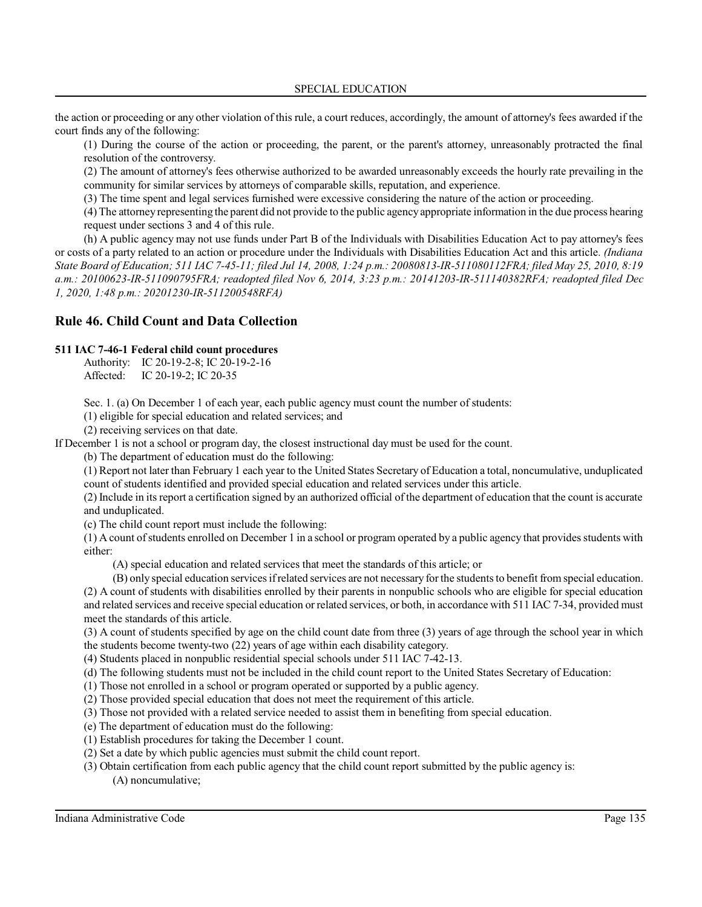the action or proceeding or any other violation of this rule, a court reduces, accordingly, the amount of attorney's fees awarded if the court finds any of the following:

(1) During the course of the action or proceeding, the parent, or the parent's attorney, unreasonably protracted the final resolution of the controversy.

(2) The amount of attorney's fees otherwise authorized to be awarded unreasonably exceeds the hourly rate prevailing in the community for similar services by attorneys of comparable skills, reputation, and experience.

(3) The time spent and legal services furnished were excessive considering the nature of the action or proceeding.

(4) The attorney representing the parent did not provide to the public agencyappropriate information in the due process hearing request under sections 3 and 4 of this rule.

(h) A public agency may not use funds under Part B of the Individuals with Disabilities Education Act to pay attorney's fees or costs of a party related to an action or procedure under the Individuals with Disabilities Education Act and this article. *(Indiana State Board of Education; 511 IAC 7-45-11; filed Jul 14, 2008, 1:24 p.m.: 20080813-IR-511080112FRA; filed May 25, 2010, 8:19 a.m.: 20100623-IR-511090795FRA; readopted filed Nov 6, 2014, 3:23 p.m.: 20141203-IR-511140382RFA; readopted filed Dec 1, 2020, 1:48 p.m.: 20201230-IR-511200548RFA)*

# **Rule 46. Child Count and Data Collection**

#### **511 IAC 7-46-1 Federal child count procedures**

Authority: IC 20-19-2-8; IC 20-19-2-16 Affected: IC 20-19-2; IC 20-35

Sec. 1. (a) On December 1 of each year, each public agency must count the number of students:

(1) eligible for special education and related services; and

(2) receiving services on that date.

If December 1 is not a school or program day, the closest instructional day must be used for the count.

(b) The department of education must do the following:

(1) Report not later than February 1 each year to the United States Secretary of Education a total, noncumulative, unduplicated count of students identified and provided special education and related services under this article.

(2) Include in itsreport a certification signed by an authorized official of the department of education that the count is accurate and unduplicated.

(c) The child count report must include the following:

 $(1)$  A count of students enrolled on December 1 in a school or program operated by a public agency that provides students with either:

(A) special education and related services that meet the standards of this article; or

(B) only special education servicesifrelated services are not necessary for the studentsto benefit from special education.

(2) A count of students with disabilities enrolled by their parents in nonpublic schools who are eligible for special education and related services and receive special education or related services, or both, in accordance with 511 IAC 7-34, provided must meet the standards of this article.

(3) A count of students specified by age on the child count date from three (3) years of age through the school year in which the students become twenty-two (22) years of age within each disability category.

(4) Students placed in nonpublic residential special schools under 511 IAC 7-42-13.

(d) The following students must not be included in the child count report to the United States Secretary of Education:

(1) Those not enrolled in a school or program operated or supported by a public agency.

(2) Those provided special education that does not meet the requirement of this article.

(3) Those not provided with a related service needed to assist them in benefiting from special education.

(e) The department of education must do the following:

(1) Establish procedures for taking the December 1 count.

(2) Set a date by which public agencies must submit the child count report.

(3) Obtain certification from each public agency that the child count report submitted by the public agency is: (A) noncumulative;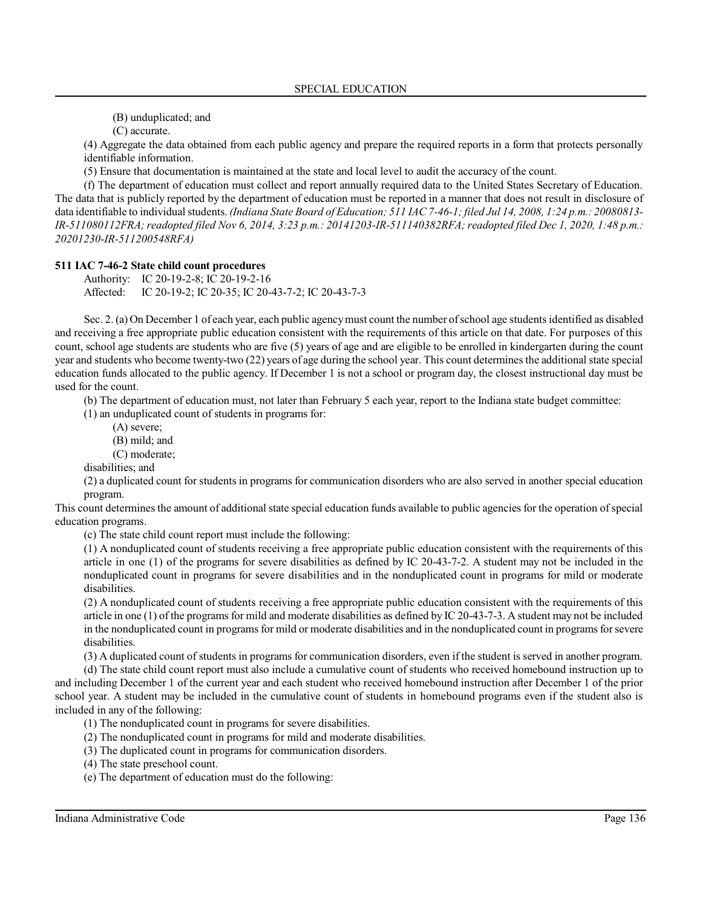(B) unduplicated; and

(C) accurate.

(4) Aggregate the data obtained from each public agency and prepare the required reports in a form that protects personally identifiable information.

(5) Ensure that documentation is maintained at the state and local level to audit the accuracy of the count.

(f) The department of education must collect and report annually required data to the United States Secretary of Education. The data that is publicly reported by the department of education must be reported in a manner that does not result in disclosure of data identifiable to individual students. *(Indiana State Board of Education; 511 IAC 7-46-1; filed Jul 14, 2008, 1:24 p.m.: 20080813- IR-511080112FRA;readopted filed Nov 6, 2014, 3:23 p.m.: 20141203-IR-511140382RFA;readopted filed Dec 1, 2020, 1:48 p.m.: 20201230-IR-511200548RFA)*

#### **511 IAC 7-46-2 State child count procedures**

Authority: IC 20-19-2-8; IC 20-19-2-16 Affected: IC 20-19-2; IC 20-35; IC 20-43-7-2; IC 20-43-7-3

Sec. 2. (a) On December 1 of each year, each public agencymust count the number ofschool age studentsidentified as disabled and receiving a free appropriate public education consistent with the requirements of this article on that date. For purposes of this count, school age students are students who are five (5) years of age and are eligible to be enrolled in kindergarten during the count year and students who become twenty-two (22) years of age during the school year. This count determines the additional state special education funds allocated to the public agency. If December 1 is not a school or program day, the closest instructional day must be used for the count.

(b) The department of education must, not later than February 5 each year, report to the Indiana state budget committee:

(1) an unduplicated count of students in programs for:

- (A) severe;
	- (B) mild; and
- (C) moderate;

disabilities; and

(2) a duplicated count for students in programs for communication disorders who are also served in another special education program.

This count determines the amount of additional state special education funds available to public agencies for the operation ofspecial education programs.

(c) The state child count report must include the following:

(1) A nonduplicated count of students receiving a free appropriate public education consistent with the requirements of this article in one (1) of the programs for severe disabilities as defined by IC 20-43-7-2. A student may not be included in the nonduplicated count in programs for severe disabilities and in the nonduplicated count in programs for mild or moderate disabilities.

(2) A nonduplicated count of students receiving a free appropriate public education consistent with the requirements of this article in one (1) of the programs for mild and moderate disabilities as defined by IC 20-43-7-3. A student may not be included in the nonduplicated count in programs for mild or moderate disabilities and in the nonduplicated count in programs forsevere disabilities.

(3) A duplicated count of students in programs for communication disorders, even if the student is served in another program.

(d) The state child count report must also include a cumulative count of students who received homebound instruction up to and including December 1 of the current year and each student who received homebound instruction after December 1 of the prior school year. A student may be included in the cumulative count of students in homebound programs even if the student also is included in any of the following:

(1) The nonduplicated count in programs for severe disabilities.

- (2) The nonduplicated count in programs for mild and moderate disabilities.
- (3) The duplicated count in programs for communication disorders.
- (4) The state preschool count.
- (e) The department of education must do the following: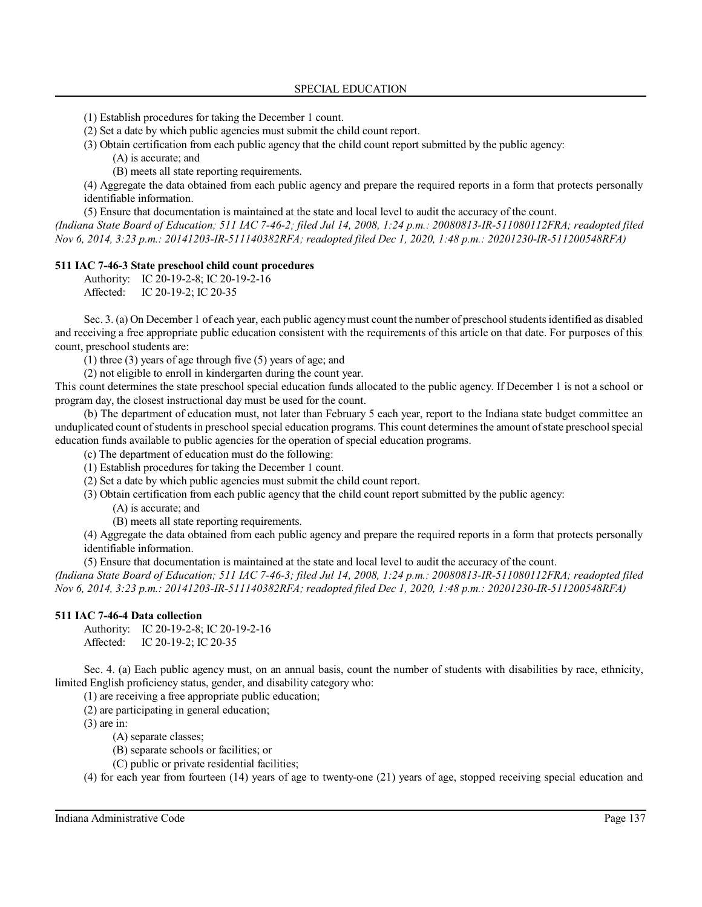(1) Establish procedures for taking the December 1 count.

(2) Set a date by which public agencies must submit the child count report.

(3) Obtain certification from each public agency that the child count report submitted by the public agency:

(A) is accurate; and

(B) meets all state reporting requirements.

(4) Aggregate the data obtained from each public agency and prepare the required reports in a form that protects personally identifiable information.

(5) Ensure that documentation is maintained at the state and local level to audit the accuracy of the count.

*(Indiana State Board of Education; 511 IAC 7-46-2; filed Jul 14, 2008, 1:24 p.m.: 20080813-IR-511080112FRA; readopted filed Nov 6, 2014, 3:23 p.m.: 20141203-IR-511140382RFA; readopted filed Dec 1, 2020, 1:48 p.m.: 20201230-IR-511200548RFA)*

## **511 IAC 7-46-3 State preschool child count procedures**

Authority: IC 20-19-2-8; IC 20-19-2-16 Affected: IC 20-19-2; IC 20-35

Sec. 3. (a) On December 1 of each year, each public agency must count the number of preschool students identified as disabled and receiving a free appropriate public education consistent with the requirements of this article on that date. For purposes of this count, preschool students are:

(1) three (3) years of age through five (5) years of age; and

(2) not eligible to enroll in kindergarten during the count year.

This count determines the state preschool special education funds allocated to the public agency. If December 1 is not a school or program day, the closest instructional day must be used for the count.

(b) The department of education must, not later than February 5 each year, report to the Indiana state budget committee an unduplicated count ofstudentsin preschool special education programs. This count determinesthe amount ofstate preschool special education funds available to public agencies for the operation of special education programs.

(c) The department of education must do the following:

(1) Establish procedures for taking the December 1 count.

(2) Set a date by which public agencies must submit the child count report.

(3) Obtain certification from each public agency that the child count report submitted by the public agency:

(A) is accurate; and

(B) meets all state reporting requirements.

(4) Aggregate the data obtained from each public agency and prepare the required reports in a form that protects personally identifiable information.

(5) Ensure that documentation is maintained at the state and local level to audit the accuracy of the count.

*(Indiana State Board of Education; 511 IAC 7-46-3; filed Jul 14, 2008, 1:24 p.m.: 20080813-IR-511080112FRA; readopted filed Nov 6, 2014, 3:23 p.m.: 20141203-IR-511140382RFA; readopted filed Dec 1, 2020, 1:48 p.m.: 20201230-IR-511200548RFA)*

## **511 IAC 7-46-4 Data collection**

Authority: IC 20-19-2-8; IC 20-19-2-16 Affected: IC 20-19-2; IC 20-35

Sec. 4. (a) Each public agency must, on an annual basis, count the number of students with disabilities by race, ethnicity, limited English proficiency status, gender, and disability category who:

(1) are receiving a free appropriate public education;

(2) are participating in general education;

(3) are in:

(A) separate classes;

(B) separate schools or facilities; or

(C) public or private residential facilities;

(4) for each year from fourteen (14) years of age to twenty-one (21) years of age, stopped receiving special education and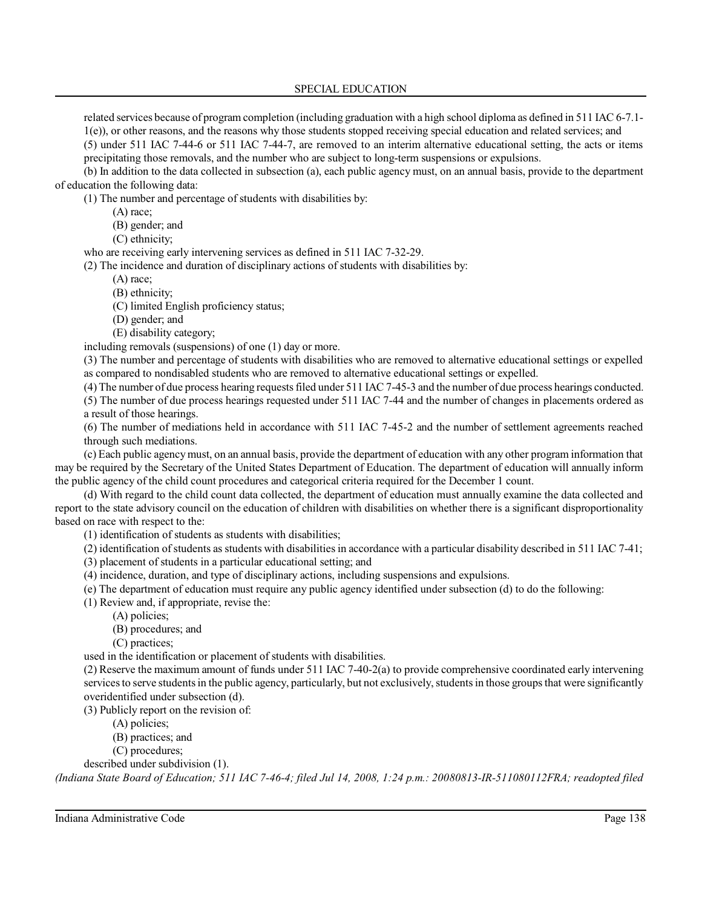related services because of program completion (including graduation with a high school diploma as defined in 511 IAC 6-7.1- 1(e)), or other reasons, and the reasons why those students stopped receiving special education and related services; and (5) under 511 IAC 7-44-6 or 511 IAC 7-44-7, are removed to an interim alternative educational setting, the acts or items precipitating those removals, and the number who are subject to long-term suspensions or expulsions.

(b) In addition to the data collected in subsection (a), each public agency must, on an annual basis, provide to the department of education the following data:

(1) The number and percentage of students with disabilities by:

- (A) race;
- (B) gender; and
- (C) ethnicity;

who are receiving early intervening services as defined in 511 IAC 7-32-29.

(2) The incidence and duration of disciplinary actions of students with disabilities by:

- (A) race;
	- (B) ethnicity;

(C) limited English proficiency status;

- (D) gender; and
- (E) disability category;

including removals (suspensions) of one (1) day or more.

(3) The number and percentage of students with disabilities who are removed to alternative educational settings or expelled as compared to nondisabled students who are removed to alternative educational settings or expelled.

(4) The number of due process hearing requestsfiled under 511 IAC 7-45-3 and the number of due process hearings conducted. (5) The number of due process hearings requested under 511 IAC 7-44 and the number of changes in placements ordered as

a result of those hearings.

(6) The number of mediations held in accordance with 511 IAC 7-45-2 and the number of settlement agreements reached through such mediations.

(c) Each public agencymust, on an annual basis, provide the department of education with any other program information that may be required by the Secretary of the United States Department of Education. The department of education will annually inform the public agency of the child count procedures and categorical criteria required for the December 1 count.

(d) With regard to the child count data collected, the department of education must annually examine the data collected and report to the state advisory council on the education of children with disabilities on whether there is a significant disproportionality based on race with respect to the:

(1) identification of students as students with disabilities;

(2) identification of students as students with disabilities in accordance with a particular disability described in 511 IAC 7-41;

- (3) placement of students in a particular educational setting; and
- (4) incidence, duration, and type of disciplinary actions, including suspensions and expulsions.
- (e) The department of education must require any public agency identified under subsection (d) to do the following:

(1) Review and, if appropriate, revise the:

- (A) policies;
	- (B) procedures; and
	- (C) practices;

used in the identification or placement of students with disabilities.

(2) Reserve the maximum amount of funds under 511 IAC 7-40-2(a) to provide comprehensive coordinated early intervening services to serve students in the public agency, particularly, but not exclusively, students in those groups that were significantly overidentified under subsection (d).

(3) Publicly report on the revision of:

- (A) policies;
- (B) practices; and
- (C) procedures;

described under subdivision (1).

*(Indiana State Board of Education; 511 IAC 7-46-4; filed Jul 14, 2008, 1:24 p.m.: 20080813-IR-511080112FRA; readopted filed*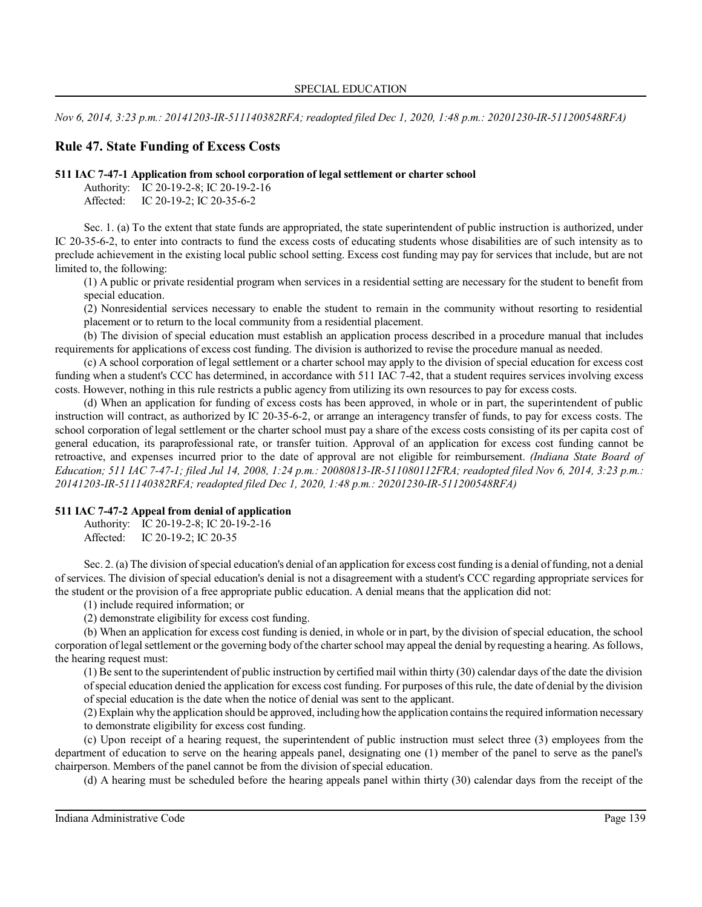*Nov 6, 2014, 3:23 p.m.: 20141203-IR-511140382RFA; readopted filed Dec 1, 2020, 1:48 p.m.: 20201230-IR-511200548RFA)*

# **Rule 47. State Funding of Excess Costs**

#### **511 IAC 7-47-1 Application from school corporation of legal settlement or charter school**

Authority: IC 20-19-2-8; IC 20-19-2-16 Affected: IC 20-19-2; IC 20-35-6-2

Sec. 1. (a) To the extent that state funds are appropriated, the state superintendent of public instruction is authorized, under IC 20-35-6-2, to enter into contracts to fund the excess costs of educating students whose disabilities are of such intensity as to preclude achievement in the existing local public school setting. Excess cost funding may pay for services that include, but are not limited to, the following:

(1) A public or private residential program when services in a residential setting are necessary for the student to benefit from special education.

(2) Nonresidential services necessary to enable the student to remain in the community without resorting to residential placement or to return to the local community from a residential placement.

(b) The division of special education must establish an application process described in a procedure manual that includes requirements for applications of excess cost funding. The division is authorized to revise the procedure manual as needed.

(c) A school corporation of legal settlement or a charter school may apply to the division of special education for excess cost funding when a student's CCC has determined, in accordance with 511 IAC 7-42, that a student requires services involving excess costs. However, nothing in this rule restricts a public agency from utilizing its own resources to pay for excess costs.

(d) When an application for funding of excess costs has been approved, in whole or in part, the superintendent of public instruction will contract, as authorized by IC 20-35-6-2, or arrange an interagency transfer of funds, to pay for excess costs. The school corporation of legal settlement or the charter school must pay a share of the excess costs consisting of its per capita cost of general education, its paraprofessional rate, or transfer tuition. Approval of an application for excess cost funding cannot be retroactive, and expenses incurred prior to the date of approval are not eligible for reimbursement. *(Indiana State Board of Education; 511 IAC 7-47-1; filed Jul 14, 2008, 1:24 p.m.: 20080813-IR-511080112FRA; readopted filed Nov 6, 2014, 3:23 p.m.: 20141203-IR-511140382RFA; readopted filed Dec 1, 2020, 1:48 p.m.: 20201230-IR-511200548RFA)*

## **511 IAC 7-47-2 Appeal from denial of application**

Authority: IC 20-19-2-8; IC 20-19-2-16 Affected: IC 20-19-2; IC 20-35

Sec. 2. (a) The division of special education's denial of an application for excess cost funding is a denial of funding, not a denial of services. The division of special education's denial is not a disagreement with a student's CCC regarding appropriate services for the student or the provision of a free appropriate public education. A denial means that the application did not:

(1) include required information; or

(2) demonstrate eligibility for excess cost funding.

(b) When an application for excess cost funding is denied, in whole or in part, by the division of special education, the school corporation of legal settlement or the governing body ofthe charterschool may appeal the denial by requesting a hearing. As follows, the hearing request must:

(1) Be sent to the superintendent of public instruction by certified mail within thirty (30) calendar days of the date the division ofspecial education denied the application for excess cost funding. For purposes of this rule, the date of denial by the division of special education is the date when the notice of denial was sent to the applicant.

(2) Explain why the application should be approved, including howthe application containsthe required information necessary to demonstrate eligibility for excess cost funding.

(c) Upon receipt of a hearing request, the superintendent of public instruction must select three (3) employees from the department of education to serve on the hearing appeals panel, designating one (1) member of the panel to serve as the panel's chairperson. Members of the panel cannot be from the division of special education.

(d) A hearing must be scheduled before the hearing appeals panel within thirty (30) calendar days from the receipt of the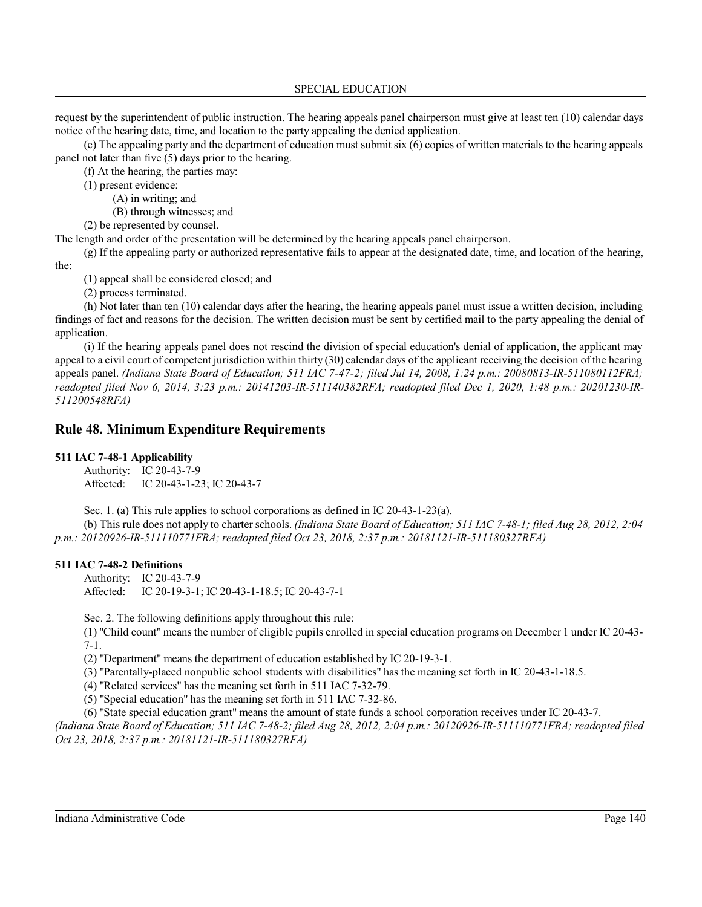request by the superintendent of public instruction. The hearing appeals panel chairperson must give at least ten (10) calendar days notice of the hearing date, time, and location to the party appealing the denied application.

(e) The appealing party and the department of education must submit six (6) copies of written materials to the hearing appeals panel not later than five (5) days prior to the hearing.

(f) At the hearing, the parties may:

(1) present evidence:

(A) in writing; and

(B) through witnesses; and

(2) be represented by counsel.

The length and order of the presentation will be determined by the hearing appeals panel chairperson.

(g) If the appealing party or authorized representative fails to appear at the designated date, time, and location of the hearing, the:

(1) appeal shall be considered closed; and

(2) process terminated.

(h) Not later than ten (10) calendar days after the hearing, the hearing appeals panel must issue a written decision, including findings of fact and reasons for the decision. The written decision must be sent by certified mail to the party appealing the denial of application.

(i) If the hearing appeals panel does not rescind the division of special education's denial of application, the applicant may appeal to a civil court of competent jurisdiction within thirty (30) calendar days of the applicant receiving the decision of the hearing appeals panel. *(Indiana State Board of Education; 511 IAC 7-47-2; filed Jul 14, 2008, 1:24 p.m.: 20080813-IR-511080112FRA; readopted filed Nov 6, 2014, 3:23 p.m.: 20141203-IR-511140382RFA; readopted filed Dec 1, 2020, 1:48 p.m.: 20201230-IR-511200548RFA)*

# **Rule 48. Minimum Expenditure Requirements**

# **511 IAC 7-48-1 Applicability**

Authority: IC 20-43-7-9 Affected: IC 20-43-1-23; IC 20-43-7

Sec. 1. (a) This rule applies to school corporations as defined in IC 20-43-1-23(a).

(b) This rule does not apply to charter schools. *(Indiana State Board of Education; 511 IAC 7-48-1; filed Aug 28, 2012, 2:04 p.m.: 20120926-IR-511110771FRA; readopted filed Oct 23, 2018, 2:37 p.m.: 20181121-IR-511180327RFA)*

## **511 IAC 7-48-2 Definitions**

Authority: IC 20-43-7-9 Affected: IC 20-19-3-1; IC 20-43-1-18.5; IC 20-43-7-1

Sec. 2. The following definitions apply throughout this rule:

(1) "Child count" means the number of eligible pupils enrolled in special education programs on December 1 under IC 20-43- 7-1.

(2) "Department" means the department of education established by IC 20-19-3-1.

(3) "Parentally-placed nonpublic school students with disabilities" has the meaning set forth in IC 20-43-1-18.5.

(4) "Related services" has the meaning set forth in 511 IAC 7-32-79.

(5) "Special education" has the meaning set forth in 511 IAC 7-32-86.

(6) "State special education grant" means the amount of state funds a school corporation receives under IC 20-43-7.

*(Indiana State Board of Education; 511 IAC 7-48-2; filed Aug 28, 2012, 2:04 p.m.: 20120926-IR-511110771FRA; readopted filed Oct 23, 2018, 2:37 p.m.: 20181121-IR-511180327RFA)*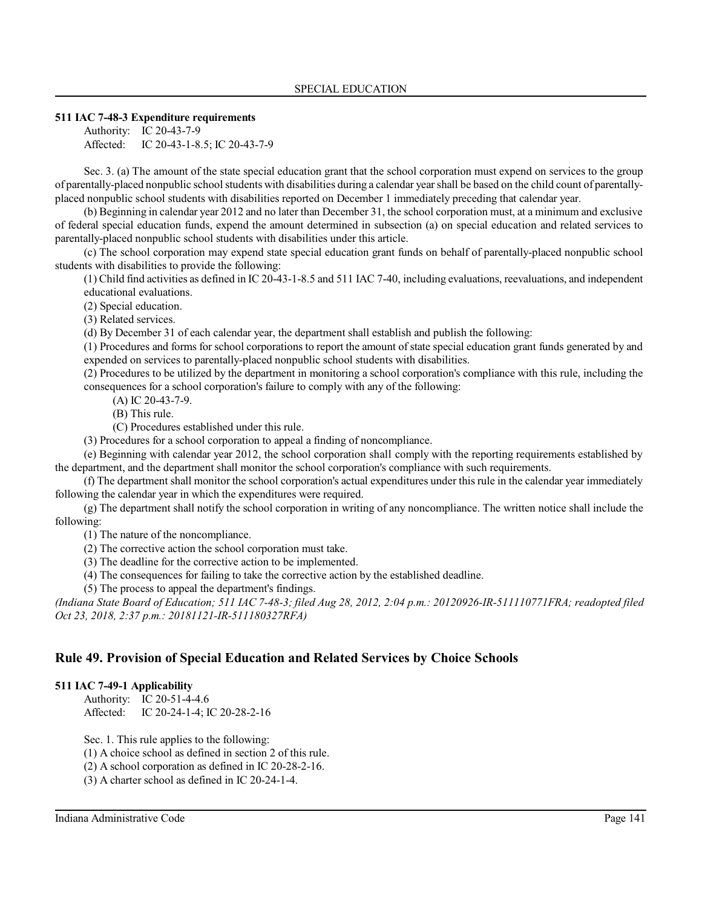#### **511 IAC 7-48-3 Expenditure requirements**

Authority: IC 20-43-7-9 Affected: IC 20-43-1-8.5; IC 20-43-7-9

Sec. 3. (a) The amount of the state special education grant that the school corporation must expend on services to the group of parentally-placed nonpublic school students with disabilities during a calendar yearshall be based on the child count of parentallyplaced nonpublic school students with disabilities reported on December 1 immediately preceding that calendar year.

(b) Beginning in calendar year 2012 and no later than December 31, the school corporation must, at a minimum and exclusive of federal special education funds, expend the amount determined in subsection (a) on special education and related services to parentally-placed nonpublic school students with disabilities under this article.

(c) The school corporation may expend state special education grant funds on behalf of parentally-placed nonpublic school students with disabilities to provide the following:

(1) Child find activities as defined in IC 20-43-1-8.5 and 511 IAC 7-40, including evaluations, reevaluations, and independent educational evaluations.

(2) Special education.

(3) Related services.

(d) By December 31 of each calendar year, the department shall establish and publish the following:

(1) Procedures and forms for school corporations to report the amount ofstate special education grant funds generated by and expended on services to parentally-placed nonpublic school students with disabilities.

(2) Procedures to be utilized by the department in monitoring a school corporation's compliance with this rule, including the consequences for a school corporation's failure to comply with any of the following:

(A) IC 20-43-7-9.

(B) This rule.

(C) Procedures established under this rule.

(3) Procedures for a school corporation to appeal a finding of noncompliance.

(e) Beginning with calendar year 2012, the school corporation shall comply with the reporting requirements established by the department, and the department shall monitor the school corporation's compliance with such requirements.

(f) The department shall monitor the school corporation's actual expenditures under thisrule in the calendar year immediately following the calendar year in which the expenditures were required.

(g) The department shall notify the school corporation in writing of any noncompliance. The written notice shall include the following:

(1) The nature of the noncompliance.

(2) The corrective action the school corporation must take.

(3) The deadline for the corrective action to be implemented.

(4) The consequences for failing to take the corrective action by the established deadline.

(5) The process to appeal the department's findings.

*(Indiana State Board of Education; 511 IAC 7-48-3; filed Aug 28, 2012, 2:04 p.m.: 20120926-IR-511110771FRA; readopted filed Oct 23, 2018, 2:37 p.m.: 20181121-IR-511180327RFA)*

# **Rule 49. Provision of Special Education and Related Services by Choice Schools**

## **511 IAC 7-49-1 Applicability**

Authority: IC 20-51-4-4.6 Affected: IC 20-24-1-4; IC 20-28-2-16

Sec. 1. This rule applies to the following:

(1) A choice school as defined in section 2 of this rule.

(2) A school corporation as defined in IC 20-28-2-16.

(3) A charter school as defined in IC 20-24-1-4.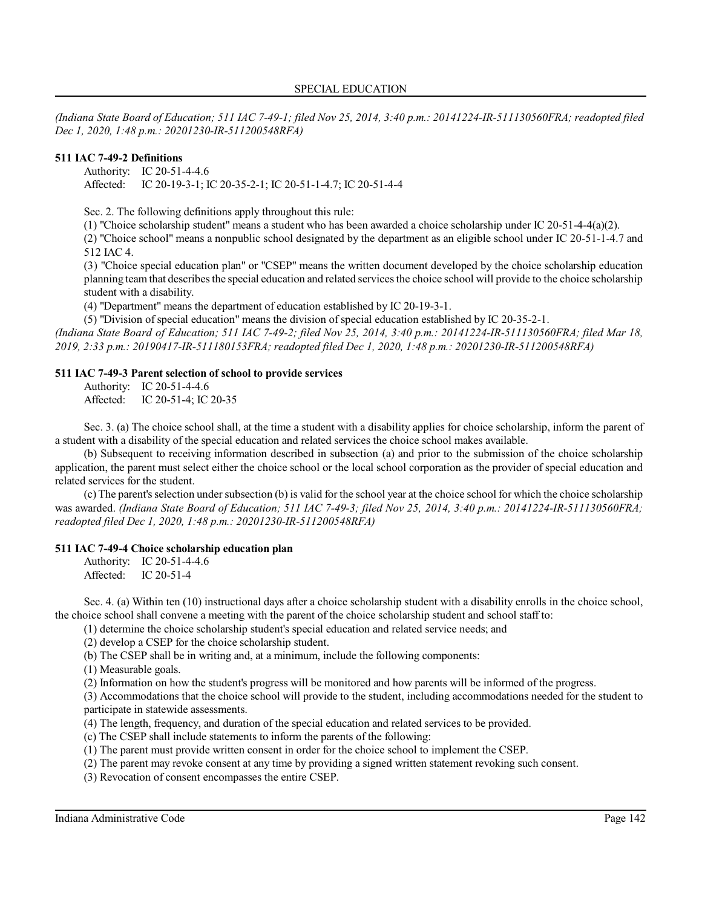*(Indiana State Board of Education; 511 IAC 7-49-1; filed Nov 25, 2014, 3:40 p.m.: 20141224-IR-511130560FRA; readopted filed Dec 1, 2020, 1:48 p.m.: 20201230-IR-511200548RFA)*

# **511 IAC 7-49-2 Definitions**

Authority: IC 20-51-4-4.6 Affected: IC 20-19-3-1; IC 20-35-2-1; IC 20-51-1-4.7; IC 20-51-4-4

Sec. 2. The following definitions apply throughout this rule:

(1) "Choice scholarship student" means a student who has been awarded a choice scholarship under IC 20-51-4-4(a)(2).

(2) "Choice school" means a nonpublic school designated by the department as an eligible school under IC 20-51-1-4.7 and 512 IAC 4.

(3) "Choice special education plan" or "CSEP" means the written document developed by the choice scholarship education planning team that describesthe special education and related servicesthe choice school will provide to the choice scholarship student with a disability.

(4) "Department" means the department of education established by IC 20-19-3-1.

(5) "Division of special education" means the division of special education established by IC 20-35-2-1. *(Indiana State Board of Education; 511 IAC 7-49-2; filed Nov 25, 2014, 3:40 p.m.: 20141224-IR-511130560FRA; filed Mar 18, 2019, 2:33 p.m.: 20190417-IR-511180153FRA; readopted filed Dec 1, 2020, 1:48 p.m.: 20201230-IR-511200548RFA)*

#### **511 IAC 7-49-3 Parent selection of school to provide services**

Authority: IC 20-51-4-4.6 Affected: IC 20-51-4; IC 20-35

Sec. 3. (a) The choice school shall, at the time a student with a disability applies for choice scholarship, inform the parent of a student with a disability of the special education and related services the choice school makes available.

(b) Subsequent to receiving information described in subsection (a) and prior to the submission of the choice scholarship application, the parent must select either the choice school or the local school corporation as the provider of special education and related services for the student.

(c) The parent's selection under subsection (b) is valid for the school year at the choice school for which the choice scholarship was awarded. *(Indiana State Board of Education; 511 IAC 7-49-3; filed Nov 25, 2014, 3:40 p.m.: 20141224-IR-511130560FRA; readopted filed Dec 1, 2020, 1:48 p.m.: 20201230-IR-511200548RFA)*

#### **511 IAC 7-49-4 Choice scholarship education plan**

Authority: IC 20-51-4-4.6 Affected: IC 20-51-4

Sec. 4. (a) Within ten (10) instructional days after a choice scholarship student with a disability enrolls in the choice school, the choice school shall convene a meeting with the parent of the choice scholarship student and school staff to:

(1) determine the choice scholarship student's special education and related service needs; and

(2) develop a CSEP for the choice scholarship student.

(b) The CSEP shall be in writing and, at a minimum, include the following components:

(1) Measurable goals.

(2) Information on how the student's progress will be monitored and how parents will be informed of the progress.

(3) Accommodations that the choice school will provide to the student, including accommodations needed for the student to participate in statewide assessments.

(4) The length, frequency, and duration of the special education and related services to be provided.

(c) The CSEP shall include statements to inform the parents of the following:

(1) The parent must provide written consent in order for the choice school to implement the CSEP.

(2) The parent may revoke consent at any time by providing a signed written statement revoking such consent.

(3) Revocation of consent encompasses the entire CSEP.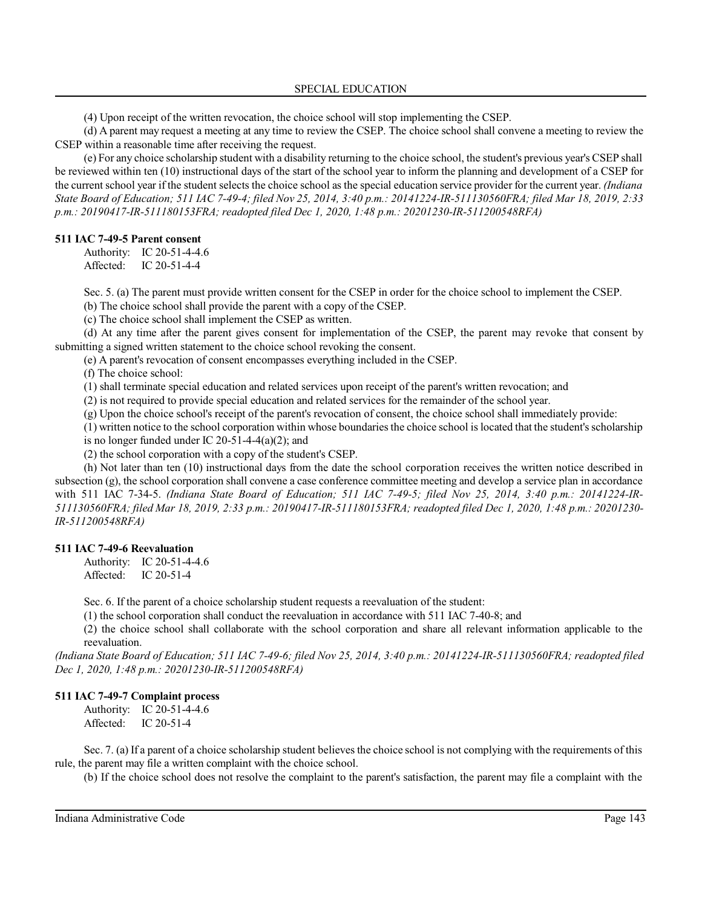(4) Upon receipt of the written revocation, the choice school will stop implementing the CSEP.

(d) A parent may request a meeting at any time to review the CSEP. The choice school shall convene a meeting to review the CSEP within a reasonable time after receiving the request.

(e) For any choice scholarship student with a disability returning to the choice school, the student's previous year's CSEP shall be reviewed within ten (10) instructional days of the start of the school year to inform the planning and development of a CSEP for the current school year if the student selects the choice school as the special education service provider for the current year. *(Indiana State Board of Education; 511 IAC 7-49-4; filed Nov 25, 2014, 3:40 p.m.: 20141224-IR-511130560FRA; filed Mar 18, 2019, 2:33 p.m.: 20190417-IR-511180153FRA; readopted filed Dec 1, 2020, 1:48 p.m.: 20201230-IR-511200548RFA)*

#### **511 IAC 7-49-5 Parent consent**

Authority: IC 20-51-4-4.6 Affected: IC 20-51-4-4

Sec. 5. (a) The parent must provide written consent for the CSEP in order for the choice school to implement the CSEP.

(b) The choice school shall provide the parent with a copy of the CSEP.

(c) The choice school shall implement the CSEP as written.

(d) At any time after the parent gives consent for implementation of the CSEP, the parent may revoke that consent by submitting a signed written statement to the choice school revoking the consent.

(e) A parent's revocation of consent encompasses everything included in the CSEP.

(f) The choice school:

(1) shall terminate special education and related services upon receipt of the parent's written revocation; and

(2) is not required to provide special education and related services for the remainder of the school year.

(g) Upon the choice school's receipt of the parent's revocation of consent, the choice school shall immediately provide:

(1) written notice to the school corporation within whose boundariesthe choice school islocated that the student's scholarship is no longer funded under IC 20-51-4-4(a)(2); and

(2) the school corporation with a copy of the student's CSEP.

(h) Not later than ten (10) instructional days from the date the school corporation receives the written notice described in subsection (g), the school corporation shall convene a case conference committee meeting and develop a service plan in accordance with 511 IAC 7-34-5. *(Indiana State Board of Education; 511 IAC 7-49-5; filed Nov 25, 2014, 3:40 p.m.: 20141224-IR-511130560FRA; filed Mar 18, 2019, 2:33 p.m.: 20190417-IR-511180153FRA; readopted filed Dec 1, 2020, 1:48 p.m.: 20201230- IR-511200548RFA)*

## **511 IAC 7-49-6 Reevaluation**

Authority: IC 20-51-4-4.6 Affected: IC 20-51-4

Sec. 6. If the parent of a choice scholarship student requests a reevaluation of the student:

(1) the school corporation shall conduct the reevaluation in accordance with 511 IAC 7-40-8; and

(2) the choice school shall collaborate with the school corporation and share all relevant information applicable to the reevaluation.

*(Indiana State Board of Education; 511 IAC 7-49-6; filed Nov 25, 2014, 3:40 p.m.: 20141224-IR-511130560FRA; readopted filed Dec 1, 2020, 1:48 p.m.: 20201230-IR-511200548RFA)*

## **511 IAC 7-49-7 Complaint process**

Authority: IC 20-51-4-4.6 Affected: IC 20-51-4

Sec. 7. (a) If a parent of a choice scholarship student believes the choice school is not complying with the requirements of this rule, the parent may file a written complaint with the choice school.

(b) If the choice school does not resolve the complaint to the parent's satisfaction, the parent may file a complaint with the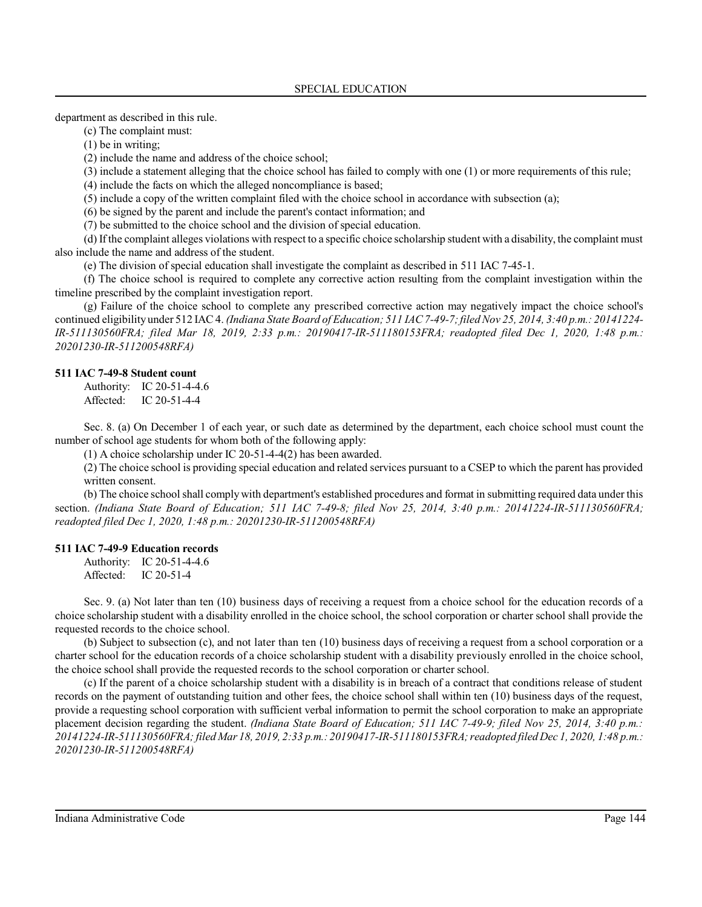department as described in this rule.

(c) The complaint must:

(1) be in writing;

(2) include the name and address of the choice school;

(3) include a statement alleging that the choice school has failed to comply with one (1) or more requirements of this rule;

(4) include the facts on which the alleged noncompliance is based;

(5) include a copy of the written complaint filed with the choice school in accordance with subsection (a);

(6) be signed by the parent and include the parent's contact information; and

(7) be submitted to the choice school and the division of special education.

(d) If the complaint alleges violations with respect to a specific choice scholarship student with a disability, the complaint must also include the name and address of the student.

(e) The division of special education shall investigate the complaint as described in 511 IAC 7-45-1.

(f) The choice school is required to complete any corrective action resulting from the complaint investigation within the timeline prescribed by the complaint investigation report.

(g) Failure of the choice school to complete any prescribed corrective action may negatively impact the choice school's continued eligibility under 512 IAC 4. *(Indiana State Board of Education; 511 IAC7-49-7;filed Nov 25, 2014, 3:40 p.m.: 20141224- IR-511130560FRA; filed Mar 18, 2019, 2:33 p.m.: 20190417-IR-511180153FRA; readopted filed Dec 1, 2020, 1:48 p.m.: 20201230-IR-511200548RFA)*

# **511 IAC 7-49-8 Student count**

Authority: IC 20-51-4-4.6 Affected: IC 20-51-4-4

Sec. 8. (a) On December 1 of each year, or such date as determined by the department, each choice school must count the number of school age students for whom both of the following apply:

(1) A choice scholarship under IC 20-51-4-4(2) has been awarded.

(2) The choice school is providing special education and related services pursuant to a CSEP to which the parent has provided written consent.

(b) The choice school shall complywith department's established procedures and format in submitting required data under this section. *(Indiana State Board of Education; 511 IAC 7-49-8; filed Nov 25, 2014, 3:40 p.m.: 20141224-IR-511130560FRA; readopted filed Dec 1, 2020, 1:48 p.m.: 20201230-IR-511200548RFA)*

## **511 IAC 7-49-9 Education records**

Authority: IC 20-51-4-4.6 Affected: IC 20-51-4

Sec. 9. (a) Not later than ten (10) business days of receiving a request from a choice school for the education records of a choice scholarship student with a disability enrolled in the choice school, the school corporation or charter school shall provide the requested records to the choice school.

(b) Subject to subsection (c), and not later than ten (10) business days of receiving a request from a school corporation or a charter school for the education records of a choice scholarship student with a disability previously enrolled in the choice school, the choice school shall provide the requested records to the school corporation or charter school.

(c) If the parent of a choice scholarship student with a disability is in breach of a contract that conditions release of student records on the payment of outstanding tuition and other fees, the choice school shall within ten (10) business days of the request, provide a requesting school corporation with sufficient verbal information to permit the school corporation to make an appropriate placement decision regarding the student. *(Indiana State Board of Education; 511 IAC 7-49-9; filed Nov 25, 2014, 3:40 p.m.: 20141224-IR-511130560FRA; filed Mar 18, 2019, 2:33 p.m.: 20190417-IR-511180153FRA;readopted filed Dec 1, 2020, 1:48 p.m.: 20201230-IR-511200548RFA)*